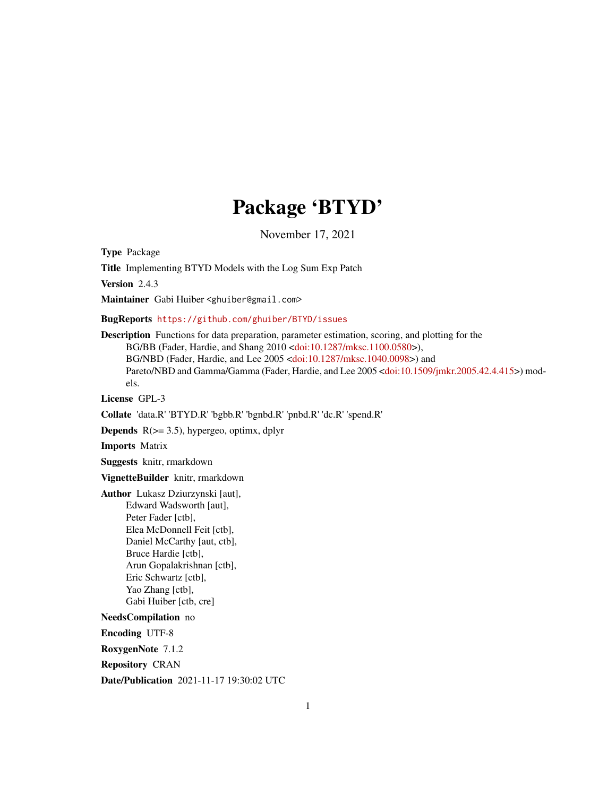# Package 'BTYD'

November 17, 2021

Type Package

Title Implementing BTYD Models with the Log Sum Exp Patch

Version 2.4.3

Maintainer Gabi Huiber <ghuiber@gmail.com>

BugReports <https://github.com/ghuiber/BTYD/issues>

Description Functions for data preparation, parameter estimation, scoring, and plotting for the BG/BB (Fader, Hardie, and Shang 2010 [<doi:10.1287/mksc.1100.0580>](https://doi.org/10.1287/mksc.1100.0580)), BG/NBD (Fader, Hardie, and Lee 2005 [<doi:10.1287/mksc.1040.0098>](https://doi.org/10.1287/mksc.1040.0098)) and Pareto/NBD and Gamma/Gamma (Fader, Hardie, and Lee 2005 [<doi:10.1509/jmkr.2005.42.4.415>](https://doi.org/10.1509/jmkr.2005.42.4.415)) models.

License GPL-3

Collate 'data.R' 'BTYD.R' 'bgbb.R' 'bgnbd.R' 'pnbd.R' 'dc.R' 'spend.R'

**Depends**  $R$ ( $>=$  3.5), hypergeo, optimx, dplyr

Imports Matrix

Suggests knitr, rmarkdown

VignetteBuilder knitr, rmarkdown

Author Lukasz Dziurzynski [aut], Edward Wadsworth [aut], Peter Fader [ctb], Elea McDonnell Feit [ctb], Daniel McCarthy [aut, ctb], Bruce Hardie [ctb], Arun Gopalakrishnan [ctb], Eric Schwartz [ctb], Yao Zhang [ctb], Gabi Huiber [ctb, cre]

NeedsCompilation no

Encoding UTF-8

RoxygenNote 7.1.2

Repository CRAN

Date/Publication 2021-11-17 19:30:02 UTC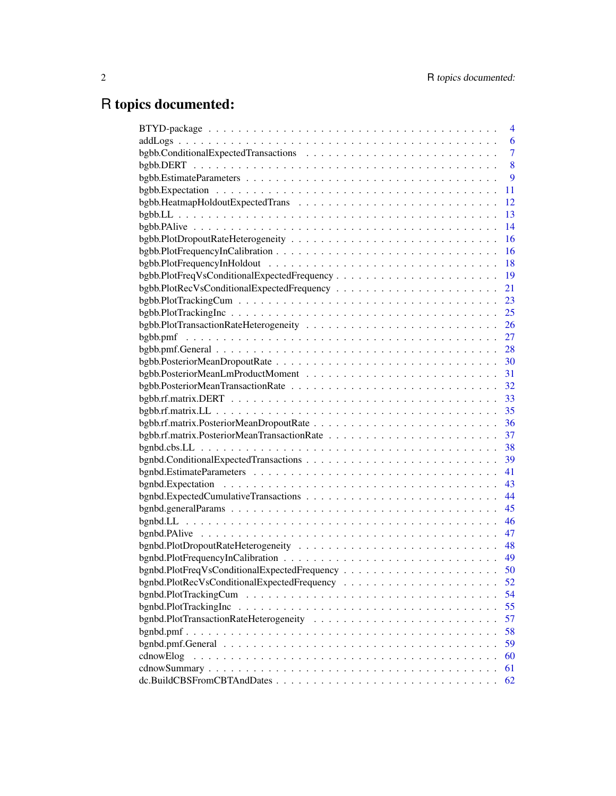# R topics documented:

|                                             | 4  |
|---------------------------------------------|----|
|                                             | 6  |
|                                             | 7  |
|                                             | 8  |
|                                             | 9  |
|                                             | 11 |
|                                             | 12 |
|                                             | 13 |
|                                             | 14 |
|                                             | 16 |
|                                             | 16 |
|                                             | 18 |
| bgbb.PlotFreqVsConditionalExpectedFrequency | 19 |
|                                             | 21 |
|                                             | 23 |
|                                             | 25 |
|                                             | 26 |
|                                             | 27 |
|                                             | 28 |
|                                             | 30 |
|                                             | 31 |
|                                             | 32 |
|                                             | 33 |
|                                             | 35 |
|                                             | 36 |
|                                             | 37 |
|                                             | 38 |
|                                             | 39 |
|                                             | 41 |
|                                             | 43 |
|                                             | 44 |
|                                             | 45 |
|                                             | 46 |
|                                             | 47 |
|                                             | 48 |
|                                             | 49 |
|                                             | 50 |
|                                             | 52 |
| bgnbd.PlotTrackingCum                       | 54 |
| bgnbd.PlotTrackingInc                       | 55 |
|                                             | 57 |
|                                             |    |
|                                             | 58 |
|                                             | 59 |
| cdnowElog                                   | 60 |
|                                             | 61 |
|                                             | 62 |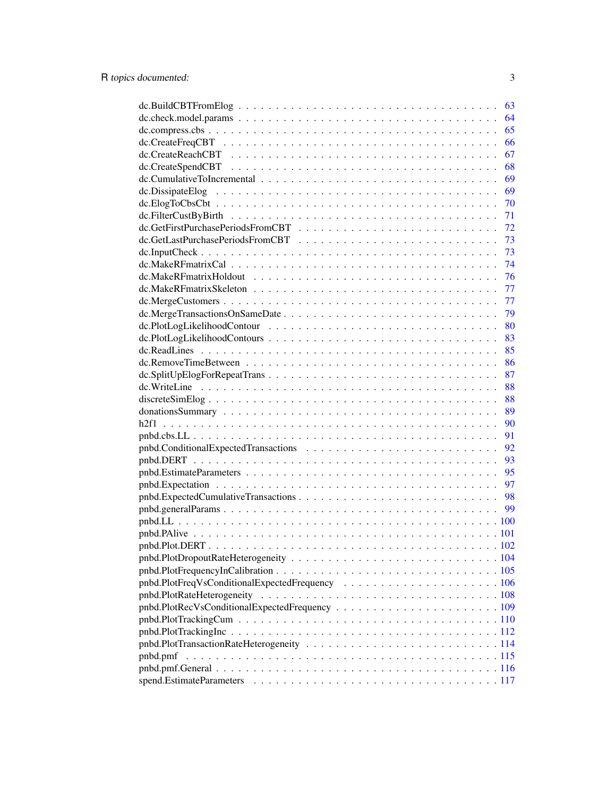|                            | 63 |
|----------------------------|----|
|                            | 64 |
|                            | 65 |
|                            | 66 |
|                            | 67 |
|                            | 68 |
|                            | 69 |
|                            | 69 |
|                            | 70 |
|                            | 71 |
|                            | 72 |
|                            | 73 |
|                            | 73 |
|                            | 74 |
|                            | 76 |
|                            | 77 |
|                            | 77 |
|                            | 79 |
|                            | 80 |
|                            | 83 |
|                            | 85 |
|                            | 86 |
|                            | 87 |
|                            | 88 |
|                            | 88 |
|                            | 89 |
|                            | 90 |
|                            | 91 |
|                            | 92 |
|                            | 93 |
|                            | 95 |
|                            | 97 |
|                            | 98 |
|                            | 99 |
|                            |    |
|                            |    |
|                            |    |
|                            |    |
|                            |    |
|                            |    |
| pnbd.PlotRateHeterogeneity |    |
|                            |    |
|                            |    |
|                            |    |
|                            |    |
| pnbd.pmf                   |    |
|                            |    |
|                            |    |
|                            |    |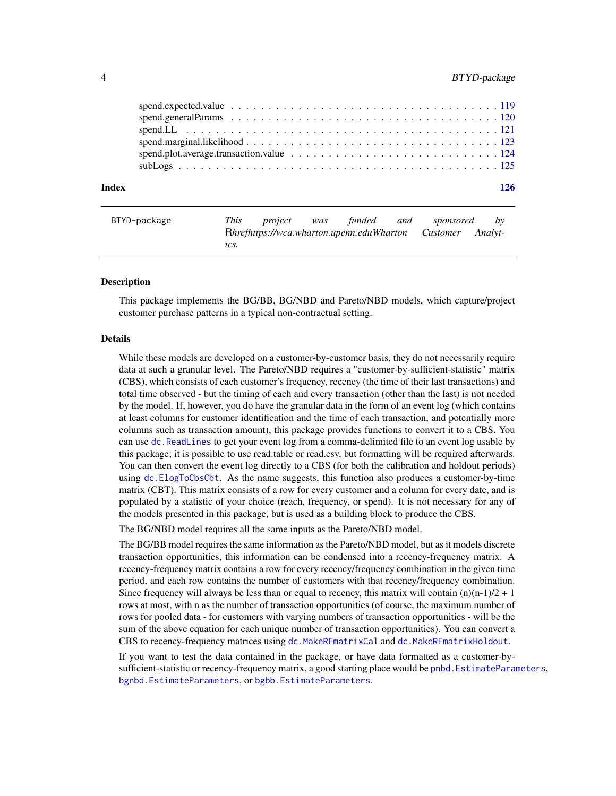<span id="page-3-0"></span>

| Index | 126 |
|-------|-----|
|       |     |
|       |     |
|       |     |

| BTYD-package |      | This project | was funded | and sponsored                                                     | bv |
|--------------|------|--------------|------------|-------------------------------------------------------------------|----|
|              |      |              |            | <b>Rhrefhttps://wca.wharton.upenn.eduWharton Customer Analyt-</b> |    |
|              | tcs. |              |            |                                                                   |    |

## Description

This package implements the BG/BB, BG/NBD and Pareto/NBD models, which capture/project customer purchase patterns in a typical non-contractual setting.

#### Details

While these models are developed on a customer-by-customer basis, they do not necessarily require data at such a granular level. The Pareto/NBD requires a "customer-by-sufficient-statistic" matrix (CBS), which consists of each customer's frequency, recency (the time of their last transactions) and total time observed - but the timing of each and every transaction (other than the last) is not needed by the model. If, however, you do have the granular data in the form of an event log (which contains at least columns for customer identification and the time of each transaction, and potentially more columns such as transaction amount), this package provides functions to convert it to a CBS. You can use [dc.ReadLines](#page-84-1) to get your event log from a comma-delimited file to an event log usable by this package; it is possible to use read.table or read.csv, but formatting will be required afterwards. You can then convert the event log directly to a CBS (for both the calibration and holdout periods) using [dc.ElogToCbsCbt](#page-69-1). As the name suggests, this function also produces a customer-by-time matrix (CBT). This matrix consists of a row for every customer and a column for every date, and is populated by a statistic of your choice (reach, frequency, or spend). It is not necessary for any of the models presented in this package, but is used as a building block to produce the CBS.

The BG/NBD model requires all the same inputs as the Pareto/NBD model.

The BG/BB model requires the same information as the Pareto/NBD model, but as it models discrete transaction opportunities, this information can be condensed into a recency-frequency matrix. A recency-frequency matrix contains a row for every recency/frequency combination in the given time period, and each row contains the number of customers with that recency/frequency combination. Since frequency will always be less than or equal to recency, this matrix will contain  $(n)(n-1)/2 + 1$ rows at most, with n as the number of transaction opportunities (of course, the maximum number of rows for pooled data - for customers with varying numbers of transaction opportunities - will be the sum of the above equation for each unique number of transaction opportunities). You can convert a CBS to recency-frequency matrices using [dc.MakeRFmatrixCal](#page-73-1) and [dc.MakeRFmatrixHoldout](#page-75-1).

If you want to test the data contained in the package, or have data formatted as a customer-bysufficient-statistic or recency-frequency matrix, a good starting place would be pnbd. EstimateParameters, [bgnbd.EstimateParameters](#page-40-1), or [bgbb.EstimateParameters](#page-8-1).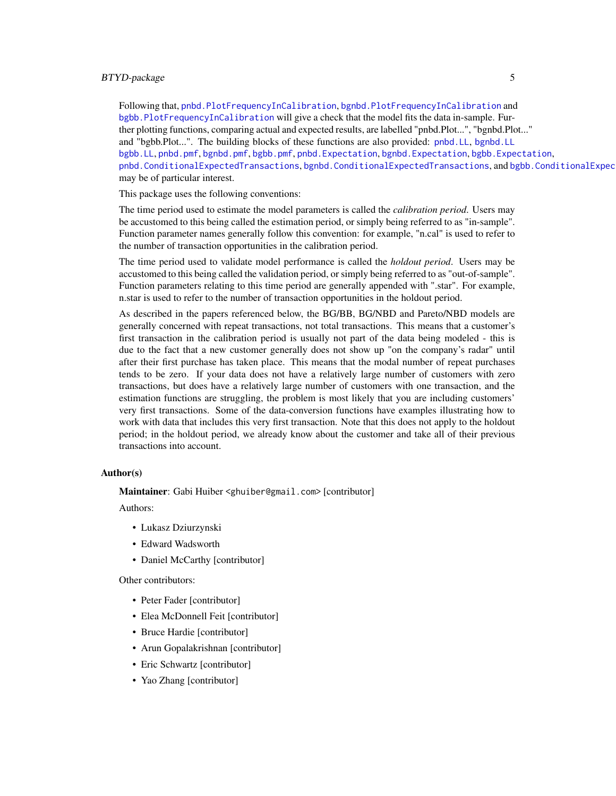## BTYD-package 5

Following that, [pnbd.PlotFrequencyInCalibration](#page-104-1), [bgnbd.PlotFrequencyInCalibration](#page-48-1) and [bgbb.PlotFrequencyInCalibration](#page-15-1) will give a check that the model fits the data in-sample. Further plotting functions, comparing actual and expected results, are labelled "pnbd.Plot...", "bgnbd.Plot..." and "bgbb.Plot...". The building blocks of these functions are also provided: [pnbd.LL](#page-99-1), [bgnbd.LL](#page-45-1) [bgbb.LL](#page-12-1), [pnbd.pmf](#page-114-1), [bgnbd.pmf](#page-57-1), [bgbb.pmf](#page-26-1), [pnbd.Expectation](#page-96-1), [bgnbd.Expectation](#page-42-1), [bgbb.Expectation](#page-10-1), [pnbd.ConditionalExpectedTransactions](#page-91-1), [bgnbd.ConditionalExpectedTransactions](#page-38-1), and bgbb.ConditionalExpec may be of particular interest.

This package uses the following conventions:

The time period used to estimate the model parameters is called the *calibration period*. Users may be accustomed to this being called the estimation period, or simply being referred to as "in-sample". Function parameter names generally follow this convention: for example, "n.cal" is used to refer to the number of transaction opportunities in the calibration period.

The time period used to validate model performance is called the *holdout period*. Users may be accustomed to this being called the validation period, or simply being referred to as "out-of-sample". Function parameters relating to this time period are generally appended with ".star". For example, n.star is used to refer to the number of transaction opportunities in the holdout period.

As described in the papers referenced below, the BG/BB, BG/NBD and Pareto/NBD models are generally concerned with repeat transactions, not total transactions. This means that a customer's first transaction in the calibration period is usually not part of the data being modeled - this is due to the fact that a new customer generally does not show up "on the company's radar" until after their first purchase has taken place. This means that the modal number of repeat purchases tends to be zero. If your data does not have a relatively large number of customers with zero transactions, but does have a relatively large number of customers with one transaction, and the estimation functions are struggling, the problem is most likely that you are including customers' very first transactions. Some of the data-conversion functions have examples illustrating how to work with data that includes this very first transaction. Note that this does not apply to the holdout period; in the holdout period, we already know about the customer and take all of their previous transactions into account.

#### Author(s)

Maintainer: Gabi Huiber <ghuiber@gmail.com> [contributor]

Authors:

- Lukasz Dziurzynski
- Edward Wadsworth
- Daniel McCarthy [contributor]

Other contributors:

- Peter Fader [contributor]
- Elea McDonnell Feit [contributor]
- Bruce Hardie [contributor]
- Arun Gopalakrishnan [contributor]
- Eric Schwartz [contributor]
- Yao Zhang [contributor]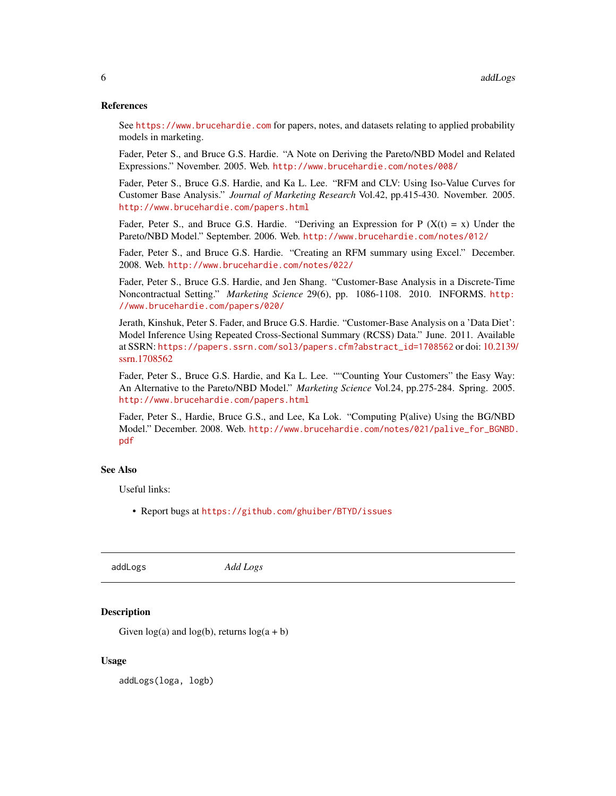## <span id="page-5-0"></span>References

See <https://www.brucehardie.com> for papers, notes, and datasets relating to applied probability models in marketing.

Fader, Peter S., and Bruce G.S. Hardie. "A Note on Deriving the Pareto/NBD Model and Related Expressions." November. 2005. Web. <http://www.brucehardie.com/notes/008/>

Fader, Peter S., Bruce G.S. Hardie, and Ka L. Lee. "RFM and CLV: Using Iso-Value Curves for Customer Base Analysis." *Journal of Marketing Research* Vol.42, pp.415-430. November. 2005. <http://www.brucehardie.com/papers.html>

Fader, Peter S., and Bruce G.S. Hardie. "Deriving an Expression for P  $(X(t) = x)$  Under the Pareto/NBD Model." September. 2006. Web. <http://www.brucehardie.com/notes/012/>

Fader, Peter S., and Bruce G.S. Hardie. "Creating an RFM summary using Excel." December. 2008. Web. <http://www.brucehardie.com/notes/022/>

Fader, Peter S., Bruce G.S. Hardie, and Jen Shang. "Customer-Base Analysis in a Discrete-Time Noncontractual Setting." *Marketing Science* 29(6), pp. 1086-1108. 2010. INFORMS. [http:](http://www.brucehardie.com/papers/020/) [//www.brucehardie.com/papers/020/](http://www.brucehardie.com/papers/020/)

Jerath, Kinshuk, Peter S. Fader, and Bruce G.S. Hardie. "Customer-Base Analysis on a 'Data Diet': Model Inference Using Repeated Cross-Sectional Summary (RCSS) Data." June. 2011. Available at SSRN: [https://papers.ssrn.com/sol3/papers.cfm?abstract\\_id=1708562](https://papers.ssrn.com/sol3/papers.cfm?abstract_id=1708562) or doi: [10.2139/](https://doi.org/10.2139/ssrn.1708562) [ssrn.1708562](https://doi.org/10.2139/ssrn.1708562)

Fader, Peter S., Bruce G.S. Hardie, and Ka L. Lee. ""Counting Your Customers" the Easy Way: An Alternative to the Pareto/NBD Model." *Marketing Science* Vol.24, pp.275-284. Spring. 2005. <http://www.brucehardie.com/papers.html>

Fader, Peter S., Hardie, Bruce G.S., and Lee, Ka Lok. "Computing P(alive) Using the BG/NBD Model." December. 2008. Web. [http://www.brucehardie.com/notes/021/palive\\_for\\_BGNBD.](http://www.brucehardie.com/notes/021/palive_for_BGNBD.pdf) [pdf](http://www.brucehardie.com/notes/021/palive_for_BGNBD.pdf)

## See Also

Useful links:

• Report bugs at <https://github.com/ghuiber/BTYD/issues>

addLogs *Add Logs*

## **Description**

Given  $log(a)$  and  $log(b)$ , returns  $log(a + b)$ 

## Usage

addLogs(loga, logb)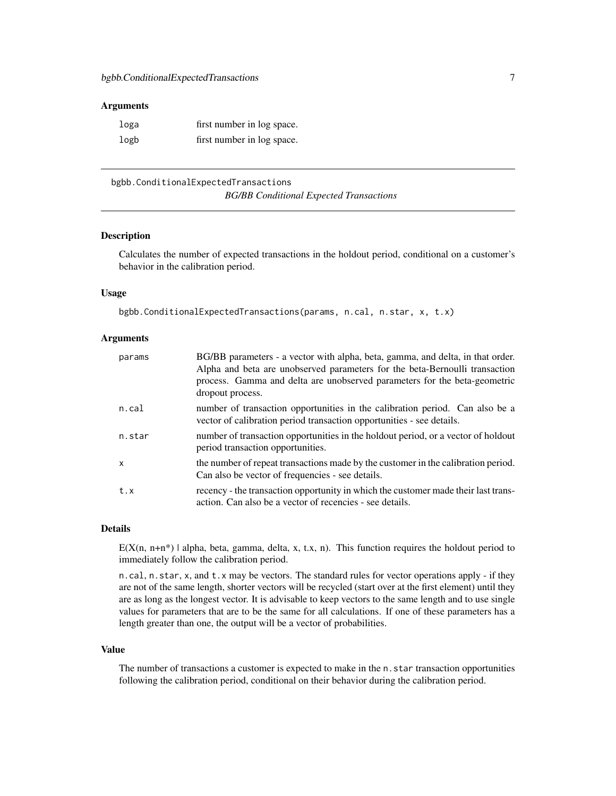#### <span id="page-6-0"></span>Arguments

| loga | first number in log space. |
|------|----------------------------|
| logb | first number in log space. |

<span id="page-6-1"></span>bgbb.ConditionalExpectedTransactions *BG/BB Conditional Expected Transactions*

#### Description

Calculates the number of expected transactions in the holdout period, conditional on a customer's behavior in the calibration period.

## Usage

```
bgbb.ConditionalExpectedTransactions(params, n.cal, n.star, x, t.x)
```
#### Arguments

| params | BG/BB parameters - a vector with alpha, beta, gamma, and delta, in that order.<br>Alpha and beta are unobserved parameters for the beta-Bernoulli transaction<br>process. Gamma and delta are unobserved parameters for the beta-geometric<br>dropout process. |
|--------|----------------------------------------------------------------------------------------------------------------------------------------------------------------------------------------------------------------------------------------------------------------|
| n.cal  | number of transaction opportunities in the calibration period. Can also be a<br>vector of calibration period transaction opportunities - see details.                                                                                                          |
| n.star | number of transaction opportunities in the holdout period, or a vector of holdout<br>period transaction opportunities.                                                                                                                                         |
| X      | the number of repeat transactions made by the customer in the calibration period.<br>Can also be vector of frequencies - see details.                                                                                                                          |
| t.x    | recency - the transaction opportunity in which the customer made their last trans-<br>action. Can also be a vector of recencies - see details.                                                                                                                 |

#### Details

 $E(X(n, n+n^*)$  | alpha, beta, gamma, delta, x, t.x, n). This function requires the holdout period to immediately follow the calibration period.

n.cal, n.star, x, and t.x may be vectors. The standard rules for vector operations apply - if they are not of the same length, shorter vectors will be recycled (start over at the first element) until they are as long as the longest vector. It is advisable to keep vectors to the same length and to use single values for parameters that are to be the same for all calculations. If one of these parameters has a length greater than one, the output will be a vector of probabilities.

#### Value

The number of transactions a customer is expected to make in the  $n$ . star transaction opportunities following the calibration period, conditional on their behavior during the calibration period.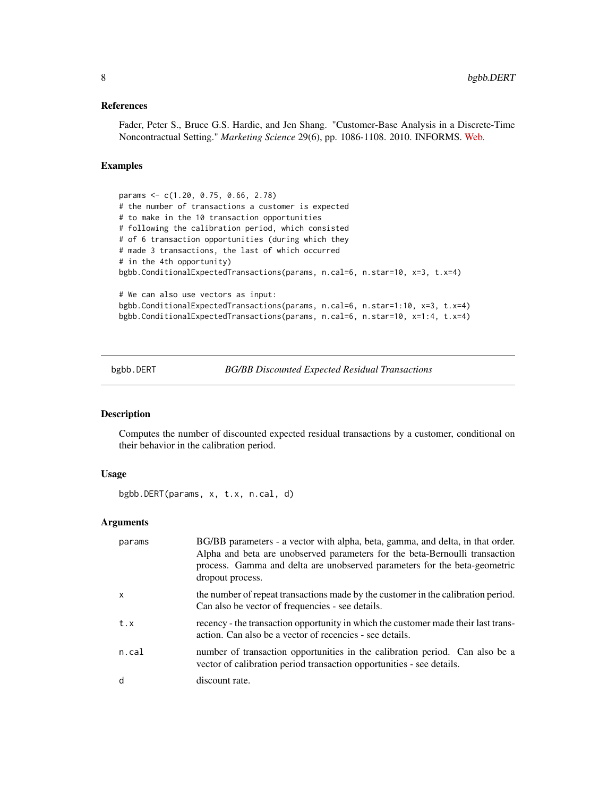## <span id="page-7-0"></span>References

Fader, Peter S., Bruce G.S. Hardie, and Jen Shang. "Customer-Base Analysis in a Discrete-Time Noncontractual Setting." *Marketing Science* 29(6), pp. 1086-1108. 2010. INFORMS. [Web.](http://www.brucehardie.com/papers/020/)

## Examples

params <- c(1.20, 0.75, 0.66, 2.78) # the number of transactions a customer is expected # to make in the 10 transaction opportunities # following the calibration period, which consisted # of 6 transaction opportunities (during which they # made 3 transactions, the last of which occurred # in the 4th opportunity) bgbb.ConditionalExpectedTransactions(params, n.cal=6, n.star=10, x=3, t.x=4) # We can also use vectors as input: bgbb.ConditionalExpectedTransactions(params, n.cal=6, n.star=1:10, x=3, t.x=4) bgbb.ConditionalExpectedTransactions(params, n.cal=6, n.star=10, x=1:4, t.x=4)

<span id="page-7-1"></span>bgbb.DERT *BG/BB Discounted Expected Residual Transactions*

## Description

Computes the number of discounted expected residual transactions by a customer, conditional on their behavior in the calibration period.

## Usage

```
bgbb.DERT(params, x, t.x, n.cal, d)
```

| params       | BG/BB parameters - a vector with alpha, beta, gamma, and delta, in that order.<br>Alpha and beta are unobserved parameters for the beta-Bernoulli transaction<br>process. Gamma and delta are unobserved parameters for the beta-geometric<br>dropout process. |
|--------------|----------------------------------------------------------------------------------------------------------------------------------------------------------------------------------------------------------------------------------------------------------------|
| $\mathsf{x}$ | the number of repeat transactions made by the customer in the calibration period.<br>Can also be vector of frequencies - see details.                                                                                                                          |
| t.x          | recency - the transaction opportunity in which the customer made their last trans-<br>action. Can also be a vector of recencies - see details.                                                                                                                 |
| n.cal        | number of transaction opportunities in the calibration period. Can also be a<br>vector of calibration period transaction opportunities - see details.                                                                                                          |
| d            | discount rate.                                                                                                                                                                                                                                                 |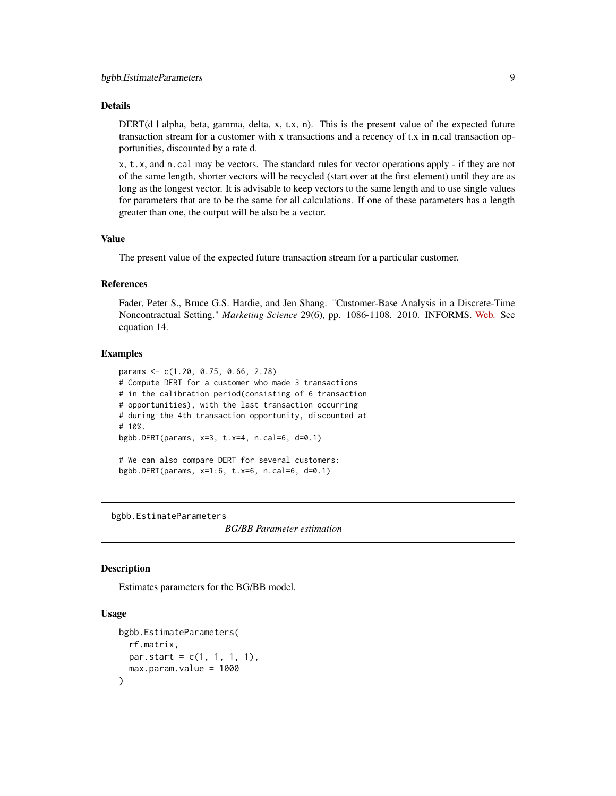#### <span id="page-8-0"></span>Details

DERT(d | alpha, beta, gamma, delta, x, t.x, n). This is the present value of the expected future transaction stream for a customer with x transactions and a recency of t.x in n.cal transaction opportunities, discounted by a rate d.

x, t.x, and n.cal may be vectors. The standard rules for vector operations apply - if they are not of the same length, shorter vectors will be recycled (start over at the first element) until they are as long as the longest vector. It is advisable to keep vectors to the same length and to use single values for parameters that are to be the same for all calculations. If one of these parameters has a length greater than one, the output will be also be a vector.

#### Value

The present value of the expected future transaction stream for a particular customer.

#### References

Fader, Peter S., Bruce G.S. Hardie, and Jen Shang. "Customer-Base Analysis in a Discrete-Time Noncontractual Setting." *Marketing Science* 29(6), pp. 1086-1108. 2010. INFORMS. [Web.](http://www.brucehardie.com/papers/020/) See equation 14.

## Examples

```
params <- c(1.20, 0.75, 0.66, 2.78)
# Compute DERT for a customer who made 3 transactions
# in the calibration period(consisting of 6 transaction
# opportunities), with the last transaction occurring
# during the 4th transaction opportunity, discounted at
# 10%.
bgbb.DERT(params, x=3, t.x=4, n.cal=6, d=0.1)
# We can also compare DERT for several customers:
bgbb.DERT(params, x=1:6, t.x=6, n.cal=6, d=0.1)
```
<span id="page-8-1"></span>bgbb.EstimateParameters

*BG/BB Parameter estimation*

#### Description

Estimates parameters for the BG/BB model.

## Usage

```
bgbb.EstimateParameters(
  rf.matrix,
 par.start = c(1, 1, 1, 1),max.param.value = 1000
)
```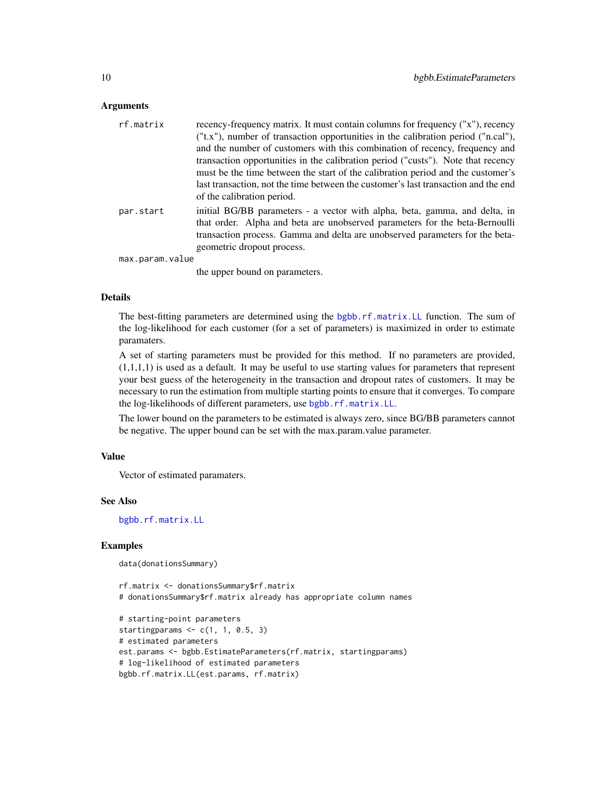#### Arguments

| rf.matrix       | recency-frequency matrix. It must contain columns for frequency ("x"), recency                                                                                                                                                                                          |
|-----------------|-------------------------------------------------------------------------------------------------------------------------------------------------------------------------------------------------------------------------------------------------------------------------|
|                 | ("t.x"), number of transaction opportunities in the calibration period ("n.cal"),                                                                                                                                                                                       |
|                 | and the number of customers with this combination of recency, frequency and                                                                                                                                                                                             |
|                 | transaction opportunities in the calibration period ("custs"). Note that recency                                                                                                                                                                                        |
|                 | must be the time between the start of the calibration period and the customer's                                                                                                                                                                                         |
|                 | last transaction, not the time between the customer's last transaction and the end<br>of the calibration period.                                                                                                                                                        |
| par.start       | initial BG/BB parameters - a vector with alpha, beta, gamma, and delta, in<br>that order. Alpha and beta are unobserved parameters for the beta-Bernoulli<br>transaction process. Gamma and delta are unobserved parameters for the beta-<br>geometric dropout process. |
| max.param.value |                                                                                                                                                                                                                                                                         |
|                 |                                                                                                                                                                                                                                                                         |

the upper bound on parameters.

## Details

The best-fitting parameters are determined using the [bgbb.rf.matrix.LL](#page-34-1) function. The sum of the log-likelihood for each customer (for a set of parameters) is maximized in order to estimate paramaters.

A set of starting parameters must be provided for this method. If no parameters are provided,  $(1,1,1,1)$  is used as a default. It may be useful to use starting values for parameters that represent your best guess of the heterogeneity in the transaction and dropout rates of customers. It may be necessary to run the estimation from multiple starting points to ensure that it converges. To compare the log-likelihoods of different parameters, use [bgbb.rf.matrix.LL](#page-34-1).

The lower bound on the parameters to be estimated is always zero, since BG/BB parameters cannot be negative. The upper bound can be set with the max.param.value parameter.

#### Value

Vector of estimated paramaters.

#### See Also

[bgbb.rf.matrix.LL](#page-34-1)

## Examples

```
data(donationsSummary)
```

```
rf.matrix <- donationsSummary$rf.matrix
# donationsSummary$rf.matrix already has appropriate column names
# starting-point parameters
starting params \leq c(1, 1, 0.5, 3)# estimated parameters
est.params <- bgbb.EstimateParameters(rf.matrix, startingparams)
# log-likelihood of estimated parameters
bgbb.rf.matrix.LL(est.params, rf.matrix)
```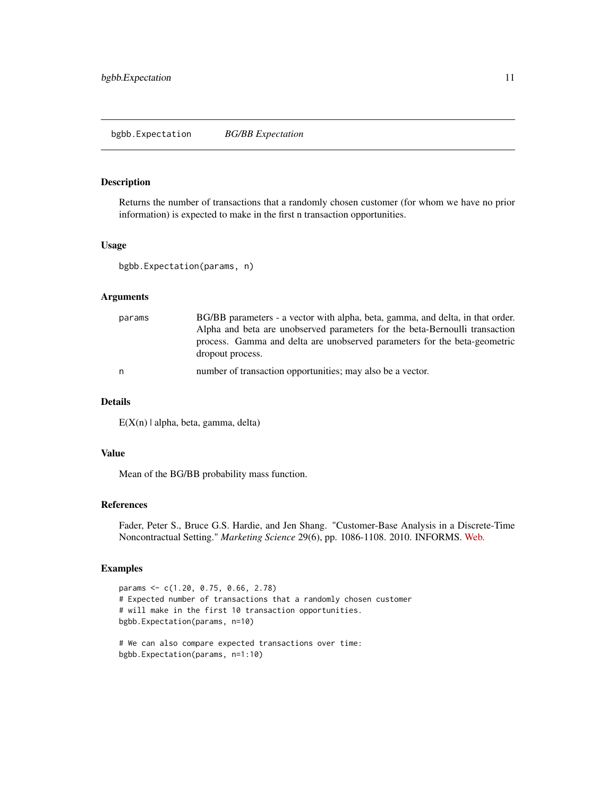<span id="page-10-1"></span><span id="page-10-0"></span>bgbb.Expectation *BG/BB Expectation*

## Description

Returns the number of transactions that a randomly chosen customer (for whom we have no prior information) is expected to make in the first n transaction opportunities.

#### Usage

bgbb.Expectation(params, n)

#### **Arguments**

| params | BG/BB parameters - a vector with alpha, beta, gamma, and delta, in that order.<br>Alpha and beta are unobserved parameters for the beta-Bernoulli transaction<br>process. Gamma and delta are unobserved parameters for the beta-geometric<br>dropout process. |
|--------|----------------------------------------------------------------------------------------------------------------------------------------------------------------------------------------------------------------------------------------------------------------|
| n      | number of transaction opportunities; may also be a vector.                                                                                                                                                                                                     |

#### Details

 $E(X(n) | alpha, beta, gamma, delta)$ 

## Value

Mean of the BG/BB probability mass function.

## References

Fader, Peter S., Bruce G.S. Hardie, and Jen Shang. "Customer-Base Analysis in a Discrete-Time Noncontractual Setting." *Marketing Science* 29(6), pp. 1086-1108. 2010. INFORMS. [Web.](http://www.brucehardie.com/papers/020/)

#### Examples

```
params <- c(1.20, 0.75, 0.66, 2.78)
# Expected number of transactions that a randomly chosen customer
# will make in the first 10 transaction opportunities.
bgbb.Expectation(params, n=10)
```

```
# We can also compare expected transactions over time:
bgbb.Expectation(params, n=1:10)
```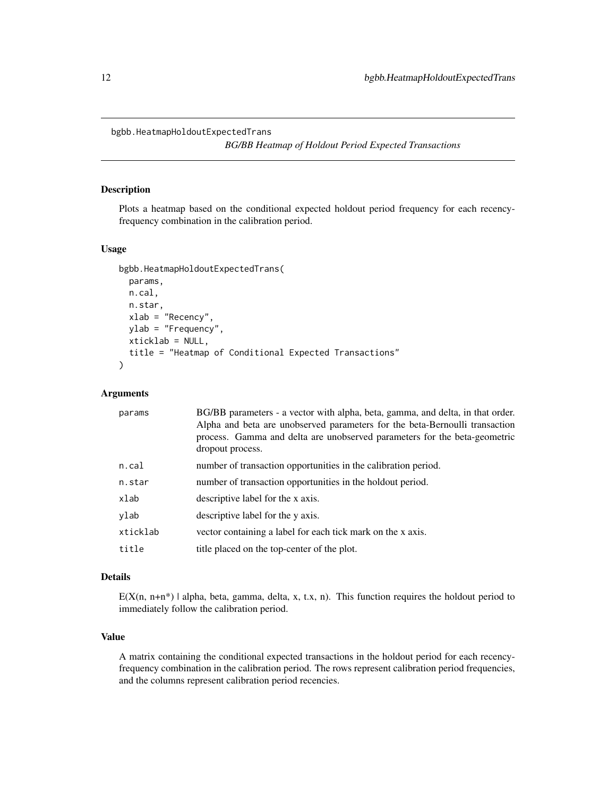<span id="page-11-0"></span>bgbb.HeatmapHoldoutExpectedTrans

*BG/BB Heatmap of Holdout Period Expected Transactions*

#### Description

Plots a heatmap based on the conditional expected holdout period frequency for each recencyfrequency combination in the calibration period.

## Usage

```
bgbb.HeatmapHoldoutExpectedTrans(
 params,
 n.cal,
 n.star,
 xlab = "Recency",
 ylab = "Frequency",
 xticklab = NULL,
  title = "Heatmap of Conditional Expected Transactions"
\mathcal{L}
```
## Arguments

| params   | BG/BB parameters - a vector with alpha, beta, gamma, and delta, in that order.<br>Alpha and beta are unobserved parameters for the beta-Bernoulli transaction<br>process. Gamma and delta are unobserved parameters for the beta-geometric<br>dropout process. |
|----------|----------------------------------------------------------------------------------------------------------------------------------------------------------------------------------------------------------------------------------------------------------------|
| n.cal    | number of transaction opportunities in the calibration period.                                                                                                                                                                                                 |
| n.star   | number of transaction opportunities in the holdout period.                                                                                                                                                                                                     |
| xlab     | descriptive label for the x axis.                                                                                                                                                                                                                              |
| ylab     | descriptive label for the y axis.                                                                                                                                                                                                                              |
| xticklab | vector containing a label for each tick mark on the x axis.                                                                                                                                                                                                    |
| title    | title placed on the top-center of the plot.                                                                                                                                                                                                                    |

## Details

 $E(X(n, n+n^*)$  | alpha, beta, gamma, delta, x, t.x, n). This function requires the holdout period to immediately follow the calibration period.

## Value

A matrix containing the conditional expected transactions in the holdout period for each recencyfrequency combination in the calibration period. The rows represent calibration period frequencies, and the columns represent calibration period recencies.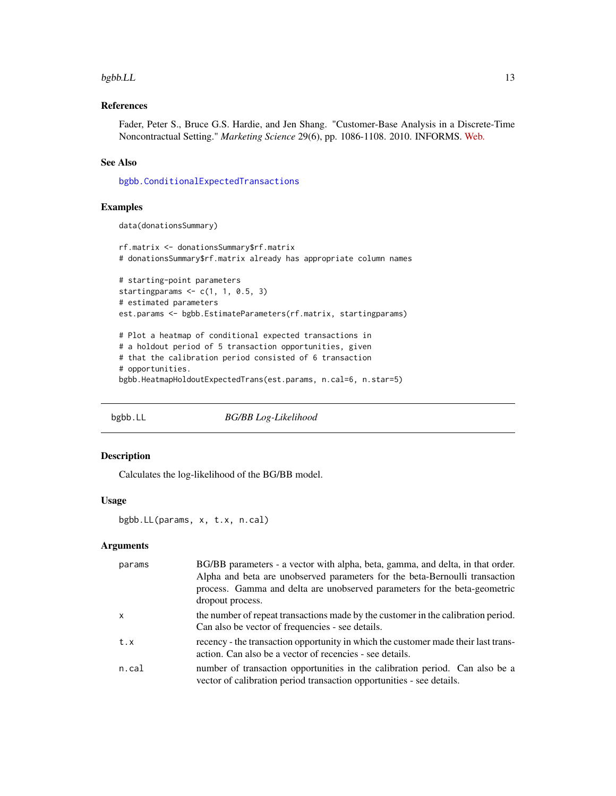#### <span id="page-12-0"></span> $bgbb.LL$  13

## References

Fader, Peter S., Bruce G.S. Hardie, and Jen Shang. "Customer-Base Analysis in a Discrete-Time Noncontractual Setting." *Marketing Science* 29(6), pp. 1086-1108. 2010. INFORMS. [Web.](http://www.brucehardie.com/papers/020/)

## See Also

[bgbb.ConditionalExpectedTransactions](#page-6-1)

## Examples

```
data(donationsSummary)
```

```
rf.matrix <- donationsSummary$rf.matrix
# donationsSummary$rf.matrix already has appropriate column names
# starting-point parameters
starting params \leq c(1, 1, 0.5, 3)# estimated parameters
est.params <- bgbb.EstimateParameters(rf.matrix, startingparams)
# Plot a heatmap of conditional expected transactions in
# a holdout period of 5 transaction opportunities, given
# that the calibration period consisted of 6 transaction
# opportunities.
bgbb.HeatmapHoldoutExpectedTrans(est.params, n.cal=6, n.star=5)
```
<span id="page-12-1"></span>bgbb.LL *BG/BB Log-Likelihood*

#### Description

Calculates the log-likelihood of the BG/BB model.

#### Usage

bgbb.LL(params, x, t.x, n.cal)

| params       | BG/BB parameters - a vector with alpha, beta, gamma, and delta, in that order.<br>Alpha and beta are unobserved parameters for the beta-Bernoulli transaction<br>process. Gamma and delta are unobserved parameters for the beta-geometric<br>dropout process. |
|--------------|----------------------------------------------------------------------------------------------------------------------------------------------------------------------------------------------------------------------------------------------------------------|
| $\mathsf{x}$ | the number of repeat transactions made by the customer in the calibration period.<br>Can also be vector of frequencies - see details.                                                                                                                          |
| t.x          | recency - the transaction opportunity in which the customer made their last trans-<br>action. Can also be a vector of recencies - see details.                                                                                                                 |
| n.cal        | number of transaction opportunities in the calibration period. Can also be a<br>vector of calibration period transaction opportunities - see details.                                                                                                          |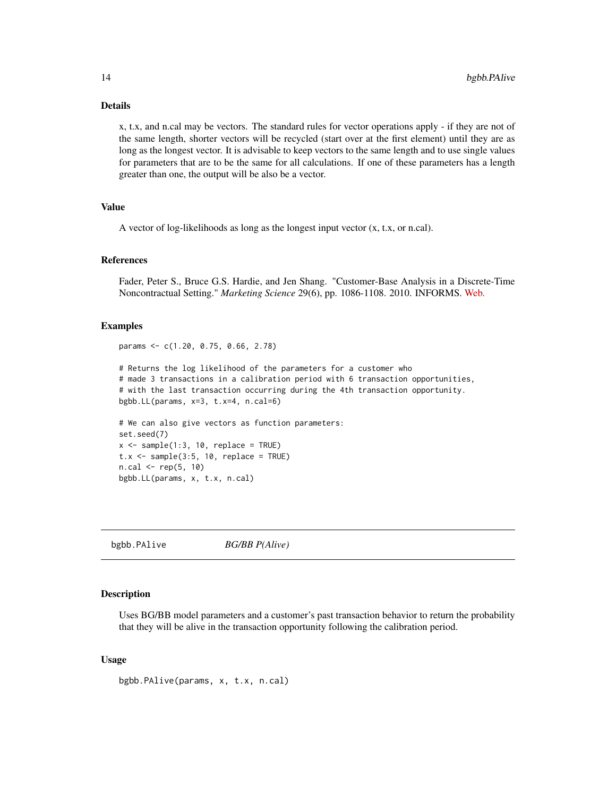## <span id="page-13-0"></span>Details

x, t.x, and n.cal may be vectors. The standard rules for vector operations apply - if they are not of the same length, shorter vectors will be recycled (start over at the first element) until they are as long as the longest vector. It is advisable to keep vectors to the same length and to use single values for parameters that are to be the same for all calculations. If one of these parameters has a length greater than one, the output will be also be a vector.

## Value

A vector of log-likelihoods as long as the longest input vector (x, t.x, or n.cal).

## References

Fader, Peter S., Bruce G.S. Hardie, and Jen Shang. "Customer-Base Analysis in a Discrete-Time Noncontractual Setting." *Marketing Science* 29(6), pp. 1086-1108. 2010. INFORMS. [Web.](http://www.brucehardie.com/papers/020/)

## Examples

params <- c(1.20, 0.75, 0.66, 2.78) # Returns the log likelihood of the parameters for a customer who # made 3 transactions in a calibration period with 6 transaction opportunities, # with the last transaction occurring during the 4th transaction opportunity. bgbb.LL(params, x=3, t.x=4, n.cal=6) # We can also give vectors as function parameters: set.seed(7)  $x \le -$  sample(1:3, 10, replace = TRUE)  $t.x \leq$  sample(3:5, 10, replace = TRUE)  $n.cal < - rep(5, 10)$ bgbb.LL(params, x, t.x, n.cal)

bgbb.PAlive *BG/BB P(Alive)*

#### Description

Uses BG/BB model parameters and a customer's past transaction behavior to return the probability that they will be alive in the transaction opportunity following the calibration period.

## Usage

bgbb.PAlive(params, x, t.x, n.cal)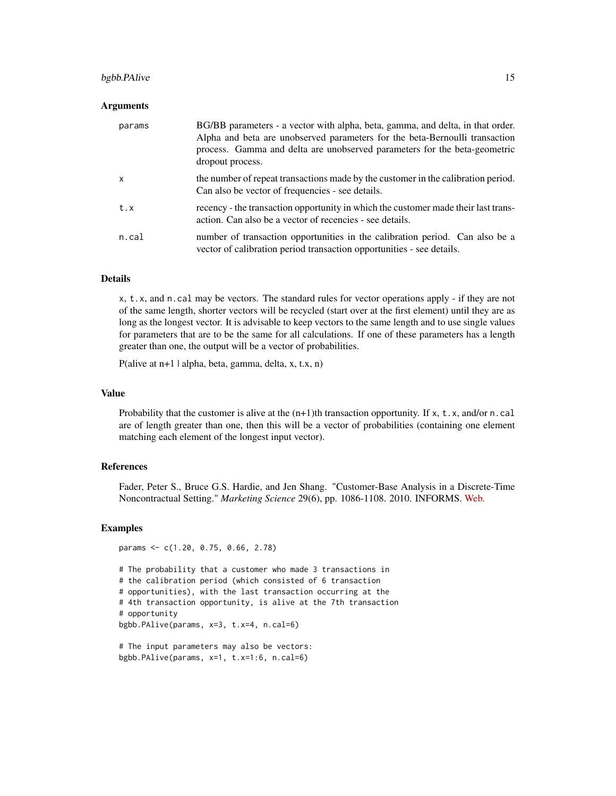## bgbb.PAlive 15

#### Arguments

| params   | BG/BB parameters - a vector with alpha, beta, gamma, and delta, in that order.<br>Alpha and beta are unobserved parameters for the beta-Bernoulli transaction<br>process. Gamma and delta are unobserved parameters for the beta-geometric<br>dropout process. |
|----------|----------------------------------------------------------------------------------------------------------------------------------------------------------------------------------------------------------------------------------------------------------------|
| X        | the number of repeat transactions made by the customer in the calibration period.<br>Can also be vector of frequencies - see details.                                                                                                                          |
| t.x      | recency - the transaction opportunity in which the customer made their last trans-<br>action. Can also be a vector of recencies - see details.                                                                                                                 |
| $n$ .cal | number of transaction opportunities in the calibration period. Can also be a<br>vector of calibration period transaction opportunities - see details.                                                                                                          |

#### Details

x, t.x, and n.cal may be vectors. The standard rules for vector operations apply - if they are not of the same length, shorter vectors will be recycled (start over at the first element) until they are as long as the longest vector. It is advisable to keep vectors to the same length and to use single values for parameters that are to be the same for all calculations. If one of these parameters has a length greater than one, the output will be a vector of probabilities.

P(alive at n+1 | alpha, beta, gamma, delta, x, t.x, n)

## Value

Probability that the customer is alive at the  $(n+1)$ th transaction opportunity. If x, t.x, and/or n.cal are of length greater than one, then this will be a vector of probabilities (containing one element matching each element of the longest input vector).

## References

Fader, Peter S., Bruce G.S. Hardie, and Jen Shang. "Customer-Base Analysis in a Discrete-Time Noncontractual Setting." *Marketing Science* 29(6), pp. 1086-1108. 2010. INFORMS. [Web.](http://www.brucehardie.com/papers/020/)

#### Examples

```
params <- c(1.20, 0.75, 0.66, 2.78)
```

```
# The probability that a customer who made 3 transactions in
# the calibration period (which consisted of 6 transaction
# opportunities), with the last transaction occurring at the
# 4th transaction opportunity, is alive at the 7th transaction
# opportunity
bgbb.PAlive(params, x=3, t.x=4, n.cal=6)
```

```
# The input parameters may also be vectors:
bgbb.PAlive(params, x=1, t.x=1:6, n.cal=6)
```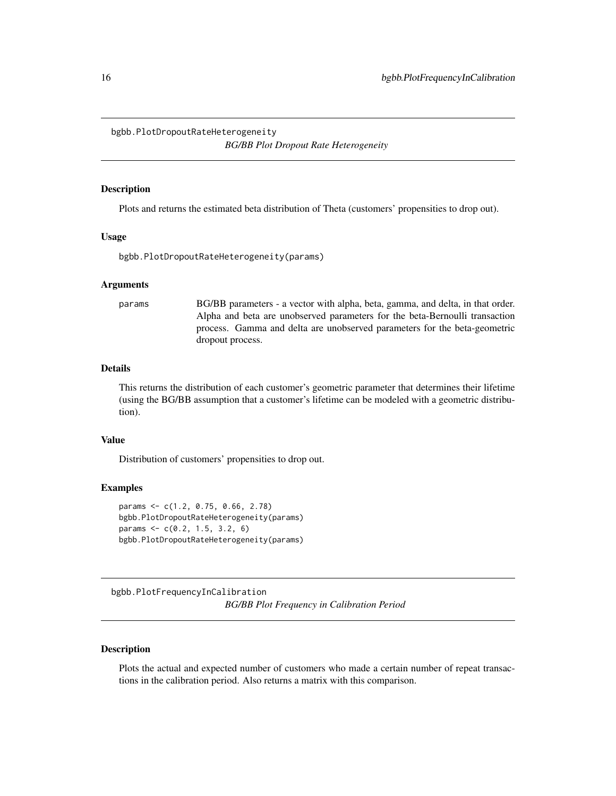<span id="page-15-0"></span>bgbb.PlotDropoutRateHeterogeneity

*BG/BB Plot Dropout Rate Heterogeneity*

## **Description**

Plots and returns the estimated beta distribution of Theta (customers' propensities to drop out).

## Usage

bgbb.PlotDropoutRateHeterogeneity(params)

#### Arguments

params BG/BB parameters - a vector with alpha, beta, gamma, and delta, in that order. Alpha and beta are unobserved parameters for the beta-Bernoulli transaction process. Gamma and delta are unobserved parameters for the beta-geometric dropout process.

#### Details

This returns the distribution of each customer's geometric parameter that determines their lifetime (using the BG/BB assumption that a customer's lifetime can be modeled with a geometric distribution).

## Value

Distribution of customers' propensities to drop out.

## Examples

```
params <- c(1.2, 0.75, 0.66, 2.78)
bgbb.PlotDropoutRateHeterogeneity(params)
params <- c(0.2, 1.5, 3.2, 6)
bgbb.PlotDropoutRateHeterogeneity(params)
```
<span id="page-15-1"></span>bgbb.PlotFrequencyInCalibration *BG/BB Plot Frequency in Calibration Period*

## Description

Plots the actual and expected number of customers who made a certain number of repeat transactions in the calibration period. Also returns a matrix with this comparison.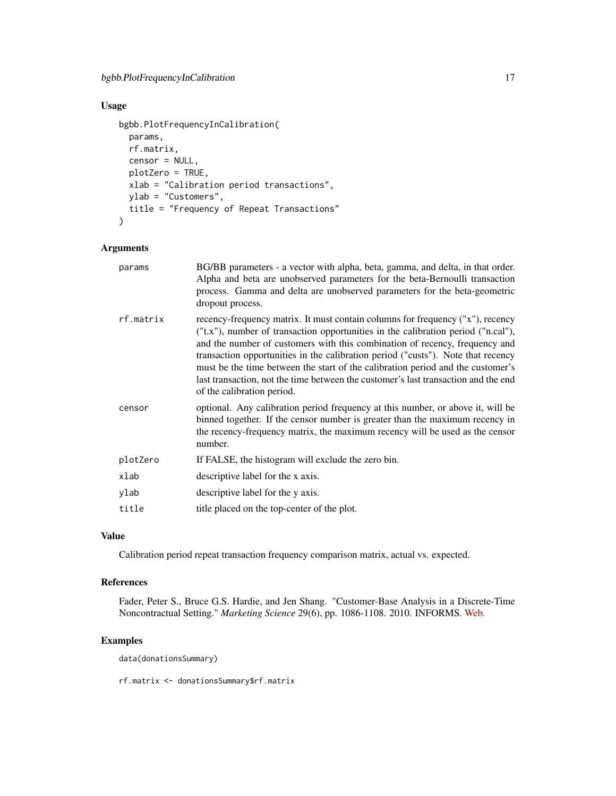## Usage

```
bgbb.PlotFrequencyInCalibration(
 params,
 rf.matrix,
 censor = NULL,
 plotZero = TRUE,
 xlab = "Calibration period transactions",
 ylab = "Customers",
  title = "Frequency of Repeat Transactions"
\mathcal{L}
```
## Arguments

| params    | BG/BB parameters - a vector with alpha, beta, gamma, and delta, in that order.<br>Alpha and beta are unobserved parameters for the beta-Bernoulli transaction<br>process. Gamma and delta are unobserved parameters for the beta-geometric<br>dropout process.                                                                                                                                                                                                                                                                                |
|-----------|-----------------------------------------------------------------------------------------------------------------------------------------------------------------------------------------------------------------------------------------------------------------------------------------------------------------------------------------------------------------------------------------------------------------------------------------------------------------------------------------------------------------------------------------------|
| rf.matrix | recency-frequency matrix. It must contain columns for frequency ("x"), recency<br>("t.x"), number of transaction opportunities in the calibration period ("n.cal"),<br>and the number of customers with this combination of recency, frequency and<br>transaction opportunities in the calibration period ("custs"). Note that recency<br>must be the time between the start of the calibration period and the customer's<br>last transaction, not the time between the customer's last transaction and the end<br>of the calibration period. |
| censor    | optional. Any calibration period frequency at this number, or above it, will be<br>binned together. If the censor number is greater than the maximum recency in<br>the recency-frequency matrix, the maximum recency will be used as the censor<br>number.                                                                                                                                                                                                                                                                                    |
| plotZero  | If FALSE, the histogram will exclude the zero bin.                                                                                                                                                                                                                                                                                                                                                                                                                                                                                            |
| xlab      | descriptive label for the x axis.                                                                                                                                                                                                                                                                                                                                                                                                                                                                                                             |
| ylab      | descriptive label for the y axis.                                                                                                                                                                                                                                                                                                                                                                                                                                                                                                             |
| title     | title placed on the top-center of the plot.                                                                                                                                                                                                                                                                                                                                                                                                                                                                                                   |
|           |                                                                                                                                                                                                                                                                                                                                                                                                                                                                                                                                               |

## Value

Calibration period repeat transaction frequency comparison matrix, actual vs. expected.

## References

Fader, Peter S., Bruce G.S. Hardie, and Jen Shang. "Customer-Base Analysis in a Discrete-Time Noncontractual Setting." *Marketing Science* 29(6), pp. 1086-1108. 2010. INFORMS. [Web.](http://www.brucehardie.com/papers/020/)

## Examples

data(donationsSummary)

rf.matrix <- donationsSummary\$rf.matrix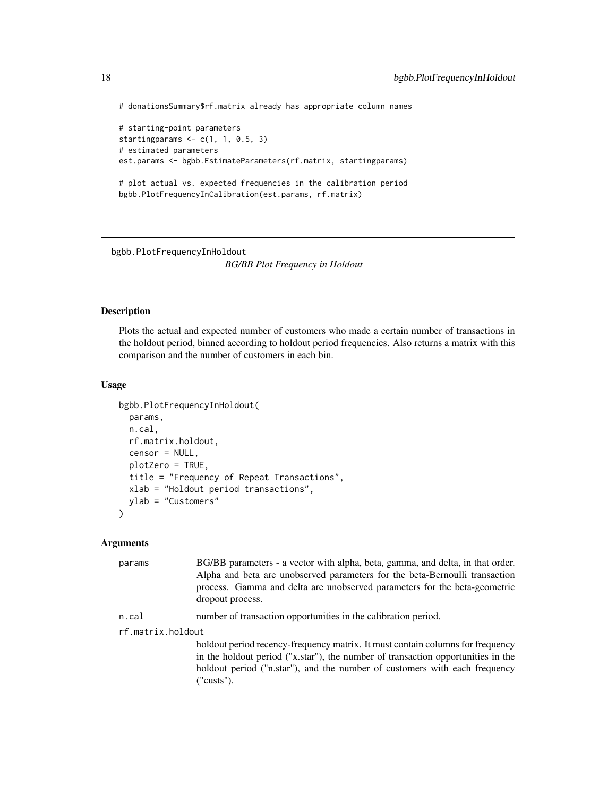# donationsSummary\$rf.matrix already has appropriate column names

```
# starting-point parameters
starting params \leq c(1, 1, 0.5, 3)# estimated parameters
est.params <- bgbb.EstimateParameters(rf.matrix, startingparams)
# plot actual vs. expected frequencies in the calibration period
bgbb.PlotFrequencyInCalibration(est.params, rf.matrix)
```
bgbb.PlotFrequencyInHoldout *BG/BB Plot Frequency in Holdout*

## Description

Plots the actual and expected number of customers who made a certain number of transactions in the holdout period, binned according to holdout period frequencies. Also returns a matrix with this comparison and the number of customers in each bin.

## Usage

```
bgbb.PlotFrequencyInHoldout(
 params,
 n.cal,
 rf.matrix.holdout,
 censor = NULL,
 plotZero = TRUE,
  title = "Frequency of Repeat Transactions",
 xlab = "Holdout period transactions",
 ylab = "Customers"
\mathcal{L}
```

| params            | BG/BB parameters - a vector with alpha, beta, gamma, and delta, in that order.<br>Alpha and beta are unobserved parameters for the beta-Bernoulli transaction<br>process. Gamma and delta are unobserved parameters for the beta-geometric<br>dropout process. |  |
|-------------------|----------------------------------------------------------------------------------------------------------------------------------------------------------------------------------------------------------------------------------------------------------------|--|
| n.cal             | number of transaction opportunities in the calibration period.                                                                                                                                                                                                 |  |
| rf.matrix.holdout |                                                                                                                                                                                                                                                                |  |
|                   | holdout period recency-frequency matrix. It must contain columns for frequency<br>in the holdout period ("x.star"), the number of transaction opportunities in the<br>holdout period ("n.star"), and the number of customers with each frequency<br>("cuts").  |  |

<span id="page-17-0"></span>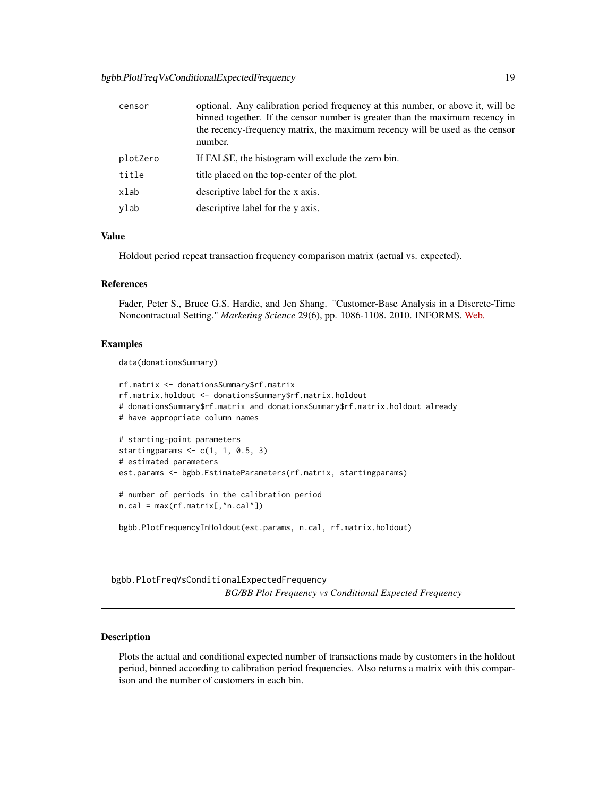<span id="page-18-0"></span>

| censor   | optional. Any calibration period frequency at this number, or above it, will be<br>binned together. If the censor number is greater than the maximum recency in<br>the recency-frequency matrix, the maximum recency will be used as the censor<br>number. |
|----------|------------------------------------------------------------------------------------------------------------------------------------------------------------------------------------------------------------------------------------------------------------|
| plotZero | If FALSE, the histogram will exclude the zero bin.                                                                                                                                                                                                         |
| title    | title placed on the top-center of the plot.                                                                                                                                                                                                                |
| xlab     | descriptive label for the x axis.                                                                                                                                                                                                                          |
| vlab     | descriptive label for the y axis.                                                                                                                                                                                                                          |

## Value

Holdout period repeat transaction frequency comparison matrix (actual vs. expected).

#### References

Fader, Peter S., Bruce G.S. Hardie, and Jen Shang. "Customer-Base Analysis in a Discrete-Time Noncontractual Setting." *Marketing Science* 29(6), pp. 1086-1108. 2010. INFORMS. [Web.](http://www.brucehardie.com/papers/020/)

## Examples

data(donationsSummary)

```
rf.matrix <- donationsSummary$rf.matrix
rf.matrix.holdout <- donationsSummary$rf.matrix.holdout
# donationsSummary$rf.matrix and donationsSummary$rf.matrix.holdout already
# have appropriate column names
# starting-point parameters
starting params \leq c(1, 1, 0.5, 3)# estimated parameters
est.params <- bgbb.EstimateParameters(rf.matrix, startingparams)
# number of periods in the calibration period
n.cal = max(rf.matrix[,"n.cal"])
bgbb.PlotFrequencyInHoldout(est.params, n.cal, rf.matrix.holdout)
```
bgbb.PlotFreqVsConditionalExpectedFrequency *BG/BB Plot Frequency vs Conditional Expected Frequency*

## Description

Plots the actual and conditional expected number of transactions made by customers in the holdout period, binned according to calibration period frequencies. Also returns a matrix with this comparison and the number of customers in each bin.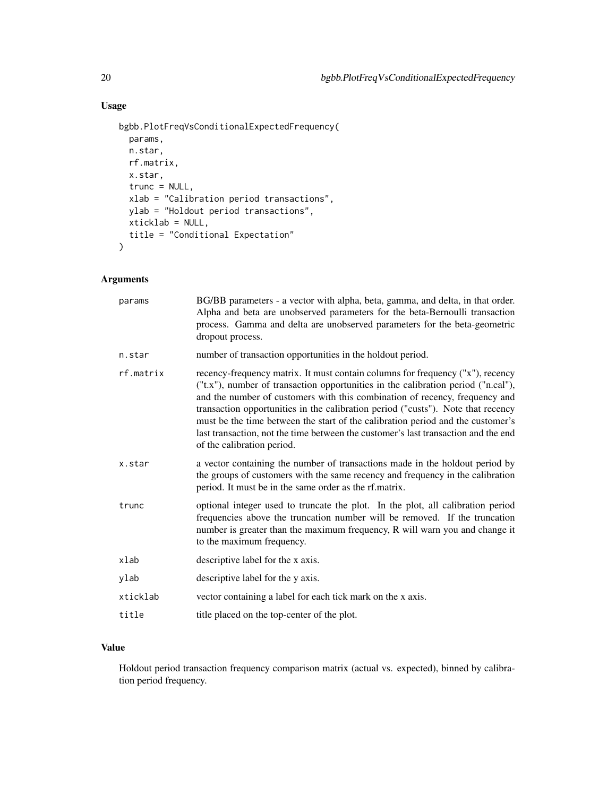## Usage

```
bgbb.PlotFreqVsConditionalExpectedFrequency(
 params,
 n.star,
 rf.matrix,
 x.star,
 trunc = NULL,
 xlab = "Calibration period transactions",
 ylab = "Holdout period transactions",
 xticklab = NULL,
  title = "Conditional Expectation"
\mathcal{L}
```
## Arguments

| params    | BG/BB parameters - a vector with alpha, beta, gamma, and delta, in that order.<br>Alpha and beta are unobserved parameters for the beta-Bernoulli transaction<br>process. Gamma and delta are unobserved parameters for the beta-geometric<br>dropout process.                                                                                                                                                                                                                                                                                |
|-----------|-----------------------------------------------------------------------------------------------------------------------------------------------------------------------------------------------------------------------------------------------------------------------------------------------------------------------------------------------------------------------------------------------------------------------------------------------------------------------------------------------------------------------------------------------|
| n.star    | number of transaction opportunities in the holdout period.                                                                                                                                                                                                                                                                                                                                                                                                                                                                                    |
| rf.matrix | recency-frequency matrix. It must contain columns for frequency ("x"), recency<br>("t.x"), number of transaction opportunities in the calibration period ("n.cal"),<br>and the number of customers with this combination of recency, frequency and<br>transaction opportunities in the calibration period ("custs"). Note that recency<br>must be the time between the start of the calibration period and the customer's<br>last transaction, not the time between the customer's last transaction and the end<br>of the calibration period. |
| x.star    | a vector containing the number of transactions made in the holdout period by<br>the groups of customers with the same recency and frequency in the calibration<br>period. It must be in the same order as the rf.matrix.                                                                                                                                                                                                                                                                                                                      |
| trunc     | optional integer used to truncate the plot. In the plot, all calibration period<br>frequencies above the truncation number will be removed. If the truncation<br>number is greater than the maximum frequency, R will warn you and change it<br>to the maximum frequency.                                                                                                                                                                                                                                                                     |
| xlab      | descriptive label for the x axis.                                                                                                                                                                                                                                                                                                                                                                                                                                                                                                             |
| ylab      | descriptive label for the y axis.                                                                                                                                                                                                                                                                                                                                                                                                                                                                                                             |
| xticklab  | vector containing a label for each tick mark on the x axis.                                                                                                                                                                                                                                                                                                                                                                                                                                                                                   |
| title     | title placed on the top-center of the plot.                                                                                                                                                                                                                                                                                                                                                                                                                                                                                                   |
|           |                                                                                                                                                                                                                                                                                                                                                                                                                                                                                                                                               |

## Value

Holdout period transaction frequency comparison matrix (actual vs. expected), binned by calibration period frequency.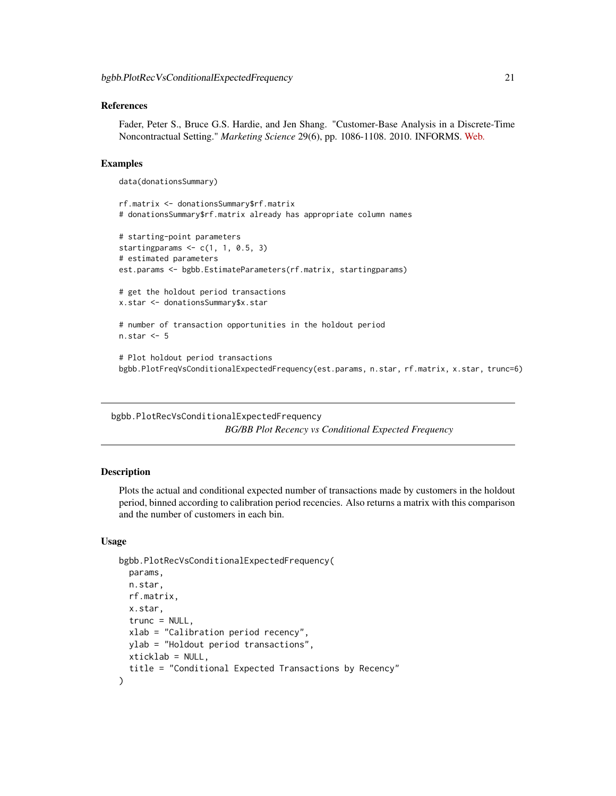## <span id="page-20-0"></span>References

Fader, Peter S., Bruce G.S. Hardie, and Jen Shang. "Customer-Base Analysis in a Discrete-Time Noncontractual Setting." *Marketing Science* 29(6), pp. 1086-1108. 2010. INFORMS. [Web.](http://www.brucehardie.com/papers/020/)

## Examples

data(donationsSummary)

```
rf.matrix <- donationsSummary$rf.matrix
# donationsSummary$rf.matrix already has appropriate column names
# starting-point parameters
starting params \leq c(1, 1, 0.5, 3)# estimated parameters
est.params <- bgbb.EstimateParameters(rf.matrix, startingparams)
# get the holdout period transactions
x.star <- donationsSummary$x.star
# number of transaction opportunities in the holdout period
n.star <- 5
# Plot holdout period transactions
```
bgbb.PlotFreqVsConditionalExpectedFrequency(est.params, n.star, rf.matrix, x.star, trunc=6)

bgbb.PlotRecVsConditionalExpectedFrequency *BG/BB Plot Recency vs Conditional Expected Frequency*

## Description

Plots the actual and conditional expected number of transactions made by customers in the holdout period, binned according to calibration period recencies. Also returns a matrix with this comparison and the number of customers in each bin.

#### Usage

```
bgbb.PlotRecVsConditionalExpectedFrequency(
 params,
 n.star,
  rf.matrix,
 x.star,
  trunc = NULL,
 xlab = "Calibration period recency",
 ylab = "Holdout period transactions",
 xticklab = NULL,
  title = "Conditional Expected Transactions by Recency"
)
```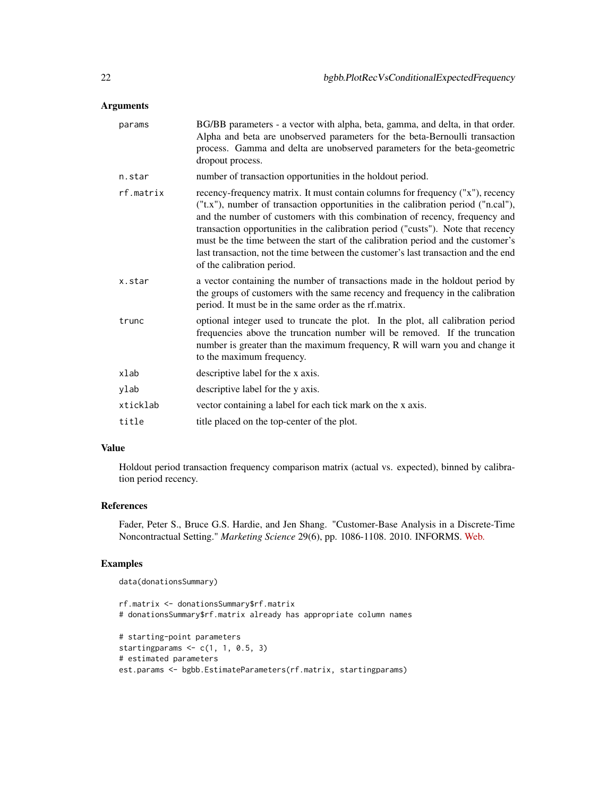## Arguments

| params    | BG/BB parameters - a vector with alpha, beta, gamma, and delta, in that order.<br>Alpha and beta are unobserved parameters for the beta-Bernoulli transaction<br>process. Gamma and delta are unobserved parameters for the beta-geometric<br>dropout process.                                                                                                                                                                                                                                                                                |
|-----------|-----------------------------------------------------------------------------------------------------------------------------------------------------------------------------------------------------------------------------------------------------------------------------------------------------------------------------------------------------------------------------------------------------------------------------------------------------------------------------------------------------------------------------------------------|
| n.star    | number of transaction opportunities in the holdout period.                                                                                                                                                                                                                                                                                                                                                                                                                                                                                    |
| rf.matrix | recency-frequency matrix. It must contain columns for frequency ("x"), recency<br>("t.x"), number of transaction opportunities in the calibration period ("n.cal"),<br>and the number of customers with this combination of recency, frequency and<br>transaction opportunities in the calibration period ("custs"). Note that recency<br>must be the time between the start of the calibration period and the customer's<br>last transaction, not the time between the customer's last transaction and the end<br>of the calibration period. |
| x.star    | a vector containing the number of transactions made in the holdout period by<br>the groups of customers with the same recency and frequency in the calibration<br>period. It must be in the same order as the rf.matrix.                                                                                                                                                                                                                                                                                                                      |
| trunc     | optional integer used to truncate the plot. In the plot, all calibration period<br>frequencies above the truncation number will be removed. If the truncation<br>number is greater than the maximum frequency, R will warn you and change it<br>to the maximum frequency.                                                                                                                                                                                                                                                                     |
| xlab      | descriptive label for the x axis.                                                                                                                                                                                                                                                                                                                                                                                                                                                                                                             |
| ylab      | descriptive label for the y axis.                                                                                                                                                                                                                                                                                                                                                                                                                                                                                                             |
| xticklab  | vector containing a label for each tick mark on the x axis.                                                                                                                                                                                                                                                                                                                                                                                                                                                                                   |
| title     | title placed on the top-center of the plot.                                                                                                                                                                                                                                                                                                                                                                                                                                                                                                   |

## Value

Holdout period transaction frequency comparison matrix (actual vs. expected), binned by calibration period recency.

## References

Fader, Peter S., Bruce G.S. Hardie, and Jen Shang. "Customer-Base Analysis in a Discrete-Time Noncontractual Setting." *Marketing Science* 29(6), pp. 1086-1108. 2010. INFORMS. [Web.](http://www.brucehardie.com/papers/020/)

## Examples

```
data(donationsSummary)
```

```
rf.matrix <- donationsSummary$rf.matrix
# donationsSummary$rf.matrix already has appropriate column names
# starting-point parameters
starting params \leq c(1, 1, 0.5, 3)# estimated parameters
est.params <- bgbb.EstimateParameters(rf.matrix, startingparams)
```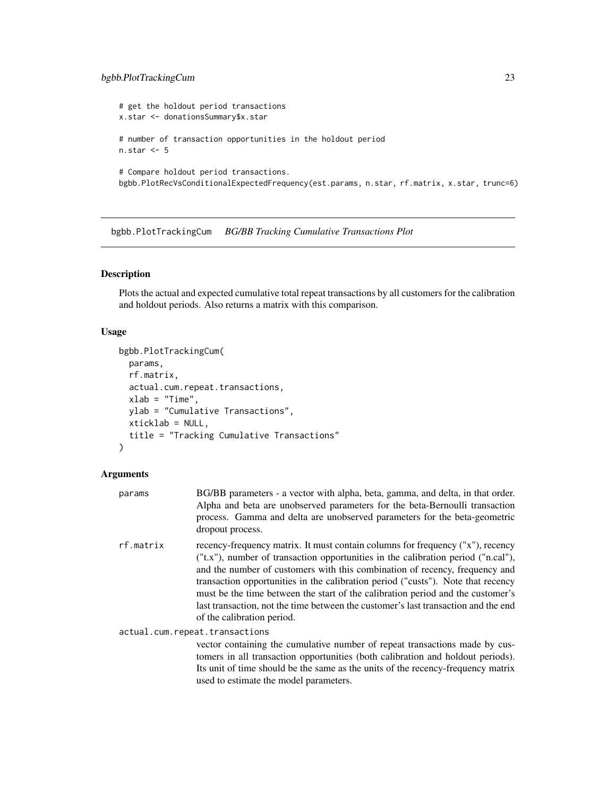## <span id="page-22-0"></span>bgbb.PlotTrackingCum 23

# get the holdout period transactions x.star <- donationsSummary\$x.star # number of transaction opportunities in the holdout period n.star <- 5 # Compare holdout period transactions. bgbb.PlotRecVsConditionalExpectedFrequency(est.params, n.star, rf.matrix, x.star, trunc=6)

bgbb.PlotTrackingCum *BG/BB Tracking Cumulative Transactions Plot*

## Description

Plots the actual and expected cumulative total repeat transactions by all customers for the calibration and holdout periods. Also returns a matrix with this comparison.

## Usage

```
bgbb.PlotTrackingCum(
 params,
  rf.matrix,
  actual.cum.repeat.transactions,
  xlab = "Time",
 ylab = "Cumulative Transactions",
  xticklab = NULL,
  title = "Tracking Cumulative Transactions"
)
```
## Arguments

| params    | BG/BB parameters - a vector with alpha, beta, gamma, and delta, in that order.<br>Alpha and beta are unobserved parameters for the beta-Bernoulli transaction<br>process. Gamma and delta are unobserved parameters for the beta-geometric<br>dropout process.                                                                                                                                                                                                                                                                                      |
|-----------|-----------------------------------------------------------------------------------------------------------------------------------------------------------------------------------------------------------------------------------------------------------------------------------------------------------------------------------------------------------------------------------------------------------------------------------------------------------------------------------------------------------------------------------------------------|
| rf.matrix | recency-frequency matrix. It must contain columns for frequency ("x"), recency<br>$("t.x")$ , number of transaction opportunities in the calibration period $("n.cal")$ ,<br>and the number of customers with this combination of recency, frequency and<br>transaction opportunities in the calibration period ("custs"). Note that recency<br>must be the time between the start of the calibration period and the customer's<br>last transaction, not the time between the customer's last transaction and the end<br>of the calibration period. |
|           | actual.cum.repeat.transactions                                                                                                                                                                                                                                                                                                                                                                                                                                                                                                                      |
|           | vector containing the cumulative number of repeat transactions made by cus-<br>tomers in all transaction opportunities (both calibration and holdout periods).                                                                                                                                                                                                                                                                                                                                                                                      |

tomers in all transaction opportunities (both calibration and holdout periods). Its unit of time should be the same as the units of the recency-frequency matrix used to estimate the model parameters.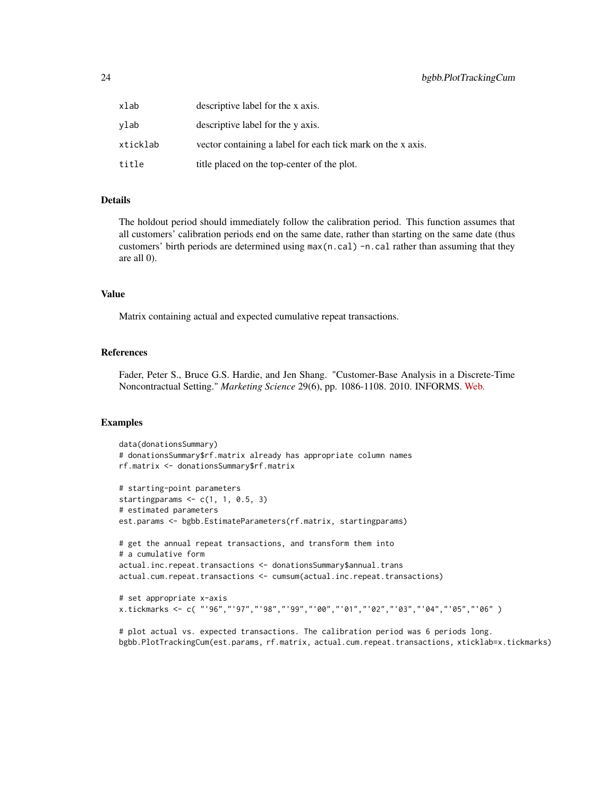| xlab     | descriptive label for the x axis.                           |
|----------|-------------------------------------------------------------|
| vlab     | descriptive label for the y axis.                           |
| xticklab | vector containing a label for each tick mark on the x axis. |
| title    | title placed on the top-center of the plot.                 |

## Details

The holdout period should immediately follow the calibration period. This function assumes that all customers' calibration periods end on the same date, rather than starting on the same date (thus customers' birth periods are determined using  $max(n, cal) - n$ . cal rather than assuming that they are all 0).

#### Value

Matrix containing actual and expected cumulative repeat transactions.

#### References

Fader, Peter S., Bruce G.S. Hardie, and Jen Shang. "Customer-Base Analysis in a Discrete-Time Noncontractual Setting." *Marketing Science* 29(6), pp. 1086-1108. 2010. INFORMS. [Web.](http://www.brucehardie.com/papers/020/)

#### Examples

```
data(donationsSummary)
# donationsSummary$rf.matrix already has appropriate column names
rf.matrix <- donationsSummary$rf.matrix
# starting-point parameters
startingparams \leq c(1, 1, 0.5, 3)# estimated parameters
est.params <- bgbb.EstimateParameters(rf.matrix, startingparams)
# get the annual repeat transactions, and transform them into
# a cumulative form
actual.inc.repeat.transactions <- donationsSummary$annual.trans
actual.cum.repeat.transactions <- cumsum(actual.inc.repeat.transactions)
# set appropriate x-axis
x.tickmarks <- c( "'96","'97","'98","'99","'00","'01","'02","'03","'04","'05","'06" )
```
# plot actual vs. expected transactions. The calibration period was 6 periods long. bgbb.PlotTrackingCum(est.params, rf.matrix, actual.cum.repeat.transactions, xticklab=x.tickmarks)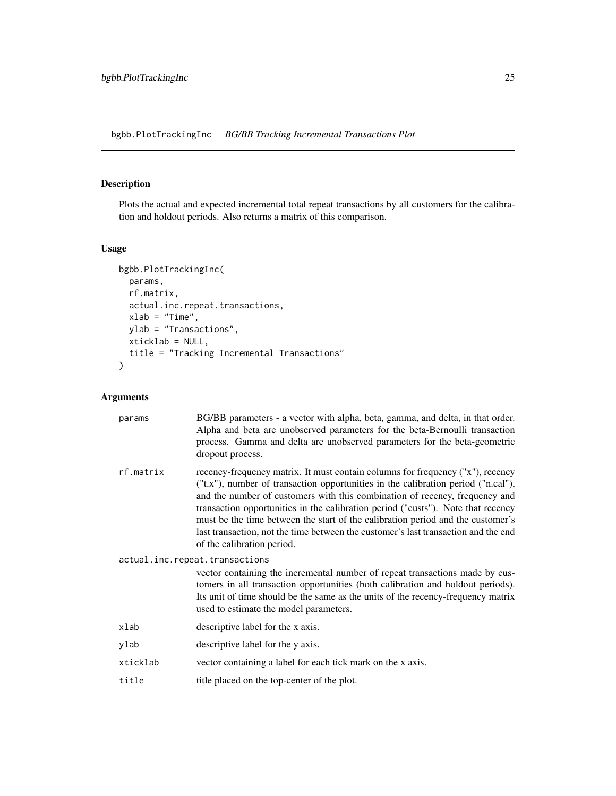<span id="page-24-0"></span>bgbb.PlotTrackingInc *BG/BB Tracking Incremental Transactions Plot*

## Description

Plots the actual and expected incremental total repeat transactions by all customers for the calibration and holdout periods. Also returns a matrix of this comparison.

## Usage

```
bgbb.PlotTrackingInc(
 params,
 rf.matrix,
 actual.inc.repeat.transactions,
 xlab = "Time",ylab = "Transactions",
 xticklab = NULL,
  title = "Tracking Incremental Transactions"
\mathcal{L}
```

| params                         | BG/BB parameters - a vector with alpha, beta, gamma, and delta, in that order.<br>Alpha and beta are unobserved parameters for the beta-Bernoulli transaction<br>process. Gamma and delta are unobserved parameters for the beta-geometric<br>dropout process.                                                                                                                                                                                                                                                                                |  |
|--------------------------------|-----------------------------------------------------------------------------------------------------------------------------------------------------------------------------------------------------------------------------------------------------------------------------------------------------------------------------------------------------------------------------------------------------------------------------------------------------------------------------------------------------------------------------------------------|--|
| rf.matrix                      | recency-frequency matrix. It must contain columns for frequency ("x"), recency<br>("t.x"), number of transaction opportunities in the calibration period ("n.cal"),<br>and the number of customers with this combination of recency, frequency and<br>transaction opportunities in the calibration period ("custs"). Note that recency<br>must be the time between the start of the calibration period and the customer's<br>last transaction, not the time between the customer's last transaction and the end<br>of the calibration period. |  |
| actual.inc.repeat.transactions |                                                                                                                                                                                                                                                                                                                                                                                                                                                                                                                                               |  |
|                                | vector containing the incremental number of repeat transactions made by cus-<br>tomers in all transaction opportunities (both calibration and holdout periods).<br>Its unit of time should be the same as the units of the recency-frequency matrix<br>used to estimate the model parameters.                                                                                                                                                                                                                                                 |  |
| xlab                           | descriptive label for the x axis.                                                                                                                                                                                                                                                                                                                                                                                                                                                                                                             |  |
| ylab                           | descriptive label for the y axis.                                                                                                                                                                                                                                                                                                                                                                                                                                                                                                             |  |
| xticklab                       | vector containing a label for each tick mark on the x axis.                                                                                                                                                                                                                                                                                                                                                                                                                                                                                   |  |
|                                |                                                                                                                                                                                                                                                                                                                                                                                                                                                                                                                                               |  |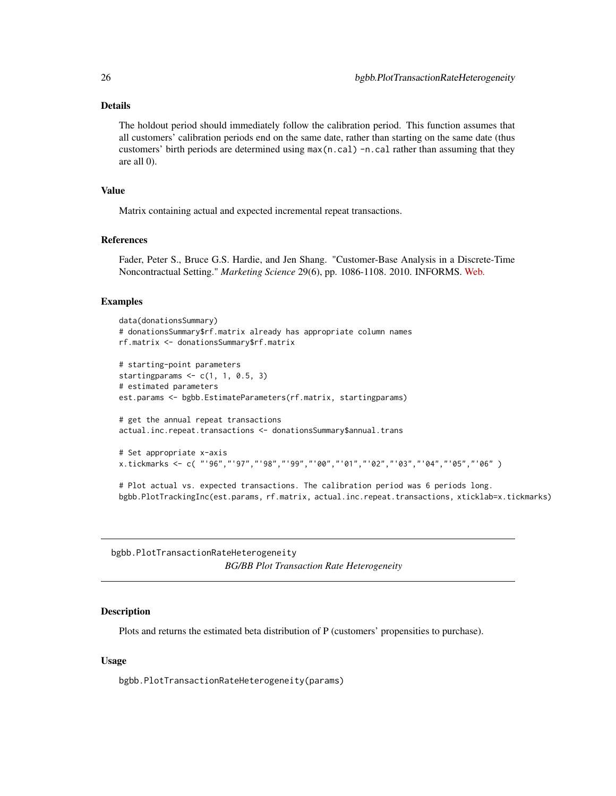## <span id="page-25-0"></span>Details

The holdout period should immediately follow the calibration period. This function assumes that all customers' calibration periods end on the same date, rather than starting on the same date (thus customers' birth periods are determined using  $max(n, cal) -n, cal$  rather than assuming that they are all 0).

## Value

Matrix containing actual and expected incremental repeat transactions.

#### References

Fader, Peter S., Bruce G.S. Hardie, and Jen Shang. "Customer-Base Analysis in a Discrete-Time Noncontractual Setting." *Marketing Science* 29(6), pp. 1086-1108. 2010. INFORMS. [Web.](http://www.brucehardie.com/papers/020/)

#### Examples

```
data(donationsSummary)
# donationsSummary$rf.matrix already has appropriate column names
rf.matrix <- donationsSummary$rf.matrix
# starting-point parameters
starting params \leq c(1, 1, 0.5, 3)# estimated parameters
est.params <- bgbb.EstimateParameters(rf.matrix, startingparams)
# get the annual repeat transactions
actual.inc.repeat.transactions <- donationsSummary$annual.trans
# Set appropriate x-axis
x.tickmarks <- c( "'96","'97","'98","'99","'00","'01","'02","'03","'04","'05","'06" )
# Plot actual vs. expected transactions. The calibration period was 6 periods long.
bgbb.PlotTrackingInc(est.params, rf.matrix, actual.inc.repeat.transactions, xticklab=x.tickmarks)
```
bgbb.PlotTransactionRateHeterogeneity *BG/BB Plot Transaction Rate Heterogeneity*

## Description

Plots and returns the estimated beta distribution of P (customers' propensities to purchase).

## Usage

bgbb.PlotTransactionRateHeterogeneity(params)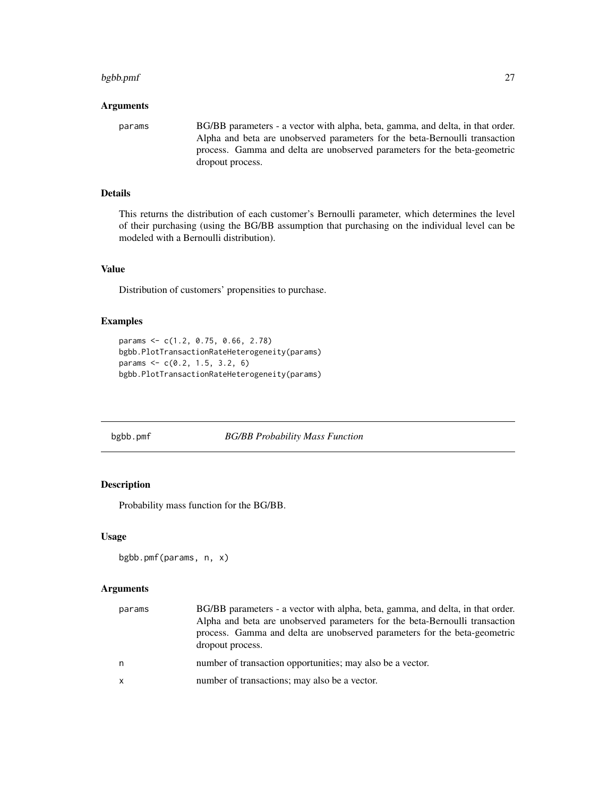#### <span id="page-26-0"></span>bgbb.pmf 27

#### Arguments

params BG/BB parameters - a vector with alpha, beta, gamma, and delta, in that order. Alpha and beta are unobserved parameters for the beta-Bernoulli transaction process. Gamma and delta are unobserved parameters for the beta-geometric dropout process.

## Details

This returns the distribution of each customer's Bernoulli parameter, which determines the level of their purchasing (using the BG/BB assumption that purchasing on the individual level can be modeled with a Bernoulli distribution).

## Value

Distribution of customers' propensities to purchase.

## Examples

```
params <- c(1.2, 0.75, 0.66, 2.78)
bgbb.PlotTransactionRateHeterogeneity(params)
params \leq c(0.2, 1.5, 3.2, 6)bgbb.PlotTransactionRateHeterogeneity(params)
```
## <span id="page-26-1"></span>bgbb.pmf *BG/BB Probability Mass Function*

## Description

Probability mass function for the BG/BB.

## Usage

```
bgbb.pmf(params, n, x)
```

| params | BG/BB parameters - a vector with alpha, beta, gamma, and delta, in that order.<br>Alpha and beta are unobserved parameters for the beta-Bernoulli transaction<br>process. Gamma and delta are unobserved parameters for the beta-geometric<br>dropout process. |
|--------|----------------------------------------------------------------------------------------------------------------------------------------------------------------------------------------------------------------------------------------------------------------|
| n      | number of transaction opportunities; may also be a vector.                                                                                                                                                                                                     |
| x      | number of transactions; may also be a vector.                                                                                                                                                                                                                  |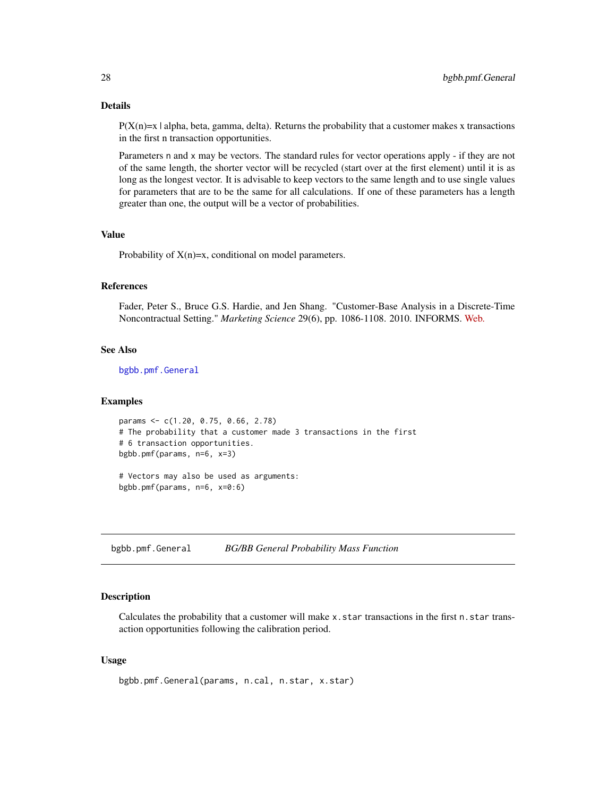## Details

 $P(X(n)=x | alpha, beta, gamma, delta)$ . Returns the probability that a customer makes x transactions in the first n transaction opportunities.

Parameters n and x may be vectors. The standard rules for vector operations apply - if they are not of the same length, the shorter vector will be recycled (start over at the first element) until it is as long as the longest vector. It is advisable to keep vectors to the same length and to use single values for parameters that are to be the same for all calculations. If one of these parameters has a length greater than one, the output will be a vector of probabilities.

## Value

Probability of  $X(n)=x$ , conditional on model parameters.

## References

Fader, Peter S., Bruce G.S. Hardie, and Jen Shang. "Customer-Base Analysis in a Discrete-Time Noncontractual Setting." *Marketing Science* 29(6), pp. 1086-1108. 2010. INFORMS. [Web.](http://www.brucehardie.com/papers/020/)

## See Also

[bgbb.pmf.General](#page-27-1)

## Examples

```
params <- c(1.20, 0.75, 0.66, 2.78)
# The probability that a customer made 3 transactions in the first
# 6 transaction opportunities.
bgbb.pmf(params, n=6, x=3)
```
# Vectors may also be used as arguments: bgbb.pmf(params, n=6, x=0:6)

<span id="page-27-1"></span>bgbb.pmf.General *BG/BB General Probability Mass Function*

## **Description**

Calculates the probability that a customer will make x.star transactions in the first n.star transaction opportunities following the calibration period.

## Usage

```
bgbb.pmf.General(params, n.cal, n.star, x.star)
```
<span id="page-27-0"></span>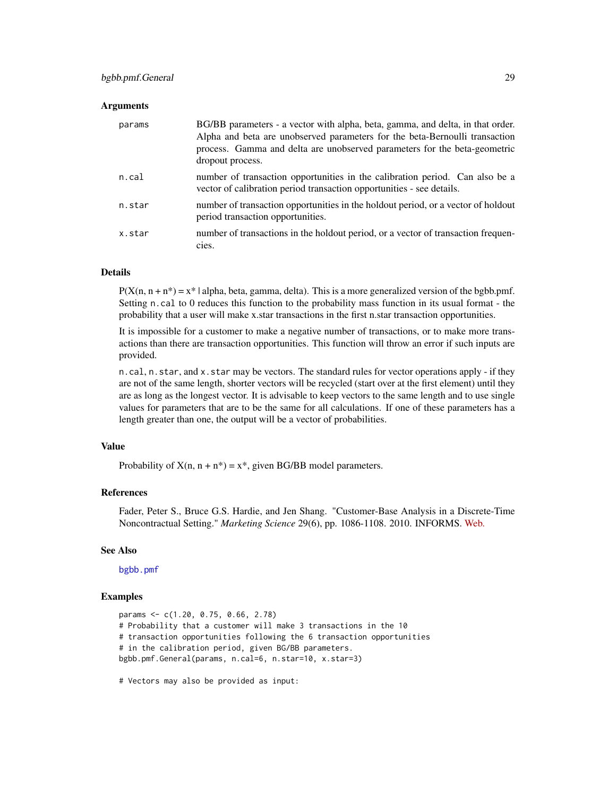## bgbb.pmf.General 29

#### Arguments

| params | BG/BB parameters - a vector with alpha, beta, gamma, and delta, in that order.<br>Alpha and beta are unobserved parameters for the beta-Bernoulli transaction<br>process. Gamma and delta are unobserved parameters for the beta-geometric<br>dropout process. |
|--------|----------------------------------------------------------------------------------------------------------------------------------------------------------------------------------------------------------------------------------------------------------------|
| n.cal  | number of transaction opportunities in the calibration period. Can also be a<br>vector of calibration period transaction opportunities - see details.                                                                                                          |
| n.star | number of transaction opportunities in the holdout period, or a vector of holdout<br>period transaction opportunities.                                                                                                                                         |
| x.star | number of transactions in the holdout period, or a vector of transaction frequen-<br>cies.                                                                                                                                                                     |

## Details

 $P(X(n, n + n^*) = x^* | \text{alpha}, \text{beta}, \text{gamma}, \text{delta})$ . This is a more generalized version of the bgbb.pmf. Setting n.cal to 0 reduces this function to the probability mass function in its usual format - the probability that a user will make x.star transactions in the first n.star transaction opportunities.

It is impossible for a customer to make a negative number of transactions, or to make more transactions than there are transaction opportunities. This function will throw an error if such inputs are provided.

n.cal, n.star, and x.star may be vectors. The standard rules for vector operations apply - if they are not of the same length, shorter vectors will be recycled (start over at the first element) until they are as long as the longest vector. It is advisable to keep vectors to the same length and to use single values for parameters that are to be the same for all calculations. If one of these parameters has a length greater than one, the output will be a vector of probabilities.

## Value

Probability of  $X(n, n + n^*) = x^*$ , given BG/BB model parameters.

#### References

Fader, Peter S., Bruce G.S. Hardie, and Jen Shang. "Customer-Base Analysis in a Discrete-Time Noncontractual Setting." *Marketing Science* 29(6), pp. 1086-1108. 2010. INFORMS. [Web.](http://www.brucehardie.com/papers/020/)

#### See Also

[bgbb.pmf](#page-26-1)

## Examples

```
params <- c(1.20, 0.75, 0.66, 2.78)
# Probability that a customer will make 3 transactions in the 10
# transaction opportunities following the 6 transaction opportunities
# in the calibration period, given BG/BB parameters.
bgbb.pmf.General(params, n.cal=6, n.star=10, x.star=3)
```
# Vectors may also be provided as input: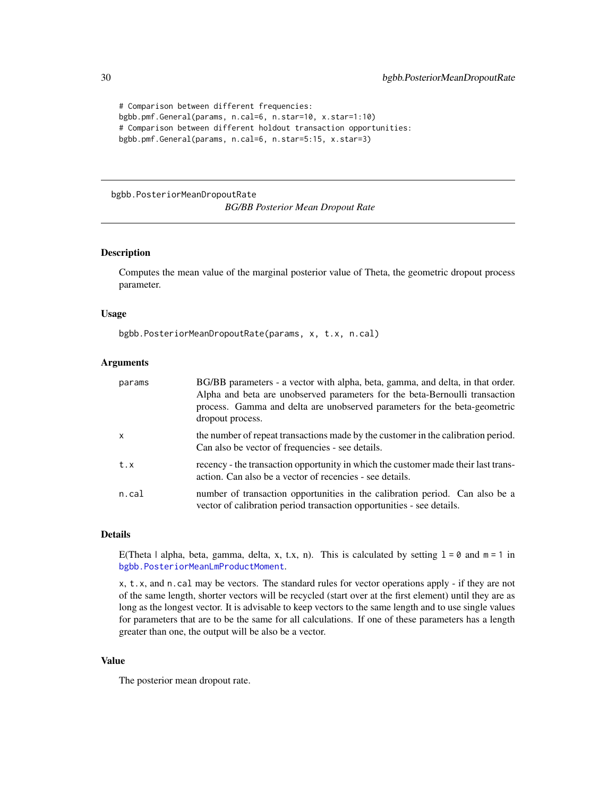```
# Comparison between different frequencies:
bgbb.pmf.General(params, n.cal=6, n.star=10, x.star=1:10)
# Comparison between different holdout transaction opportunities:
bgbb.pmf.General(params, n.cal=6, n.star=5:15, x.star=3)
```

```
bgbb.PosteriorMeanDropoutRate
```
*BG/BB Posterior Mean Dropout Rate*

#### Description

Computes the mean value of the marginal posterior value of Theta, the geometric dropout process parameter.

## Usage

bgbb.PosteriorMeanDropoutRate(params, x, t.x, n.cal)

#### Arguments

| params       | BG/BB parameters - a vector with alpha, beta, gamma, and delta, in that order.<br>Alpha and beta are unobserved parameters for the beta-Bernoulli transaction<br>process. Gamma and delta are unobserved parameters for the beta-geometric<br>dropout process. |
|--------------|----------------------------------------------------------------------------------------------------------------------------------------------------------------------------------------------------------------------------------------------------------------|
| $\mathsf{x}$ | the number of repeat transactions made by the customer in the calibration period.<br>Can also be vector of frequencies - see details.                                                                                                                          |
| t.x          | recency - the transaction opportunity in which the customer made their last trans-<br>action. Can also be a vector of recencies - see details.                                                                                                                 |
| n. cal       | number of transaction opportunities in the calibration period. Can also be a<br>vector of calibration period transaction opportunities - see details.                                                                                                          |

## Details

E(Theta | alpha, beta, gamma, delta, x, t.x, n). This is calculated by setting  $1 = 0$  and  $m = 1$  in [bgbb.PosteriorMeanLmProductMoment](#page-30-1).

x, t.x, and n.cal may be vectors. The standard rules for vector operations apply - if they are not of the same length, shorter vectors will be recycled (start over at the first element) until they are as long as the longest vector. It is advisable to keep vectors to the same length and to use single values for parameters that are to be the same for all calculations. If one of these parameters has a length greater than one, the output will be also be a vector.

#### Value

The posterior mean dropout rate.

<span id="page-29-0"></span>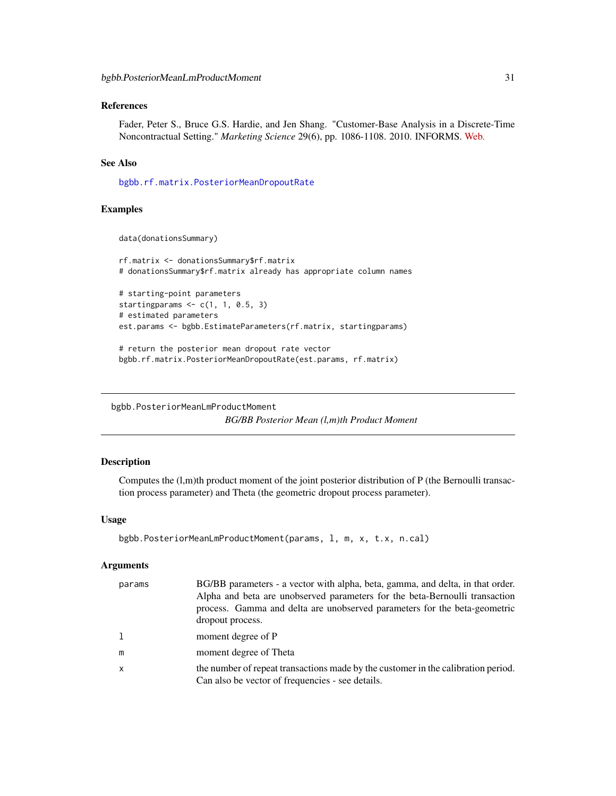## <span id="page-30-0"></span>References

Fader, Peter S., Bruce G.S. Hardie, and Jen Shang. "Customer-Base Analysis in a Discrete-Time Noncontractual Setting." *Marketing Science* 29(6), pp. 1086-1108. 2010. INFORMS. [Web.](http://www.brucehardie.com/papers/020/)

## See Also

[bgbb.rf.matrix.PosteriorMeanDropoutRate](#page-35-1)

## Examples

```
data(donationsSummary)
```

```
rf.matrix <- donationsSummary$rf.matrix
# donationsSummary$rf.matrix already has appropriate column names
```

```
# starting-point parameters
starting params \leq c(1, 1, 0.5, 3)# estimated parameters
est.params <- bgbb.EstimateParameters(rf.matrix, startingparams)
```

```
# return the posterior mean dropout rate vector
bgbb.rf.matrix.PosteriorMeanDropoutRate(est.params, rf.matrix)
```

```
bgbb.PosteriorMeanLmProductMoment
                        BG/BB Posterior Mean (l,m)th Product Moment
```
## Description

Computes the (l,m)th product moment of the joint posterior distribution of P (the Bernoulli transaction process parameter) and Theta (the geometric dropout process parameter).

## Usage

```
bgbb.PosteriorMeanLmProductMoment(params, l, m, x, t.x, n.cal)
```

| params | BG/BB parameters - a vector with alpha, beta, gamma, and delta, in that order.<br>Alpha and beta are unobserved parameters for the beta-Bernoulli transaction<br>process. Gamma and delta are unobserved parameters for the beta-geometric<br>dropout process. |
|--------|----------------------------------------------------------------------------------------------------------------------------------------------------------------------------------------------------------------------------------------------------------------|
|        | moment degree of P                                                                                                                                                                                                                                             |
| m      | moment degree of Theta                                                                                                                                                                                                                                         |
| x      | the number of repeat transactions made by the customer in the calibration period.<br>Can also be vector of frequencies - see details.                                                                                                                          |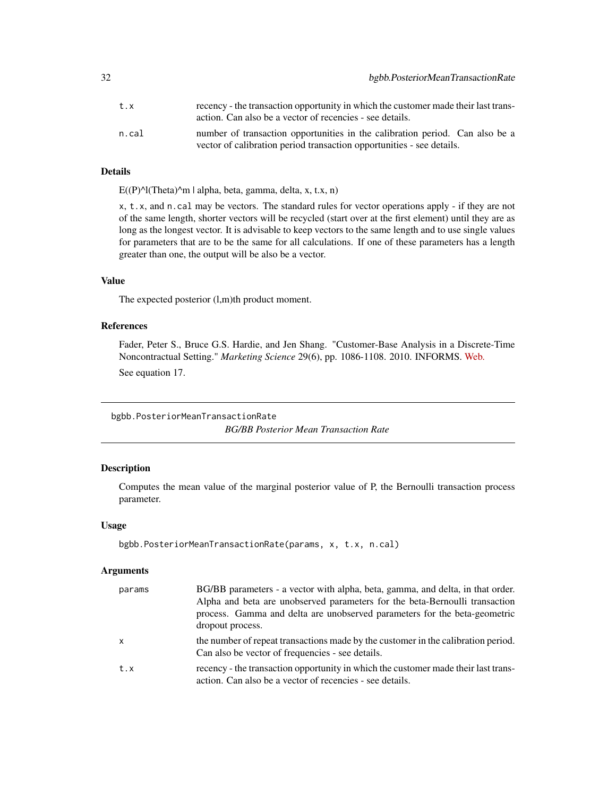<span id="page-31-0"></span>

| t.x   | recency - the transaction opportunity in which the customer made their last trans-<br>action. Can also be a vector of recencies - see details.        |
|-------|-------------------------------------------------------------------------------------------------------------------------------------------------------|
| n.cal | number of transaction opportunities in the calibration period. Can also be a<br>vector of calibration period transaction opportunities - see details. |

## Details

 $E((P)^{A}(Theta)^{A}m \mid alpha, beta, gamma, delta, x, t.x, n)$ 

x, t.x, and n.cal may be vectors. The standard rules for vector operations apply - if they are not of the same length, shorter vectors will be recycled (start over at the first element) until they are as long as the longest vector. It is advisable to keep vectors to the same length and to use single values for parameters that are to be the same for all calculations. If one of these parameters has a length greater than one, the output will be also be a vector.

## Value

The expected posterior (l,m)th product moment.

## References

Fader, Peter S., Bruce G.S. Hardie, and Jen Shang. "Customer-Base Analysis in a Discrete-Time Noncontractual Setting." *Marketing Science* 29(6), pp. 1086-1108. 2010. INFORMS. [Web.](http://www.brucehardie.com/papers/020/) See equation 17.

bgbb.PosteriorMeanTransactionRate *BG/BB Posterior Mean Transaction Rate*

## Description

Computes the mean value of the marginal posterior value of P, the Bernoulli transaction process parameter.

#### Usage

```
bgbb.PosteriorMeanTransactionRate(params, x, t.x, n.cal)
```

| params       | BG/BB parameters - a vector with alpha, beta, gamma, and delta, in that order.<br>Alpha and beta are unobserved parameters for the beta-Bernoulli transaction<br>process. Gamma and delta are unobserved parameters for the beta-geometric<br>dropout process. |
|--------------|----------------------------------------------------------------------------------------------------------------------------------------------------------------------------------------------------------------------------------------------------------------|
| $\mathsf{x}$ | the number of repeat transactions made by the customer in the calibration period.<br>Can also be vector of frequencies - see details.                                                                                                                          |
| t.x          | recency - the transaction opportunity in which the customer made their last trans-<br>action. Can also be a vector of recencies - see details.                                                                                                                 |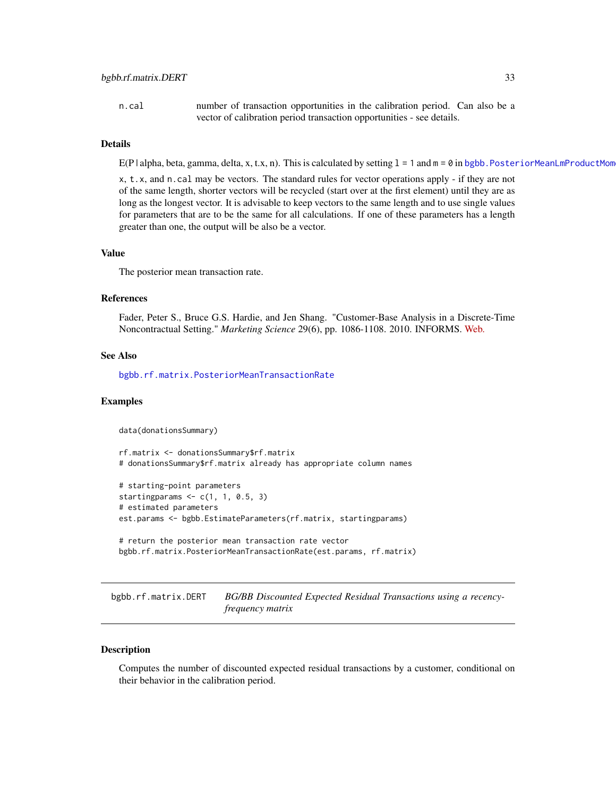<span id="page-32-0"></span>n.cal number of transaction opportunities in the calibration period. Can also be a vector of calibration period transaction opportunities - see details.

## Details

E(P | alpha, beta, gamma, delta, x, t.x, n). This is calculated by setting  $1 = 1$  and  $m = 0$  in bgbb. PosteriorMeanLmProductMom

x, t.x, and n.cal may be vectors. The standard rules for vector operations apply - if they are not of the same length, shorter vectors will be recycled (start over at the first element) until they are as long as the longest vector. It is advisable to keep vectors to the same length and to use single values for parameters that are to be the same for all calculations. If one of these parameters has a length greater than one, the output will be also be a vector.

## Value

The posterior mean transaction rate.

#### References

Fader, Peter S., Bruce G.S. Hardie, and Jen Shang. "Customer-Base Analysis in a Discrete-Time Noncontractual Setting." *Marketing Science* 29(6), pp. 1086-1108. 2010. INFORMS. [Web.](http://www.brucehardie.com/papers/020/)

## See Also

[bgbb.rf.matrix.PosteriorMeanTransactionRate](#page-36-1)

#### Examples

data(donationsSummary)

```
rf.matrix <- donationsSummary$rf.matrix
# donationsSummary$rf.matrix already has appropriate column names
```

```
# starting-point parameters
starting params \leq c(1, 1, 0.5, 3)# estimated parameters
est.params <- bgbb.EstimateParameters(rf.matrix, startingparams)
# return the posterior mean transaction rate vector
```

```
bgbb.rf.matrix.PosteriorMeanTransactionRate(est.params, rf.matrix)
```
bgbb.rf.matrix.DERT *BG/BB Discounted Expected Residual Transactions using a recencyfrequency matrix*

#### Description

Computes the number of discounted expected residual transactions by a customer, conditional on their behavior in the calibration period.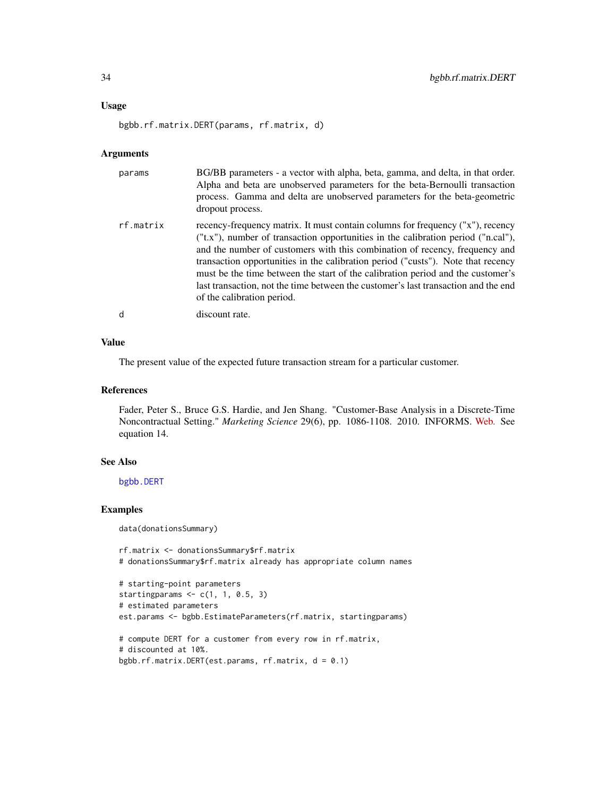#### Usage

bgbb.rf.matrix.DERT(params, rf.matrix, d)

#### Arguments

| params    | BG/BB parameters - a vector with alpha, beta, gamma, and delta, in that order.<br>Alpha and beta are unobserved parameters for the beta-Bernoulli transaction<br>process. Gamma and delta are unobserved parameters for the beta-geometric<br>dropout process.                                                                                                                                                                                                                                                                                      |
|-----------|-----------------------------------------------------------------------------------------------------------------------------------------------------------------------------------------------------------------------------------------------------------------------------------------------------------------------------------------------------------------------------------------------------------------------------------------------------------------------------------------------------------------------------------------------------|
| rf.matrix | recency-frequency matrix. It must contain columns for frequency ("x"), recency<br>$("t.x")$ , number of transaction opportunities in the calibration period $("n.cal")$ ,<br>and the number of customers with this combination of recency, frequency and<br>transaction opportunities in the calibration period ("custs"). Note that recency<br>must be the time between the start of the calibration period and the customer's<br>last transaction, not the time between the customer's last transaction and the end<br>of the calibration period. |
| d         | discount rate.                                                                                                                                                                                                                                                                                                                                                                                                                                                                                                                                      |

## Value

The present value of the expected future transaction stream for a particular customer.

## References

Fader, Peter S., Bruce G.S. Hardie, and Jen Shang. "Customer-Base Analysis in a Discrete-Time Noncontractual Setting." *Marketing Science* 29(6), pp. 1086-1108. 2010. INFORMS. [Web.](http://www.brucehardie.com/papers/020/) See equation 14.

#### See Also

[bgbb.DERT](#page-7-1)

## Examples

data(donationsSummary)

```
rf.matrix <- donationsSummary$rf.matrix
# donationsSummary$rf.matrix already has appropriate column names
```

```
# starting-point parameters
startingparams \leq c(1, 1, 0.5, 3)# estimated parameters
est.params <- bgbb.EstimateParameters(rf.matrix, startingparams)
# compute DERT for a customer from every row in rf.matrix,
# discounted at 10%.
bgbb.rf.matrix.DERT(est.params, rf.matrix, d = 0.1)
```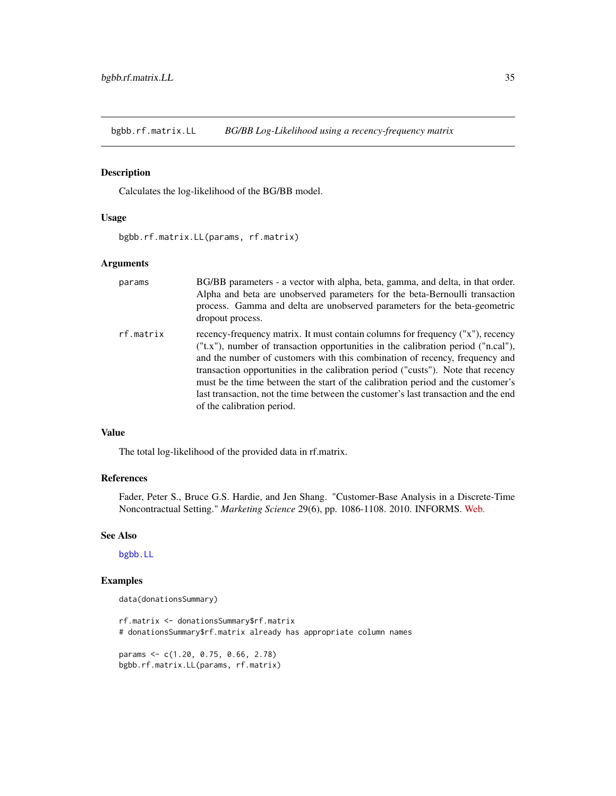<span id="page-34-1"></span><span id="page-34-0"></span>bgbb.rf.matrix.LL *BG/BB Log-Likelihood using a recency-frequency matrix*

## Description

Calculates the log-likelihood of the BG/BB model.

## Usage

bgbb.rf.matrix.LL(params, rf.matrix)

## Arguments

| params    | BG/BB parameters - a vector with alpha, beta, gamma, and delta, in that order.<br>Alpha and beta are unobserved parameters for the beta-Bernoulli transaction<br>process. Gamma and delta are unobserved parameters for the beta-geometric<br>dropout process.                                                                                                                                                                                                                                                                                |
|-----------|-----------------------------------------------------------------------------------------------------------------------------------------------------------------------------------------------------------------------------------------------------------------------------------------------------------------------------------------------------------------------------------------------------------------------------------------------------------------------------------------------------------------------------------------------|
| rf.matrix | recency-frequency matrix. It must contain columns for frequency ("x"), recency<br>("t.x"), number of transaction opportunities in the calibration period ("n.cal"),<br>and the number of customers with this combination of recency, frequency and<br>transaction opportunities in the calibration period ("custs"). Note that recency<br>must be the time between the start of the calibration period and the customer's<br>last transaction, not the time between the customer's last transaction and the end<br>of the calibration period. |

#### Value

The total log-likelihood of the provided data in rf.matrix.

## References

Fader, Peter S., Bruce G.S. Hardie, and Jen Shang. "Customer-Base Analysis in a Discrete-Time Noncontractual Setting." *Marketing Science* 29(6), pp. 1086-1108. 2010. INFORMS. [Web.](http://www.brucehardie.com/papers/020/)

## See Also

[bgbb.LL](#page-12-1)

## Examples

```
data(donationsSummary)
```
rf.matrix <- donationsSummary\$rf.matrix # donationsSummary\$rf.matrix already has appropriate column names

params <- c(1.20, 0.75, 0.66, 2.78) bgbb.rf.matrix.LL(params, rf.matrix)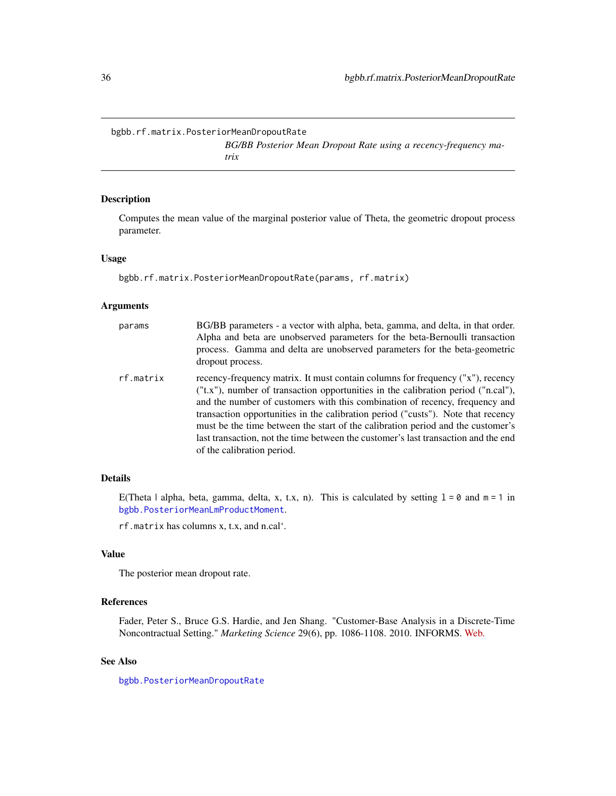<span id="page-35-1"></span><span id="page-35-0"></span>bgbb.rf.matrix.PosteriorMeanDropoutRate

*BG/BB Posterior Mean Dropout Rate using a recency-frequency matrix*

## Description

Computes the mean value of the marginal posterior value of Theta, the geometric dropout process parameter.

#### Usage

bgbb.rf.matrix.PosteriorMeanDropoutRate(params, rf.matrix)

## Arguments

| params    | BG/BB parameters - a vector with alpha, beta, gamma, and delta, in that order.<br>Alpha and beta are unobserved parameters for the beta-Bernoulli transaction<br>process. Gamma and delta are unobserved parameters for the beta-geometric<br>dropout process.                                                                                                                                                                                                                                                                                |
|-----------|-----------------------------------------------------------------------------------------------------------------------------------------------------------------------------------------------------------------------------------------------------------------------------------------------------------------------------------------------------------------------------------------------------------------------------------------------------------------------------------------------------------------------------------------------|
| rf.matrix | recency-frequency matrix. It must contain columns for frequency ("x"), recency<br>("t.x"), number of transaction opportunities in the calibration period ("n.cal"),<br>and the number of customers with this combination of recency, frequency and<br>transaction opportunities in the calibration period ("custs"). Note that recency<br>must be the time between the start of the calibration period and the customer's<br>last transaction, not the time between the customer's last transaction and the end<br>of the calibration period. |

## Details

E(Theta | alpha, beta, gamma, delta, x, t.x, n). This is calculated by setting  $1 = 0$  and  $m = 1$  in [bgbb.PosteriorMeanLmProductMoment](#page-30-1).

rf.matrix has columns x, t.x, and n.cal'.

## Value

The posterior mean dropout rate.

## References

Fader, Peter S., Bruce G.S. Hardie, and Jen Shang. "Customer-Base Analysis in a Discrete-Time Noncontractual Setting." *Marketing Science* 29(6), pp. 1086-1108. 2010. INFORMS. [Web.](http://www.brucehardie.com/papers/020/)

## See Also

[bgbb.PosteriorMeanDropoutRate](#page-29-1)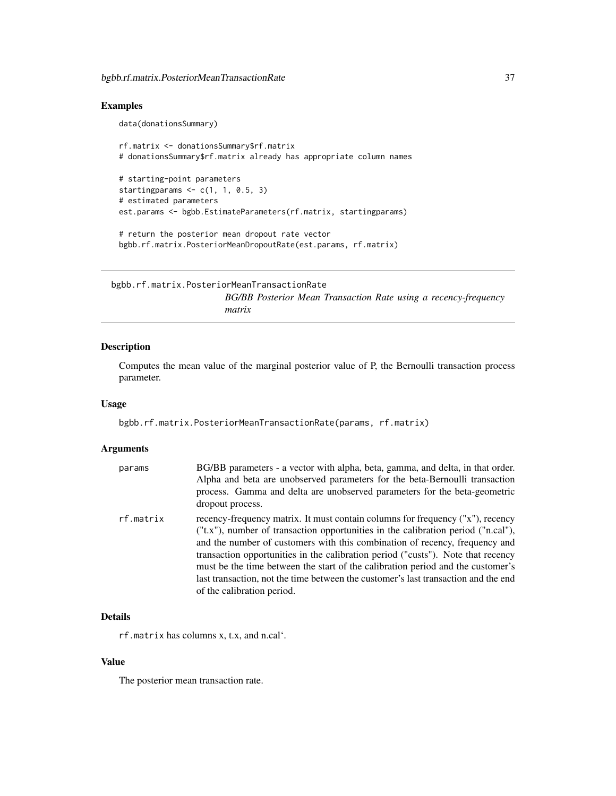data(donationsSummary)

# Examples

```
rf.matrix <- donationsSummary$rf.matrix
# donationsSummary$rf.matrix already has appropriate column names
# starting-point parameters
starting params \leq c(1, 1, 0.5, 3)# estimated parameters
est.params <- bgbb.EstimateParameters(rf.matrix, startingparams)
# return the posterior mean dropout rate vector
```
bgbb.rf.matrix.PosteriorMeanDropoutRate(est.params, rf.matrix)

bgbb.rf.matrix.PosteriorMeanTransactionRate *BG/BB Posterior Mean Transaction Rate using a recency-frequency matrix*

# Description

Computes the mean value of the marginal posterior value of P, the Bernoulli transaction process parameter.

## Usage

bgbb.rf.matrix.PosteriorMeanTransactionRate(params, rf.matrix)

# Arguments

| params    | BG/BB parameters - a vector with alpha, beta, gamma, and delta, in that order.<br>Alpha and beta are unobserved parameters for the beta-Bernoulli transaction<br>process. Gamma and delta are unobserved parameters for the beta-geometric<br>dropout process.                                                                                                                                                                                                                                                                                      |
|-----------|-----------------------------------------------------------------------------------------------------------------------------------------------------------------------------------------------------------------------------------------------------------------------------------------------------------------------------------------------------------------------------------------------------------------------------------------------------------------------------------------------------------------------------------------------------|
| rf.matrix | recency-frequency matrix. It must contain columns for frequency ("x"), recency<br>$("t.x")$ , number of transaction opportunities in the calibration period $("n.cal")$ ,<br>and the number of customers with this combination of recency, frequency and<br>transaction opportunities in the calibration period ("custs"). Note that recency<br>must be the time between the start of the calibration period and the customer's<br>last transaction, not the time between the customer's last transaction and the end<br>of the calibration period. |

# Details

rf.matrix has columns x, t.x, and n.cal'.

# Value

The posterior mean transaction rate.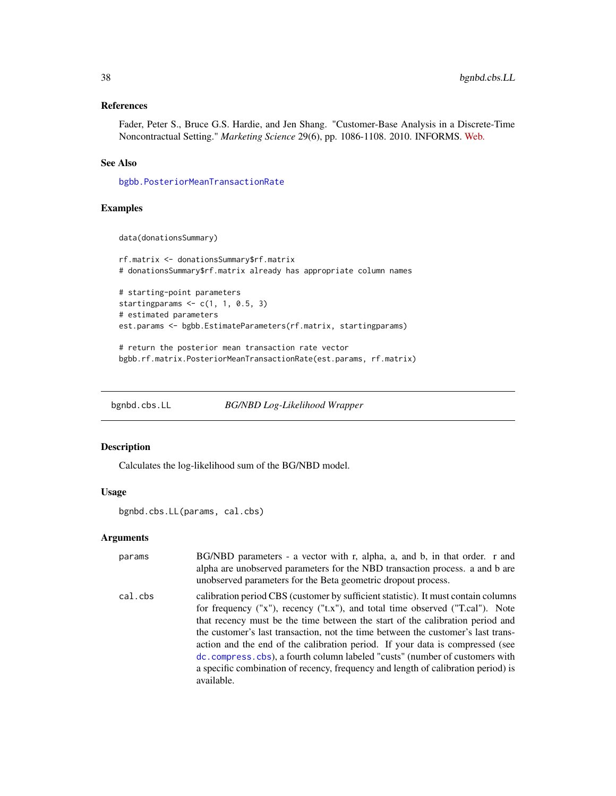# References

Fader, Peter S., Bruce G.S. Hardie, and Jen Shang. "Customer-Base Analysis in a Discrete-Time Noncontractual Setting." *Marketing Science* 29(6), pp. 1086-1108. 2010. INFORMS. [Web.](http://www.brucehardie.com/papers/020/)

# See Also

[bgbb.PosteriorMeanTransactionRate](#page-31-0)

## Examples

```
data(donationsSummary)
```

```
rf.matrix <- donationsSummary$rf.matrix
# donationsSummary$rf.matrix already has appropriate column names
```

```
# starting-point parameters
startingparams <-c(1, 1, 0.5, 3)# estimated parameters
est.params <- bgbb.EstimateParameters(rf.matrix, startingparams)
```

```
# return the posterior mean transaction rate vector
bgbb.rf.matrix.PosteriorMeanTransactionRate(est.params, rf.matrix)
```
<span id="page-37-0"></span>bgnbd.cbs.LL *BG/NBD Log-Likelihood Wrapper*

# Description

Calculates the log-likelihood sum of the BG/NBD model.

# Usage

```
bgnbd.cbs.LL(params, cal.cbs)
```
# Arguments

| params  | BG/NBD parameters - a vector with r, alpha, a, and b, in that order. r and<br>alpha are unobserved parameters for the NBD transaction process. a and b are<br>unobserved parameters for the Beta geometric dropout process.                                                                                                                                                                                                                                                                                                                                                                                   |
|---------|---------------------------------------------------------------------------------------------------------------------------------------------------------------------------------------------------------------------------------------------------------------------------------------------------------------------------------------------------------------------------------------------------------------------------------------------------------------------------------------------------------------------------------------------------------------------------------------------------------------|
| cal.cbs | calibration period CBS (customer by sufficient statistic). It must contain columns<br>for frequency ("x"), recency ("t.x"), and total time observed ("T.cal"). Note<br>that recency must be the time between the start of the calibration period and<br>the customer's last transaction, not the time between the customer's last trans-<br>action and the end of the calibration period. If your data is compressed (see<br>dc. compress. cbs), a fourth column labeled "custs" (number of customers with<br>a specific combination of recency, frequency and length of calibration period) is<br>available. |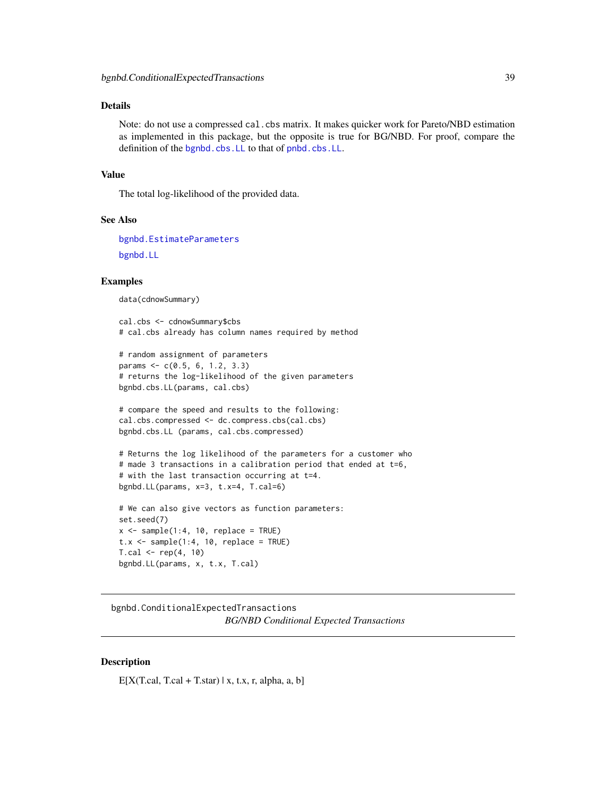# Details

Note: do not use a compressed cal.cbs matrix. It makes quicker work for Pareto/NBD estimation as implemented in this package, but the opposite is true for BG/NBD. For proof, compare the definition of the [bgnbd.cbs.LL](#page-37-0) to that of [pnbd.cbs.LL](#page-90-0).

#### Value

The total log-likelihood of the provided data.

## See Also

```
bgnbd.EstimateParameters
bgnbd.LL
```
## Examples

data(cdnowSummary)

```
cal.cbs <- cdnowSummary$cbs
# cal.cbs already has column names required by method
```

```
# random assignment of parameters
params <- c(0.5, 6, 1.2, 3.3)
# returns the log-likelihood of the given parameters
bgnbd.cbs.LL(params, cal.cbs)
```

```
# compare the speed and results to the following:
cal.cbs.compressed <- dc.compress.cbs(cal.cbs)
bgnbd.cbs.LL (params, cal.cbs.compressed)
```

```
# Returns the log likelihood of the parameters for a customer who
# made 3 transactions in a calibration period that ended at t=6,
# with the last transaction occurring at t=4.
bgnbd.LL(params, x=3, t.x=4, T.cal=6)
```

```
# We can also give vectors as function parameters:
set.seed(7)
x \le - sample(1:4, 10, replace = TRUE)
t.x \leq same sample(1:4, 10, replace = TRUE)
T.cal < - rep(4, 10)bgnbd.LL(params, x, t.x, T.cal)
```
<span id="page-38-0"></span>bgnbd.ConditionalExpectedTransactions *BG/NBD Conditional Expected Transactions*

## **Description**

 $E[X(T, cal, T, cal + T, star) | x, t.x, r, alpha, a, b]$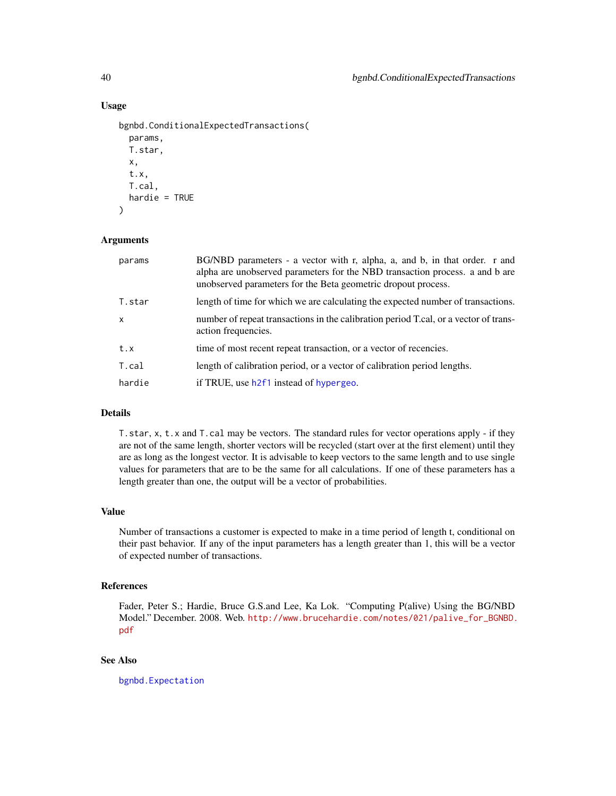# Usage

```
bgnbd.ConditionalExpectedTransactions(
  params,
 T.star,
 x,
  t.x,
  T.cal,
 hardie = TRUE
)
```
## Arguments

| params       | BG/NBD parameters - a vector with r, alpha, a, and b, in that order. r and<br>alpha are unobserved parameters for the NBD transaction process. a and b are<br>unobserved parameters for the Beta geometric dropout process. |
|--------------|-----------------------------------------------------------------------------------------------------------------------------------------------------------------------------------------------------------------------------|
| T.star       | length of time for which we are calculating the expected number of transactions.                                                                                                                                            |
| $\mathsf{x}$ | number of repeat transactions in the calibration period T.cal, or a vector of trans-<br>action frequencies.                                                                                                                 |
| t.x          | time of most recent repeat transaction, or a vector of recencies.                                                                                                                                                           |
| T.cal        | length of calibration period, or a vector of calibration period lengths.                                                                                                                                                    |
| hardie       | if TRUE, use h2f1 instead of hypergeo.                                                                                                                                                                                      |

# Details

T.star, x, t.x and T.cal may be vectors. The standard rules for vector operations apply - if they are not of the same length, shorter vectors will be recycled (start over at the first element) until they are as long as the longest vector. It is advisable to keep vectors to the same length and to use single values for parameters that are to be the same for all calculations. If one of these parameters has a length greater than one, the output will be a vector of probabilities.

#### Value

Number of transactions a customer is expected to make in a time period of length t, conditional on their past behavior. If any of the input parameters has a length greater than 1, this will be a vector of expected number of transactions.

## References

Fader, Peter S.; Hardie, Bruce G.S.and Lee, Ka Lok. "Computing P(alive) Using the BG/NBD Model." December. 2008. Web. [http://www.brucehardie.com/notes/021/palive\\_for\\_BGNBD.](http://www.brucehardie.com/notes/021/palive_for_BGNBD.pdf) [pdf](http://www.brucehardie.com/notes/021/palive_for_BGNBD.pdf)

# See Also

[bgnbd.Expectation](#page-42-0)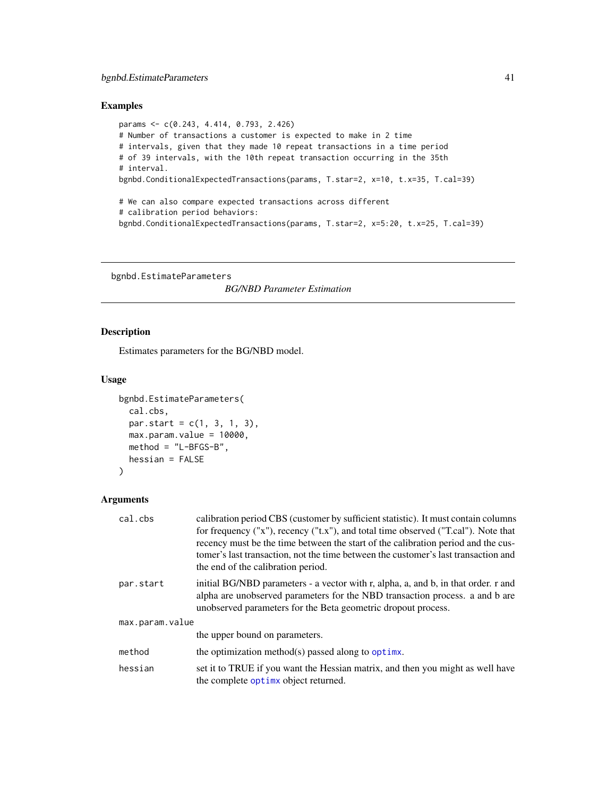# Examples

```
params <- c(0.243, 4.414, 0.793, 2.426)
# Number of transactions a customer is expected to make in 2 time
# intervals, given that they made 10 repeat transactions in a time period
# of 39 intervals, with the 10th repeat transaction occurring in the 35th
# interval.
bgnbd.ConditionalExpectedTransactions(params, T.star=2, x=10, t.x=35, T.cal=39)
# We can also compare expected transactions across different
# calibration period behaviors:
bgnbd.ConditionalExpectedTransactions(params, T.star=2, x=5:20, t.x=25, T.cal=39)
```
<span id="page-40-0"></span>bgnbd.EstimateParameters

*BG/NBD Parameter Estimation*

# Description

Estimates parameters for the BG/NBD model.

## Usage

```
bgnbd.EstimateParameters(
 cal.cbs,
 par.start = c(1, 3, 1, 3),max.param.value = 10000,
 method = "L-BFGS-B",
 hessian = FALSE
)
```
# Arguments

| cal.cbs         | calibration period CBS (customer by sufficient statistic). It must contain columns                                                                                 |  |
|-----------------|--------------------------------------------------------------------------------------------------------------------------------------------------------------------|--|
|                 | for frequency $("x")$ , recency $("t.x")$ , and total time observed $("T.ca]')$ . Note that                                                                        |  |
|                 | recency must be the time between the start of the calibration period and the cus-                                                                                  |  |
|                 | tomer's last transaction, not the time between the customer's last transaction and                                                                                 |  |
|                 | the end of the calibration period.                                                                                                                                 |  |
| par.start       | initial BG/NBD parameters - a vector with r, alpha, a, and b, in that order. r and<br>alpha are unobserved parameters for the NBD transaction process, a and b are |  |
|                 | unobserved parameters for the Beta geometric dropout process.                                                                                                      |  |
| max.param.value |                                                                                                                                                                    |  |
|                 | the upper bound on parameters.                                                                                                                                     |  |
| method          | the optimization method(s) passed along to optime.                                                                                                                 |  |
| hessian         | set it to TRUE if you want the Hessian matrix, and then you might as well have<br>the complete optime object returned.                                             |  |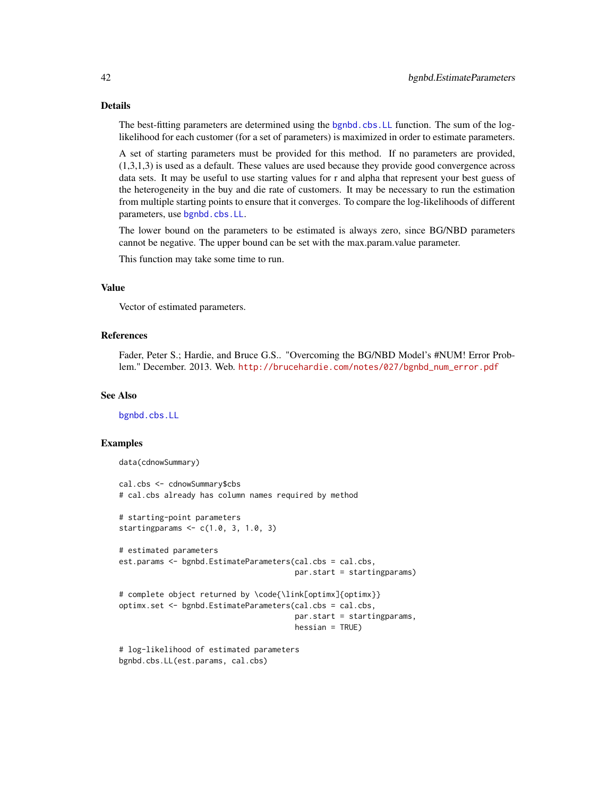# Details

The best-fitting parameters are determined using the [bgnbd.cbs.LL](#page-37-0) function. The sum of the loglikelihood for each customer (for a set of parameters) is maximized in order to estimate parameters.

A set of starting parameters must be provided for this method. If no parameters are provided, (1,3,1,3) is used as a default. These values are used because they provide good convergence across data sets. It may be useful to use starting values for r and alpha that represent your best guess of the heterogeneity in the buy and die rate of customers. It may be necessary to run the estimation from multiple starting points to ensure that it converges. To compare the log-likelihoods of different parameters, use [bgnbd.cbs.LL](#page-37-0).

The lower bound on the parameters to be estimated is always zero, since BG/NBD parameters cannot be negative. The upper bound can be set with the max.param.value parameter.

This function may take some time to run.

# Value

Vector of estimated parameters.

## References

Fader, Peter S.; Hardie, and Bruce G.S.. "Overcoming the BG/NBD Model's #NUM! Error Problem." December. 2013. Web. [http://brucehardie.com/notes/027/bgnbd\\_num\\_error.pdf](http://brucehardie.com/notes/027/bgnbd_num_error.pdf)

#### See Also

[bgnbd.cbs.LL](#page-37-0)

## Examples

```
data(cdnowSummary)
```

```
cal.cbs <- cdnowSummary$cbs
# cal.cbs already has column names required by method
# starting-point parameters
startingparams <- c(1.0, 3, 1.0, 3)
# estimated parameters
est.params <- bgnbd.EstimateParameters(cal.cbs = cal.cbs,
                                       par.start = startingparams)
# complete object returned by \code{\link[optimx]{optimx}}
optimx.set <- bgnbd.EstimateParameters(cal.cbs = cal.cbs,
                                       par.start = startingparams,
                                       hessian = TRUE)
# log-likelihood of estimated parameters
```

```
bgnbd.cbs.LL(est.params, cal.cbs)
```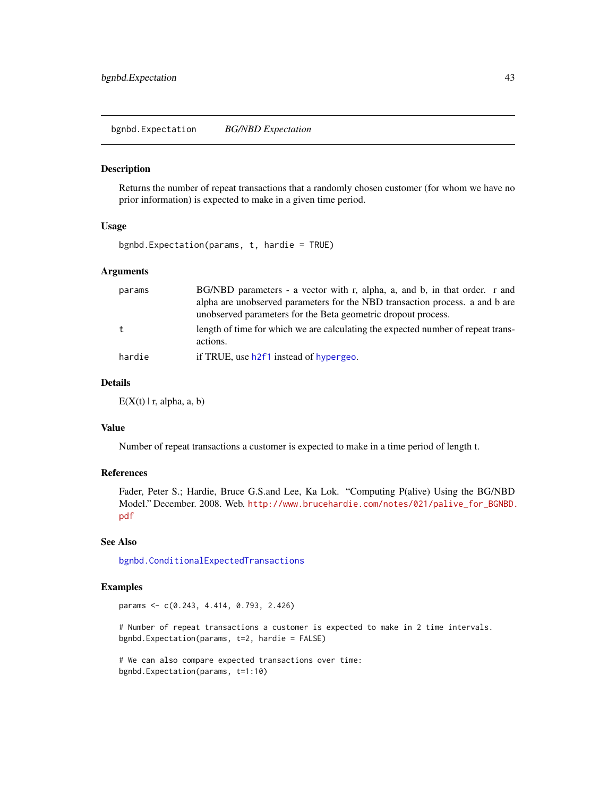<span id="page-42-0"></span>bgnbd.Expectation *BG/NBD Expectation*

#### Description

Returns the number of repeat transactions that a randomly chosen customer (for whom we have no prior information) is expected to make in a given time period.

# Usage

```
bgnbd.Expectation(params, t, hardie = TRUE)
```
# Arguments

| params | BG/NBD parameters - a vector with r, alpha, a, and b, in that order. r and       |
|--------|----------------------------------------------------------------------------------|
|        | alpha are unobserved parameters for the NBD transaction process. a and b are     |
|        | unobserved parameters for the Beta geometric dropout process.                    |
|        | length of time for which we are calculating the expected number of repeat trans- |
|        | actions.                                                                         |
| hardie | if TRUE, use h2f1 instead of hypergeo.                                           |

# Details

 $E(X(t) | r, alpha, a, b)$ 

# Value

Number of repeat transactions a customer is expected to make in a time period of length t.

# References

Fader, Peter S.; Hardie, Bruce G.S.and Lee, Ka Lok. "Computing P(alive) Using the BG/NBD Model." December. 2008. Web. [http://www.brucehardie.com/notes/021/palive\\_for\\_BGNBD.](http://www.brucehardie.com/notes/021/palive_for_BGNBD.pdf) [pdf](http://www.brucehardie.com/notes/021/palive_for_BGNBD.pdf)

# See Also

[bgnbd.ConditionalExpectedTransactions](#page-38-0)

# Examples

params <- c(0.243, 4.414, 0.793, 2.426)

# Number of repeat transactions a customer is expected to make in 2 time intervals. bgnbd.Expectation(params, t=2, hardie = FALSE)

# We can also compare expected transactions over time: bgnbd.Expectation(params, t=1:10)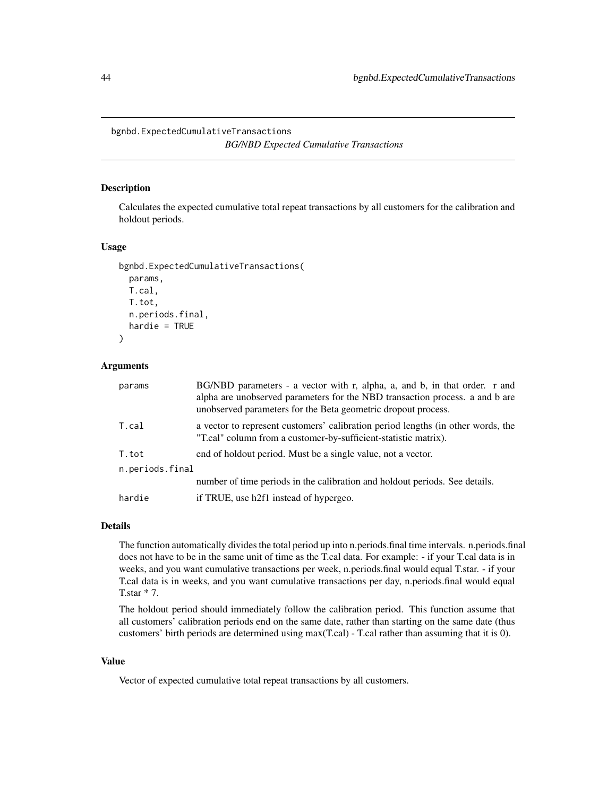<span id="page-43-0"></span>bgnbd.ExpectedCumulativeTransactions

*BG/NBD Expected Cumulative Transactions*

## Description

Calculates the expected cumulative total repeat transactions by all customers for the calibration and holdout periods.

## Usage

```
bgnbd.ExpectedCumulativeTransactions(
  params,
  T.cal,
  T.tot,
  n.periods.final,
  hardie = TRUE
\mathcal{L}
```
# Arguments

| params          | BG/NBD parameters - a vector with r, alpha, a, and b, in that order. r and<br>alpha are unobserved parameters for the NBD transaction process. a and b are<br>unobserved parameters for the Beta geometric dropout process. |
|-----------------|-----------------------------------------------------------------------------------------------------------------------------------------------------------------------------------------------------------------------------|
| T.cal           | a vector to represent customers' calibration period lengths (in other words, the<br>"T.cal" column from a customer-by-sufficient-statistic matrix).                                                                         |
| T.tot           | end of holdout period. Must be a single value, not a vector.                                                                                                                                                                |
| n.periods.final |                                                                                                                                                                                                                             |
|                 | number of time periods in the calibration and holdout periods. See details.                                                                                                                                                 |
| hardie          | if TRUE, use h2f1 instead of hypergeo.                                                                                                                                                                                      |

## Details

The function automatically divides the total period up into n.periods.final time intervals. n.periods.final does not have to be in the same unit of time as the T.cal data. For example: - if your T.cal data is in weeks, and you want cumulative transactions per week, n.periods.final would equal T.star. - if your T.cal data is in weeks, and you want cumulative transactions per day, n.periods.final would equal T.star \* 7.

The holdout period should immediately follow the calibration period. This function assume that all customers' calibration periods end on the same date, rather than starting on the same date (thus customers' birth periods are determined using max(T.cal) - T.cal rather than assuming that it is 0).

#### Value

Vector of expected cumulative total repeat transactions by all customers.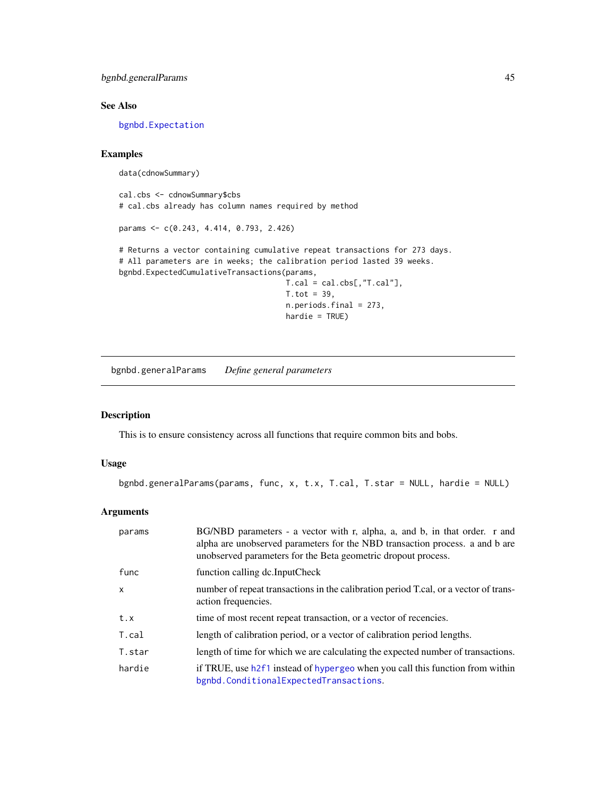bgnbd.generalParams 45

# See Also

[bgnbd.Expectation](#page-42-0)

# Examples

```
data(cdnowSummary)
```
cal.cbs <- cdnowSummary\$cbs # cal.cbs already has column names required by method

params <- c(0.243, 4.414, 0.793, 2.426)

# Returns a vector containing cumulative repeat transactions for 273 days. # All parameters are in weeks; the calibration period lasted 39 weeks. bgnbd.ExpectedCumulativeTransactions(params,

 $T.cal = cal.cbs[, "T.cal"$ ],  $T. tot = 39,$ n.periods.final = 273, hardie = TRUE)

bgnbd.generalParams *Define general parameters*

# Description

This is to ensure consistency across all functions that require common bits and bobs.

# Usage

```
bgnbd.generalParams(params, func, x, t.x, T.cal, T.star = NULL, hardie = NULL)
```
## Arguments

| params       | BG/NBD parameters - a vector with r, alpha, a, and b, in that order. r and<br>alpha are unobserved parameters for the NBD transaction process. a and b are<br>unobserved parameters for the Beta geometric dropout process. |
|--------------|-----------------------------------------------------------------------------------------------------------------------------------------------------------------------------------------------------------------------------|
| func         | function calling dc.InputCheck                                                                                                                                                                                              |
| $\mathsf{x}$ | number of repeat transactions in the calibration period T.cal, or a vector of trans-<br>action frequencies.                                                                                                                 |
| t.x          | time of most recent repeat transaction, or a vector of recencies.                                                                                                                                                           |
| T.cal        | length of calibration period, or a vector of calibration period lengths.                                                                                                                                                    |
| T.star       | length of time for which we are calculating the expected number of transactions.                                                                                                                                            |
| hardie       | if TRUE, use h2f1 instead of hypergeo when you call this function from within<br>bgnbd.ConditionalExpectedTransactions.                                                                                                     |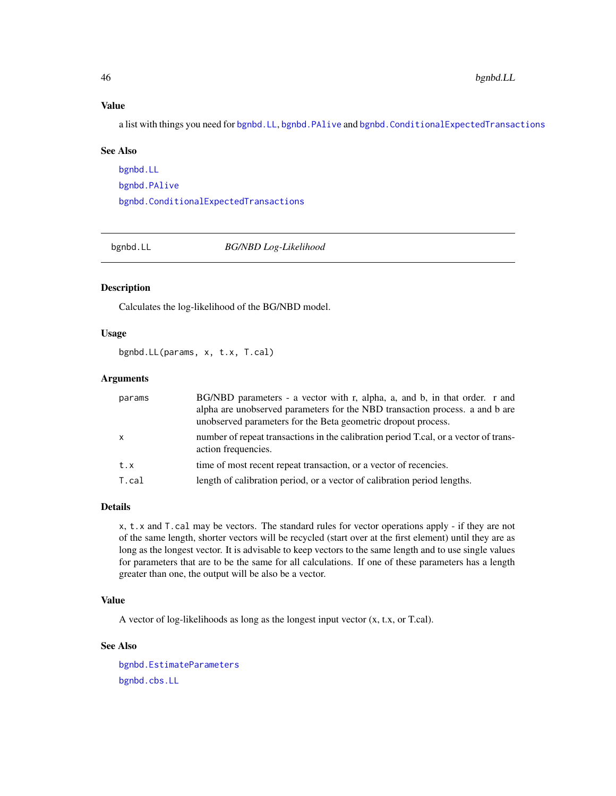## Value

a list with things you need for [bgnbd.LL](#page-45-0), [bgnbd.PAlive](#page-46-0) and [bgnbd.ConditionalExpectedTransactions](#page-38-0)

#### See Also

[bgnbd.LL](#page-45-0) [bgnbd.PAlive](#page-46-0) [bgnbd.ConditionalExpectedTransactions](#page-38-0)

<span id="page-45-0"></span>

bgnbd.LL *BG/NBD Log-Likelihood*

# Description

Calculates the log-likelihood of the BG/NBD model.

## Usage

bgnbd.LL(params, x, t.x, T.cal)

## Arguments

| params       | BG/NBD parameters - a vector with r, alpha, a, and b, in that order. r and<br>alpha are unobserved parameters for the NBD transaction process. a and b are<br>unobserved parameters for the Beta geometric dropout process. |
|--------------|-----------------------------------------------------------------------------------------------------------------------------------------------------------------------------------------------------------------------------|
| $\mathsf{x}$ | number of repeat transactions in the calibration period T.cal, or a vector of trans-<br>action frequencies.                                                                                                                 |
| t.x          | time of most recent repeat transaction, or a vector of recencies.                                                                                                                                                           |
| T.cal        | length of calibration period, or a vector of calibration period lengths.                                                                                                                                                    |

#### Details

x, t.x and T.cal may be vectors. The standard rules for vector operations apply - if they are not of the same length, shorter vectors will be recycled (start over at the first element) until they are as long as the longest vector. It is advisable to keep vectors to the same length and to use single values for parameters that are to be the same for all calculations. If one of these parameters has a length greater than one, the output will be also be a vector.

# Value

A vector of log-likelihoods as long as the longest input vector (x, t.x, or T.cal).

# See Also

[bgnbd.EstimateParameters](#page-40-0) [bgnbd.cbs.LL](#page-37-0)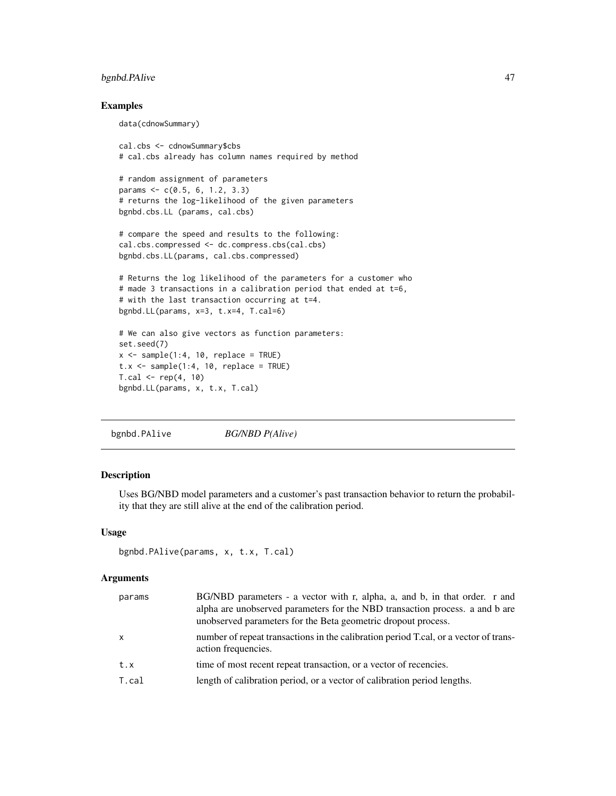# bgnbd.PAlive 47

data(cdnowSummary)

## Examples

```
cal.cbs <- cdnowSummary$cbs
# cal.cbs already has column names required by method
# random assignment of parameters
params <- c(0.5, 6, 1.2, 3.3)
# returns the log-likelihood of the given parameters
bgnbd.cbs.LL (params, cal.cbs)
```

```
# compare the speed and results to the following:
cal.cbs.compressed <- dc.compress.cbs(cal.cbs)
bgnbd.cbs.LL(params, cal.cbs.compressed)
```

```
# Returns the log likelihood of the parameters for a customer who
# made 3 transactions in a calibration period that ended at t=6,
# with the last transaction occurring at t=4.
bgnbd.LL(params, x=3, t.x=4, T.cal=6)
```

```
# We can also give vectors as function parameters:
set.seed(7)
x \le - sample(1:4, 10, replace = TRUE)
t.x \leq same sample(1:4, 10, replace = TRUE)
T.cal < - rep(4, 10)bgnbd.LL(params, x, t.x, T.cal)
```

```
bgnbd.PAlive BG/NBD P(Alive)
```
# Description

Uses BG/NBD model parameters and a customer's past transaction behavior to return the probability that they are still alive at the end of the calibration period.

#### Usage

```
bgnbd.PAlive(params, x, t.x, T.cal)
```
#### Arguments

| params       | BG/NBD parameters - a vector with r, alpha, a, and b, in that order. r and<br>alpha are unobserved parameters for the NBD transaction process. a and b are<br>unobserved parameters for the Beta geometric dropout process. |
|--------------|-----------------------------------------------------------------------------------------------------------------------------------------------------------------------------------------------------------------------------|
| $\mathsf{x}$ | number of repeat transactions in the calibration period T.cal, or a vector of trans-<br>action frequencies.                                                                                                                 |
| t.x          | time of most recent repeat transaction, or a vector of recencies.                                                                                                                                                           |
| T.cal        | length of calibration period, or a vector of calibration period lengths.                                                                                                                                                    |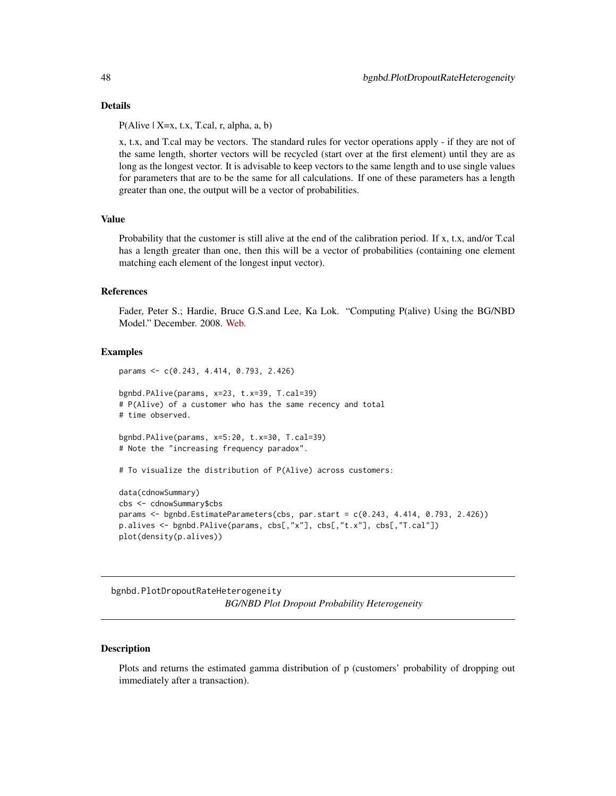#### Details

 $P(Alive | X=x, t.x, T.ca, r, alpha, a, b)$ 

x, t.x, and T.cal may be vectors. The standard rules for vector operations apply - if they are not of the same length, shorter vectors will be recycled (start over at the first element) until they are as long as the longest vector. It is advisable to keep vectors to the same length and to use single values for parameters that are to be the same for all calculations. If one of these parameters has a length greater than one, the output will be a vector of probabilities.

# Value

Probability that the customer is still alive at the end of the calibration period. If x, t.x, and/or T.cal has a length greater than one, then this will be a vector of probabilities (containing one element matching each element of the longest input vector).

## References

Fader, Peter S.; Hardie, Bruce G.S.and Lee, Ka Lok. "Computing P(alive) Using the BG/NBD Model." December. 2008. [Web.](http://www.brucehardie.com/notes/021/palive_for_BGNBD.pdf)

## Examples

```
params <- c(0.243, 4.414, 0.793, 2.426)
bgnbd.PAlive(params, x=23, t.x=39, T.cal=39)
# P(Alive) of a customer who has the same recency and total
# time observed.
bgnbd.PAlive(params, x=5:20, t.x=30, T.cal=39)
# Note the "increasing frequency paradox".
# To visualize the distribution of P(Alive) across customers:
data(cdnowSummary)
cbs <- cdnowSummary$cbs
params <- bgnbd.EstimateParameters(cbs, par.start = c(0.243, 4.414, 0.793, 2.426))
p.alives <- bgnbd.PAlive(params, cbs[,"x"], cbs[,"t.x"], cbs[,"T.cal"])
plot(density(p.alives))
```
bgnbd.PlotDropoutRateHeterogeneity *BG/NBD Plot Dropout Probability Heterogeneity*

#### **Description**

Plots and returns the estimated gamma distribution of p (customers' probability of dropping out immediately after a transaction).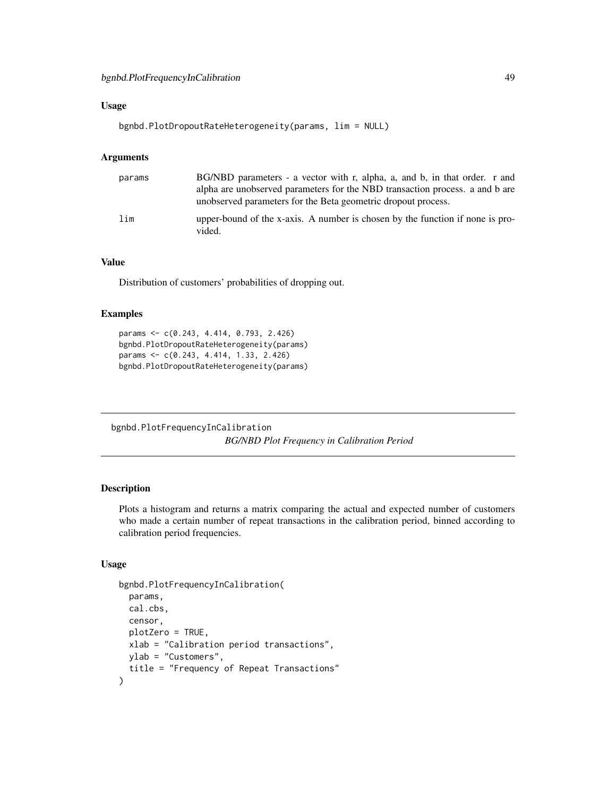# Usage

bgnbd.PlotDropoutRateHeterogeneity(params, lim = NULL)

# Arguments

| params | BG/NBD parameters - a vector with r, alpha, a, and b, in that order. r and<br>alpha are unobserved parameters for the NBD transaction process, a and b are<br>unobserved parameters for the Beta geometric dropout process. |
|--------|-----------------------------------------------------------------------------------------------------------------------------------------------------------------------------------------------------------------------------|
| lim    | upper-bound of the x-axis. A number is chosen by the function if none is pro-<br>vided.                                                                                                                                     |

# Value

Distribution of customers' probabilities of dropping out.

#### Examples

```
params <- c(0.243, 4.414, 0.793, 2.426)
bgnbd.PlotDropoutRateHeterogeneity(params)
params <- c(0.243, 4.414, 1.33, 2.426)
bgnbd.PlotDropoutRateHeterogeneity(params)
```
bgnbd.PlotFrequencyInCalibration *BG/NBD Plot Frequency in Calibration Period*

# Description

Plots a histogram and returns a matrix comparing the actual and expected number of customers who made a certain number of repeat transactions in the calibration period, binned according to calibration period frequencies.

# Usage

```
bgnbd.PlotFrequencyInCalibration(
  params,
  cal.cbs,
  censor,
  plotZero = TRUE,
  xlab = "Calibration period transactions",
 ylab = "Customers",
  title = "Frequency of Repeat Transactions"
)
```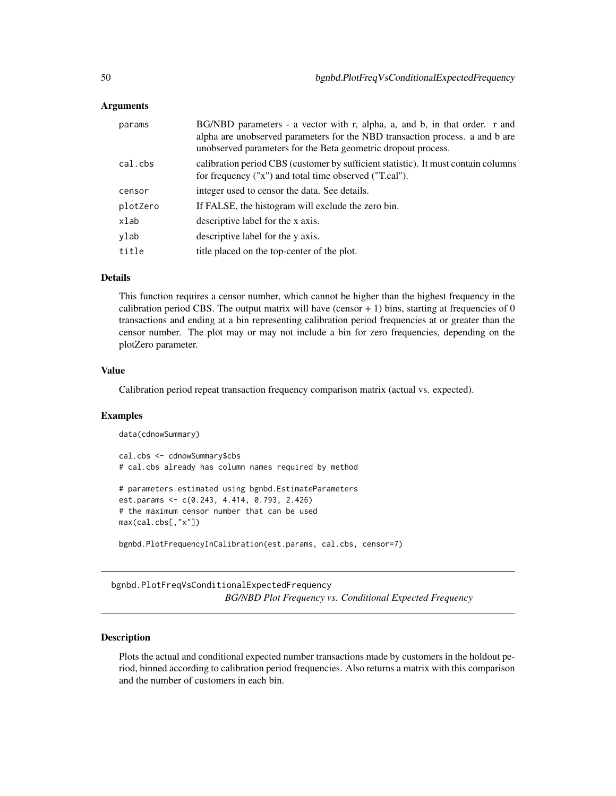# Arguments

| params   | BG/NBD parameters - a vector with r, alpha, a, and b, in that order. r and<br>alpha are unobserved parameters for the NBD transaction process. a and b are<br>unobserved parameters for the Beta geometric dropout process. |
|----------|-----------------------------------------------------------------------------------------------------------------------------------------------------------------------------------------------------------------------------|
| cal.cbs  | calibration period CBS (customer by sufficient statistic). It must contain columns<br>for frequency ("x") and total time observed ("T.cal").                                                                                |
| censor   | integer used to censor the data. See details.                                                                                                                                                                               |
| plotZero | If FALSE, the histogram will exclude the zero bin.                                                                                                                                                                          |
| xlab     | descriptive label for the x axis.                                                                                                                                                                                           |
| ylab     | descriptive label for the y axis.                                                                                                                                                                                           |
| title    | title placed on the top-center of the plot.                                                                                                                                                                                 |
|          |                                                                                                                                                                                                                             |

## Details

This function requires a censor number, which cannot be higher than the highest frequency in the calibration period CBS. The output matrix will have (censor  $+ 1$ ) bins, starting at frequencies of 0 transactions and ending at a bin representing calibration period frequencies at or greater than the censor number. The plot may or may not include a bin for zero frequencies, depending on the plotZero parameter.

# Value

Calibration period repeat transaction frequency comparison matrix (actual vs. expected).

#### Examples

```
data(cdnowSummary)
cal.cbs <- cdnowSummary$cbs
# cal.cbs already has column names required by method
# parameters estimated using bgnbd.EstimateParameters
est.params <- c(0.243, 4.414, 0.793, 2.426)
# the maximum censor number that can be used
max(cal.cbs[,"x"])
bgnbd.PlotFrequencyInCalibration(est.params, cal.cbs, censor=7)
```
bgnbd.PlotFreqVsConditionalExpectedFrequency *BG/NBD Plot Frequency vs. Conditional Expected Frequency*

# **Description**

Plots the actual and conditional expected number transactions made by customers in the holdout period, binned according to calibration period frequencies. Also returns a matrix with this comparison and the number of customers in each bin.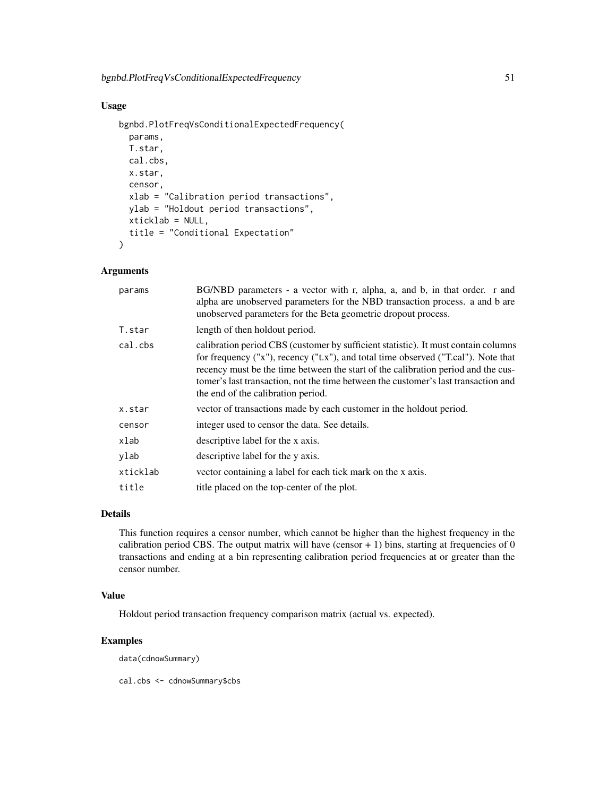# Usage

```
bgnbd.PlotFreqVsConditionalExpectedFrequency(
 params,
  T.star,
 cal.cbs,
 x.star,
  censor,
  xlab = "Calibration period transactions",
 ylab = "Holdout period transactions",
 xticklab = NULL,
  title = "Conditional Expectation"
)
```
# Arguments

| params   | BG/NBD parameters - a vector with r, alpha, a, and b, in that order. r and<br>alpha are unobserved parameters for the NBD transaction process. a and b are<br>unobserved parameters for the Beta geometric dropout process.                                                                                                                                                               |
|----------|-------------------------------------------------------------------------------------------------------------------------------------------------------------------------------------------------------------------------------------------------------------------------------------------------------------------------------------------------------------------------------------------|
| T.star   | length of then holdout period.                                                                                                                                                                                                                                                                                                                                                            |
| cal.cbs  | calibration period CBS (customer by sufficient statistic). It must contain columns<br>for frequency ("x"), recency ("t.x"), and total time observed ("T.cal"). Note that<br>recency must be the time between the start of the calibration period and the cus-<br>tomer's last transaction, not the time between the customer's last transaction and<br>the end of the calibration period. |
| x.star   | vector of transactions made by each customer in the holdout period.                                                                                                                                                                                                                                                                                                                       |
| censor   | integer used to censor the data. See details.                                                                                                                                                                                                                                                                                                                                             |
| xlab     | descriptive label for the x axis.                                                                                                                                                                                                                                                                                                                                                         |
| ylab     | descriptive label for the y axis.                                                                                                                                                                                                                                                                                                                                                         |
| xticklab | vector containing a label for each tick mark on the x axis.                                                                                                                                                                                                                                                                                                                               |
| title    | title placed on the top-center of the plot.                                                                                                                                                                                                                                                                                                                                               |

# Details

This function requires a censor number, which cannot be higher than the highest frequency in the calibration period CBS. The output matrix will have (censor  $+1$ ) bins, starting at frequencies of 0 transactions and ending at a bin representing calibration period frequencies at or greater than the censor number.

# Value

Holdout period transaction frequency comparison matrix (actual vs. expected).

# Examples

data(cdnowSummary)

cal.cbs <- cdnowSummary\$cbs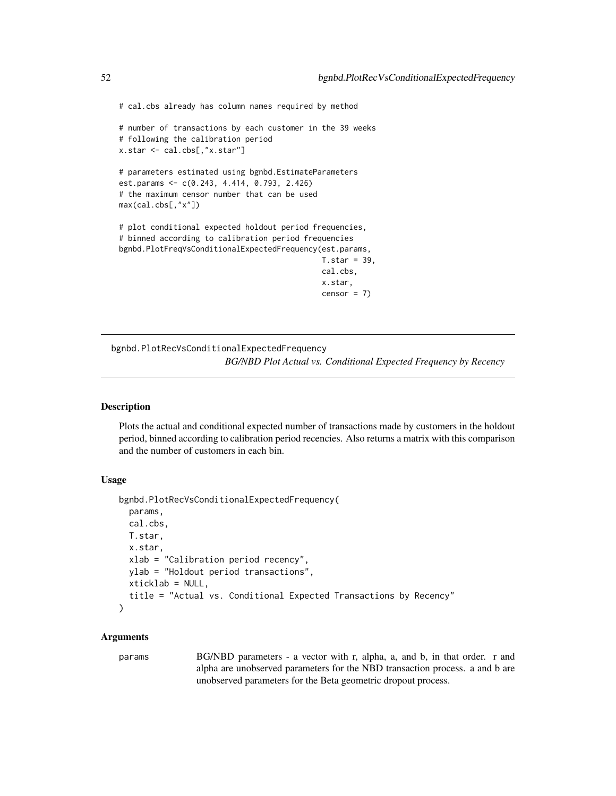# cal.cbs already has column names required by method

```
# number of transactions by each customer in the 39 weeks
# following the calibration period
x.star <- cal.cbs[,"x.star"]
# parameters estimated using bgnbd.EstimateParameters
est.params <- c(0.243, 4.414, 0.793, 2.426)
# the maximum censor number that can be used
max(cal.cbs[,"x"])
```
# plot conditional expected holdout period frequencies, # binned according to calibration period frequencies bgnbd.PlotFreqVsConditionalExpectedFrequency(est.params,

```
T.star = 39,
cal.cbs,
x.star,
censor = 7)
```
bgnbd.PlotRecVsConditionalExpectedFrequency *BG/NBD Plot Actual vs. Conditional Expected Frequency by Recency*

#### Description

Plots the actual and conditional expected number of transactions made by customers in the holdout period, binned according to calibration period recencies. Also returns a matrix with this comparison and the number of customers in each bin.

#### Usage

```
bgnbd.PlotRecVsConditionalExpectedFrequency(
 params,
 cal.cbs,
 T.star,
  x.star,
  xlab = "Calibration period recency",
 ylab = "Holdout period transactions",
 xticklab = NULL,
  title = "Actual vs. Conditional Expected Transactions by Recency"
\lambda
```
## Arguments

params BG/NBD parameters - a vector with r, alpha, a, and b, in that order. r and alpha are unobserved parameters for the NBD transaction process. a and b are unobserved parameters for the Beta geometric dropout process.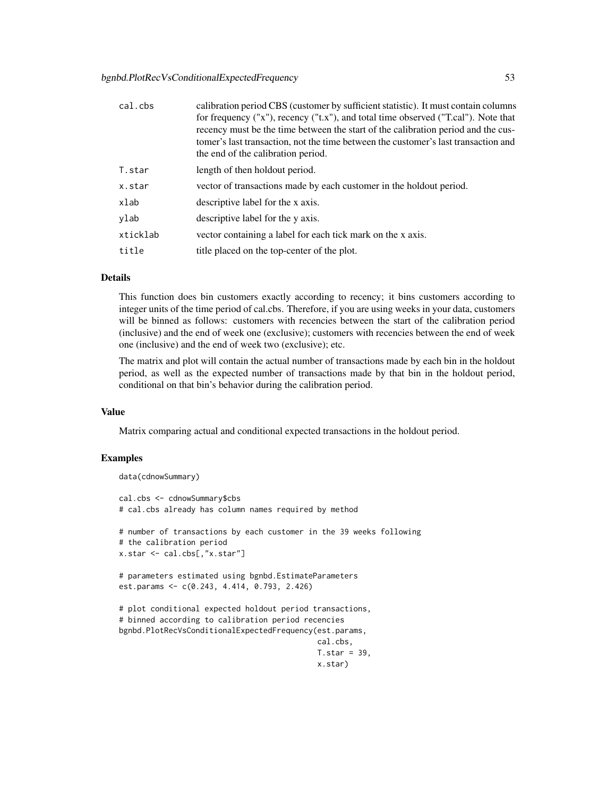| cal.cbs  | calibration period CBS (customer by sufficient statistic). It must contain columns<br>for frequency ("x"), recency ("t.x"), and total time observed ("T.cal"). Note that<br>recency must be the time between the start of the calibration period and the cus-<br>tomer's last transaction, not the time between the customer's last transaction and<br>the end of the calibration period. |
|----------|-------------------------------------------------------------------------------------------------------------------------------------------------------------------------------------------------------------------------------------------------------------------------------------------------------------------------------------------------------------------------------------------|
| T.star   | length of then holdout period.                                                                                                                                                                                                                                                                                                                                                            |
| x.star   | vector of transactions made by each customer in the holdout period.                                                                                                                                                                                                                                                                                                                       |
| xlab     | descriptive label for the x axis.                                                                                                                                                                                                                                                                                                                                                         |
| ylab     | descriptive label for the y axis.                                                                                                                                                                                                                                                                                                                                                         |
| xticklab | vector containing a label for each tick mark on the x axis.                                                                                                                                                                                                                                                                                                                               |
| title    | title placed on the top-center of the plot.                                                                                                                                                                                                                                                                                                                                               |
|          |                                                                                                                                                                                                                                                                                                                                                                                           |

## Details

This function does bin customers exactly according to recency; it bins customers according to integer units of the time period of cal.cbs. Therefore, if you are using weeks in your data, customers will be binned as follows: customers with recencies between the start of the calibration period (inclusive) and the end of week one (exclusive); customers with recencies between the end of week one (inclusive) and the end of week two (exclusive); etc.

The matrix and plot will contain the actual number of transactions made by each bin in the holdout period, as well as the expected number of transactions made by that bin in the holdout period, conditional on that bin's behavior during the calibration period.

# Value

Matrix comparing actual and conditional expected transactions in the holdout period.

#### Examples

```
data(cdnowSummary)
```

```
cal.cbs <- cdnowSummary$cbs
# cal.cbs already has column names required by method
# number of transactions by each customer in the 39 weeks following
# the calibration period
x.star <- cal.cbs[,"x.star"]
# parameters estimated using bgnbd.EstimateParameters
est.params <- c(0.243, 4.414, 0.793, 2.426)
# plot conditional expected holdout period transactions,
# binned according to calibration period recencies
bgnbd.PlotRecVsConditionalExpectedFrequency(est.params,
                                            cal.cbs,
                                            T.star = 39,
                                            x.star)
```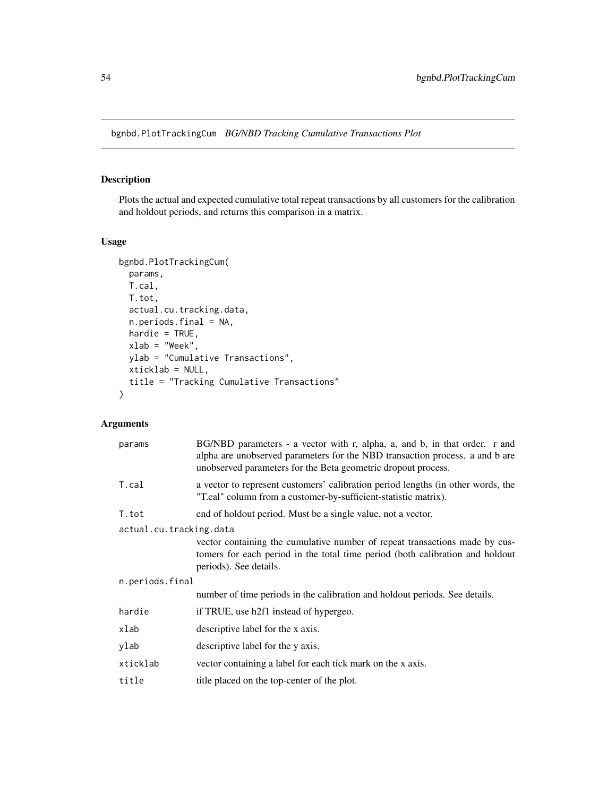bgnbd.PlotTrackingCum *BG/NBD Tracking Cumulative Transactions Plot*

# Description

Plots the actual and expected cumulative total repeat transactions by all customers for the calibration and holdout periods, and returns this comparison in a matrix.

# Usage

```
bgnbd.PlotTrackingCum(
 params,
 T.cal,
 T.tot,
  actual.cu.tracking.data,
  n.periods.final = NA,
  hardie = TRUE,
 xlab = "Week",
 ylab = "Cumulative Transactions",
 xticklab = NULL,
  title = "Tracking Cumulative Transactions"
)
```
# Arguments

| params                  | BG/NBD parameters - a vector with r, alpha, a, and b, in that order. r and<br>alpha are unobserved parameters for the NBD transaction process. a and b are<br>unobserved parameters for the Beta geometric dropout process. |
|-------------------------|-----------------------------------------------------------------------------------------------------------------------------------------------------------------------------------------------------------------------------|
| T.cal                   | a vector to represent customers' calibration period lengths (in other words, the<br>"T.cal" column from a customer-by-sufficient-statistic matrix).                                                                         |
| T.tot                   | end of holdout period. Must be a single value, not a vector.                                                                                                                                                                |
| actual.cu.tracking.data | vector containing the cumulative number of repeat transactions made by cus-<br>tomers for each period in the total time period (both calibration and holdout<br>periods). See details.                                      |
| n.periods.final         |                                                                                                                                                                                                                             |
|                         | number of time periods in the calibration and holdout periods. See details.                                                                                                                                                 |
| hardie                  | if TRUE, use h2f1 instead of hypergeo.                                                                                                                                                                                      |
| xlab                    | descriptive label for the x axis.                                                                                                                                                                                           |
| ylab                    | descriptive label for the y axis.                                                                                                                                                                                           |
| xticklab                | vector containing a label for each tick mark on the x axis.                                                                                                                                                                 |
| title                   | title placed on the top-center of the plot.                                                                                                                                                                                 |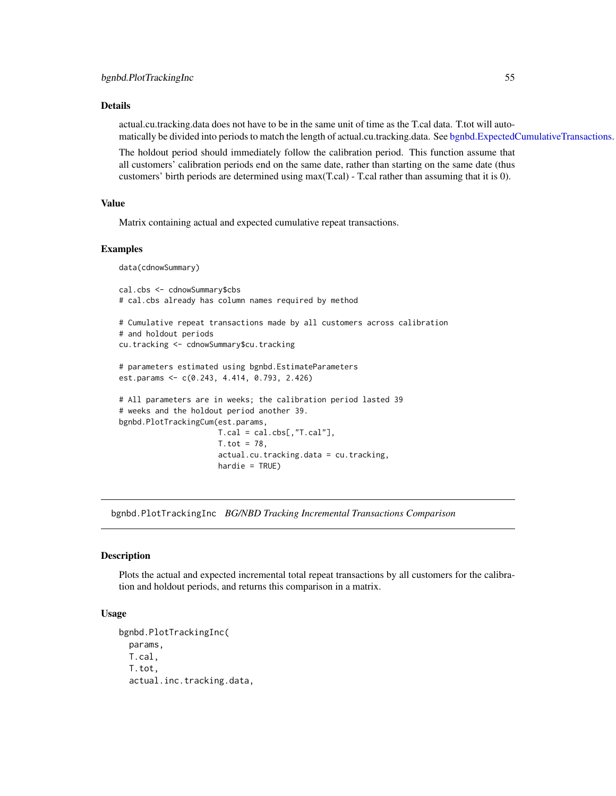# Details

actual.cu.tracking.data does not have to be in the same unit of time as the T.cal data. T.tot will automatically be divided into periods to match the length of actual.cu.tracking.data. See [bgnbd.ExpectedCumulativeTransactions.](#page-43-0)

The holdout period should immediately follow the calibration period. This function assume that all customers' calibration periods end on the same date, rather than starting on the same date (thus customers' birth periods are determined using max(T.cal) - T.cal rather than assuming that it is 0).

## Value

Matrix containing actual and expected cumulative repeat transactions.

#### Examples

data(cdnowSummary)

```
cal.cbs <- cdnowSummary$cbs
# cal.cbs already has column names required by method
# Cumulative repeat transactions made by all customers across calibration
# and holdout periods
cu.tracking <- cdnowSummary$cu.tracking
# parameters estimated using bgnbd.EstimateParameters
est.params <- c(0.243, 4.414, 0.793, 2.426)
# All parameters are in weeks; the calibration period lasted 39
# weeks and the holdout period another 39.
bgnbd.PlotTrackingCum(est.params,
                     T.cal = cal.obs[, "T.cal"],
                     T. tot = 78,actual.cu.tracking.data = cu.tracking,
                      hardie = TRUE)
```
bgnbd.PlotTrackingInc *BG/NBD Tracking Incremental Transactions Comparison*

## Description

Plots the actual and expected incremental total repeat transactions by all customers for the calibration and holdout periods, and returns this comparison in a matrix.

## Usage

```
bgnbd.PlotTrackingInc(
 params,
 T.cal,
  T.tot,
  actual.inc.tracking.data,
```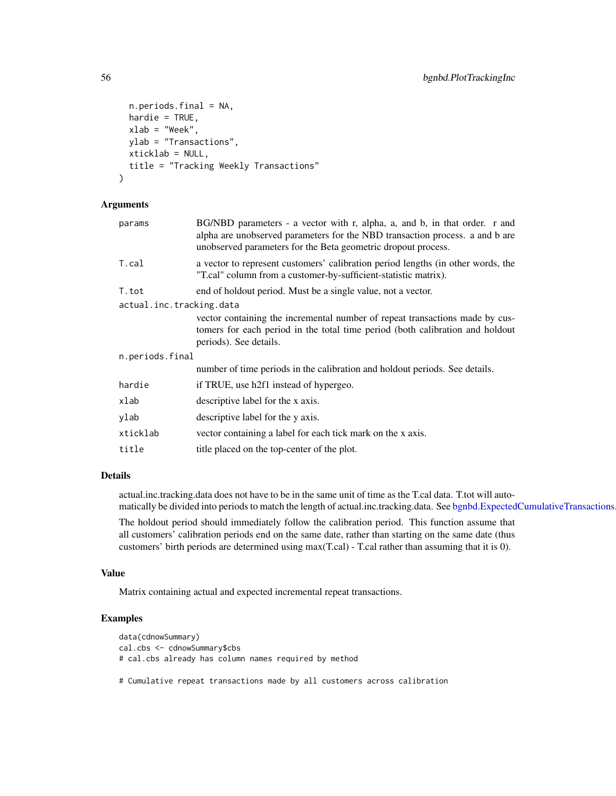```
n.periods.final = NA,
  hardie = TRUE,
 xlab = "Week",
 ylab = "Transactions",
  xticklab = NULL,
  title = "Tracking Weekly Transactions"
)
```
# Arguments

| params                   | BG/NBD parameters - a vector with r, alpha, a, and b, in that order. r and<br>alpha are unobserved parameters for the NBD transaction process. a and b are<br>unobserved parameters for the Beta geometric dropout process. |
|--------------------------|-----------------------------------------------------------------------------------------------------------------------------------------------------------------------------------------------------------------------------|
| T.cal                    | a vector to represent customers' calibration period lengths (in other words, the<br>"T.cal" column from a customer-by-sufficient-statistic matrix).                                                                         |
| T.tot                    | end of holdout period. Must be a single value, not a vector.                                                                                                                                                                |
| actual.inc.tracking.data | vector containing the incremental number of repeat transactions made by cus-<br>tomers for each period in the total time period (both calibration and holdout<br>periods). See details.                                     |
| n.periods.final          |                                                                                                                                                                                                                             |
|                          | number of time periods in the calibration and holdout periods. See details.                                                                                                                                                 |
| hardie                   | if TRUE, use h2f1 instead of hypergeo.                                                                                                                                                                                      |
| xlab                     | descriptive label for the x axis.                                                                                                                                                                                           |
| ylab                     | descriptive label for the y axis.                                                                                                                                                                                           |
| xticklab                 | vector containing a label for each tick mark on the x axis.                                                                                                                                                                 |
| title                    | title placed on the top-center of the plot.                                                                                                                                                                                 |
|                          |                                                                                                                                                                                                                             |

# Details

actual.inc.tracking.data does not have to be in the same unit of time as the T.cal data. T.tot will automatically be divided into periods to match the length of actual.inc.tracking.data. See [bgnbd.ExpectedCumulativeTransactions.](#page-43-0)

The holdout period should immediately follow the calibration period. This function assume that all customers' calibration periods end on the same date, rather than starting on the same date (thus customers' birth periods are determined using max(T.cal) - T.cal rather than assuming that it is 0).

## Value

Matrix containing actual and expected incremental repeat transactions.

# Examples

```
data(cdnowSummary)
cal.cbs <- cdnowSummary$cbs
# cal.cbs already has column names required by method
```
# Cumulative repeat transactions made by all customers across calibration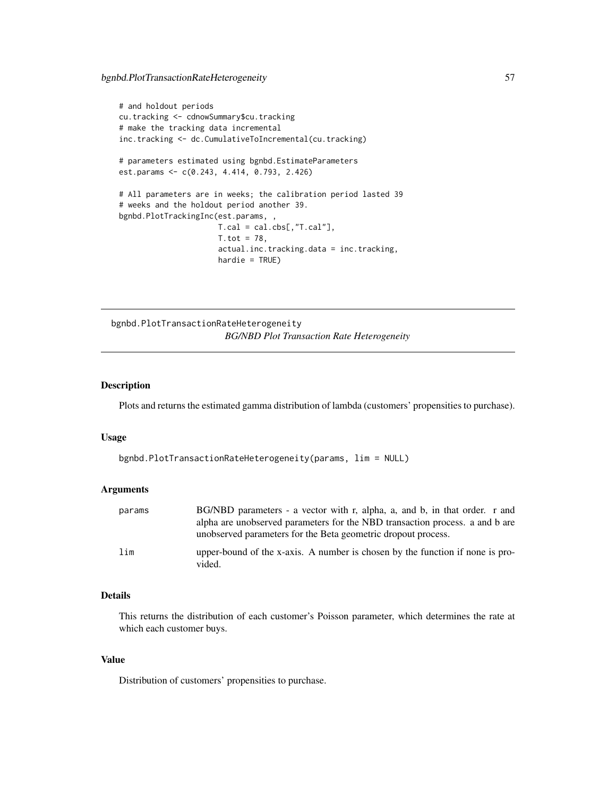```
# and holdout periods
cu.tracking <- cdnowSummary$cu.tracking
# make the tracking data incremental
inc.tracking <- dc.CumulativeToIncremental(cu.tracking)
# parameters estimated using bgnbd.EstimateParameters
est.params <- c(0.243, 4.414, 0.793, 2.426)
# All parameters are in weeks; the calibration period lasted 39
# weeks and the holdout period another 39.
bgnbd.PlotTrackingInc(est.params, ,
                      T.cal = cal.cbs[,"T.cal"],
                      T. tot = 78,actual.inc.tracking.data = inc.tracking,
                      hardie = TRUE)
```
bgnbd.PlotTransactionRateHeterogeneity *BG/NBD Plot Transaction Rate Heterogeneity*

## Description

Plots and returns the estimated gamma distribution of lambda (customers' propensities to purchase).

#### Usage

```
bgnbd.PlotTransactionRateHeterogeneity(params, lim = NULL)
```
## Arguments

| params | BG/NBD parameters - a vector with r, alpha, a, and b, in that order. r and              |
|--------|-----------------------------------------------------------------------------------------|
|        | alpha are unobserved parameters for the NBD transaction process, a and b are            |
|        | unobserved parameters for the Beta geometric dropout process.                           |
| lim    | upper-bound of the x-axis. A number is chosen by the function if none is pro-<br>vided. |

## Details

This returns the distribution of each customer's Poisson parameter, which determines the rate at which each customer buys.

#### Value

Distribution of customers' propensities to purchase.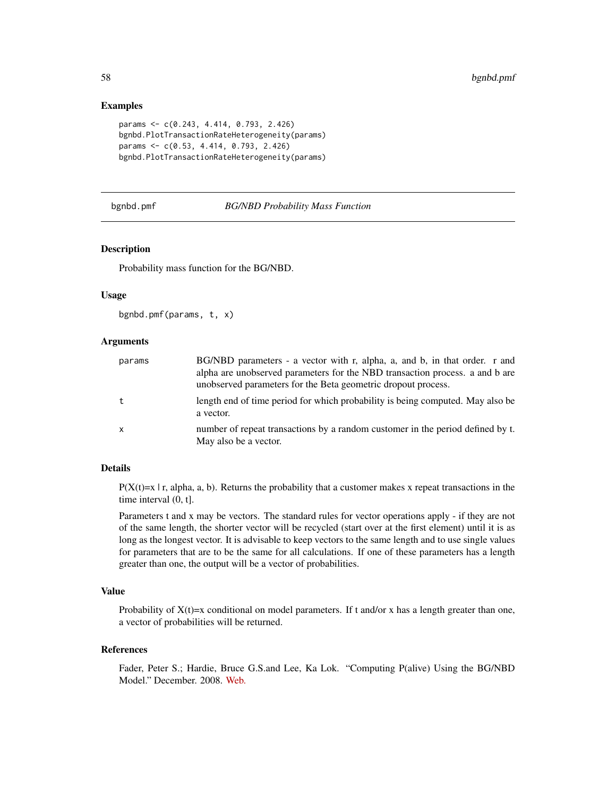## Examples

```
params <- c(0.243, 4.414, 0.793, 2.426)
bgnbd.PlotTransactionRateHeterogeneity(params)
params <- c(0.53, 4.414, 0.793, 2.426)
bgnbd.PlotTransactionRateHeterogeneity(params)
```
#### bgnbd.pmf *BG/NBD Probability Mass Function*

# Description

Probability mass function for the BG/NBD.

#### Usage

```
bgnbd.pmf(params, t, x)
```
## Arguments

| params | BG/NBD parameters - a vector with r, alpha, a, and b, in that order. r and<br>alpha are unobserved parameters for the NBD transaction process, a and b are<br>unobserved parameters for the Beta geometric dropout process. |
|--------|-----------------------------------------------------------------------------------------------------------------------------------------------------------------------------------------------------------------------------|
| t      | length end of time period for which probability is being computed. May also be<br>a vector.                                                                                                                                 |
| x      | number of repeat transactions by a random customer in the period defined by t.<br>May also be a vector.                                                                                                                     |

# Details

 $P(X(t)=x | r, a]$ , a, b). Returns the probability that a customer makes x repeat transactions in the time interval (0, t].

Parameters t and x may be vectors. The standard rules for vector operations apply - if they are not of the same length, the shorter vector will be recycled (start over at the first element) until it is as long as the longest vector. It is advisable to keep vectors to the same length and to use single values for parameters that are to be the same for all calculations. If one of these parameters has a length greater than one, the output will be a vector of probabilities.

# Value

Probability of  $X(t)=x$  conditional on model parameters. If t and/or x has a length greater than one, a vector of probabilities will be returned.

#### References

Fader, Peter S.; Hardie, Bruce G.S.and Lee, Ka Lok. "Computing P(alive) Using the BG/NBD Model." December. 2008. [Web.](http://www.brucehardie.com/notes/021/palive_for_BGNBD.pdf)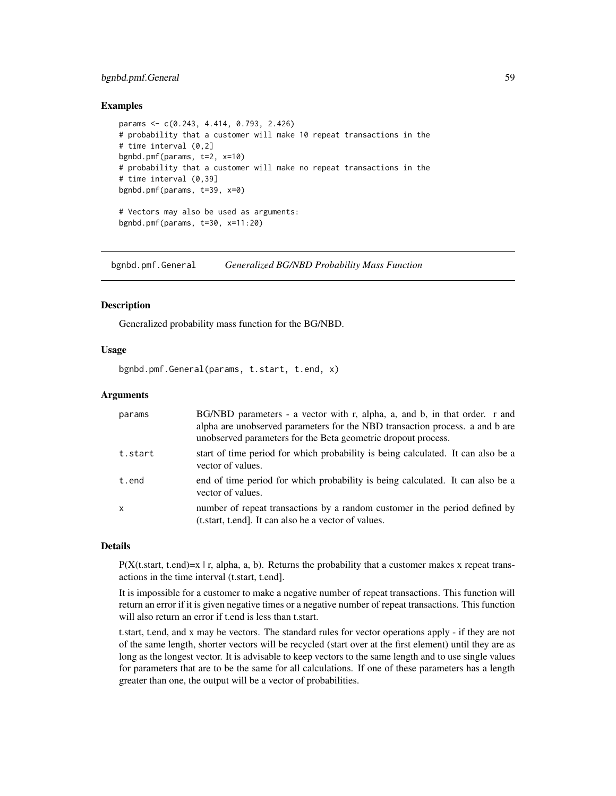# bgnbd.pmf.General 59

## Examples

```
params <- c(0.243, 4.414, 0.793, 2.426)
# probability that a customer will make 10 repeat transactions in the
# time interval (0,2]
bgnbd.pmf(params, t=2, x=10)
# probability that a customer will make no repeat transactions in the
# time interval (0,39]
bgnbd.pmf(params, t=39, x=0)
# Vectors may also be used as arguments:
bgnbd.pmf(params, t=30, x=11:20)
```
bgnbd.pmf.General *Generalized BG/NBD Probability Mass Function*

## **Description**

Generalized probability mass function for the BG/NBD.

## Usage

bgnbd.pmf.General(params, t.start, t.end, x)

#### Arguments

| params       | BG/NBD parameters - a vector with r, alpha, a, and b, in that order. r and<br>alpha are unobserved parameters for the NBD transaction process. a and b are<br>unobserved parameters for the Beta geometric dropout process. |
|--------------|-----------------------------------------------------------------------------------------------------------------------------------------------------------------------------------------------------------------------------|
| t.start      | start of time period for which probability is being calculated. It can also be a<br>vector of values.                                                                                                                       |
| t.end        | end of time period for which probability is being calculated. It can also be a<br>vector of values.                                                                                                                         |
| $\mathsf{x}$ | number of repeat transactions by a random customer in the period defined by<br>(t.start, t.end). It can also be a vector of values.                                                                                         |

#### Details

 $P(X(t)$ , t.end)=x | r, alpha, a, b). Returns the probability that a customer makes x repeat transactions in the time interval (t.start, t.end].

It is impossible for a customer to make a negative number of repeat transactions. This function will return an error if it is given negative times or a negative number of repeat transactions. This function will also return an error if t.end is less than t.start.

t.start, t.end, and x may be vectors. The standard rules for vector operations apply - if they are not of the same length, shorter vectors will be recycled (start over at the first element) until they are as long as the longest vector. It is advisable to keep vectors to the same length and to use single values for parameters that are to be the same for all calculations. If one of these parameters has a length greater than one, the output will be a vector of probabilities.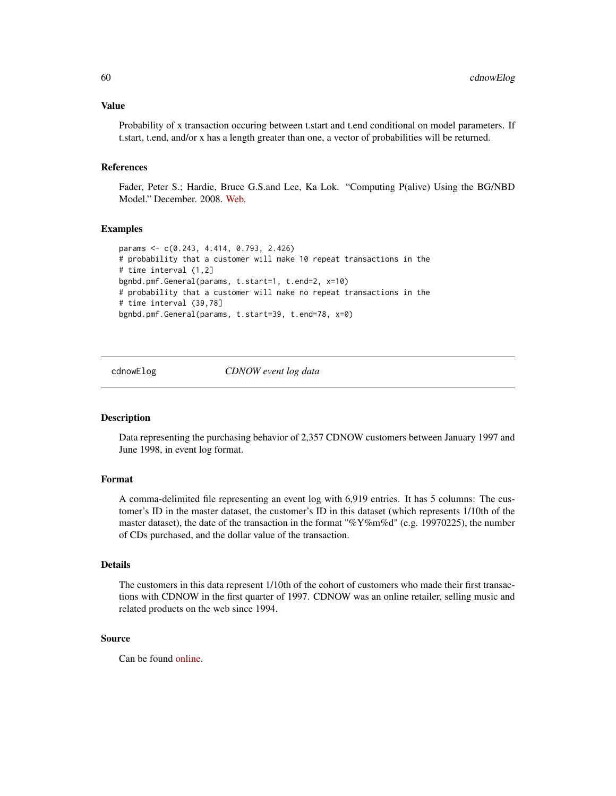#### Value

Probability of x transaction occuring between t.start and t.end conditional on model parameters. If t.start, t.end, and/or x has a length greater than one, a vector of probabilities will be returned.

#### References

Fader, Peter S.; Hardie, Bruce G.S.and Lee, Ka Lok. "Computing P(alive) Using the BG/NBD Model." December. 2008. [Web.](http://www.brucehardie.com/notes/021/palive_for_BGNBD.pdf)

#### Examples

```
params <- c(0.243, 4.414, 0.793, 2.426)
# probability that a customer will make 10 repeat transactions in the
# time interval (1,2]
bgnbd.pmf.General(params, t.start=1, t.end=2, x=10)
# probability that a customer will make no repeat transactions in the
# time interval (39,78]
bgnbd.pmf.General(params, t.start=39, t.end=78, x=0)
```
<span id="page-59-0"></span>cdnowElog *CDNOW event log data*

#### Description

Data representing the purchasing behavior of 2,357 CDNOW customers between January 1997 and June 1998, in event log format.

# Format

A comma-delimited file representing an event log with 6,919 entries. It has 5 columns: The customer's ID in the master dataset, the customer's ID in this dataset (which represents 1/10th of the master dataset), the date of the transaction in the format " $\%$ Y $\%$ m $\%$ d" (e.g. 19970225), the number of CDs purchased, and the dollar value of the transaction.

#### Details

The customers in this data represent 1/10th of the cohort of customers who made their first transactions with CDNOW in the first quarter of 1997. CDNOW was an online retailer, selling music and related products on the web since 1994.

#### Source

Can be found [online.](https://www.brucehardie.com/datasets/)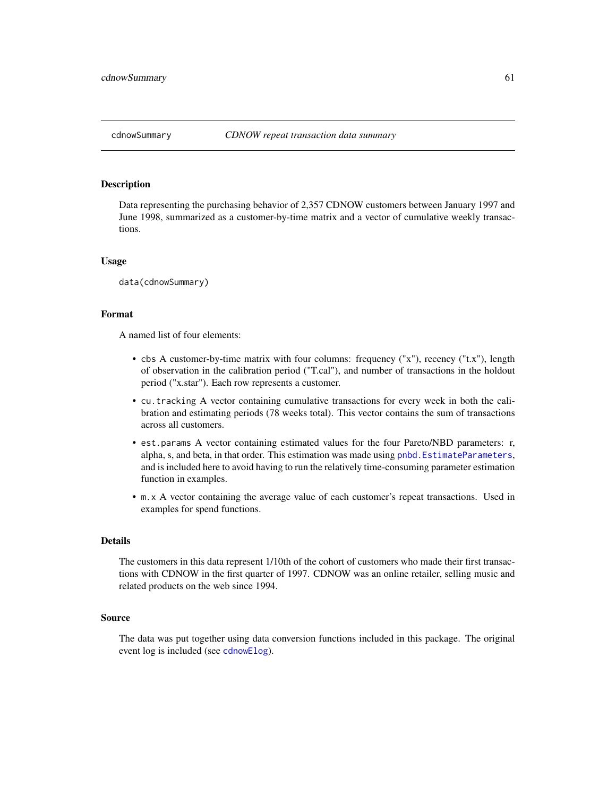#### Description

Data representing the purchasing behavior of 2,357 CDNOW customers between January 1997 and June 1998, summarized as a customer-by-time matrix and a vector of cumulative weekly transactions.

#### Usage

data(cdnowSummary)

# Format

A named list of four elements:

- cbs A customer-by-time matrix with four columns: frequency ("x"), recency ("t.x"), length of observation in the calibration period ("T.cal"), and number of transactions in the holdout period ("x.star"). Each row represents a customer.
- cu.tracking A vector containing cumulative transactions for every week in both the calibration and estimating periods (78 weeks total). This vector contains the sum of transactions across all customers.
- est.params A vector containing estimated values for the four Pareto/NBD parameters: r, alpha, s, and beta, in that order. This estimation was made using [pnbd.EstimateParameters](#page-94-0), and is included here to avoid having to run the relatively time-consuming parameter estimation function in examples.
- m.x A vector containing the average value of each customer's repeat transactions. Used in examples for spend functions.

## Details

The customers in this data represent 1/10th of the cohort of customers who made their first transactions with CDNOW in the first quarter of 1997. CDNOW was an online retailer, selling music and related products on the web since 1994.

#### Source

The data was put together using data conversion functions included in this package. The original event log is included (see [cdnowElog](#page-59-0)).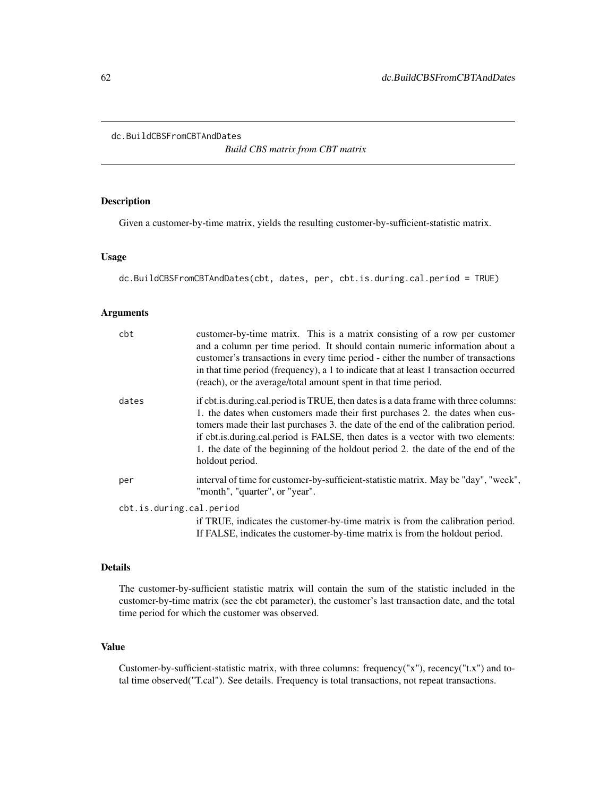```
dc.BuildCBSFromCBTAndDates
```
*Build CBS matrix from CBT matrix*

# Description

Given a customer-by-time matrix, yields the resulting customer-by-sufficient-statistic matrix.

#### Usage

```
dc.BuildCBSFromCBTAndDates(cbt, dates, per, cbt.is.during.cal.period = TRUE)
```
#### Arguments

| cbt                      | customer-by-time matrix. This is a matrix consisting of a row per customer<br>and a column per time period. It should contain numeric information about a<br>customer's transactions in every time period - either the number of transactions<br>in that time period (frequency), a 1 to indicate that at least 1 transaction occurred<br>(reach), or the average/total amount spent in that time period.                                                |
|--------------------------|----------------------------------------------------------------------------------------------------------------------------------------------------------------------------------------------------------------------------------------------------------------------------------------------------------------------------------------------------------------------------------------------------------------------------------------------------------|
| dates                    | if cbt.is.during.cal.period is TRUE, then dates is a data frame with three columns:<br>1. the dates when customers made their first purchases 2. the dates when cus-<br>tomers made their last purchases 3. the date of the end of the calibration period.<br>if cbt. is. during. cal. period is FALSE, then dates is a vector with two elements:<br>1. the date of the beginning of the holdout period 2. the date of the end of the<br>holdout period. |
| per                      | interval of time for customer-by-sufficient-statistic matrix. May be "day", "week",<br>"month", "quarter", or "year".                                                                                                                                                                                                                                                                                                                                    |
| cbt.is.during.cal.period |                                                                                                                                                                                                                                                                                                                                                                                                                                                          |
|                          | if TRUE, indicates the customer-by-time matrix is from the calibration period.<br>If FALSE, indicates the customer-by-time matrix is from the holdout period.                                                                                                                                                                                                                                                                                            |

#### Details

The customer-by-sufficient statistic matrix will contain the sum of the statistic included in the customer-by-time matrix (see the cbt parameter), the customer's last transaction date, and the total time period for which the customer was observed.

# Value

Customer-by-sufficient-statistic matrix, with three columns: frequency("x"), recency("t.x") and total time observed("T.cal"). See details. Frequency is total transactions, not repeat transactions.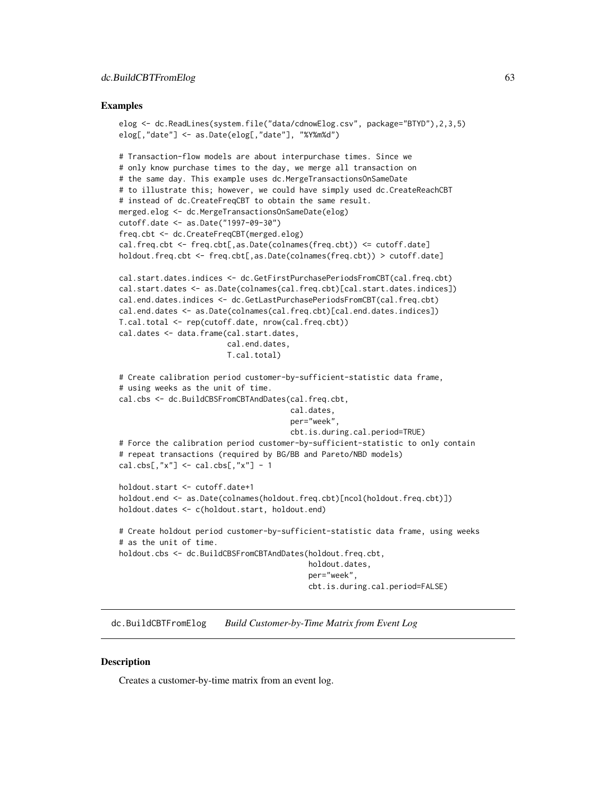#### Examples

```
elog <- dc.ReadLines(system.file("data/cdnowElog.csv", package="BTYD"),2,3,5)
elog[,"date"] <- as.Date(elog[,"date"], "%Y%m%d")
# Transaction-flow models are about interpurchase times. Since we
# only know purchase times to the day, we merge all transaction on
# the same day. This example uses dc.MergeTransactionsOnSameDate
# to illustrate this; however, we could have simply used dc.CreateReachCBT
# instead of dc.CreateFreqCBT to obtain the same result.
merged.elog <- dc.MergeTransactionsOnSameDate(elog)
cutoff.date <- as.Date("1997-09-30")
freq.cbt <- dc.CreateFreqCBT(merged.elog)
cal.freq.cbt <- freq.cbt[,as.Date(colnames(freq.cbt)) <= cutoff.date]
holdout.freq.cbt <- freq.cbt[,as.Date(colnames(freq.cbt)) > cutoff.date]
cal.start.dates.indices <- dc.GetFirstPurchasePeriodsFromCBT(cal.freq.cbt)
cal.start.dates <- as.Date(colnames(cal.freq.cbt)[cal.start.dates.indices])
cal.end.dates.indices <- dc.GetLastPurchasePeriodsFromCBT(cal.freq.cbt)
cal.end.dates <- as.Date(colnames(cal.freq.cbt)[cal.end.dates.indices])
T.cal.total <- rep(cutoff.date, nrow(cal.freq.cbt))
cal.dates <- data.frame(cal.start.dates,
                        cal.end.dates,
                        T.cal.total)
# Create calibration period customer-by-sufficient-statistic data frame,
# using weeks as the unit of time.
cal.cbs <- dc.BuildCBSFromCBTAndDates(cal.freq.cbt,
                                      cal.dates,
                                      per="week",
                                      cbt.is.during.cal.period=TRUE)
# Force the calibration period customer-by-sufficient-statistic to only contain
# repeat transactions (required by BG/BB and Pareto/NBD models)
cal.obs[, "x"] \leftarrow cal.obs[, "x"] - 1holdout.start <- cutoff.date+1
holdout.end <- as.Date(colnames(holdout.freq.cbt)[ncol(holdout.freq.cbt)])
holdout.dates <- c(holdout.start, holdout.end)
# Create holdout period customer-by-sufficient-statistic data frame, using weeks
# as the unit of time.
holdout.cbs <- dc.BuildCBSFromCBTAndDates(holdout.freq.cbt,
                                          holdout.dates,
                                          per="week",
                                          cbt.is.during.cal.period=FALSE)
```
dc.BuildCBTFromElog *Build Customer-by-Time Matrix from Event Log*

## **Description**

Creates a customer-by-time matrix from an event log.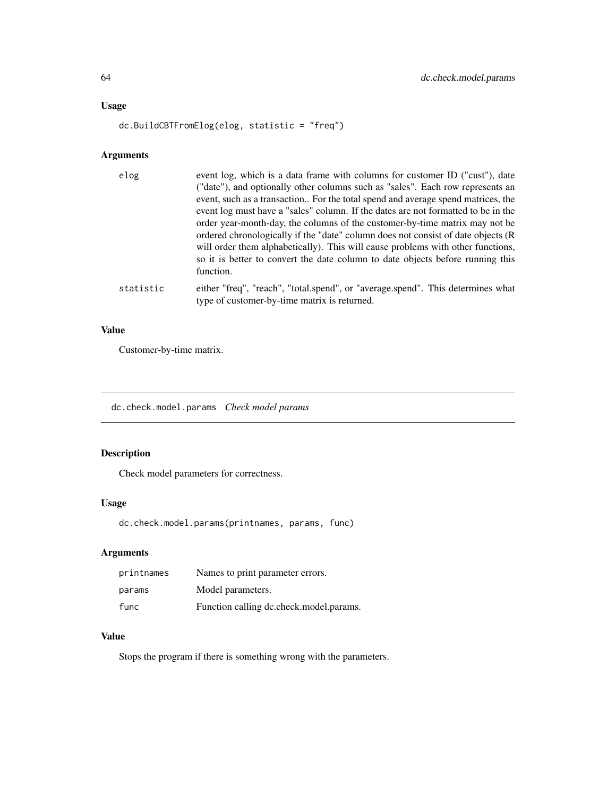# Usage

```
dc.BuildCBTFromElog(elog, statistic = "freq")
```
# Arguments

| elog      | event log, which is a data frame with columns for customer ID ("cust"), date<br>("date"), and optionally other columns such as "sales". Each row represents an<br>event, such as a transaction For the total spend and average spend matrices, the<br>event log must have a "sales" column. If the dates are not formatted to be in the<br>order year-month-day, the columns of the customer-by-time matrix may not be<br>ordered chronologically if the "date" column does not consist of date objects (R<br>will order them alphabetically). This will cause problems with other functions,<br>so it is better to convert the date column to date objects before running this<br>function. |
|-----------|----------------------------------------------------------------------------------------------------------------------------------------------------------------------------------------------------------------------------------------------------------------------------------------------------------------------------------------------------------------------------------------------------------------------------------------------------------------------------------------------------------------------------------------------------------------------------------------------------------------------------------------------------------------------------------------------|
| statistic | either "freq", "reach", "total.spend", or "average.spend". This determines what<br>type of customer-by-time matrix is returned.                                                                                                                                                                                                                                                                                                                                                                                                                                                                                                                                                              |

# Value

Customer-by-time matrix.

dc.check.model.params *Check model params*

# Description

Check model parameters for correctness.

# Usage

dc.check.model.params(printnames, params, func)

# Arguments

| printnames | Names to print parameter errors.        |
|------------|-----------------------------------------|
| params     | Model parameters.                       |
| func       | Function calling dc.check.model.params. |

# Value

Stops the program if there is something wrong with the parameters.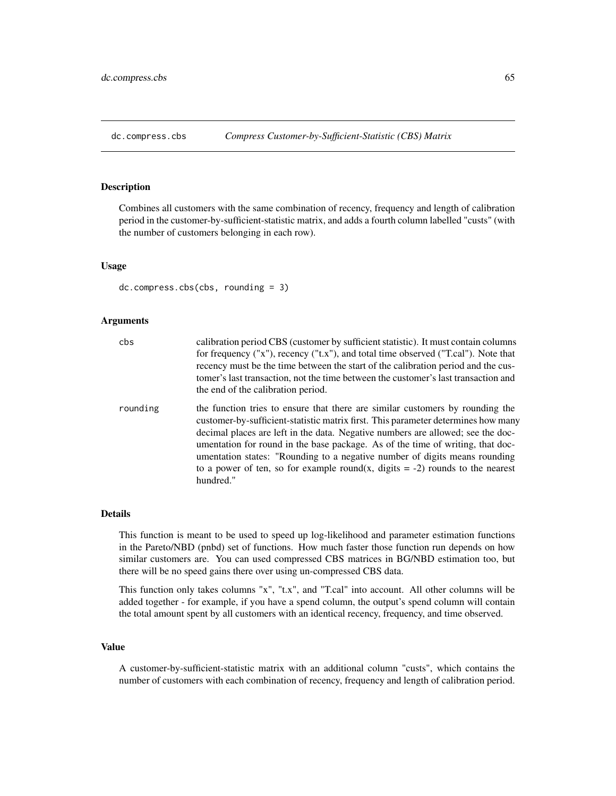# <span id="page-64-0"></span>Description

Combines all customers with the same combination of recency, frequency and length of calibration period in the customer-by-sufficient-statistic matrix, and adds a fourth column labelled "custs" (with the number of customers belonging in each row).

# Usage

```
dc.compress.cbs(cbs, rounding = 3)
```
## Arguments

| cbs      | calibration period CBS (customer by sufficient statistic). It must contain columns<br>for frequency ("x"), recency ("t.x"), and total time observed ("T.cal"). Note that<br>recency must be the time between the start of the calibration period and the cus-<br>tomer's last transaction, not the time between the customer's last transaction and<br>the end of the calibration period.                                                                                                                              |
|----------|------------------------------------------------------------------------------------------------------------------------------------------------------------------------------------------------------------------------------------------------------------------------------------------------------------------------------------------------------------------------------------------------------------------------------------------------------------------------------------------------------------------------|
| rounding | the function tries to ensure that there are similar customers by rounding the<br>customer-by-sufficient-statistic matrix first. This parameter determines how many<br>decimal places are left in the data. Negative numbers are allowed; see the doc-<br>umentation for round in the base package. As of the time of writing, that doc-<br>umentation states: "Rounding to a negative number of digits means rounding<br>to a power of ten, so for example round(x, digits $= -2$ ) rounds to the nearest<br>hundred." |

# Details

This function is meant to be used to speed up log-likelihood and parameter estimation functions in the Pareto/NBD (pnbd) set of functions. How much faster those function run depends on how similar customers are. You can used compressed CBS matrices in BG/NBD estimation too, but there will be no speed gains there over using un-compressed CBS data.

This function only takes columns "x", "t.x", and "T.cal" into account. All other columns will be added together - for example, if you have a spend column, the output's spend column will contain the total amount spent by all customers with an identical recency, frequency, and time observed.

#### Value

A customer-by-sufficient-statistic matrix with an additional column "custs", which contains the number of customers with each combination of recency, frequency and length of calibration period.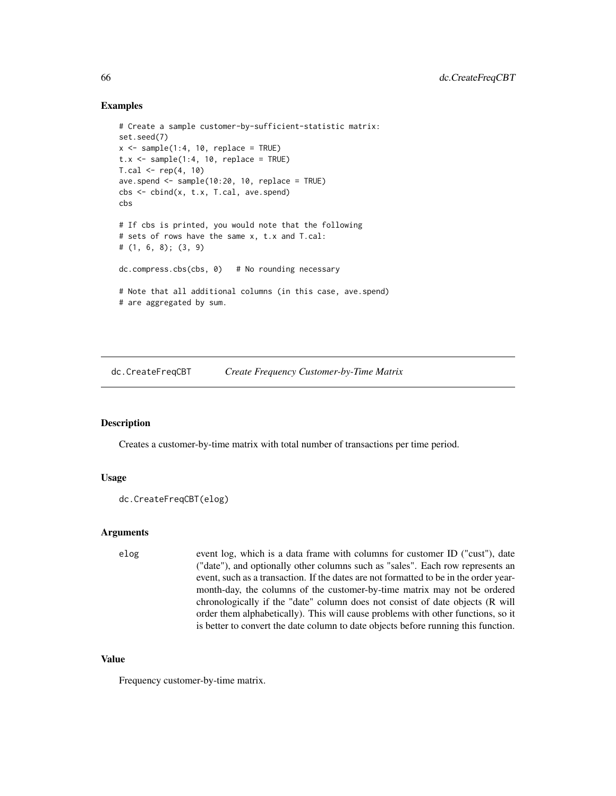## Examples

```
# Create a sample customer-by-sufficient-statistic matrix:
set.seed(7)
x \le - sample(1:4, 10, replace = TRUE)
t.x \leq same sample(1:4, 10, replace = TRUE)
T.cal < - rep(4, 10)ave.spend <- sample(10:20, 10, replace = TRUE)
cbs <- cbind(x, t.x, T.cal, ave.spend)
cbs
# If cbs is printed, you would note that the following
# sets of rows have the same x, t.x and T.cal:
# (1, 6, 8); (3, 9)
dc.compress.cbs(cbs, 0) # No rounding necessary
# Note that all additional columns (in this case, ave.spend)
# are aggregated by sum.
```
dc.CreateFreqCBT *Create Frequency Customer-by-Time Matrix*

# Description

Creates a customer-by-time matrix with total number of transactions per time period.

## Usage

```
dc.CreateFreqCBT(elog)
```
#### Arguments

elog event log, which is a data frame with columns for customer ID ("cust"), date ("date"), and optionally other columns such as "sales". Each row represents an event, such as a transaction. If the dates are not formatted to be in the order yearmonth-day, the columns of the customer-by-time matrix may not be ordered chronologically if the "date" column does not consist of date objects (R will order them alphabetically). This will cause problems with other functions, so it is better to convert the date column to date objects before running this function.

# Value

Frequency customer-by-time matrix.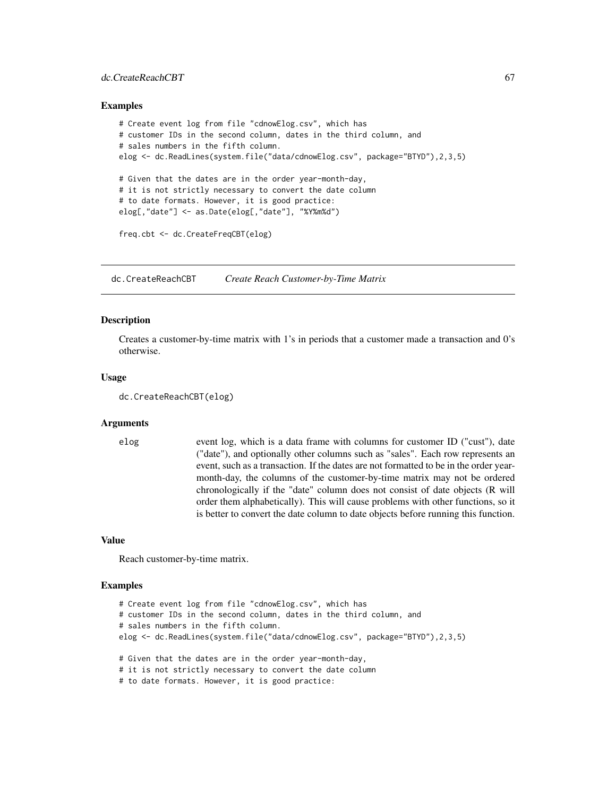## dc.CreateReachCBT 67

#### Examples

```
# Create event log from file "cdnowElog.csv", which has
# customer IDs in the second column, dates in the third column, and
# sales numbers in the fifth column.
elog <- dc.ReadLines(system.file("data/cdnowElog.csv", package="BTYD"),2,3,5)
# Given that the dates are in the order year-month-day,
# it is not strictly necessary to convert the date column
# to date formats. However, it is good practice:
elog[,"date"] <- as.Date(elog[,"date"], "%Y%m%d")
freq.cbt <- dc.CreateFreqCBT(elog)
```
dc.CreateReachCBT *Create Reach Customer-by-Time Matrix*

#### Description

Creates a customer-by-time matrix with 1's in periods that a customer made a transaction and 0's otherwise.

#### Usage

```
dc.CreateReachCBT(elog)
```
## Arguments

elog event log, which is a data frame with columns for customer ID ("cust"), date ("date"), and optionally other columns such as "sales". Each row represents an event, such as a transaction. If the dates are not formatted to be in the order yearmonth-day, the columns of the customer-by-time matrix may not be ordered chronologically if the "date" column does not consist of date objects (R will order them alphabetically). This will cause problems with other functions, so it is better to convert the date column to date objects before running this function.

#### Value

Reach customer-by-time matrix.

## Examples

```
# Create event log from file "cdnowElog.csv", which has
# customer IDs in the second column, dates in the third column, and
# sales numbers in the fifth column.
elog <- dc.ReadLines(system.file("data/cdnowElog.csv", package="BTYD"),2,3,5)
# Given that the dates are in the order year-month-day,
# it is not strictly necessary to convert the date column
# to date formats. However, it is good practice:
```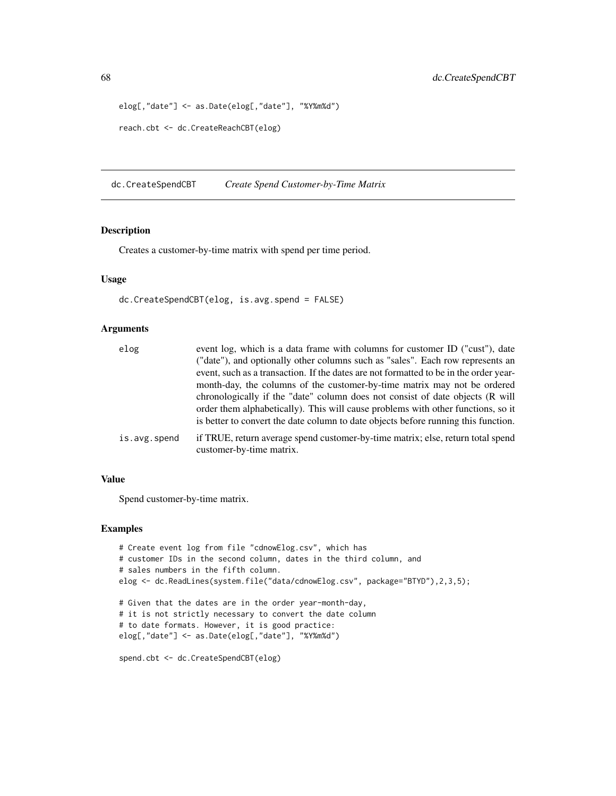```
elog[,"date"] <- as.Date(elog[,"date"], "%Y%m%d")
reach.cbt <- dc.CreateReachCBT(elog)
```
dc.CreateSpendCBT *Create Spend Customer-by-Time Matrix*

## Description

Creates a customer-by-time matrix with spend per time period.

## Usage

dc.CreateSpendCBT(elog, is.avg.spend = FALSE)

## Arguments

| elog         | event log, which is a data frame with columns for customer ID ("cust"), date                                |
|--------------|-------------------------------------------------------------------------------------------------------------|
|              | ("date"), and optionally other columns such as "sales". Each row represents an                              |
|              | event, such as a transaction. If the dates are not formatted to be in the order year-                       |
|              | month-day, the columns of the customer-by-time matrix may not be ordered                                    |
|              | chronologically if the "date" column does not consist of date objects (R will                               |
|              | order them alphabetically). This will cause problems with other functions, so it                            |
|              | is better to convert the date column to date objects before running this function.                          |
| is.avg.spend | if TRUE, return average spend customer-by-time matrix; else, return total spend<br>customer-by-time matrix. |

#### Value

Spend customer-by-time matrix.

#### Examples

```
# Create event log from file "cdnowElog.csv", which has
# customer IDs in the second column, dates in the third column, and
# sales numbers in the fifth column.
elog <- dc.ReadLines(system.file("data/cdnowElog.csv", package="BTYD"),2,3,5);
# Given that the dates are in the order year-month-day,
# it is not strictly necessary to convert the date column
# to date formats. However, it is good practice:
elog[,"date"] <- as.Date(elog[,"date"], "%Y%m%d")
spend.cbt <- dc.CreateSpendCBT(elog)
```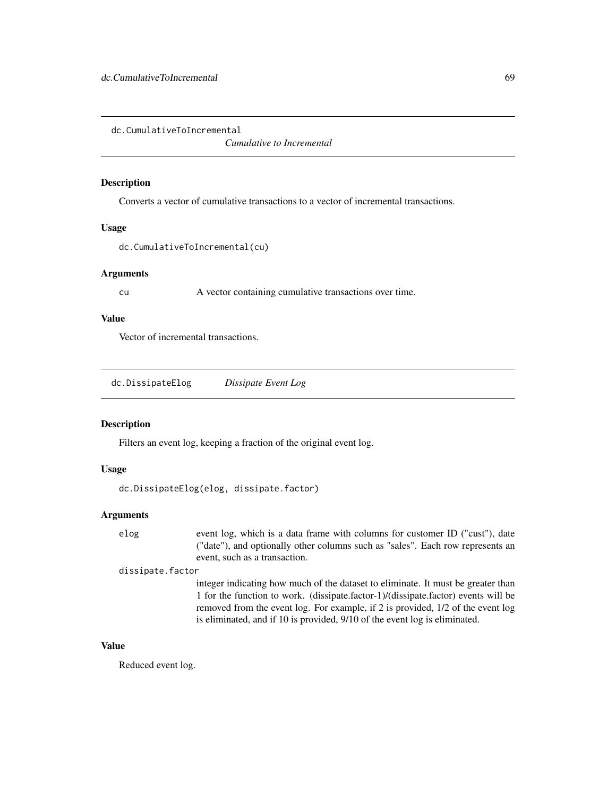dc.CumulativeToIncremental

*Cumulative to Incremental*

# Description

Converts a vector of cumulative transactions to a vector of incremental transactions.

#### Usage

```
dc.CumulativeToIncremental(cu)
```
# Arguments

cu A vector containing cumulative transactions over time.

# Value

Vector of incremental transactions.

| dc.DissipateElog | Dissipate Event Log |
|------------------|---------------------|
|------------------|---------------------|

# Description

Filters an event log, keeping a fraction of the original event log.

# Usage

dc.DissipateElog(elog, dissipate.factor)

# Arguments

elog event log, which is a data frame with columns for customer ID ("cust"), date ("date"), and optionally other columns such as "sales". Each row represents an event, such as a transaction.

#### dissipate.factor

integer indicating how much of the dataset to eliminate. It must be greater than 1 for the function to work. (dissipate.factor-1)/(dissipate.factor) events will be removed from the event log. For example, if 2 is provided, 1/2 of the event log is eliminated, and if 10 is provided, 9/10 of the event log is eliminated.

# Value

Reduced event log.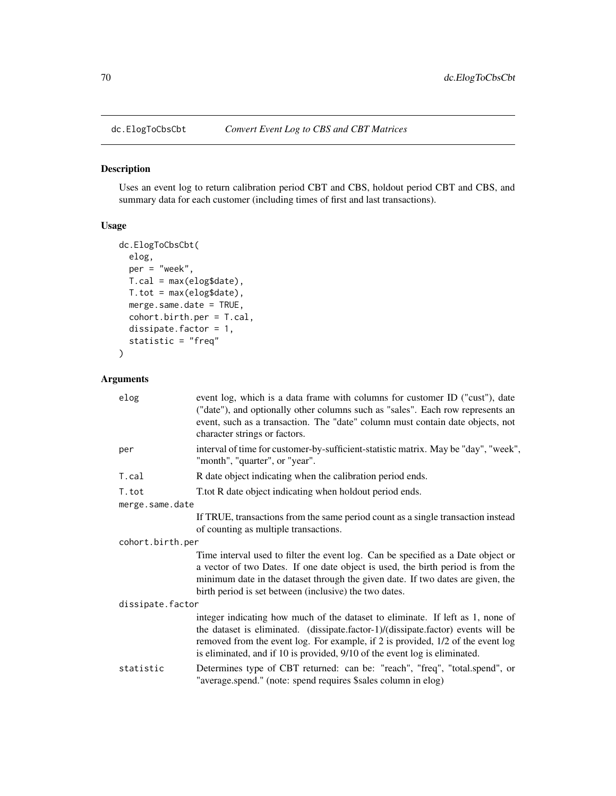# Description

Uses an event log to return calibration period CBT and CBS, holdout period CBT and CBS, and summary data for each customer (including times of first and last transactions).

# Usage

```
dc.ElogToCbsCbt(
 elog,
 per = "week",
 T.cal = max(elog$date),
 T.tot = max(elog$date),
 merge.same.date = TRUE,
 cohort.birth.per = T.cal,
  dissipate.factor = 1,
  statistic = "freq"
)
```
# Arguments

| elog             | event log, which is a data frame with columns for customer ID ("cust"), date<br>("date"), and optionally other columns such as "sales". Each row represents an<br>event, such as a transaction. The "date" column must contain date objects, not<br>character strings or factors.                                                    |
|------------------|--------------------------------------------------------------------------------------------------------------------------------------------------------------------------------------------------------------------------------------------------------------------------------------------------------------------------------------|
| per              | interval of time for customer-by-sufficient-statistic matrix. May be "day", "week",<br>"month", "quarter", or "year".                                                                                                                                                                                                                |
| T.cal            | R date object indicating when the calibration period ends.                                                                                                                                                                                                                                                                           |
| T.tot            | T.tot R date object indicating when holdout period ends.                                                                                                                                                                                                                                                                             |
| merge.same.date  |                                                                                                                                                                                                                                                                                                                                      |
|                  | If TRUE, transactions from the same period count as a single transaction instead<br>of counting as multiple transactions.                                                                                                                                                                                                            |
| cohort.birth.per |                                                                                                                                                                                                                                                                                                                                      |
|                  | Time interval used to filter the event log. Can be specified as a Date object or<br>a vector of two Dates. If one date object is used, the birth period is from the<br>minimum date in the dataset through the given date. If two dates are given, the<br>birth period is set between (inclusive) the two dates.                     |
| dissipate.factor |                                                                                                                                                                                                                                                                                                                                      |
|                  | integer indicating how much of the dataset to eliminate. If left as 1, none of<br>the dataset is eliminated. (dissipate.factor-1)/(dissipate.factor) events will be<br>removed from the event log. For example, if 2 is provided, 1/2 of the event log<br>is eliminated, and if 10 is provided, 9/10 of the event log is eliminated. |
| statistic        | Determines type of CBT returned: can be: "reach", "freq", "total.spend", or<br>"average.spend." (note: spend requires \$sales column in elog)                                                                                                                                                                                        |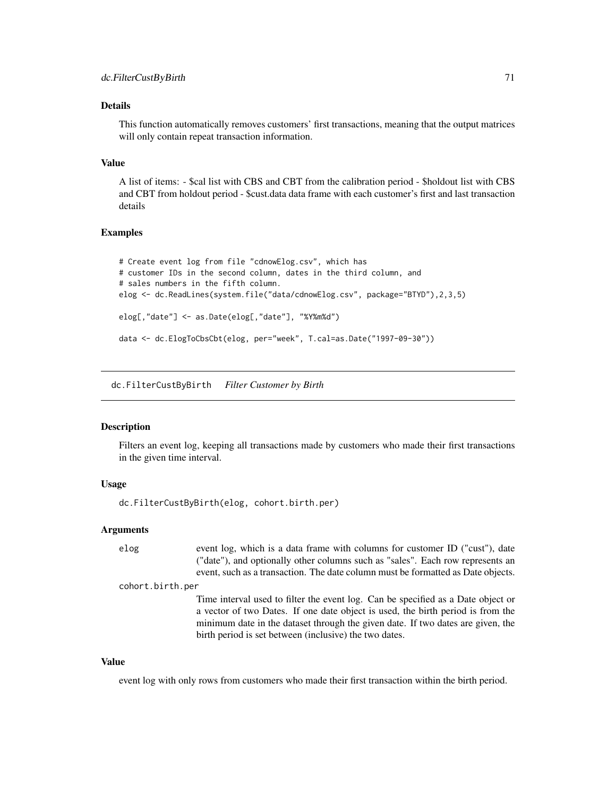#### Details

This function automatically removes customers' first transactions, meaning that the output matrices will only contain repeat transaction information.

#### Value

A list of items: - \$cal list with CBS and CBT from the calibration period - \$holdout list with CBS and CBT from holdout period - \$cust.data data frame with each customer's first and last transaction details

## Examples

```
# Create event log from file "cdnowElog.csv", which has
# customer IDs in the second column, dates in the third column, and
# sales numbers in the fifth column.
elog <- dc.ReadLines(system.file("data/cdnowElog.csv", package="BTYD"),2,3,5)
elog[,"date"] <- as.Date(elog[,"date"], "%Y%m%d")
data <- dc.ElogToCbsCbt(elog, per="week", T.cal=as.Date("1997-09-30"))
```
dc.FilterCustByBirth *Filter Customer by Birth*

## Description

Filters an event log, keeping all transactions made by customers who made their first transactions in the given time interval.

#### Usage

```
dc.FilterCustByBirth(elog, cohort.birth.per)
```
## Arguments

elog event log, which is a data frame with columns for customer ID ("cust"), date ("date"), and optionally other columns such as "sales". Each row represents an event, such as a transaction. The date column must be formatted as Date objects.

cohort.birth.per

Time interval used to filter the event log. Can be specified as a Date object or a vector of two Dates. If one date object is used, the birth period is from the minimum date in the dataset through the given date. If two dates are given, the birth period is set between (inclusive) the two dates.

## Value

event log with only rows from customers who made their first transaction within the birth period.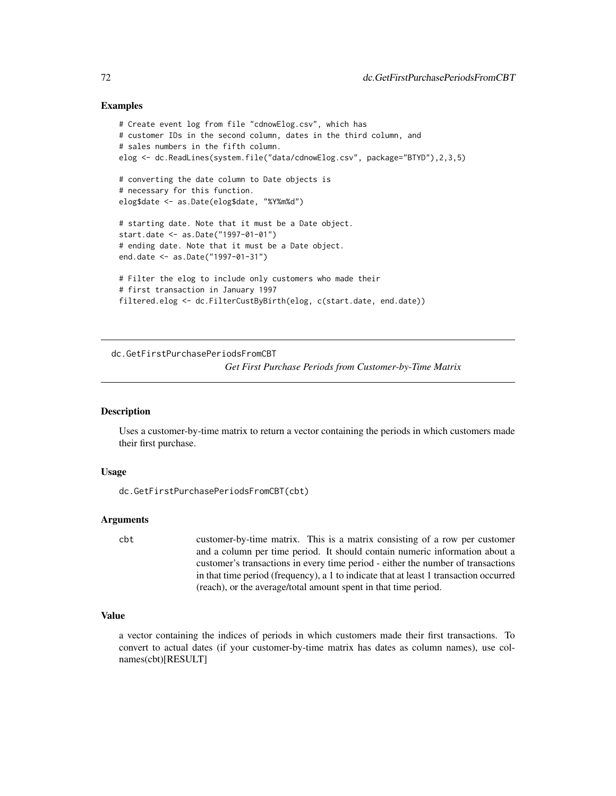## Examples

```
# Create event log from file "cdnowElog.csv", which has
# customer IDs in the second column, dates in the third column, and
# sales numbers in the fifth column.
elog <- dc.ReadLines(system.file("data/cdnowElog.csv", package="BTYD"),2,3,5)
# converting the date column to Date objects is
# necessary for this function.
elog$date <- as.Date(elog$date, "%Y%m%d")
# starting date. Note that it must be a Date object.
start.date <- as.Date("1997-01-01")
# ending date. Note that it must be a Date object.
end.date <- as.Date("1997-01-31")
# Filter the elog to include only customers who made their
# first transaction in January 1997
filtered.elog <- dc.FilterCustByBirth(elog, c(start.date, end.date))
```
dc.GetFirstPurchasePeriodsFromCBT *Get First Purchase Periods from Customer-by-Time Matrix*

## **Description**

Uses a customer-by-time matrix to return a vector containing the periods in which customers made their first purchase.

#### Usage

dc.GetFirstPurchasePeriodsFromCBT(cbt)

# Arguments

cbt customer-by-time matrix. This is a matrix consisting of a row per customer and a column per time period. It should contain numeric information about a customer's transactions in every time period - either the number of transactions in that time period (frequency), a 1 to indicate that at least 1 transaction occurred (reach), or the average/total amount spent in that time period.

## Value

a vector containing the indices of periods in which customers made their first transactions. To convert to actual dates (if your customer-by-time matrix has dates as column names), use colnames(cbt)[RESULT]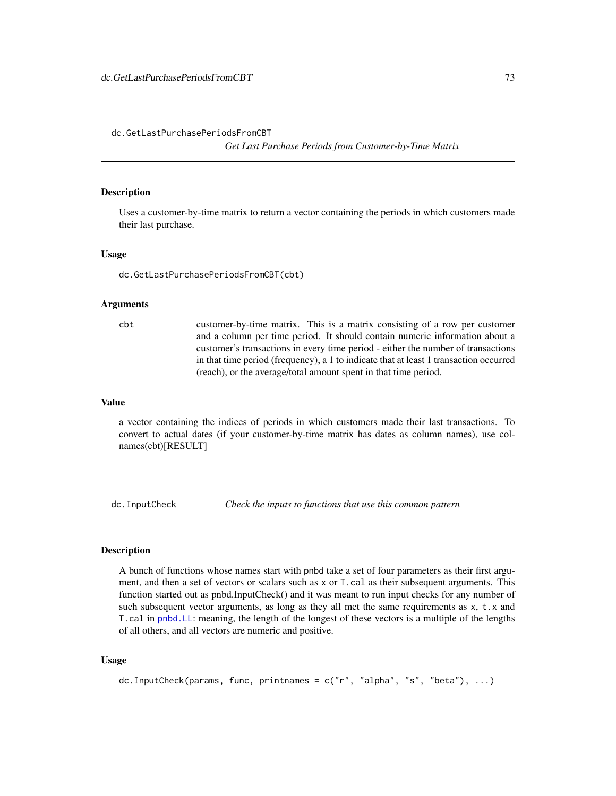dc.GetLastPurchasePeriodsFromCBT

*Get Last Purchase Periods from Customer-by-Time Matrix*

## Description

Uses a customer-by-time matrix to return a vector containing the periods in which customers made their last purchase.

#### Usage

dc.GetLastPurchasePeriodsFromCBT(cbt)

## Arguments

cbt customer-by-time matrix. This is a matrix consisting of a row per customer and a column per time period. It should contain numeric information about a customer's transactions in every time period - either the number of transactions in that time period (frequency), a 1 to indicate that at least 1 transaction occurred (reach), or the average/total amount spent in that time period.

#### Value

a vector containing the indices of periods in which customers made their last transactions. To convert to actual dates (if your customer-by-time matrix has dates as column names), use colnames(cbt)[RESULT]

dc.InputCheck *Check the inputs to functions that use this common pattern*

#### Description

A bunch of functions whose names start with pnbd take a set of four parameters as their first argument, and then a set of vectors or scalars such as x or T.cal as their subsequent arguments. This function started out as pnbd.InputCheck() and it was meant to run input checks for any number of such subsequent vector arguments, as long as they all met the same requirements as  $x$ ,  $t \cdot x$  and T.cal in [pnbd.LL](#page-99-0): meaning, the length of the longest of these vectors is a multiple of the lengths of all others, and all vectors are numeric and positive.

## Usage

dc.InputCheck(params, func, printnames =  $c("r", "alpha", "s", "beta"), ...$ )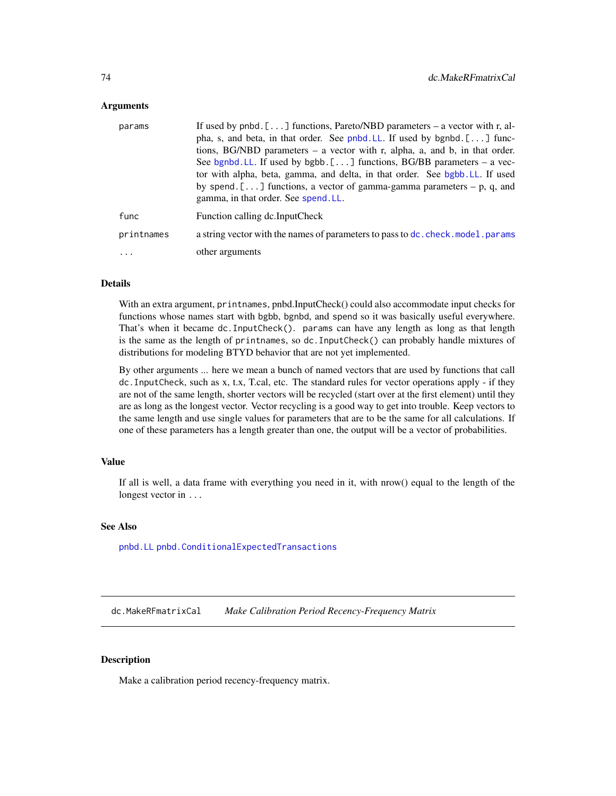## **Arguments**

| params     | If used by pnbd. [ $\dots$ ] functions, Pareto/NBD parameters – a vector with r, al-<br>pha, s, and beta, in that order. See pnbd. LL. If used by bgnbd. [] func-<br>tions, BG/NBD parameters $-$ a vector with r, alpha, a, and b, in that order.<br>See bgnbd. LL. If used by bgbb. $[\dots]$ functions, BG/BB parameters – a vec-<br>tor with alpha, beta, gamma, and delta, in that order. See bgbb. LL. If used<br>by spend. [] functions, a vector of gamma-gamma parameters $-$ p, q, and<br>gamma, in that order. See spend, LL. |
|------------|------------------------------------------------------------------------------------------------------------------------------------------------------------------------------------------------------------------------------------------------------------------------------------------------------------------------------------------------------------------------------------------------------------------------------------------------------------------------------------------------------------------------------------------|
| func       | Function calling dc.InputCheck                                                                                                                                                                                                                                                                                                                                                                                                                                                                                                           |
| printnames | a string vector with the names of parameters to pass to dc. check. model. params                                                                                                                                                                                                                                                                                                                                                                                                                                                         |
| $\cdots$   | other arguments                                                                                                                                                                                                                                                                                                                                                                                                                                                                                                                          |

## Details

With an extra argument, printnames, pnbd.InputCheck() could also accommodate input checks for functions whose names start with bgbb, bgnbd, and spend so it was basically useful everywhere. That's when it became dc.InputCheck(). params can have any length as long as that length is the same as the length of printnames, so dc.InputCheck() can probably handle mixtures of distributions for modeling BTYD behavior that are not yet implemented.

By other arguments ... here we mean a bunch of named vectors that are used by functions that call dc.InputCheck, such as x, t.x, T.cal, etc. The standard rules for vector operations apply - if they are not of the same length, shorter vectors will be recycled (start over at the first element) until they are as long as the longest vector. Vector recycling is a good way to get into trouble. Keep vectors to the same length and use single values for parameters that are to be the same for all calculations. If one of these parameters has a length greater than one, the output will be a vector of probabilities.

#### Value

If all is well, a data frame with everything you need in it, with nrow() equal to the length of the longest vector in ...

# See Also

[pnbd.LL](#page-99-0) [pnbd.ConditionalExpectedTransactions](#page-91-0)

<span id="page-73-0"></span>dc.MakeRFmatrixCal *Make Calibration Period Recency-Frequency Matrix*

# **Description**

Make a calibration period recency-frequency matrix.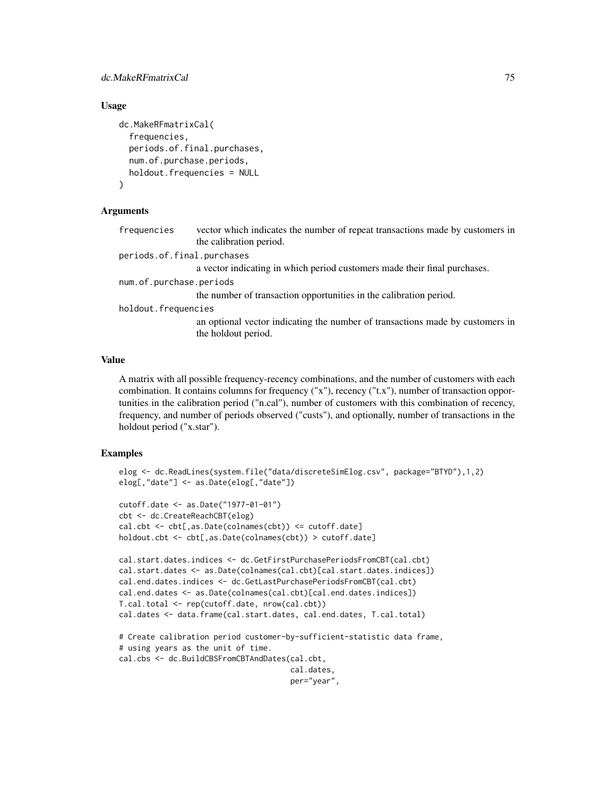# dc.MakeRFmatrixCal 75

## Usage

```
dc.MakeRFmatrixCal(
  frequencies,
  periods.of.final.purchases,
  num.of.purchase.periods,
  holdout.frequencies = NULL
\lambda
```
#### Arguments

| frequencies                | vector which indicates the number of repeat transactions made by customers in                        |
|----------------------------|------------------------------------------------------------------------------------------------------|
|                            | the calibration period.                                                                              |
| periods.of.final.purchases |                                                                                                      |
|                            | a vector indicating in which period customers made their final purchases.                            |
| num.of.purchase.periods    |                                                                                                      |
|                            | the number of transaction opportunities in the calibration period.                                   |
| holdout.frequencies        |                                                                                                      |
|                            | an optional vector indicating the number of transactions made by customers in<br>the holdout period. |
|                            |                                                                                                      |

## Value

A matrix with all possible frequency-recency combinations, and the number of customers with each combination. It contains columns for frequency ("x"), recency ("t.x"), number of transaction opportunities in the calibration period ("n.cal"), number of customers with this combination of recency, frequency, and number of periods observed ("custs"), and optionally, number of transactions in the holdout period ("x.star").

```
elog <- dc.ReadLines(system.file("data/discreteSimElog.csv", package="BTYD"),1,2)
elog[,"date"] <- as.Date(elog[,"date"])
cutoff.date <- as.Date("1977-01-01")
cbt <- dc.CreateReachCBT(elog)
cal.cbt <- cbt[,as.Date(colnames(cbt)) <= cutoff.date]
holdout.cbt <- cbt[,as.Date(colnames(cbt)) > cutoff.date]
cal.start.dates.indices <- dc.GetFirstPurchasePeriodsFromCBT(cal.cbt)
cal.start.dates <- as.Date(colnames(cal.cbt)[cal.start.dates.indices])
cal.end.dates.indices <- dc.GetLastPurchasePeriodsFromCBT(cal.cbt)
cal.end.dates <- as.Date(colnames(cal.cbt)[cal.end.dates.indices])
T.cal.total <- rep(cutoff.date, nrow(cal.cbt))
cal.dates <- data.frame(cal.start.dates, cal.end.dates, T.cal.total)
# Create calibration period customer-by-sufficient-statistic data frame,
# using years as the unit of time.
cal.cbs <- dc.BuildCBSFromCBTAndDates(cal.cbt,
                                      cal.dates,
                                      per="year",
```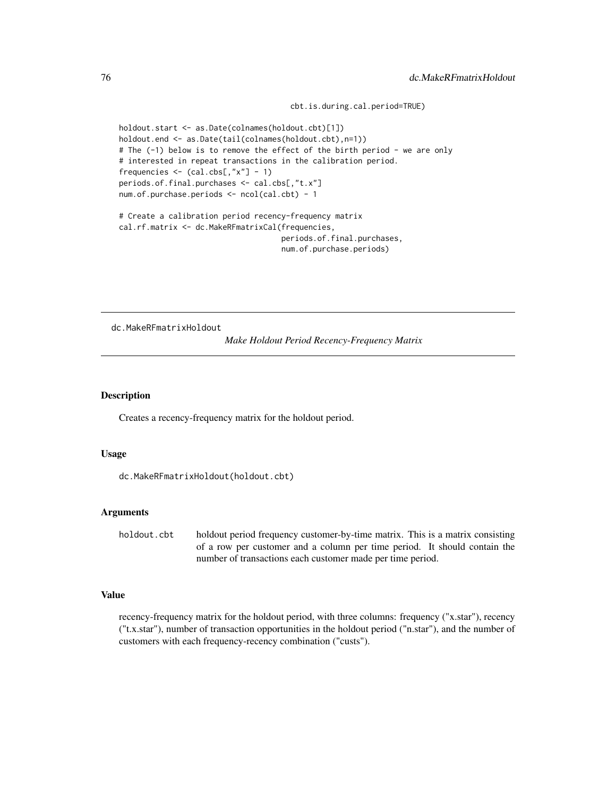cbt.is.during.cal.period=TRUE)

```
holdout.start <- as.Date(colnames(holdout.cbt)[1])
holdout.end <- as.Date(tail(colnames(holdout.cbt),n=1))
# The (-1) below is to remove the effect of the birth period - we are only
# interested in repeat transactions in the calibration period.
frequencies \leftarrow (cal.cbs[,"x"] - 1)
periods.of.final.purchases <- cal.cbs[,"t.x"]
num.of.purchase.periods <- ncol(cal.cbt) - 1
# Create a calibration period recency-frequency matrix
cal.rf.matrix <- dc.MakeRFmatrixCal(frequencies,
                                     periods.of.final.purchases,
```

```
num.of.purchase.periods)
```
dc.MakeRFmatrixHoldout

*Make Holdout Period Recency-Frequency Matrix*

## Description

Creates a recency-frequency matrix for the holdout period.

# Usage

```
dc.MakeRFmatrixHoldout(holdout.cbt)
```
## Arguments

holdout.cbt holdout period frequency customer-by-time matrix. This is a matrix consisting of a row per customer and a column per time period. It should contain the number of transactions each customer made per time period.

# Value

recency-frequency matrix for the holdout period, with three columns: frequency ("x.star"), recency ("t.x.star"), number of transaction opportunities in the holdout period ("n.star"), and the number of customers with each frequency-recency combination ("custs").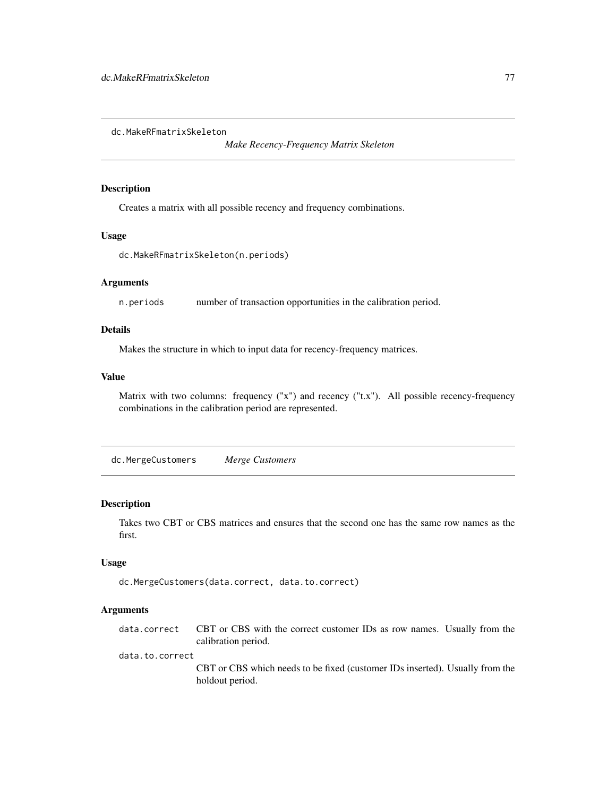dc.MakeRFmatrixSkeleton

*Make Recency-Frequency Matrix Skeleton*

# Description

Creates a matrix with all possible recency and frequency combinations.

## Usage

```
dc.MakeRFmatrixSkeleton(n.periods)
```
# Arguments

n.periods number of transaction opportunities in the calibration period.

# Details

Makes the structure in which to input data for recency-frequency matrices.

## Value

Matrix with two columns: frequency ("x") and recency ("t.x"). All possible recency-frequency combinations in the calibration period are represented.

dc.MergeCustomers *Merge Customers*

# Description

Takes two CBT or CBS matrices and ensures that the second one has the same row names as the first.

# Usage

dc.MergeCustomers(data.correct, data.to.correct)

## Arguments

data.correct CBT or CBS with the correct customer IDs as row names. Usually from the calibration period. data.to.correct CBT or CBS which needs to be fixed (customer IDs inserted). Usually from the holdout period.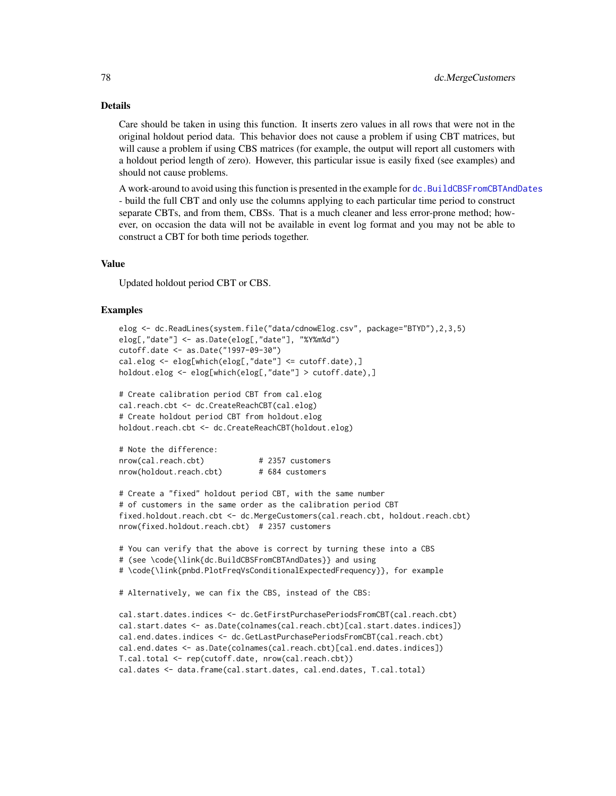Care should be taken in using this function. It inserts zero values in all rows that were not in the original holdout period data. This behavior does not cause a problem if using CBT matrices, but will cause a problem if using CBS matrices (for example, the output will report all customers with a holdout period length of zero). However, this particular issue is easily fixed (see examples) and should not cause problems.

A work-around to avoid using this function is presented in the example for [dc.BuildCBSFromCBTAndDates](#page-61-0) - build the full CBT and only use the columns applying to each particular time period to construct separate CBTs, and from them, CBSs. That is a much cleaner and less error-prone method; however, on occasion the data will not be available in event log format and you may not be able to construct a CBT for both time periods together.

# Value

Updated holdout period CBT or CBS.

```
elog <- dc.ReadLines(system.file("data/cdnowElog.csv", package="BTYD"),2,3,5)
elog[,"date"] <- as.Date(elog[,"date"], "%Y%m%d")
cutoff.date <- as.Date("1997-09-30")
cal.elog <- elog[which(elog[,"date"] <= cutoff.date),]
holdout.elog <- elog[which(elog[,"date"] > cutoff.date),]
# Create calibration period CBT from cal.elog
cal.reach.cbt <- dc.CreateReachCBT(cal.elog)
# Create holdout period CBT from holdout.elog
holdout.reach.cbt <- dc.CreateReachCBT(holdout.elog)
# Note the difference:
nrow(cal.reach.cbt) # 2357 customers
nrow(holdout.reach.cbt) # 684 customers
# Create a "fixed" holdout period CBT, with the same number
# of customers in the same order as the calibration period CBT
fixed.holdout.reach.cbt <- dc.MergeCustomers(cal.reach.cbt, holdout.reach.cbt)
nrow(fixed.holdout.reach.cbt) # 2357 customers
# You can verify that the above is correct by turning these into a CBS
# (see \code{\link{dc.BuildCBSFromCBTAndDates}} and using
# \code{\link{pnbd.PlotFreqVsConditionalExpectedFrequency}}, for example
# Alternatively, we can fix the CBS, instead of the CBS:
cal.start.dates.indices <- dc.GetFirstPurchasePeriodsFromCBT(cal.reach.cbt)
cal.start.dates <- as.Date(colnames(cal.reach.cbt)[cal.start.dates.indices])
cal.end.dates.indices <- dc.GetLastPurchasePeriodsFromCBT(cal.reach.cbt)
cal.end.dates <- as.Date(colnames(cal.reach.cbt)[cal.end.dates.indices])
T.cal.total <- rep(cutoff.date, nrow(cal.reach.cbt))
cal.dates <- data.frame(cal.start.dates, cal.end.dates, T.cal.total)
```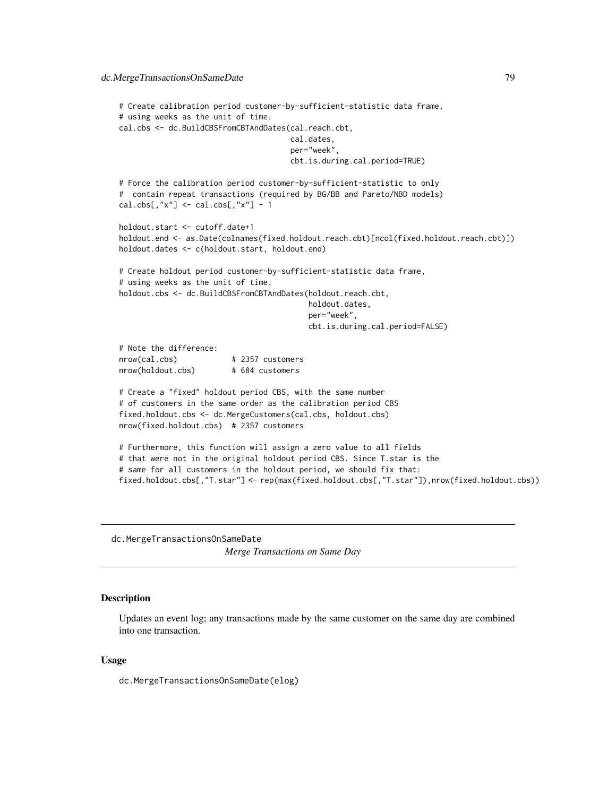```
# Create calibration period customer-by-sufficient-statistic data frame,
# using weeks as the unit of time.
cal.cbs <- dc.BuildCBSFromCBTAndDates(cal.reach.cbt,
                                      cal.dates,
                                      per="week",
                                      cbt.is.during.cal.period=TRUE)
# Force the calibration period customer-by-sufficient-statistic to only
# contain repeat transactions (required by BG/BB and Pareto/NBD models)
cal.obs[, "x"] \leftarrow cal.obs[, "x"] - 1holdout.start <- cutoff.date+1
holdout.end <- as.Date(colnames(fixed.holdout.reach.cbt)[ncol(fixed.holdout.reach.cbt)])
holdout.dates <- c(holdout.start, holdout.end)
# Create holdout period customer-by-sufficient-statistic data frame,
# using weeks as the unit of time.
holdout.cbs <- dc.BuildCBSFromCBTAndDates(holdout.reach.cbt,
                                          holdout.dates,
                                          per="week",
                                          cbt.is.during.cal.period=FALSE)
# Note the difference:
nrow(cal.cbs) # 2357 customers
nrow(holdout.cbs) # 684 customers
# Create a "fixed" holdout period CBS, with the same number
# of customers in the same order as the calibration period CBS
fixed.holdout.cbs <- dc.MergeCustomers(cal.cbs, holdout.cbs)
nrow(fixed.holdout.cbs) # 2357 customers
# Furthermore, this function will assign a zero value to all fields
# that were not in the original holdout period CBS. Since T.star is the
# same for all customers in the holdout period, we should fix that:
fixed.holdout.cbs[,"T.star"] <- rep(max(fixed.holdout.cbs[,"T.star"]),nrow(fixed.holdout.cbs))
```
dc.MergeTransactionsOnSameDate *Merge Transactions on Same Day*

# **Description**

Updates an event log; any transactions made by the same customer on the same day are combined into one transaction.

## Usage

dc.MergeTransactionsOnSameDate(elog)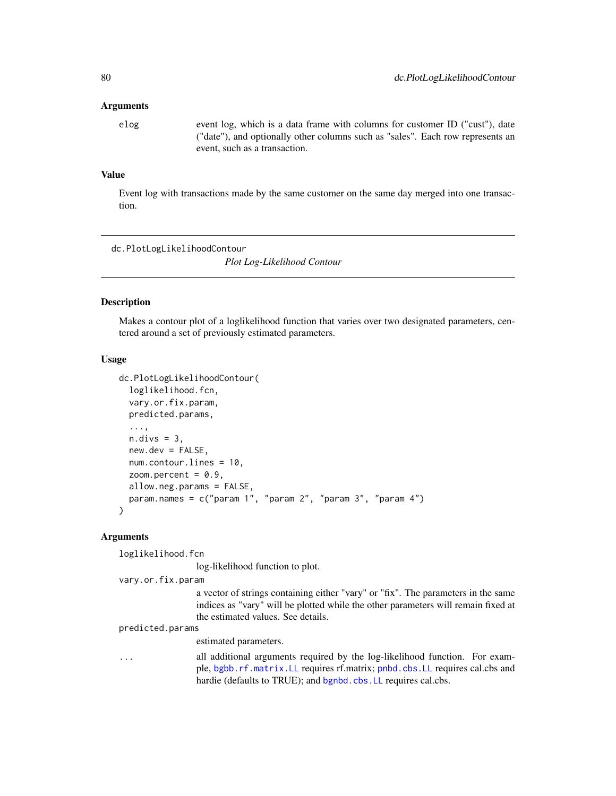#### Arguments

elog event log, which is a data frame with columns for customer ID ("cust"), date ("date"), and optionally other columns such as "sales". Each row represents an event, such as a transaction.

# Value

Event log with transactions made by the same customer on the same day merged into one transaction.

<span id="page-79-0"></span>dc.PlotLogLikelihoodContour

*Plot Log-Likelihood Contour*

## Description

Makes a contour plot of a loglikelihood function that varies over two designated parameters, centered around a set of previously estimated parameters.

#### Usage

```
dc.PlotLogLikelihoodContour(
  loglikelihood.fcn,
  vary.or.fix.param,
 predicted.params,
  ...,
 n.divs = 3,
  new.dev = FALSE,num.contour.lines = 10,
  zoom.percent = 0.9,
 allow.neg.params = FALSE,
 param.names = c("param 1", "param 2", "param 3", "param 4")
\lambda
```
# Arguments

loglikelihood.fcn

log-likelihood function to plot.

```
vary.or.fix.param
```
a vector of strings containing either "vary" or "fix". The parameters in the same indices as "vary" will be plotted while the other parameters will remain fixed at the estimated values. See details.

predicted.params

estimated parameters.

| $\cdots$ | all additional arguments required by the log-likelihood function. For exam- |
|----------|-----------------------------------------------------------------------------|
|          | ple, bgbb.rf.matrix.LL requires rf.matrix; pnbd.cbs.LL requires cal.cbs and |
|          | hardie (defaults to TRUE); and bgnbd.cbs. LL requires cal.cbs.              |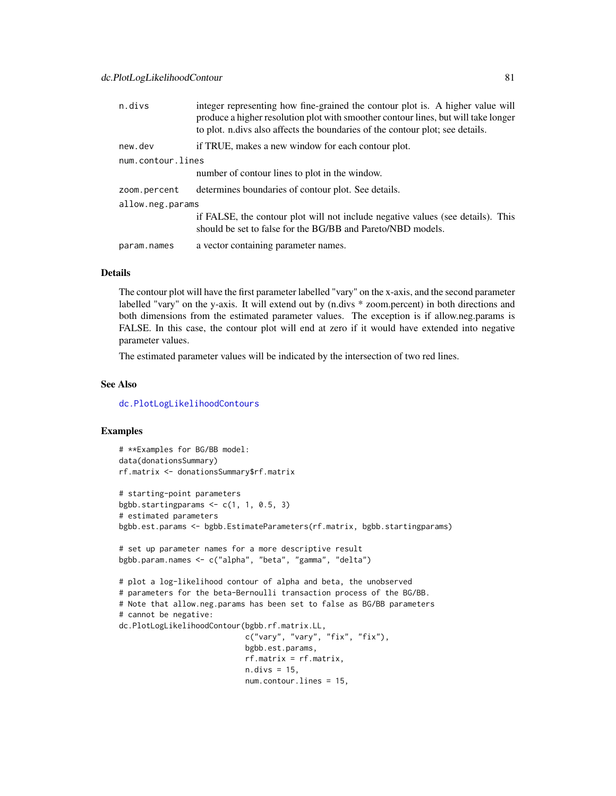| n.divs            | integer representing how fine-grained the contour plot is. A higher value will<br>produce a higher resolution plot with smoother contour lines, but will take longer<br>to plot. n.divs also affects the boundaries of the contour plot; see details. |
|-------------------|-------------------------------------------------------------------------------------------------------------------------------------------------------------------------------------------------------------------------------------------------------|
| new.dev           | if TRUE, makes a new window for each contour plot.                                                                                                                                                                                                    |
| num.contour.lines |                                                                                                                                                                                                                                                       |
|                   | number of contour lines to plot in the window.                                                                                                                                                                                                        |
| zoom.percent      | determines boundaries of contour plot. See details.                                                                                                                                                                                                   |
| allow.neg.params  |                                                                                                                                                                                                                                                       |
|                   | if FALSE, the contour plot will not include negative values (see details). This<br>should be set to false for the BG/BB and Pareto/NBD models.                                                                                                        |
| param.names       | a vector containing parameter names.                                                                                                                                                                                                                  |

The contour plot will have the first parameter labelled "vary" on the x-axis, and the second parameter labelled "vary" on the y-axis. It will extend out by (n.divs \* zoom.percent) in both directions and both dimensions from the estimated parameter values. The exception is if allow.neg.params is FALSE. In this case, the contour plot will end at zero if it would have extended into negative parameter values.

The estimated parameter values will be indicated by the intersection of two red lines.

#### See Also

[dc.PlotLogLikelihoodContours](#page-82-0)

```
# **Examples for BG/BB model:
data(donationsSummary)
rf.matrix <- donationsSummary$rf.matrix
# starting-point parameters
bgbb.startingparams \leq c(1, 1, 0.5, 3)
# estimated parameters
bgbb.est.params <- bgbb.EstimateParameters(rf.matrix, bgbb.startingparams)
# set up parameter names for a more descriptive result
bgbb.param.names <- c("alpha", "beta", "gamma", "delta")
# plot a log-likelihood contour of alpha and beta, the unobserved
# parameters for the beta-Bernoulli transaction process of the BG/BB.
# Note that allow.neg.params has been set to false as BG/BB parameters
# cannot be negative:
dc.PlotLogLikelihoodContour(bgbb.rf.matrix.LL,
                            c("vary", "vary", "fix", "fix"),
                            bgbb.est.params,
                            rf.matrix = rf.matrix,
                            n.divs = 15,
                            num.contour.lines = 15,
```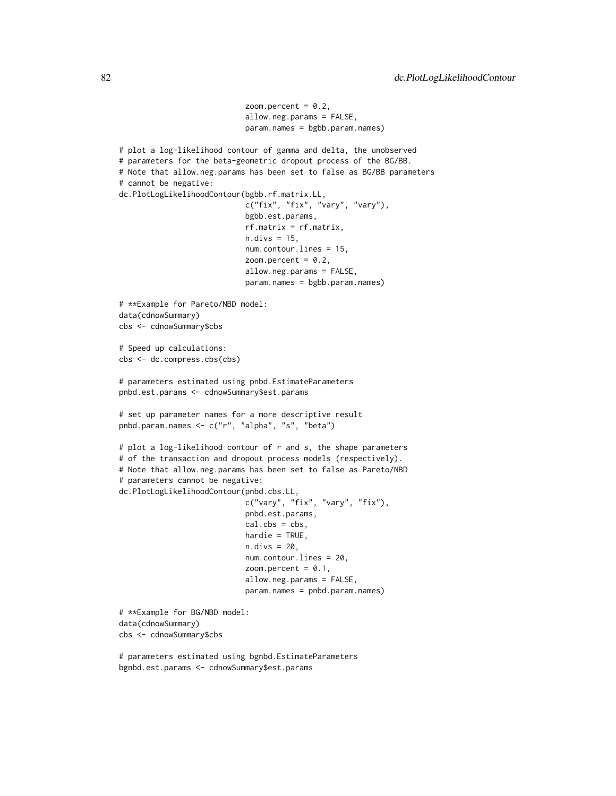```
zoom.percent = 0.2,
                            allow.neg.params = FALSE,
                            param.names = bgbb.param.names)
# plot a log-likelihood contour of gamma and delta, the unobserved
# parameters for the beta-geometric dropout process of the BG/BB.
# Note that allow.neg.params has been set to false as BG/BB parameters
# cannot be negative:
dc.PlotLogLikelihoodContour(bgbb.rf.matrix.LL,
                            c("fix", "fix", "vary", "vary"),
                            bgbb.est.params,
                            rf.matrix = rf.matrix,
                            n.divs = 15,
                            num.contour.lines = 15,
                            zoom.percent = 0.2,
                            allow.neg.params = FALSE,
                            param.names = bgbb.param.names)
# **Example for Pareto/NBD model:
data(cdnowSummary)
cbs <- cdnowSummary$cbs
# Speed up calculations:
cbs <- dc.compress.cbs(cbs)
# parameters estimated using pnbd.EstimateParameters
pnbd.est.params <- cdnowSummary$est.params
# set up parameter names for a more descriptive result
pnbd.param.names <- c("r", "alpha", "s", "beta")
# plot a log-likelihood contour of r and s, the shape parameters
# of the transaction and dropout process models (respectively).
# Note that allow.neg.params has been set to false as Pareto/NBD
# parameters cannot be negative:
dc.PlotLogLikelihoodContour(pnbd.cbs.LL,
                            c("vary", "fix", "vary", "fix"),
                            pnbd.est.params,
                            cal.obs = obs,
                            hardie = TRUE,
                            n.divs = 20,
                            num.contour.lines = 20,
                            zoom.percent = 0.1,
                            allow.neg.params = FALSE,
                            param.names = pnbd.param.names)
# **Example for BG/NBD model:
data(cdnowSummary)
cbs <- cdnowSummary$cbs
# parameters estimated using bgnbd.EstimateParameters
```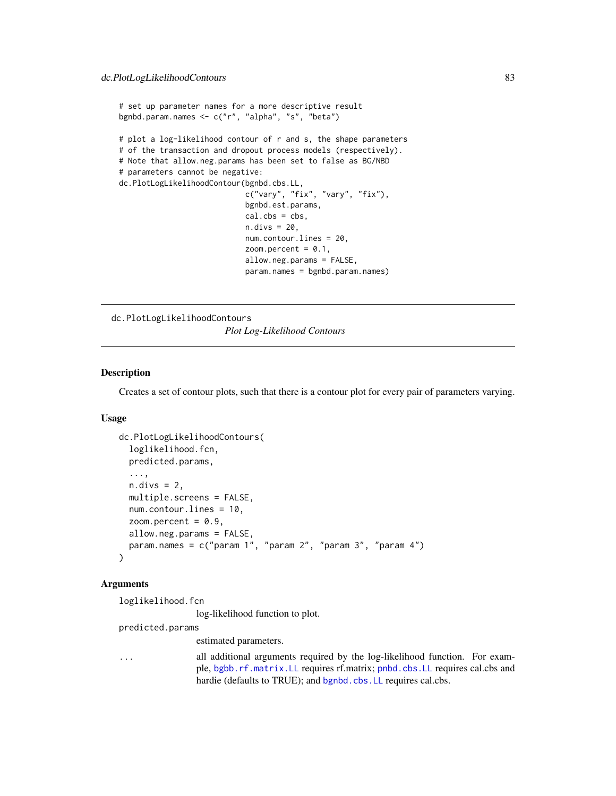```
# set up parameter names for a more descriptive result
bgnbd.param.names <- c("r", "alpha", "s", "beta")
# plot a log-likelihood contour of r and s, the shape parameters
# of the transaction and dropout process models (respectively).
# Note that allow.neg.params has been set to false as BG/NBD
# parameters cannot be negative:
dc.PlotLogLikelihoodContour(bgnbd.cbs.LL,
                            c("vary", "fix", "vary", "fix"),
                            bgnbd.est.params,
                            cal.obs = obs,
                            n.divs = 20,
                            num.contour.lines = 20,
                            zoom.percent = 0.1,
                            allow.neg.params = FALSE,
                            param.names = bgnbd.param.names)
```
<span id="page-82-0"></span>dc.PlotLogLikelihoodContours *Plot Log-Likelihood Contours*

#### Description

Creates a set of contour plots, such that there is a contour plot for every pair of parameters varying.

#### Usage

```
dc.PlotLogLikelihoodContours(
  loglikelihood.fcn,
 predicted.params,
  ...,
 n.divs = 2,
 multiple.screens = FALSE,
 num.contour.lines = 10,
  zoom.percent = 0.9,
  allow.neg.params = FALSE,
  param.names = c("param 1", "param 2", "param 3", "param 4")
)
```
# Arguments

```
loglikelihood.fcn
```
log-likelihood function to plot.

predicted.params

estimated parameters.

... all additional arguments required by the log-likelihood function. For example, [bgbb.rf.matrix.LL](#page-34-0) requires rf.matrix; [pnbd.cbs.LL](#page-90-0) requires cal.cbs and hardie (defaults to TRUE); and [bgnbd.cbs.LL](#page-37-0) requires cal.cbs.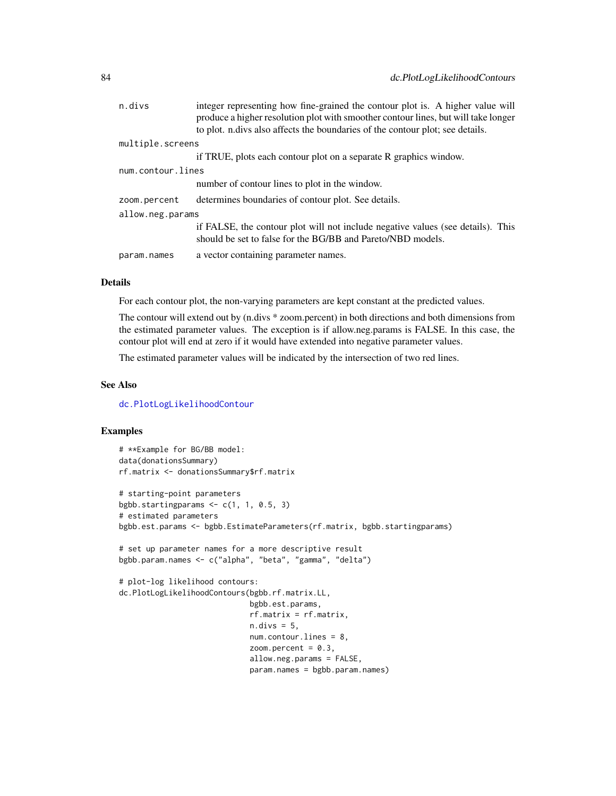| n.divs            | integer representing how fine-grained the contour plot is. A higher value will<br>produce a higher resolution plot with smoother contour lines, but will take longer<br>to plot. n.divs also affects the boundaries of the contour plot; see details. |
|-------------------|-------------------------------------------------------------------------------------------------------------------------------------------------------------------------------------------------------------------------------------------------------|
| multiple.screens  |                                                                                                                                                                                                                                                       |
|                   |                                                                                                                                                                                                                                                       |
|                   | if TRUE, plots each contour plot on a separate R graphics window.                                                                                                                                                                                     |
| num.contour.lines |                                                                                                                                                                                                                                                       |
|                   | number of contour lines to plot in the window.                                                                                                                                                                                                        |
| zoom.percent      | determines boundaries of contour plot. See details.                                                                                                                                                                                                   |
| allow.neg.params  |                                                                                                                                                                                                                                                       |
|                   | if FALSE, the contour plot will not include negative values (see details). This<br>should be set to false for the BG/BB and Pareto/NBD models.                                                                                                        |
| param.names       | a vector containing parameter names.                                                                                                                                                                                                                  |

For each contour plot, the non-varying parameters are kept constant at the predicted values.

The contour will extend out by (n.divs \* zoom.percent) in both directions and both dimensions from the estimated parameter values. The exception is if allow.neg.params is FALSE. In this case, the contour plot will end at zero if it would have extended into negative parameter values.

The estimated parameter values will be indicated by the intersection of two red lines.

#### See Also

[dc.PlotLogLikelihoodContour](#page-79-0)

```
# **Example for BG/BB model:
data(donationsSummary)
rf.matrix <- donationsSummary$rf.matrix
# starting-point parameters
bgbb.startingparams \leq c(1, 1, 0.5, 3)
# estimated parameters
bgbb.est.params <- bgbb.EstimateParameters(rf.matrix, bgbb.startingparams)
# set up parameter names for a more descriptive result
bgbb.param.names <- c("alpha", "beta", "gamma", "delta")
# plot-log likelihood contours:
dc.PlotLogLikelihoodContours(bgbb.rf.matrix.LL,
                             bgbb.est.params,
                             rf.matrix = rf.matrix,
                             n.divs = 5,
                             num.contour.lines = 8,
                             zoom.percent = 0.3,
                             allow.neg.params = FALSE,
                             param.names = bgbb.param.names)
```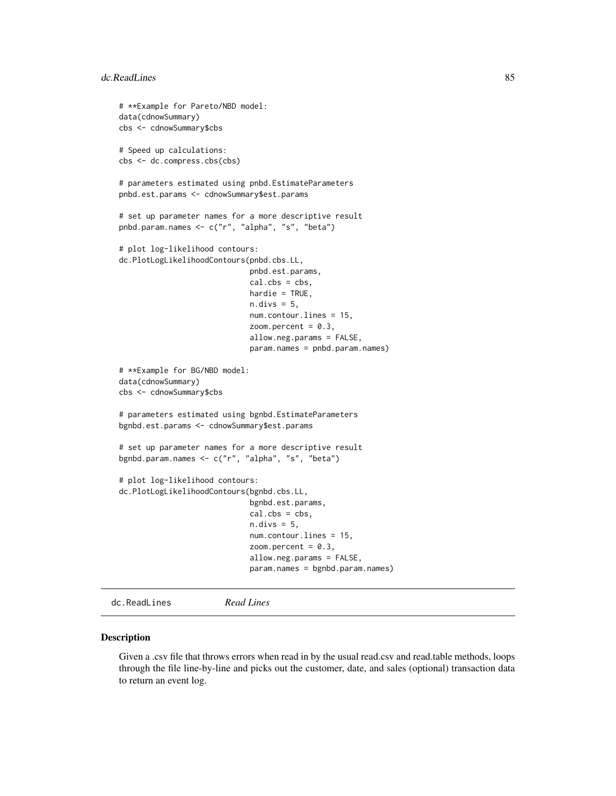```
# **Example for Pareto/NBD model:
data(cdnowSummary)
cbs <- cdnowSummary$cbs
# Speed up calculations:
cbs <- dc.compress.cbs(cbs)
# parameters estimated using pnbd.EstimateParameters
pnbd.est.params <- cdnowSummary$est.params
# set up parameter names for a more descriptive result
pnbd.param.names <- c("r", "alpha", "s", "beta")
# plot log-likelihood contours:
dc.PlotLogLikelihoodContours(pnbd.cbs.LL,
                             pnbd.est.params,
                             cal.cbs = cbs,
                             hardie = TRUE,
                             n.divs = 5,
                             num.contour.lines = 15,
                             zoom.percent = 0.3,
                             allow.neg.params = FALSE,
                             param.names = pnbd.param.names)
# **Example for BG/NBD model:
data(cdnowSummary)
cbs <- cdnowSummary$cbs
# parameters estimated using bgnbd.EstimateParameters
bgnbd.est.params <- cdnowSummary$est.params
# set up parameter names for a more descriptive result
bgnbd.param.names <- c("r", "alpha", "s", "beta")
# plot log-likelihood contours:
dc.PlotLogLikelihoodContours(bgnbd.cbs.LL,
                             bgnbd.est.params,
                             cal.obs = obs,
                             n.divs = 5,
                             num.contour.lines = 15,
                             zoom.percent = 0.3,
                             allow.neg.params = FALSE,
                             param.names = bgnbd.param.names)
```

```
dc.ReadLines Read Lines
```
#### Description

Given a .csv file that throws errors when read in by the usual read.csv and read.table methods, loops through the file line-by-line and picks out the customer, date, and sales (optional) transaction data to return an event log.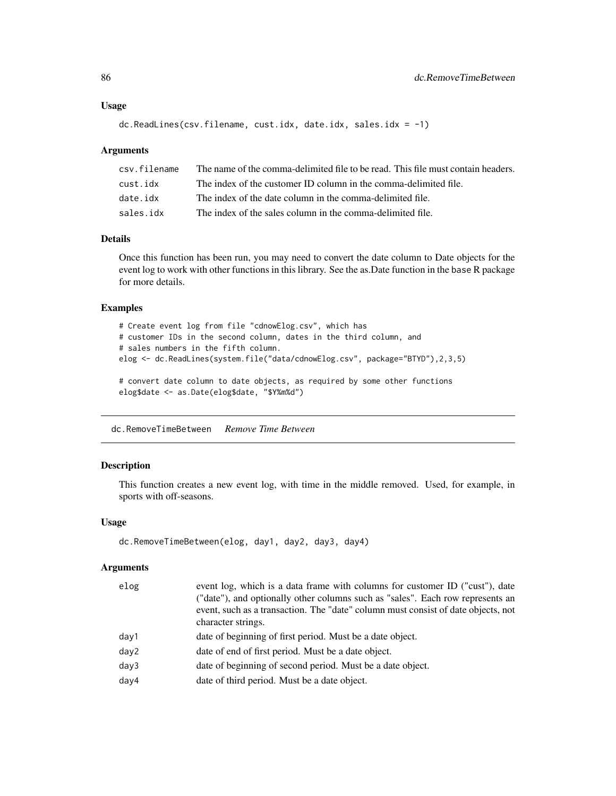#### Usage

```
dc.ReadLines(csv.filename, cust.idx, date.idx, sales.idx = -1)
```
### Arguments

| csv.filename | The name of the comma-delimited file to be read. This file must contain headers. |
|--------------|----------------------------------------------------------------------------------|
| cust.idx     | The index of the customer ID column in the comma-delimited file.                 |
| date.idx     | The index of the date column in the comma-delimited file.                        |
| sales.idx    | The index of the sales column in the comma-delimited file.                       |

# Details

Once this function has been run, you may need to convert the date column to Date objects for the event log to work with other functions in this library. See the as.Date function in the base R package for more details.

## Examples

```
# Create event log from file "cdnowElog.csv", which has
# customer IDs in the second column, dates in the third column, and
# sales numbers in the fifth column.
elog <- dc.ReadLines(system.file("data/cdnowElog.csv", package="BTYD"),2,3,5)
# convert date column to date objects, as required by some other functions
elog$date <- as.Date(elog$date, "$Y%m%d")
```
dc.RemoveTimeBetween *Remove Time Between*

## Description

This function creates a new event log, with time in the middle removed. Used, for example, in sports with off-seasons.

#### Usage

```
dc.RemoveTimeBetween(elog, day1, day2, day3, day4)
```
#### Arguments

| elog | event log, which is a data frame with columns for customer ID ("cust"), date<br>("date"), and optionally other columns such as "sales". Each row represents an<br>event, such as a transaction. The "date" column must consist of date objects, not<br>character strings. |
|------|---------------------------------------------------------------------------------------------------------------------------------------------------------------------------------------------------------------------------------------------------------------------------|
| day1 | date of beginning of first period. Must be a date object.                                                                                                                                                                                                                 |
| day2 | date of end of first period. Must be a date object.                                                                                                                                                                                                                       |
| day3 | date of beginning of second period. Must be a date object.                                                                                                                                                                                                                |
| day4 | date of third period. Must be a date object.                                                                                                                                                                                                                              |
|      |                                                                                                                                                                                                                                                                           |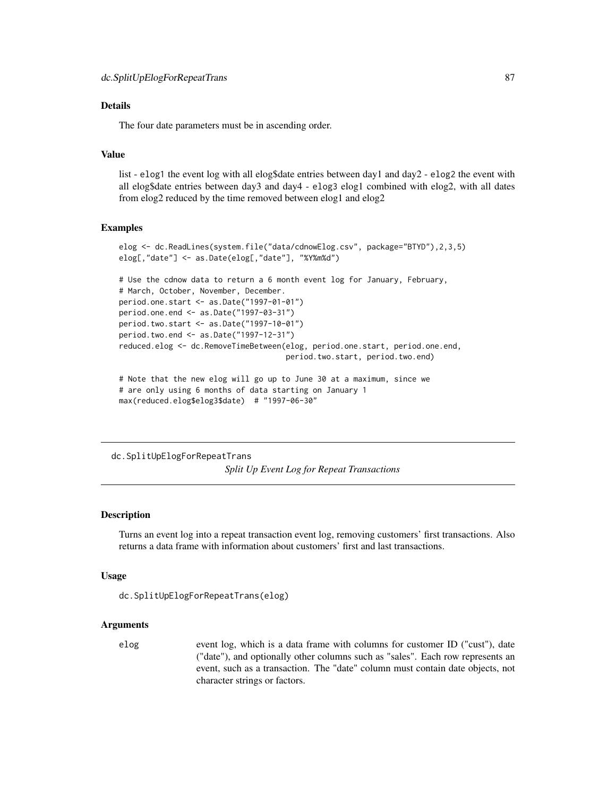The four date parameters must be in ascending order.

# Value

list - elog1 the event log with all elog\$date entries between day1 and day2 - elog2 the event with all elog\$date entries between day3 and day4 - elog3 elog1 combined with elog2, with all dates from elog2 reduced by the time removed between elog1 and elog2

## Examples

```
elog <- dc.ReadLines(system.file("data/cdnowElog.csv", package="BTYD"),2,3,5)
elog[,"date"] <- as.Date(elog[,"date"], "%Y%m%d")
```

```
# Use the cdnow data to return a 6 month event log for January, February,
# March, October, November, December.
period.one.start <- as.Date("1997-01-01")
period.one.end <- as.Date("1997-03-31")
period.two.start <- as.Date("1997-10-01")
period.two.end <- as.Date("1997-12-31")
reduced.elog <- dc.RemoveTimeBetween(elog, period.one.start, period.one.end,
                                     period.two.start, period.two.end)
# Note that the new elog will go up to June 30 at a maximum, since we
```

```
# are only using 6 months of data starting on January 1
max(reduced.elog$elog3$date) # "1997-06-30"
```
dc.SplitUpElogForRepeatTrans

*Split Up Event Log for Repeat Transactions*

# Description

Turns an event log into a repeat transaction event log, removing customers' first transactions. Also returns a data frame with information about customers' first and last transactions.

#### Usage

```
dc.SplitUpElogForRepeatTrans(elog)
```
#### Arguments

elog event log, which is a data frame with columns for customer ID ("cust"), date ("date"), and optionally other columns such as "sales". Each row represents an event, such as a transaction. The "date" column must contain date objects, not character strings or factors.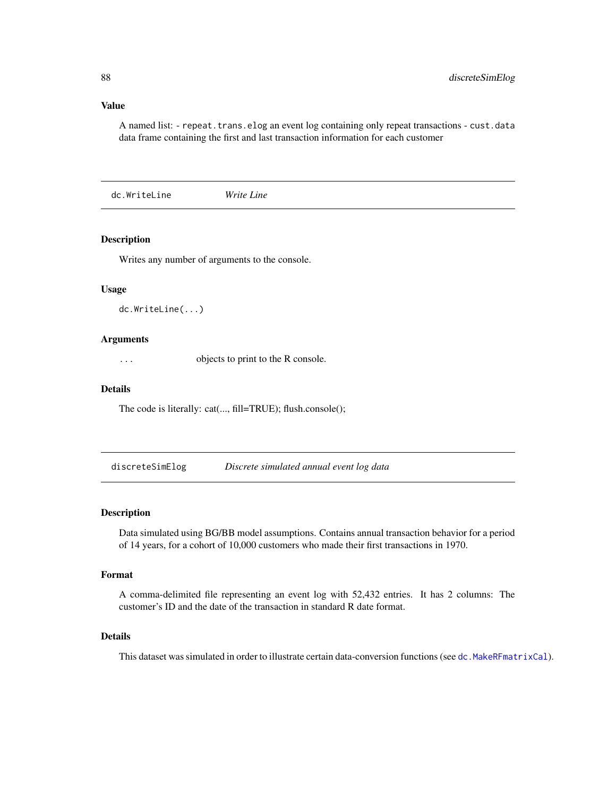#### Value

A named list: - repeat.trans.elog an event log containing only repeat transactions - cust.data data frame containing the first and last transaction information for each customer

dc.WriteLine *Write Line*

# Description

Writes any number of arguments to the console.

## Usage

dc.WriteLine(...)

## Arguments

... objects to print to the R console.

# Details

The code is literally: cat(..., fill=TRUE); flush.console();

discreteSimElog *Discrete simulated annual event log data*

# Description

Data simulated using BG/BB model assumptions. Contains annual transaction behavior for a period of 14 years, for a cohort of 10,000 customers who made their first transactions in 1970.

## Format

A comma-delimited file representing an event log with 52,432 entries. It has 2 columns: The customer's ID and the date of the transaction in standard R date format.

# Details

This dataset was simulated in order to illustrate certain data-conversion functions (see [dc.MakeRFmatrixCal](#page-73-0)).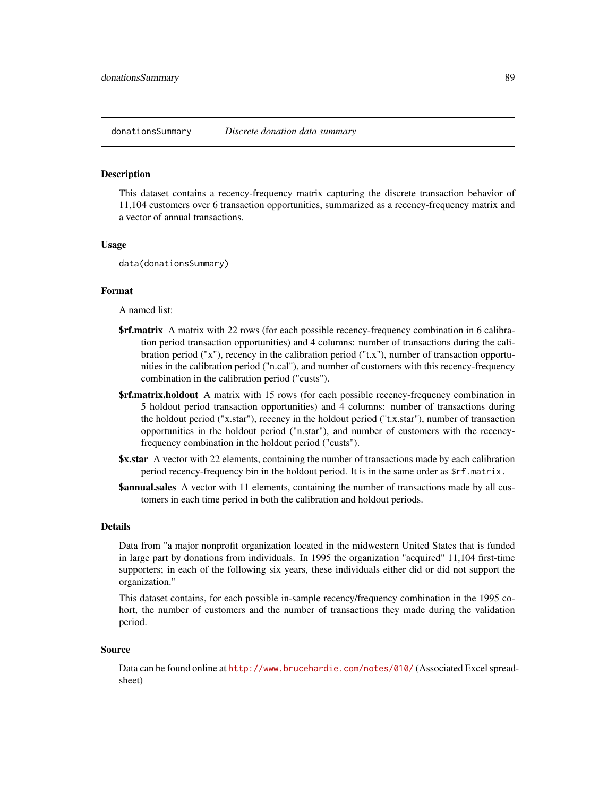#### Description

This dataset contains a recency-frequency matrix capturing the discrete transaction behavior of 11,104 customers over 6 transaction opportunities, summarized as a recency-frequency matrix and a vector of annual transactions.

## Usage

data(donationsSummary)

#### Format

A named list:

- **\$rf.matrix** A matrix with 22 rows (for each possible recency-frequency combination in 6 calibration period transaction opportunities) and 4 columns: number of transactions during the calibration period ("x"), recency in the calibration period ("t.x"), number of transaction opportunities in the calibration period ("n.cal"), and number of customers with this recency-frequency combination in the calibration period ("custs").
- **\$rf.matrix.holdout** A matrix with 15 rows (for each possible recency-frequency combination in 5 holdout period transaction opportunities) and 4 columns: number of transactions during the holdout period ("x.star"), recency in the holdout period ("t.x.star"), number of transaction opportunities in the holdout period ("n.star"), and number of customers with the recencyfrequency combination in the holdout period ("custs").
- **\$x.star** A vector with 22 elements, containing the number of transactions made by each calibration period recency-frequency bin in the holdout period. It is in the same order as \$rf.matrix.
- **\$annual.sales** A vector with 11 elements, containing the number of transactions made by all customers in each time period in both the calibration and holdout periods.

#### Details

Data from "a major nonprofit organization located in the midwestern United States that is funded in large part by donations from individuals. In 1995 the organization "acquired" 11,104 first-time supporters; in each of the following six years, these individuals either did or did not support the organization."

This dataset contains, for each possible in-sample recency/frequency combination in the 1995 cohort, the number of customers and the number of transactions they made during the validation period.

#### Source

Data can be found online at <http://www.brucehardie.com/notes/010/> (Associated Excel spreadsheet)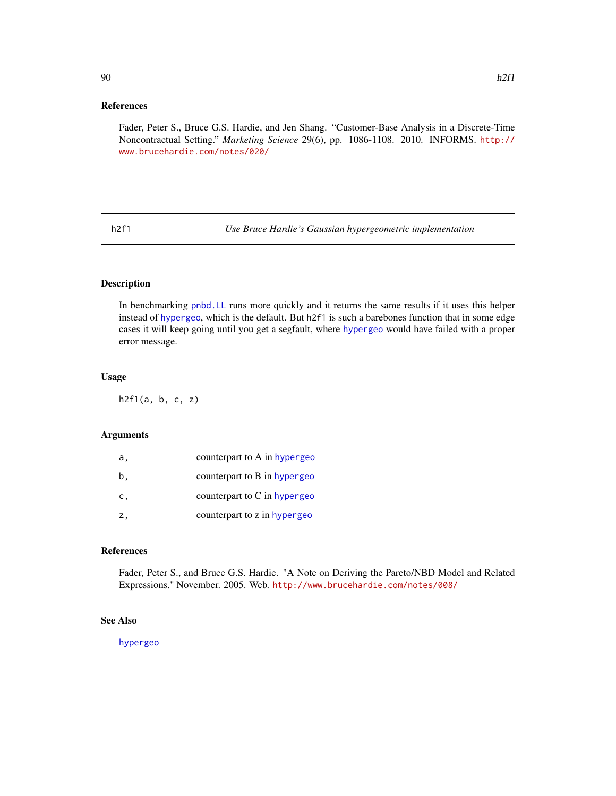Fader, Peter S., Bruce G.S. Hardie, and Jen Shang. "Customer-Base Analysis in a Discrete-Time Noncontractual Setting." *Marketing Science* 29(6), pp. 1086-1108. 2010. INFORMS. [http://](http://www.brucehardie.com/notes/020/) [www.brucehardie.com/notes/020/](http://www.brucehardie.com/notes/020/)

<span id="page-89-0"></span>h2f1 *Use Bruce Hardie's Gaussian hypergeometric implementation*

# Description

In benchmarking [pnbd.LL](#page-99-0) runs more quickly and it returns the same results if it uses this helper instead of [hypergeo](#page-0-0), which is the default. But h2f1 is such a barebones function that in some edge cases it will keep going until you get a segfault, where [hypergeo](#page-0-0) would have failed with a proper error message.

# Usage

h2f1(a, b, c, z)

## Arguments

| а. | counterpart to A in hypergeo |
|----|------------------------------|
| b, | counterpart to B in hypergeo |
| C, | counterpart to C in hypergeo |
| Ζ, | counterpart to z in hypergeo |

#### References

Fader, Peter S., and Bruce G.S. Hardie. "A Note on Deriving the Pareto/NBD Model and Related Expressions." November. 2005. Web. <http://www.brucehardie.com/notes/008/>

# See Also

[hypergeo](#page-0-0)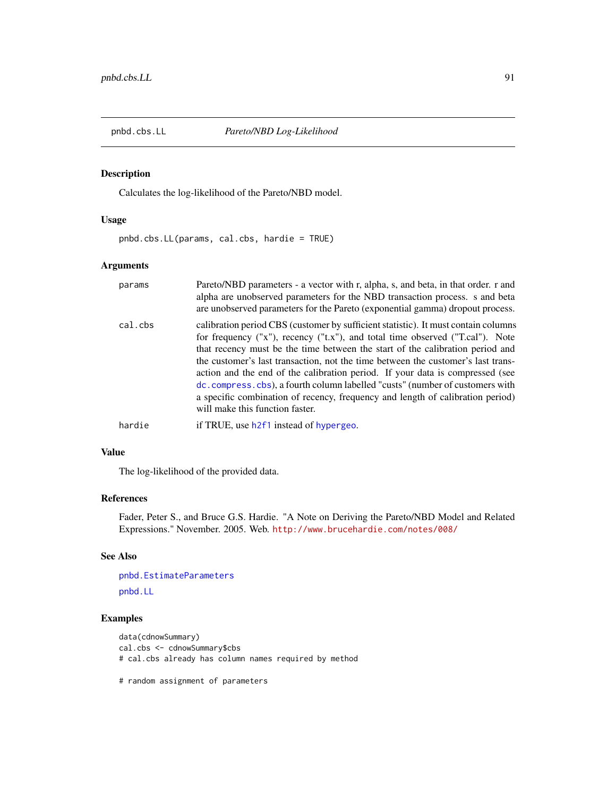<span id="page-90-0"></span>

# Description

Calculates the log-likelihood of the Pareto/NBD model.

## Usage

pnbd.cbs.LL(params, cal.cbs, hardie = TRUE)

# Arguments

| params  | Pareto/NBD parameters - a vector with r, alpha, s, and beta, in that order. r and<br>alpha are unobserved parameters for the NBD transaction process. s and beta<br>are unobserved parameters for the Pareto (exponential gamma) dropout process.                                                                                                                                                                                                                                                                                                                                                                                |
|---------|----------------------------------------------------------------------------------------------------------------------------------------------------------------------------------------------------------------------------------------------------------------------------------------------------------------------------------------------------------------------------------------------------------------------------------------------------------------------------------------------------------------------------------------------------------------------------------------------------------------------------------|
| cal.cbs | calibration period CBS (customer by sufficient statistic). It must contain columns<br>for frequency ("x"), recency ("t.x"), and total time observed ("T.cal"). Note<br>that recency must be the time between the start of the calibration period and<br>the customer's last transaction, not the time between the customer's last trans-<br>action and the end of the calibration period. If your data is compressed (see<br>dc. compress. cbs), a fourth column labelled "custs" (number of customers with<br>a specific combination of recency, frequency and length of calibration period)<br>will make this function faster. |
| hardie  | if TRUE, use h2f1 instead of hypergeo.                                                                                                                                                                                                                                                                                                                                                                                                                                                                                                                                                                                           |

## Value

The log-likelihood of the provided data.

# References

Fader, Peter S., and Bruce G.S. Hardie. "A Note on Deriving the Pareto/NBD Model and Related Expressions." November. 2005. Web. <http://www.brucehardie.com/notes/008/>

# See Also

```
pnbd.EstimateParameters
pnbd.LL
```
# Examples

```
data(cdnowSummary)
cal.cbs <- cdnowSummary$cbs
# cal.cbs already has column names required by method
```
# random assignment of parameters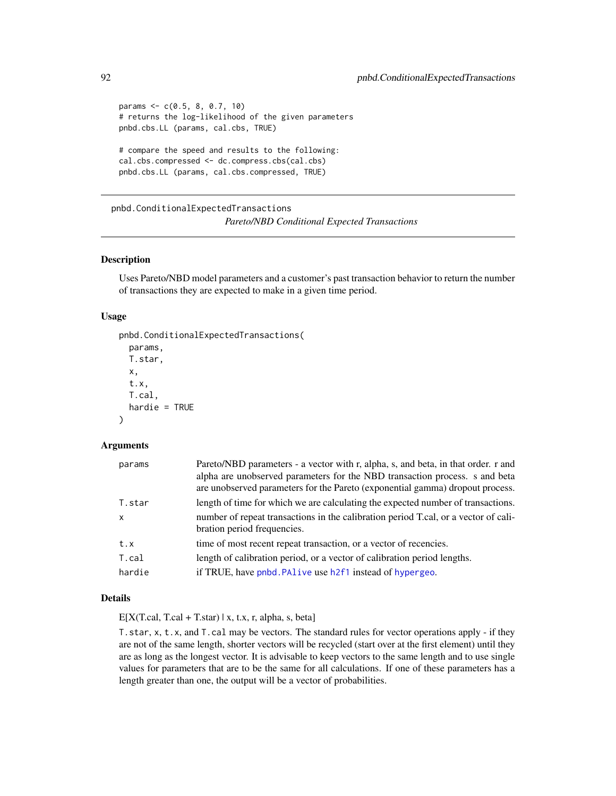```
params <- c(0.5, 8, 0.7, 10)
# returns the log-likelihood of the given parameters
pnbd.cbs.LL (params, cal.cbs, TRUE)
# compare the speed and results to the following:
cal.cbs.compressed <- dc.compress.cbs(cal.cbs)
pnbd.cbs.LL (params, cal.cbs.compressed, TRUE)
```
<span id="page-91-0"></span>pnbd.ConditionalExpectedTransactions *Pareto/NBD Conditional Expected Transactions*

# Description

Uses Pareto/NBD model parameters and a customer's past transaction behavior to return the number of transactions they are expected to make in a given time period.

# Usage

```
pnbd.ConditionalExpectedTransactions(
 params,
 T.star,
  x,
  t.x,
  T.cal,
  hardie = TRUE)
```
#### Arguments

| params       | Pareto/NBD parameters - a vector with r, alpha, s, and beta, in that order. r and<br>alpha are unobserved parameters for the NBD transaction process. s and beta<br>are unobserved parameters for the Pareto (exponential gamma) dropout process. |
|--------------|---------------------------------------------------------------------------------------------------------------------------------------------------------------------------------------------------------------------------------------------------|
| T.star       | length of time for which we are calculating the expected number of transactions.                                                                                                                                                                  |
| $\mathsf{x}$ | number of repeat transactions in the calibration period T.cal, or a vector of cali-<br>bration period frequencies.                                                                                                                                |
| t.x          | time of most recent repeat transaction, or a vector of recencies.                                                                                                                                                                                 |
| T.cal        | length of calibration period, or a vector of calibration period lengths.                                                                                                                                                                          |
| hardie       | if TRUE, have pnbd. PAlive use h2f1 instead of hypergeo.                                                                                                                                                                                          |

# Details

 $E[X(T, cal, T, cal + T, star) | x, t.x, r, alpha, s, beta]$ 

T.star, x, t.x, and T.cal may be vectors. The standard rules for vector operations apply - if they are not of the same length, shorter vectors will be recycled (start over at the first element) until they are as long as the longest vector. It is advisable to keep vectors to the same length and to use single values for parameters that are to be the same for all calculations. If one of these parameters has a length greater than one, the output will be a vector of probabilities.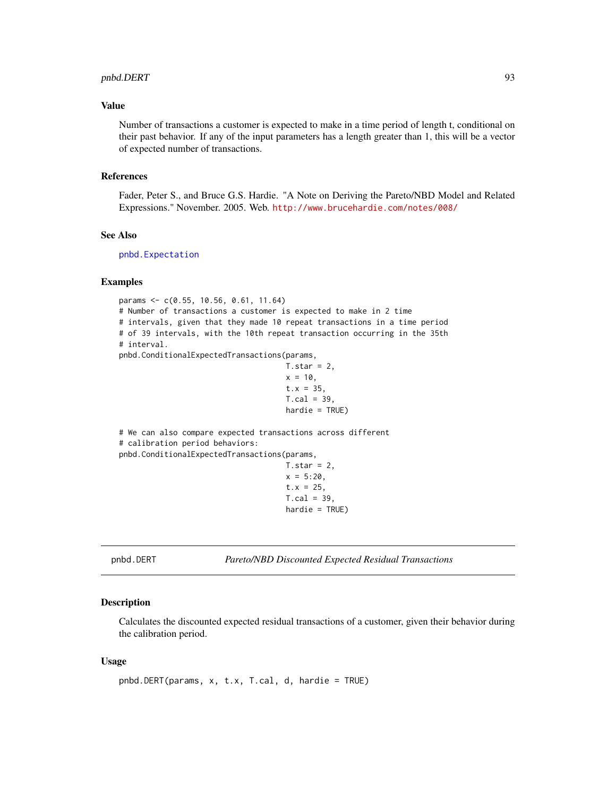## pnbd.DERT 93

# Value

Number of transactions a customer is expected to make in a time period of length t, conditional on their past behavior. If any of the input parameters has a length greater than 1, this will be a vector of expected number of transactions.

# References

Fader, Peter S., and Bruce G.S. Hardie. "A Note on Deriving the Pareto/NBD Model and Related Expressions." November. 2005. Web. <http://www.brucehardie.com/notes/008/>

#### See Also

[pnbd.Expectation](#page-96-0)

# Examples

params <- c(0.55, 10.56, 0.61, 11.64) # Number of transactions a customer is expected to make in 2 time # intervals, given that they made 10 repeat transactions in a time period # of 39 intervals, with the 10th repeat transaction occurring in the 35th # interval. pnbd.ConditionalExpectedTransactions(params,

```
T.star = 2,
x = 10,
t.x = 35,
T.cal = 39,
hardie = TRUE)
```
# We can also compare expected transactions across different # calibration period behaviors: pnbd.ConditionalExpectedTransactions(params,  $T.star = 2$ ,  $x = 5:20$ ,  $t.x = 25$ ,

 $T.cal = 39$ , hardie = TRUE)

<span id="page-92-0"></span>pnbd.DERT *Pareto/NBD Discounted Expected Residual Transactions*

# Description

Calculates the discounted expected residual transactions of a customer, given their behavior during the calibration period.

## Usage

```
pnbd.DERT(params, x, t.x, T.cal, d, hardie = TRUE)
```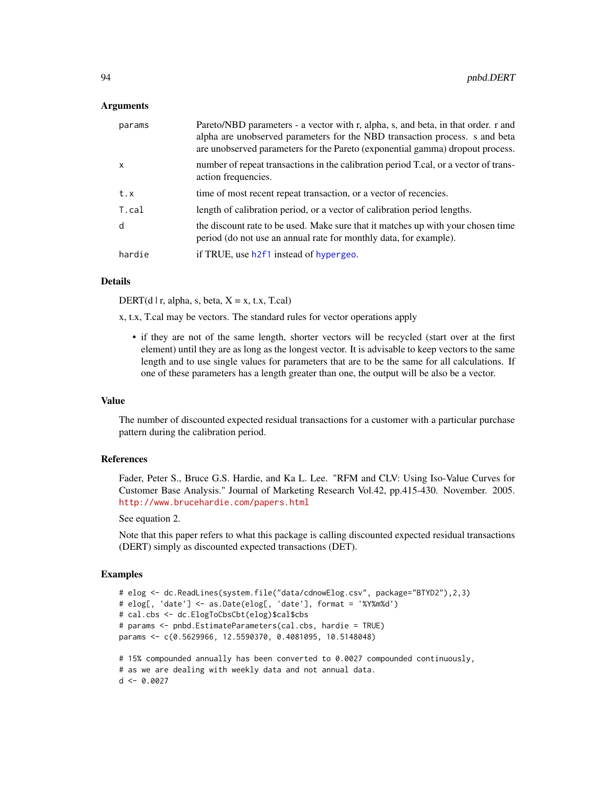## Arguments

| params       | Pareto/NBD parameters - a vector with r, alpha, s, and beta, in that order. r and<br>alpha are unobserved parameters for the NBD transaction process. s and beta<br>are unobserved parameters for the Pareto (exponential gamma) dropout process. |
|--------------|---------------------------------------------------------------------------------------------------------------------------------------------------------------------------------------------------------------------------------------------------|
| $\mathsf{x}$ | number of repeat transactions in the calibration period T.cal, or a vector of trans-<br>action frequencies.                                                                                                                                       |
| t.x          | time of most recent repeat transaction, or a vector of recencies.                                                                                                                                                                                 |
| T.cal        | length of calibration period, or a vector of calibration period lengths.                                                                                                                                                                          |
| d            | the discount rate to be used. Make sure that it matches up with your chosen time<br>period (do not use an annual rate for monthly data, for example).                                                                                             |
| hardie       | if TRUE, use h2f1 instead of hypergeo.                                                                                                                                                                                                            |

# Details

DERT(d | r, alpha, s, beta,  $X = x$ , t.x, T.cal)

x, t.x, T.cal may be vectors. The standard rules for vector operations apply

• if they are not of the same length, shorter vectors will be recycled (start over at the first element) until they are as long as the longest vector. It is advisable to keep vectors to the same length and to use single values for parameters that are to be the same for all calculations. If one of these parameters has a length greater than one, the output will be also be a vector.

## Value

The number of discounted expected residual transactions for a customer with a particular purchase pattern during the calibration period.

# References

Fader, Peter S., Bruce G.S. Hardie, and Ka L. Lee. "RFM and CLV: Using Iso-Value Curves for Customer Base Analysis." Journal of Marketing Research Vol.42, pp.415-430. November. 2005. <http://www.brucehardie.com/papers.html>

See equation 2.

 $d < -0.0027$ 

Note that this paper refers to what this package is calling discounted expected residual transactions (DERT) simply as discounted expected transactions (DET).

```
# elog <- dc.ReadLines(system.file("data/cdnowElog.csv", package="BTYD2"),2,3)
# elog[, 'date'] <- as.Date(elog[, 'date'], format = '%Y%m%d')
# cal.cbs <- dc.ElogToCbsCbt(elog)$cal$cbs
# params <- pnbd.EstimateParameters(cal.cbs, hardie = TRUE)
params <- c(0.5629966, 12.5590370, 0.4081095, 10.5148048)
# 15% compounded annually has been converted to 0.0027 compounded continuously,
# as we are dealing with weekly data and not annual data.
```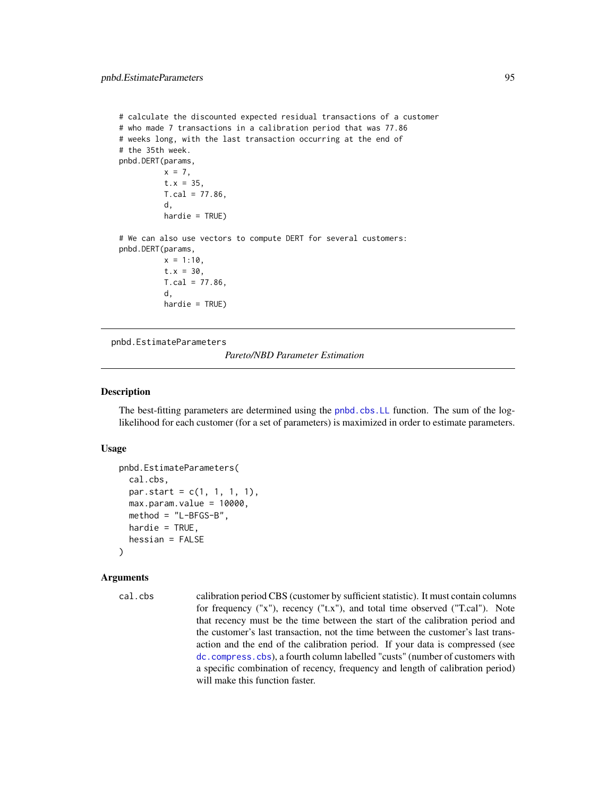```
# calculate the discounted expected residual transactions of a customer
# who made 7 transactions in a calibration period that was 77.86
# weeks long, with the last transaction occurring at the end of
# the 35th week.
pnbd.DERT(params,
         x = 7,
          t.x = 35,T.cal = 77.86,
          d,
          hardie = TRUE)
# We can also use vectors to compute DERT for several customers:
pnbd.DERT(params,
         x = 1:10,
          t.x = 30,T. cal = 77.86,d,
          hardie = TRUE)
```
<span id="page-94-0"></span>pnbd.EstimateParameters

*Pareto/NBD Parameter Estimation*

# Description

The best-fitting parameters are determined using the [pnbd.cbs.LL](#page-90-0) function. The sum of the loglikelihood for each customer (for a set of parameters) is maximized in order to estimate parameters.

## Usage

```
pnbd.EstimateParameters(
  cal.cbs,
 par.start = c(1, 1, 1, 1),max.param.value = 10000,
 method = "L-BFGS-B",
 hardie = TRUE,
 hessian = FALSE
)
```
#### Arguments

```
cal.cbs calibration period CBS (customer by sufficient statistic). It must contain columns
                  for frequency ("x"), recency ("t.x"), and total time observed ("T.cal"). Note
                  that recency must be the time between the start of the calibration period and
                  the customer's last transaction, not the time between the customer's last trans-
                  action and the end of the calibration period. If your data is compressed (see
                  dc.compress.cbs), a fourth column labelled "custs" (number of customers with
                  a specific combination of recency, frequency and length of calibration period)
                  will make this function faster.
```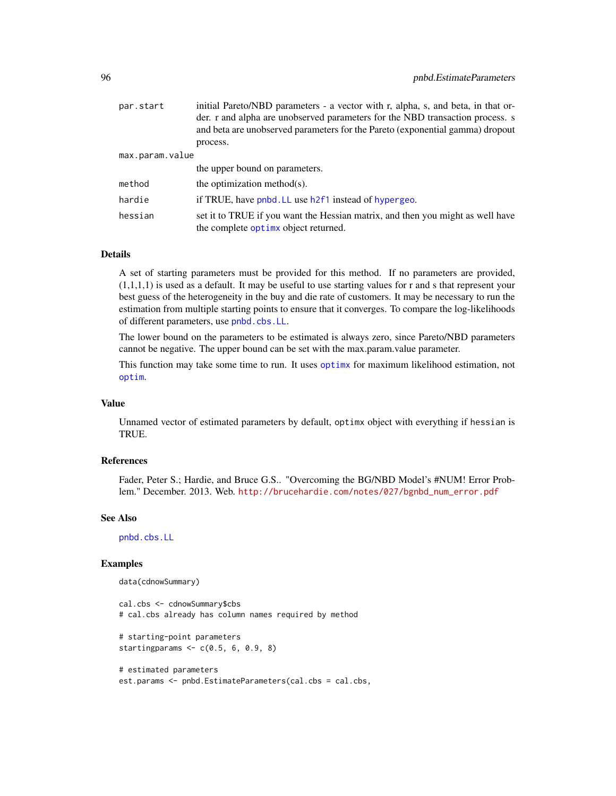| par.start       | initial Pareto/NBD parameters - a vector with r, alpha, s, and beta, in that or- |
|-----------------|----------------------------------------------------------------------------------|
|                 | der. r and alpha are unobserved parameters for the NBD transaction process. s    |
|                 | and beta are unobserved parameters for the Pareto (exponential gamma) dropout    |
|                 | process.                                                                         |
| max.param.value |                                                                                  |
|                 | the upper bound on parameters.                                                   |
| method          | the optimization method(s).                                                      |
| hardie          | if TRUE, have pnbd. LL use h2f1 instead of hypergeo.                             |
| hessian         | set it to TRUE if you want the Hessian matrix, and then you might as well have   |
|                 | the complete optime object returned.                                             |

A set of starting parameters must be provided for this method. If no parameters are provided,  $(1,1,1,1)$  is used as a default. It may be useful to use starting values for r and s that represent your best guess of the heterogeneity in the buy and die rate of customers. It may be necessary to run the estimation from multiple starting points to ensure that it converges. To compare the log-likelihoods of different parameters, use [pnbd.cbs.LL](#page-90-0).

The lower bound on the parameters to be estimated is always zero, since Pareto/NBD parameters cannot be negative. The upper bound can be set with the max.param.value parameter.

This function may take some time to run. It uses [optimx](#page-0-0) for maximum likelihood estimation, not [optim](#page-0-0).

## Value

Unnamed vector of estimated parameters by default, optimx object with everything if hessian is TRUE.

# References

Fader, Peter S.; Hardie, and Bruce G.S.. "Overcoming the BG/NBD Model's #NUM! Error Problem." December. 2013. Web. [http://brucehardie.com/notes/027/bgnbd\\_num\\_error.pdf](http://brucehardie.com/notes/027/bgnbd_num_error.pdf)

#### See Also

[pnbd.cbs.LL](#page-90-0)

```
data(cdnowSummary)
```

```
cal.cbs <- cdnowSummary$cbs
# cal.cbs already has column names required by method
# starting-point parameters
startingparams <-c(0.5, 6, 0.9, 8)# estimated parameters
est.params <- pnbd.EstimateParameters(cal.cbs = cal.cbs,
```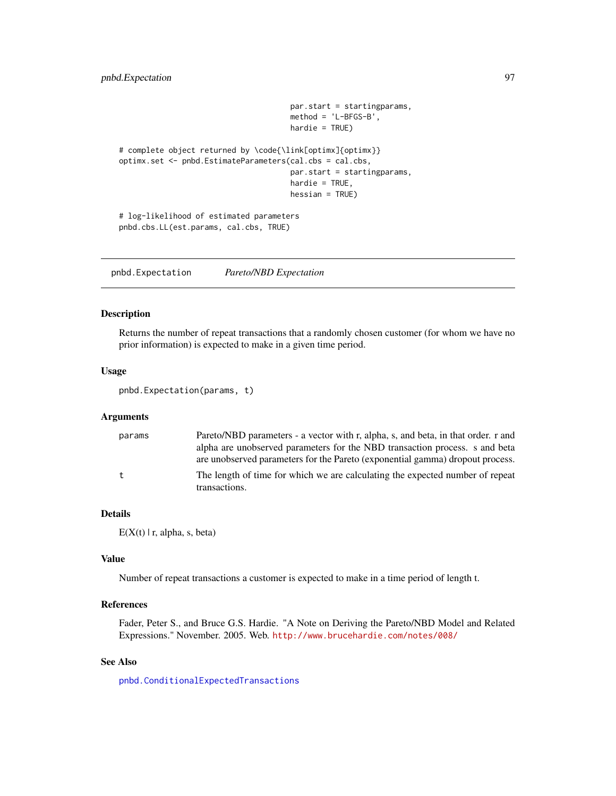```
par.start = startingparams,
                                      method = 'L-BFGS-B',
                                      hardie = TRUE)
# complete object returned by \code{\link[optimx]{optimx}}
optimx.set <- pnbd.EstimateParameters(cal.cbs = cal.cbs,
                                      par.start = startingparams,
                                      hardie = TRUE,
                                      hessian = TRUE)
# log-likelihood of estimated parameters
pnbd.cbs.LL(est.params, cal.cbs, TRUE)
```
<span id="page-96-0"></span>pnbd.Expectation *Pareto/NBD Expectation*

# Description

Returns the number of repeat transactions that a randomly chosen customer (for whom we have no prior information) is expected to make in a given time period.

#### Usage

pnbd.Expectation(params, t)

#### Arguments

| params<br>t | Pareto/NBD parameters - a vector with r, alpha, s, and beta, in that order. r and                                                                            |
|-------------|--------------------------------------------------------------------------------------------------------------------------------------------------------------|
|             | alpha are unobserved parameters for the NBD transaction process. s and beta<br>are unobserved parameters for the Pareto (exponential gamma) dropout process. |
|             | The length of time for which we are calculating the expected number of repeat                                                                                |
|             | transactions.                                                                                                                                                |

# Details

 $E(X(t) | r, alpha, s, beta)$ 

# Value

Number of repeat transactions a customer is expected to make in a time period of length t.

### References

Fader, Peter S., and Bruce G.S. Hardie. "A Note on Deriving the Pareto/NBD Model and Related Expressions." November. 2005. Web. <http://www.brucehardie.com/notes/008/>

# See Also

[pnbd.ConditionalExpectedTransactions](#page-91-0)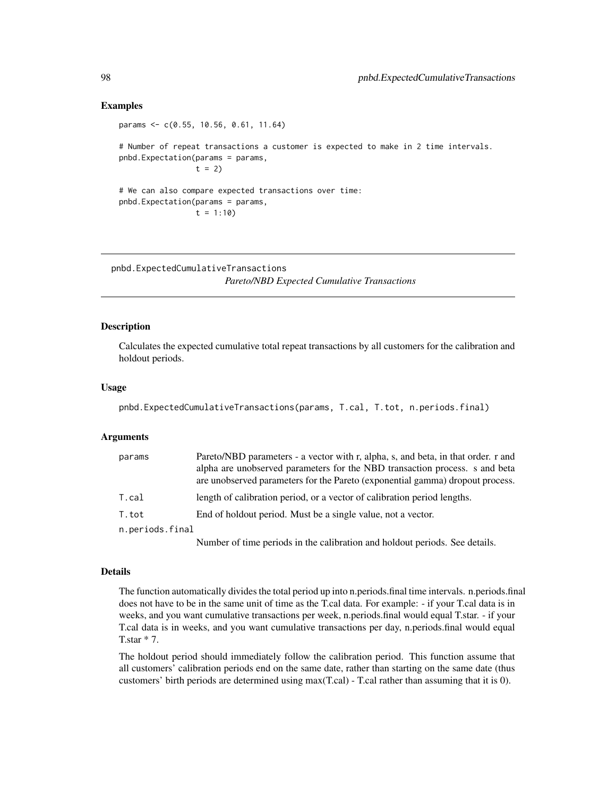## Examples

params <- c(0.55, 10.56, 0.61, 11.64) # Number of repeat transactions a customer is expected to make in 2 time intervals. pnbd.Expectation(params = params,  $t = 2$ # We can also compare expected transactions over time: pnbd.Expectation(params = params,  $t = 1:10$ 

pnbd.ExpectedCumulativeTransactions *Pareto/NBD Expected Cumulative Transactions*

# Description

Calculates the expected cumulative total repeat transactions by all customers for the calibration and holdout periods.

## Usage

pnbd.ExpectedCumulativeTransactions(params, T.cal, T.tot, n.periods.final)

#### Arguments

| params          | Pareto/NBD parameters - a vector with r, alpha, s, and beta, in that order. r and<br>alpha are unobserved parameters for the NBD transaction process. s and beta<br>are unobserved parameters for the Pareto (exponential gamma) dropout process.                                                                                                                                                                           |
|-----------------|-----------------------------------------------------------------------------------------------------------------------------------------------------------------------------------------------------------------------------------------------------------------------------------------------------------------------------------------------------------------------------------------------------------------------------|
| T.cal           | length of calibration period, or a vector of calibration period lengths.                                                                                                                                                                                                                                                                                                                                                    |
| T.tot           | End of holdout period. Must be a single value, not a vector.                                                                                                                                                                                                                                                                                                                                                                |
| n.periods.final |                                                                                                                                                                                                                                                                                                                                                                                                                             |
|                 | $\mathbf{M} = \mathbf{1} + \mathbf{C} \mathbf{M} = \mathbf{M} + \mathbf{M} + \mathbf{M} + \mathbf{M} + \mathbf{M} + \mathbf{M} + \mathbf{M} + \mathbf{M} + \mathbf{M} + \mathbf{M} + \mathbf{M} + \mathbf{M} + \mathbf{M} + \mathbf{M} + \mathbf{M} + \mathbf{M} + \mathbf{M} + \mathbf{M} + \mathbf{M} + \mathbf{M} + \mathbf{M} + \mathbf{M} + \mathbf{M} + \mathbf{M} + \mathbf{M} + \mathbf{M} + \mathbf{M} + \mathbf{$ |

Number of time periods in the calibration and holdout periods. See details.

# Details

The function automatically divides the total period up into n.periods.final time intervals. n.periods.final does not have to be in the same unit of time as the T.cal data. For example: - if your T.cal data is in weeks, and you want cumulative transactions per week, n.periods.final would equal T.star. - if your T.cal data is in weeks, and you want cumulative transactions per day, n.periods.final would equal T.star \* 7.

The holdout period should immediately follow the calibration period. This function assume that all customers' calibration periods end on the same date, rather than starting on the same date (thus customers' birth periods are determined using max(T.cal) - T.cal rather than assuming that it is 0).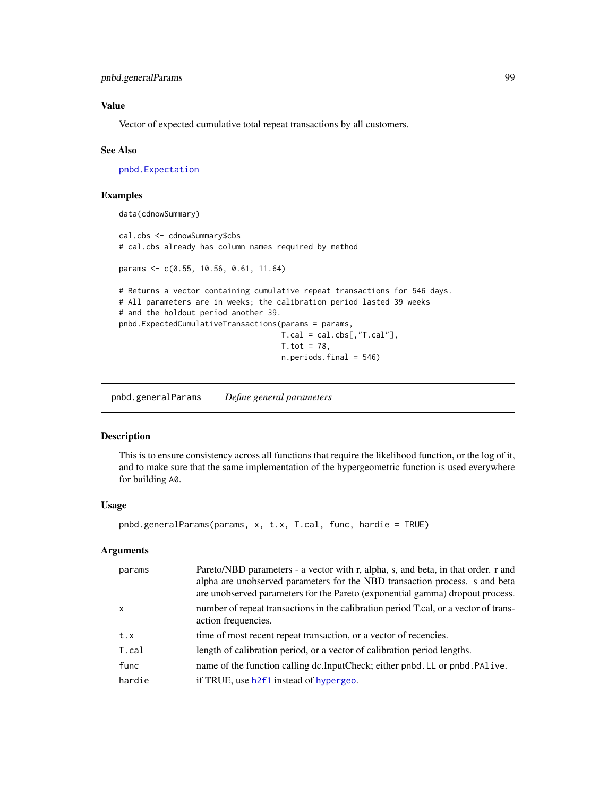# Value

Vector of expected cumulative total repeat transactions by all customers.

#### See Also

[pnbd.Expectation](#page-96-0)

## Examples

```
data(cdnowSummary)
```

```
cal.cbs <- cdnowSummary$cbs
# cal.cbs already has column names required by method
params <- c(0.55, 10.56, 0.61, 11.64)
# Returns a vector containing cumulative repeat transactions for 546 days.
# All parameters are in weeks; the calibration period lasted 39 weeks
# and the holdout period another 39.
pnbd.ExpectedCumulativeTransactions(params = params,
                                    T.cal = cal.cbs[, "T.cal"],
                                    T. tot = 78,n.periods.final = 546)
```
pnbd.generalParams *Define general parameters*

# Description

This is to ensure consistency across all functions that require the likelihood function, or the log of it, and to make sure that the same implementation of the hypergeometric function is used everywhere for building A0.

#### Usage

```
pnbd.generalParams(params, x, t.x, T.cal, func, hardie = TRUE)
```
## Arguments

| params       | Pareto/NBD parameters - a vector with r, alpha, s, and beta, in that order. r and<br>alpha are unobserved parameters for the NBD transaction process. s and beta<br>are unobserved parameters for the Pareto (exponential gamma) dropout process. |
|--------------|---------------------------------------------------------------------------------------------------------------------------------------------------------------------------------------------------------------------------------------------------|
| $\mathsf{x}$ | number of repeat transactions in the calibration period T.cal, or a vector of trans-<br>action frequencies.                                                                                                                                       |
| t.x          | time of most recent repeat transaction, or a vector of recencies.                                                                                                                                                                                 |
| T.cal        | length of calibration period, or a vector of calibration period lengths.                                                                                                                                                                          |
| func         | name of the function calling dc.InputCheck; either pnbd.LL or pnbd.PAlive.                                                                                                                                                                        |
| hardie       | if TRUE, use h2f1 instead of hypergeo.                                                                                                                                                                                                            |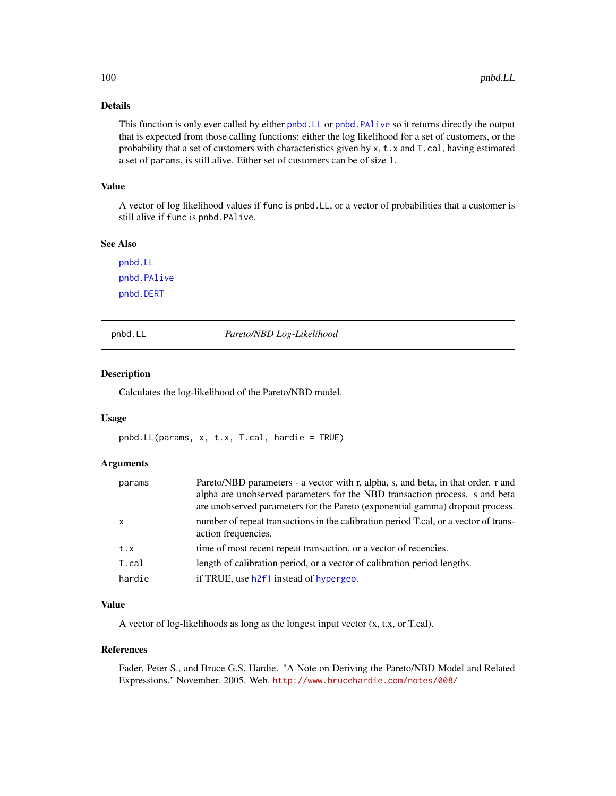This function is only ever called by either [pnbd.LL](#page-99-0) or [pnbd.PAlive](#page-100-0) so it returns directly the output that is expected from those calling functions: either the log likelihood for a set of customers, or the probability that a set of customers with characteristics given by x, t.x and T.cal, having estimated a set of params, is still alive. Either set of customers can be of size 1.

# Value

A vector of log likelihood values if func is pnbd.LL, or a vector of probabilities that a customer is still alive if func is pnbd.PAlive.

## See Also

[pnbd.LL](#page-99-0) [pnbd.PAlive](#page-100-0) [pnbd.DERT](#page-92-0)

<span id="page-99-0"></span>

pnbd.LL *Pareto/NBD Log-Likelihood*

## Description

Calculates the log-likelihood of the Pareto/NBD model.

### Usage

pnbd.LL(params, x, t.x, T.cal, hardie = TRUE)

# Arguments

| params       | Pareto/NBD parameters - a vector with r, alpha, s, and beta, in that order. r and<br>alpha are unobserved parameters for the NBD transaction process. s and beta<br>are unobserved parameters for the Pareto (exponential gamma) dropout process. |
|--------------|---------------------------------------------------------------------------------------------------------------------------------------------------------------------------------------------------------------------------------------------------|
| $\mathsf{x}$ | number of repeat transactions in the calibration period T.cal, or a vector of trans-<br>action frequencies.                                                                                                                                       |
| t.x          | time of most recent repeat transaction, or a vector of recencies.                                                                                                                                                                                 |
| T.cal        | length of calibration period, or a vector of calibration period lengths.                                                                                                                                                                          |
| hardie       | if TRUE, use h2f1 instead of hypergeo.                                                                                                                                                                                                            |

### Value

A vector of log-likelihoods as long as the longest input vector (x, t.x, or T.cal).

#### References

Fader, Peter S., and Bruce G.S. Hardie. "A Note on Deriving the Pareto/NBD Model and Related Expressions." November. 2005. Web. <http://www.brucehardie.com/notes/008/>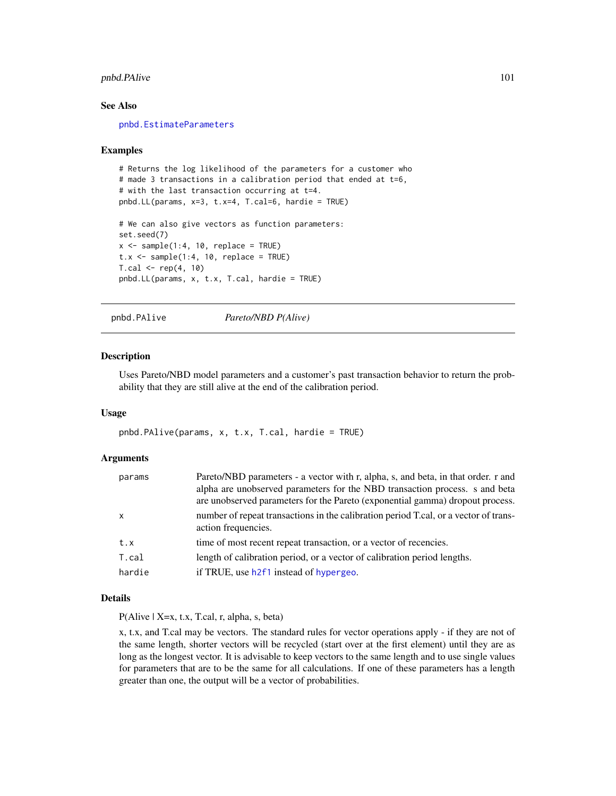# pnbd.PAlive 101

## See Also

[pnbd.EstimateParameters](#page-94-0)

#### Examples

```
# Returns the log likelihood of the parameters for a customer who
# made 3 transactions in a calibration period that ended at t=6,
# with the last transaction occurring at t=4.
pnbd.LL(params, x=3, t.x=4, T.cal=6, hardie = TRUE)
# We can also give vectors as function parameters:
set.seed(7)
x \le - sample(1:4, 10, replace = TRUE)
t.x \leq same sample(1:4, 10, replace = TRUE)
T.cal < - rep(4, 10)pnbd.LL(params, x, t.x, T.cal, hardie = TRUE)
```
pnbd.PAlive *Pareto/NBD P(Alive)*

## Description

Uses Pareto/NBD model parameters and a customer's past transaction behavior to return the probability that they are still alive at the end of the calibration period.

#### Usage

pnbd.PAlive(params, x, t.x, T.cal, hardie = TRUE)

## Arguments

| params       | Pareto/NBD parameters - a vector with r, alpha, s, and beta, in that order. r and<br>alpha are unobserved parameters for the NBD transaction process. s and beta<br>are unobserved parameters for the Pareto (exponential gamma) dropout process. |
|--------------|---------------------------------------------------------------------------------------------------------------------------------------------------------------------------------------------------------------------------------------------------|
| $\mathsf{x}$ | number of repeat transactions in the calibration period T.cal, or a vector of trans-<br>action frequencies.                                                                                                                                       |
| t.x          | time of most recent repeat transaction, or a vector of recencies.                                                                                                                                                                                 |
| T.cal        | length of calibration period, or a vector of calibration period lengths.                                                                                                                                                                          |
| hardie       | if TRUE, use h2f1 instead of hypergeo.                                                                                                                                                                                                            |

# Details

P(Alive | X=x, t.x, T.cal, r, alpha, s, beta)

x, t.x, and T.cal may be vectors. The standard rules for vector operations apply - if they are not of the same length, shorter vectors will be recycled (start over at the first element) until they are as long as the longest vector. It is advisable to keep vectors to the same length and to use single values for parameters that are to be the same for all calculations. If one of these parameters has a length greater than one, the output will be a vector of probabilities.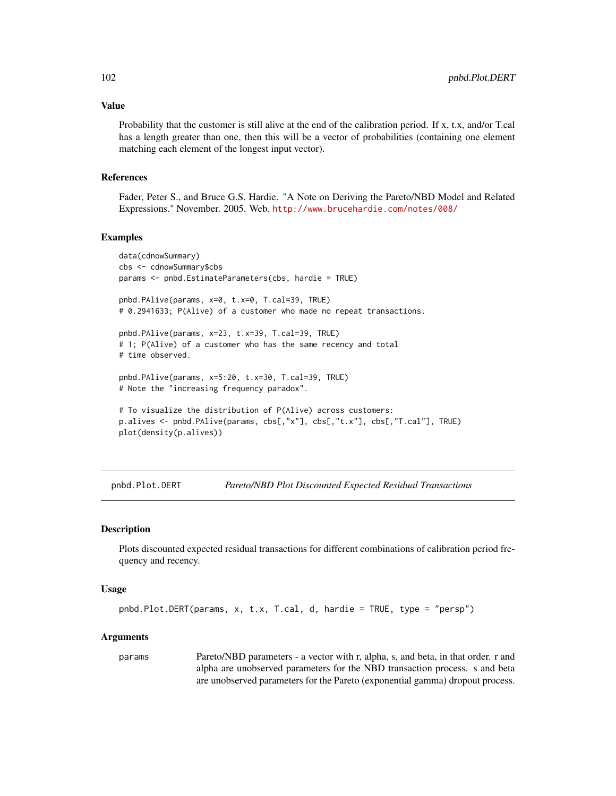#### Value

Probability that the customer is still alive at the end of the calibration period. If x, t.x, and/or T.cal has a length greater than one, then this will be a vector of probabilities (containing one element matching each element of the longest input vector).

## References

Fader, Peter S., and Bruce G.S. Hardie. "A Note on Deriving the Pareto/NBD Model and Related Expressions." November. 2005. Web. <http://www.brucehardie.com/notes/008/>

### Examples

```
data(cdnowSummary)
cbs <- cdnowSummary$cbs
params <- pnbd.EstimateParameters(cbs, hardie = TRUE)
pnbd.PAlive(params, x=0, t.x=0, T.cal=39, TRUE)
# 0.2941633; P(Alive) of a customer who made no repeat transactions.
pnbd.PAlive(params, x=23, t.x=39, T.cal=39, TRUE)
# 1; P(Alive) of a customer who has the same recency and total
# time observed.
pnbd.PAlive(params, x=5:20, t.x=30, T.cal=39, TRUE)
# Note the "increasing frequency paradox".
# To visualize the distribution of P(Alive) across customers:
p.alives <- pnbd.PAlive(params, cbs[,"x"], cbs[,"t.x"], cbs[,"T.cal"], TRUE)
plot(density(p.alives))
```
pnbd.Plot.DERT *Pareto/NBD Plot Discounted Expected Residual Transactions*

### Description

Plots discounted expected residual transactions for different combinations of calibration period frequency and recency.

#### Usage

```
pnbd.Plot.DERT(params, x, t.x, T.cal, d, hardie = TRUE, type = "persp")
```
#### Arguments

params Pareto/NBD parameters - a vector with r, alpha, s, and beta, in that order. r and alpha are unobserved parameters for the NBD transaction process. s and beta are unobserved parameters for the Pareto (exponential gamma) dropout process.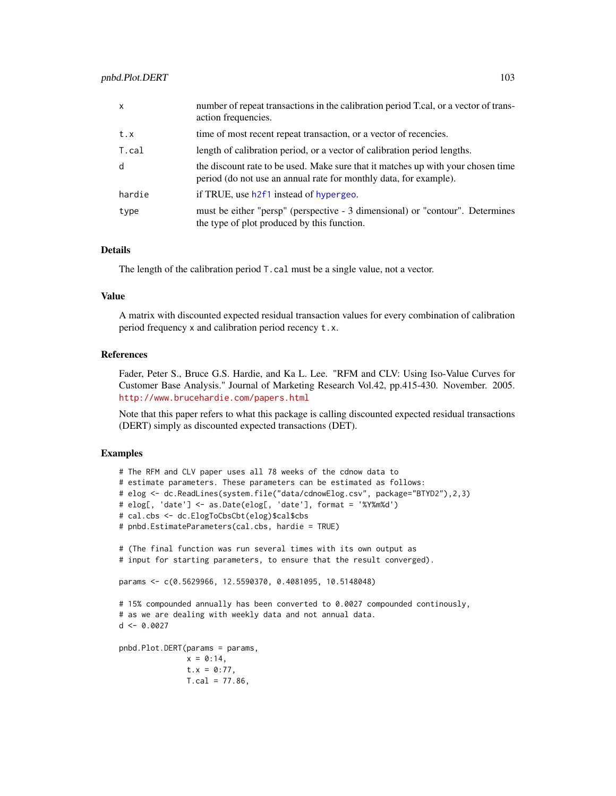| $\mathsf{x}$ | number of repeat transactions in the calibration period T.cal, or a vector of trans-<br>action frequencies.                                           |
|--------------|-------------------------------------------------------------------------------------------------------------------------------------------------------|
| t.x          | time of most recent repeat transaction, or a vector of recencies.                                                                                     |
| T.cal        | length of calibration period, or a vector of calibration period lengths.                                                                              |
| d            | the discount rate to be used. Make sure that it matches up with your chosen time<br>period (do not use an annual rate for monthly data, for example). |
| hardie       | if TRUE, use h2f1 instead of hypergeo.                                                                                                                |
| type         | must be either "persp" (perspective - 3 dimensional) or "contour". Determines<br>the type of plot produced by this function.                          |

The length of the calibration period T.cal must be a single value, not a vector.

#### Value

A matrix with discounted expected residual transaction values for every combination of calibration period frequency x and calibration period recency t.x.

## References

Fader, Peter S., Bruce G.S. Hardie, and Ka L. Lee. "RFM and CLV: Using Iso-Value Curves for Customer Base Analysis." Journal of Marketing Research Vol.42, pp.415-430. November. 2005. <http://www.brucehardie.com/papers.html>

Note that this paper refers to what this package is calling discounted expected residual transactions (DERT) simply as discounted expected transactions (DET).

```
# The RFM and CLV paper uses all 78 weeks of the cdnow data to
# estimate parameters. These parameters can be estimated as follows:
# elog <- dc.ReadLines(system.file("data/cdnowElog.csv", package="BTYD2"),2,3)
# elog[, 'date'] <- as.Date(elog[, 'date'], format = '%Y%m%d')
# cal.cbs <- dc.ElogToCbsCbt(elog)$cal$cbs
# pnbd.EstimateParameters(cal.cbs, hardie = TRUE)
# (The final function was run several times with its own output as
# input for starting parameters, to ensure that the result converged).
params <- c(0.5629966, 12.5590370, 0.4081095, 10.5148048)
# 15% compounded annually has been converted to 0.0027 compounded continously,
# as we are dealing with weekly data and not annual data.
d \leq -0.0027pnbd.Plot.DERT(params = params,
              x = 0:14,
              t.x = 0:77,
              T.cal = 77.86,
```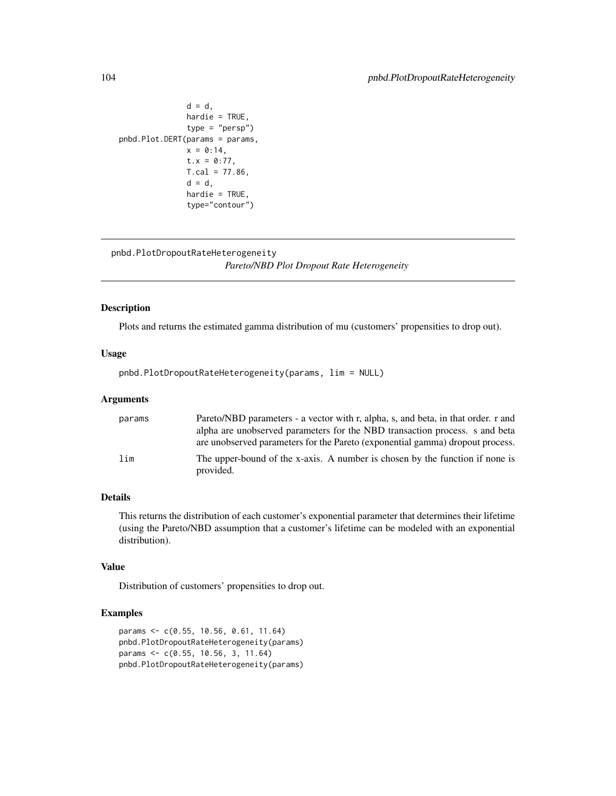```
d = d,
               hardie = TRUE,
               type = "persp")
pnbd.Plot.DERT(params = params,
               x = 0:14,
               t.x = 0:77,
               T.cal = 77.86,
               d = d,
               hardie = TRUE,
               type="contour")
```

```
pnbd.PlotDropoutRateHeterogeneity
                        Pareto/NBD Plot Dropout Rate Heterogeneity
```
# Description

Plots and returns the estimated gamma distribution of mu (customers' propensities to drop out).

# Usage

pnbd.PlotDropoutRateHeterogeneity(params, lim = NULL)

# Arguments

| params | Pareto/NBD parameters - a vector with r, alpha, s, and beta, in that order. r and<br>alpha are unobserved parameters for the NBD transaction process. s and beta<br>are unobserved parameters for the Pareto (exponential gamma) dropout process. |
|--------|---------------------------------------------------------------------------------------------------------------------------------------------------------------------------------------------------------------------------------------------------|
| lim    | The upper-bound of the x-axis. A number is chosen by the function if none is<br>provided.                                                                                                                                                         |

# Details

This returns the distribution of each customer's exponential parameter that determines their lifetime (using the Pareto/NBD assumption that a customer's lifetime can be modeled with an exponential distribution).

## Value

Distribution of customers' propensities to drop out.

```
params <- c(0.55, 10.56, 0.61, 11.64)
pnbd.PlotDropoutRateHeterogeneity(params)
params <- c(0.55, 10.56, 3, 11.64)
pnbd.PlotDropoutRateHeterogeneity(params)
```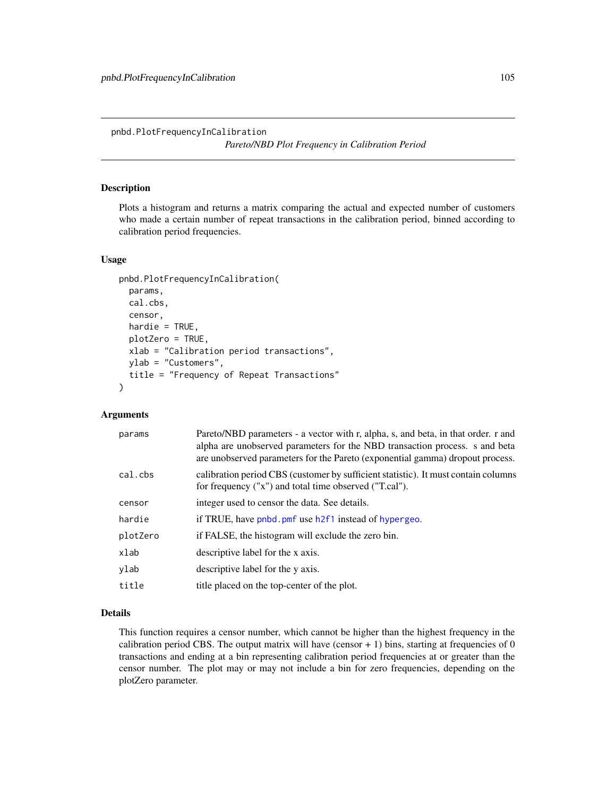pnbd.PlotFrequencyInCalibration *Pareto/NBD Plot Frequency in Calibration Period*

# Description

Plots a histogram and returns a matrix comparing the actual and expected number of customers who made a certain number of repeat transactions in the calibration period, binned according to calibration period frequencies.

#### Usage

```
pnbd.PlotFrequencyInCalibration(
  params,
  cal.cbs,
  censor,
 hardie = TRUE,
 plotZero = TRUE,
 xlab = "Calibration period transactions",
 ylab = "Customers",
  title = "Frequency of Repeat Transactions"
\mathcal{L}
```
# Arguments

| params   | Pareto/NBD parameters - a vector with r, alpha, s, and beta, in that order. r and<br>alpha are unobserved parameters for the NBD transaction process. s and beta<br>are unobserved parameters for the Pareto (exponential gamma) dropout process. |
|----------|---------------------------------------------------------------------------------------------------------------------------------------------------------------------------------------------------------------------------------------------------|
| cal.cbs  | calibration period CBS (customer by sufficient statistic). It must contain columns<br>for frequency ("x") and total time observed ("T.cal").                                                                                                      |
| censor   | integer used to censor the data. See details.                                                                                                                                                                                                     |
| hardie   | if TRUE, have pnbd. pmf use h2f1 instead of hypergeo.                                                                                                                                                                                             |
| plotZero | if FALSE, the histogram will exclude the zero bin.                                                                                                                                                                                                |
| xlab     | descriptive label for the x axis.                                                                                                                                                                                                                 |
| ylab     | descriptive label for the y axis.                                                                                                                                                                                                                 |
| title    | title placed on the top-center of the plot.                                                                                                                                                                                                       |

# Details

This function requires a censor number, which cannot be higher than the highest frequency in the calibration period CBS. The output matrix will have (censor  $+ 1$ ) bins, starting at frequencies of 0 transactions and ending at a bin representing calibration period frequencies at or greater than the censor number. The plot may or may not include a bin for zero frequencies, depending on the plotZero parameter.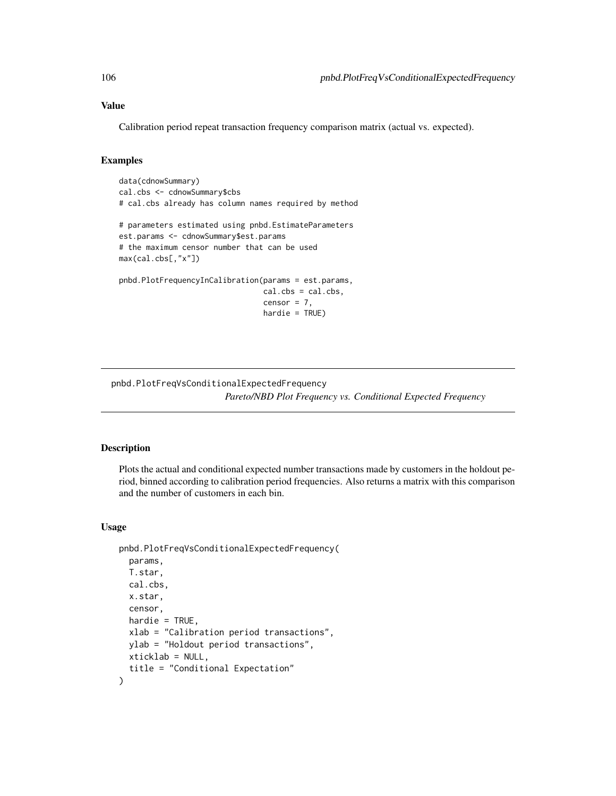# Value

Calibration period repeat transaction frequency comparison matrix (actual vs. expected).

# Examples

```
data(cdnowSummary)
cal.cbs <- cdnowSummary$cbs
# cal.cbs already has column names required by method
# parameters estimated using pnbd.EstimateParameters
est.params <- cdnowSummary$est.params
# the maximum censor number that can be used
max(cal.cbs[,"x"])
pnbd.PlotFrequencyInCalibration(params = est.params,
                                cal.cbs = cal.cbs,
                                censor = 7,
                                hardie = TRUE)
```
pnbd.PlotFreqVsConditionalExpectedFrequency *Pareto/NBD Plot Frequency vs. Conditional Expected Frequency*

## Description

Plots the actual and conditional expected number transactions made by customers in the holdout period, binned according to calibration period frequencies. Also returns a matrix with this comparison and the number of customers in each bin.

## Usage

```
pnbd.PlotFreqVsConditionalExpectedFrequency(
  params,
  T.star,
  cal.cbs,
  x.star,
  censor,
  hardie = TRUE,
  xlab = "Calibration period transactions",
  ylab = "Holdout period transactions",
 xticklab = NULL,
  title = "Conditional Expectation"
)
```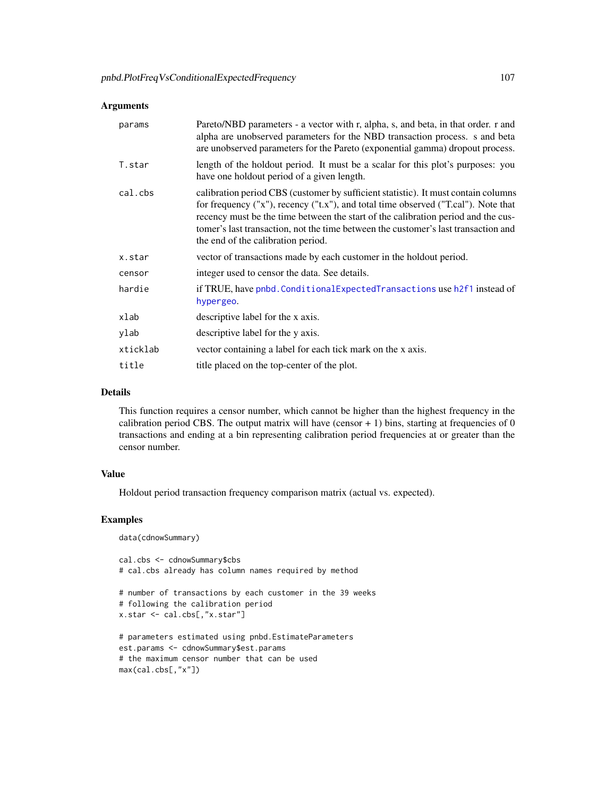# Arguments

| params   | Pareto/NBD parameters - a vector with r, alpha, s, and beta, in that order. r and<br>alpha are unobserved parameters for the NBD transaction process. s and beta<br>are unobserved parameters for the Pareto (exponential gamma) dropout process.                                                                                                                                         |
|----------|-------------------------------------------------------------------------------------------------------------------------------------------------------------------------------------------------------------------------------------------------------------------------------------------------------------------------------------------------------------------------------------------|
| T.star   | length of the holdout period. It must be a scalar for this plot's purposes: you<br>have one holdout period of a given length.                                                                                                                                                                                                                                                             |
| cal.cbs  | calibration period CBS (customer by sufficient statistic). It must contain columns<br>for frequency ("x"), recency ("t.x"), and total time observed ("T.cal"). Note that<br>recency must be the time between the start of the calibration period and the cus-<br>tomer's last transaction, not the time between the customer's last transaction and<br>the end of the calibration period. |
| x.star   | vector of transactions made by each customer in the holdout period.                                                                                                                                                                                                                                                                                                                       |
| censor   | integer used to censor the data. See details.                                                                                                                                                                                                                                                                                                                                             |
| hardie   | if TRUE, have pnbd. Conditional Expected Transactions use h2f1 instead of<br>hypergeo.                                                                                                                                                                                                                                                                                                    |
| xlab     | descriptive label for the x axis.                                                                                                                                                                                                                                                                                                                                                         |
| ylab     | descriptive label for the y axis.                                                                                                                                                                                                                                                                                                                                                         |
| xticklab | vector containing a label for each tick mark on the x axis.                                                                                                                                                                                                                                                                                                                               |
| title    | title placed on the top-center of the plot.                                                                                                                                                                                                                                                                                                                                               |

# Details

This function requires a censor number, which cannot be higher than the highest frequency in the calibration period CBS. The output matrix will have (censor  $+1$ ) bins, starting at frequencies of 0 transactions and ending at a bin representing calibration period frequencies at or greater than the censor number.

# Value

Holdout period transaction frequency comparison matrix (actual vs. expected).

# Examples

data(cdnowSummary)

```
cal.cbs <- cdnowSummary$cbs
# cal.cbs already has column names required by method
# number of transactions by each customer in the 39 weeks
# following the calibration period
x.star <- cal.cbs[,"x.star"]
# parameters estimated using pnbd.EstimateParameters
est.params <- cdnowSummary$est.params
# the maximum censor number that can be used
max(cal.cbs[,"x"])
```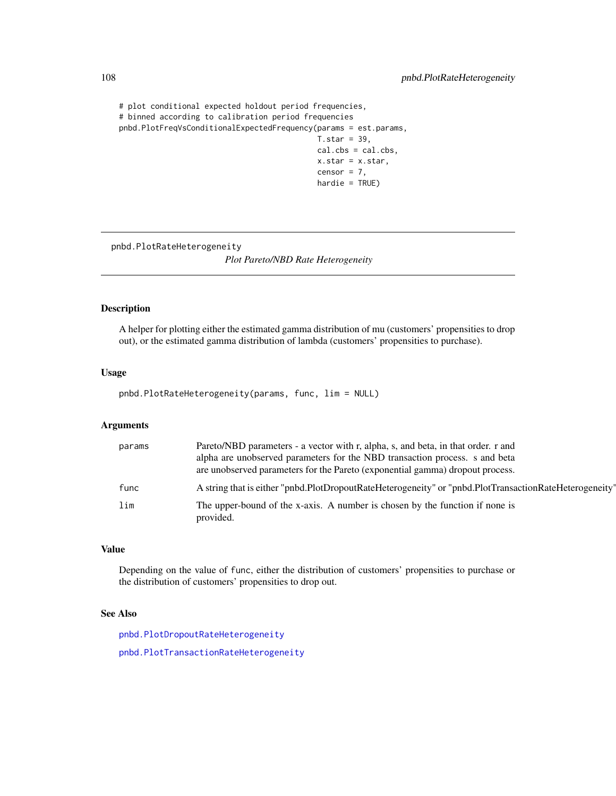```
# plot conditional expected holdout period frequencies,
# binned according to calibration period frequencies
pnbd.PlotFreqVsConditionalExpectedFrequency(params = est.params,
                                            T.star = 39,cal.cbs = cal.cbs,
                                            x.star = x.star,
                                            censor = 7,
                                            hardie = TRUE)
```
pnbd.PlotRateHeterogeneity

*Plot Pareto/NBD Rate Heterogeneity*

# Description

A helper for plotting either the estimated gamma distribution of mu (customers' propensities to drop out), or the estimated gamma distribution of lambda (customers' propensities to purchase).

#### Usage

pnbd.PlotRateHeterogeneity(params, func, lim = NULL)

# Arguments

| params | Pareto/NBD parameters - a vector with r, alpha, s, and beta, in that order. r and<br>alpha are unobserved parameters for the NBD transaction process. s and beta<br>are unobserved parameters for the Pareto (exponential gamma) dropout process. |
|--------|---------------------------------------------------------------------------------------------------------------------------------------------------------------------------------------------------------------------------------------------------|
| func   | A string that is either "pnbd.PlotDropoutRateHeterogeneity" or "pnbd.PlotTransactionRateHeterogeneity"                                                                                                                                            |
| lim    | The upper-bound of the x-axis. A number is chosen by the function if none is<br>provided.                                                                                                                                                         |

#### Value

Depending on the value of func, either the distribution of customers' propensities to purchase or the distribution of customers' propensities to drop out.

# See Also

[pnbd.PlotDropoutRateHeterogeneity](#page-103-0) [pnbd.PlotTransactionRateHeterogeneity](#page-113-0)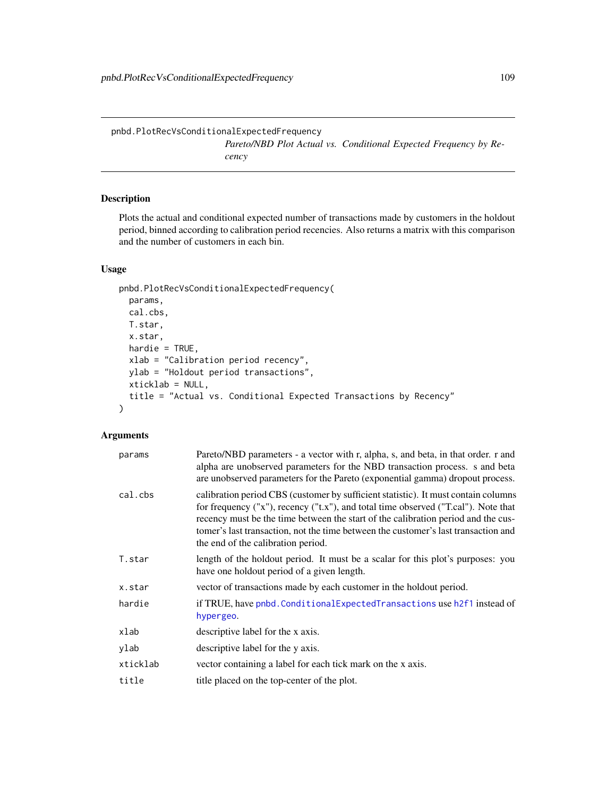<span id="page-108-0"></span>pnbd.PlotRecVsConditionalExpectedFrequency *Pareto/NBD Plot Actual vs. Conditional Expected Frequency by Recency*

# Description

Plots the actual and conditional expected number of transactions made by customers in the holdout period, binned according to calibration period recencies. Also returns a matrix with this comparison and the number of customers in each bin.

# Usage

```
pnbd.PlotRecVsConditionalExpectedFrequency(
 params,
 cal.cbs,
 T.star,
  x.star,
 hardie = TRUE,
  xlab = "Calibration period recency",
 ylab = "Holdout period transactions",
  xticklab = NULL,
  title = "Actual vs. Conditional Expected Transactions by Recency"
)
```

| params   | Pareto/NBD parameters - a vector with r, alpha, s, and beta, in that order. r and<br>alpha are unobserved parameters for the NBD transaction process. s and beta<br>are unobserved parameters for the Pareto (exponential gamma) dropout process.                                                                                                                                         |
|----------|-------------------------------------------------------------------------------------------------------------------------------------------------------------------------------------------------------------------------------------------------------------------------------------------------------------------------------------------------------------------------------------------|
| cal.cbs  | calibration period CBS (customer by sufficient statistic). It must contain columns<br>for frequency ("x"), recency ("t.x"), and total time observed ("T.cal"). Note that<br>recency must be the time between the start of the calibration period and the cus-<br>tomer's last transaction, not the time between the customer's last transaction and<br>the end of the calibration period. |
| T.star   | length of the holdout period. It must be a scalar for this plot's purposes: you<br>have one holdout period of a given length.                                                                                                                                                                                                                                                             |
| x.star   | vector of transactions made by each customer in the holdout period.                                                                                                                                                                                                                                                                                                                       |
| hardie   | if TRUE, have pnbd. Conditional Expected Transactions use h2f1 instead of<br>hypergeo.                                                                                                                                                                                                                                                                                                    |
| xlab     | descriptive label for the x axis.                                                                                                                                                                                                                                                                                                                                                         |
| ylab     | descriptive label for the y axis.                                                                                                                                                                                                                                                                                                                                                         |
| xticklab | vector containing a label for each tick mark on the x axis.                                                                                                                                                                                                                                                                                                                               |
| title    | title placed on the top-center of the plot.                                                                                                                                                                                                                                                                                                                                               |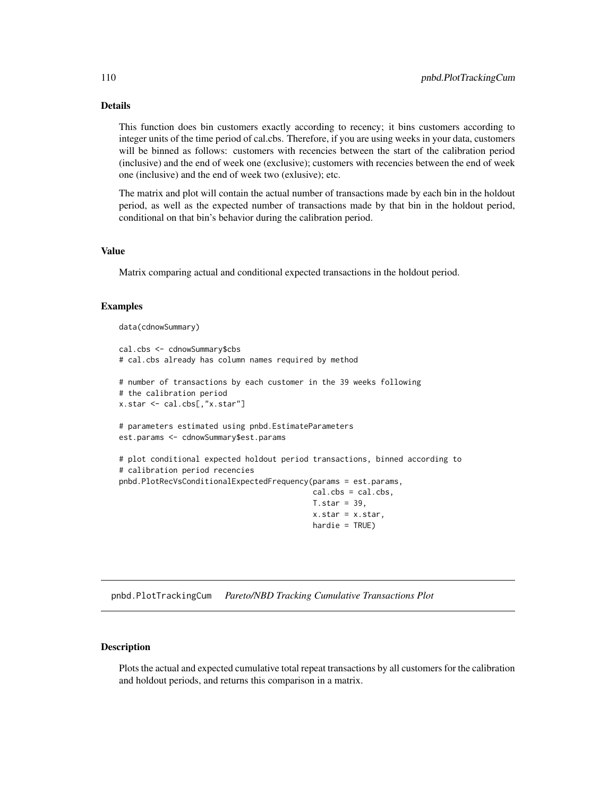# <span id="page-109-0"></span>Details

This function does bin customers exactly according to recency; it bins customers according to integer units of the time period of cal.cbs. Therefore, if you are using weeks in your data, customers will be binned as follows: customers with recencies between the start of the calibration period (inclusive) and the end of week one (exclusive); customers with recencies between the end of week one (inclusive) and the end of week two (exlusive); etc.

The matrix and plot will contain the actual number of transactions made by each bin in the holdout period, as well as the expected number of transactions made by that bin in the holdout period, conditional on that bin's behavior during the calibration period.

#### Value

Matrix comparing actual and conditional expected transactions in the holdout period.

### Examples

```
data(cdnowSummary)
cal.cbs <- cdnowSummary$cbs
# cal.cbs already has column names required by method
# number of transactions by each customer in the 39 weeks following
# the calibration period
x.star <- cal.cbs[,"x.star"]
# parameters estimated using pnbd.EstimateParameters
est.params <- cdnowSummary$est.params
# plot conditional expected holdout period transactions, binned according to
# calibration period recencies
pnbd.PlotRecVsConditionalExpectedFrequency(params = est.params,
                                           cal.cbs = cal.cbs,
                                           T.star = 39,x.star = x.star,
                                           hardie = TRUE)
```
pnbd.PlotTrackingCum *Pareto/NBD Tracking Cumulative Transactions Plot*

# Description

Plots the actual and expected cumulative total repeat transactions by all customers for the calibration and holdout periods, and returns this comparison in a matrix.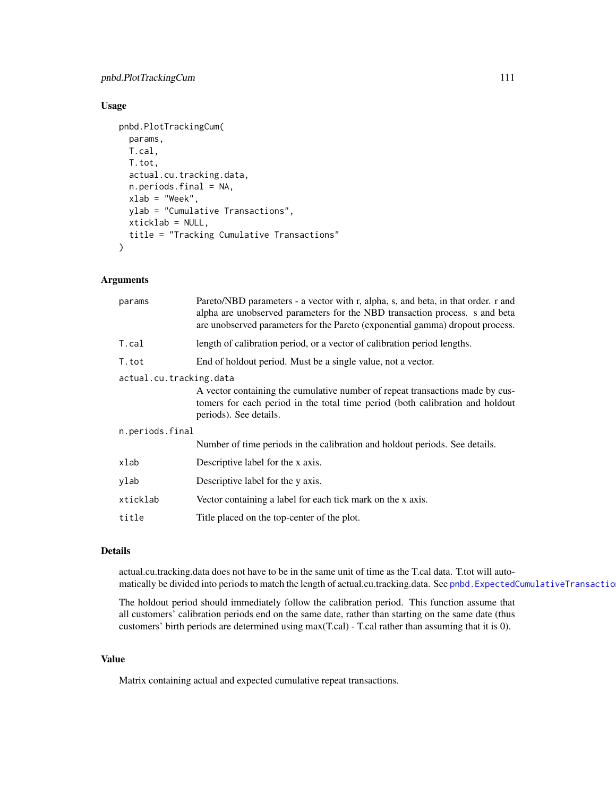# <span id="page-110-0"></span>pnbd.PlotTrackingCum 111

# Usage

```
pnbd.PlotTrackingCum(
  params,
  T.cal,
  T.tot,
  actual.cu.tracking.data,
  n.periods.final = NA,
  xlab = "Week",
  ylab = "Cumulative Transactions",
  xticklab = NULL,
  title = "Tracking Cumulative Transactions"
\mathcal{L}
```
### Arguments

| params                  | Pareto/NBD parameters - a vector with r, alpha, s, and beta, in that order. r and<br>alpha are unobserved parameters for the NBD transaction process. s and beta<br>are unobserved parameters for the Pareto (exponential gamma) dropout process. |  |
|-------------------------|---------------------------------------------------------------------------------------------------------------------------------------------------------------------------------------------------------------------------------------------------|--|
| T.cal                   | length of calibration period, or a vector of calibration period lengths.                                                                                                                                                                          |  |
| T.tot                   | End of holdout period. Must be a single value, not a vector.                                                                                                                                                                                      |  |
| actual.cu.tracking.data |                                                                                                                                                                                                                                                   |  |
|                         | A vector containing the cumulative number of repeat transactions made by cus-<br>tomers for each period in the total time period (both calibration and holdout<br>periods). See details.                                                          |  |
| n.periods.final         |                                                                                                                                                                                                                                                   |  |
|                         | Number of time periods in the calibration and holdout periods. See details.                                                                                                                                                                       |  |
| xlab                    | Descriptive label for the x axis.                                                                                                                                                                                                                 |  |
| ylab                    | Descriptive label for the y axis.                                                                                                                                                                                                                 |  |
| xticklab                | Vector containing a label for each tick mark on the x axis.                                                                                                                                                                                       |  |
| title                   | Title placed on the top-center of the plot.                                                                                                                                                                                                       |  |
|                         |                                                                                                                                                                                                                                                   |  |

# Details

actual.cu.tracking.data does not have to be in the same unit of time as the T.cal data. T.tot will automatically be divided into periods to match the length of actual.cu.tracking.data. See pnbd.ExpectedCumulativeTransactio

The holdout period should immediately follow the calibration period. This function assume that all customers' calibration periods end on the same date, rather than starting on the same date (thus customers' birth periods are determined using max(T.cal) - T.cal rather than assuming that it is 0).

# Value

Matrix containing actual and expected cumulative repeat transactions.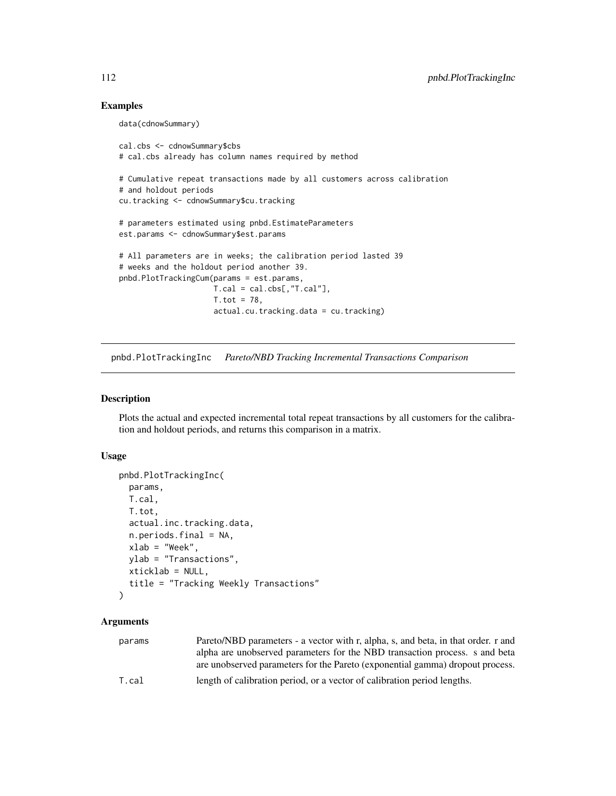# <span id="page-111-0"></span>Examples

```
data(cdnowSummary)
cal.cbs <- cdnowSummary$cbs
# cal.cbs already has column names required by method
# Cumulative repeat transactions made by all customers across calibration
# and holdout periods
cu.tracking <- cdnowSummary$cu.tracking
# parameters estimated using pnbd.EstimateParameters
est.params <- cdnowSummary$est.params
# All parameters are in weeks; the calibration period lasted 39
# weeks and the holdout period another 39.
pnbd.PlotTrackingCum(params = est.params,
                    T.cal = cal.obs[, "T.cal"],
                     T. tot = 78,
                     actual.cu.tracking.data = cu.tracking)
```
pnbd.PlotTrackingInc *Pareto/NBD Tracking Incremental Transactions Comparison*

# Description

Plots the actual and expected incremental total repeat transactions by all customers for the calibration and holdout periods, and returns this comparison in a matrix.

#### Usage

```
pnbd.PlotTrackingInc(
  params,
  T.cal,
  T.tot,
  actual.inc.tracking.data,
  n.periods.final = NA,
  xlab = "Week",
  ylab = "Transactions",
 xticklab = NULL,
  title = "Tracking Weekly Transactions"
```

```
)
```

| params | Pareto/NBD parameters - a vector with r, alpha, s, and beta, in that order. r and |
|--------|-----------------------------------------------------------------------------------|
|        | alpha are unobserved parameters for the NBD transaction process. s and beta       |
|        | are unobserved parameters for the Pareto (exponential gamma) dropout process.     |
| T.cal  | length of calibration period, or a vector of calibration period lengths.          |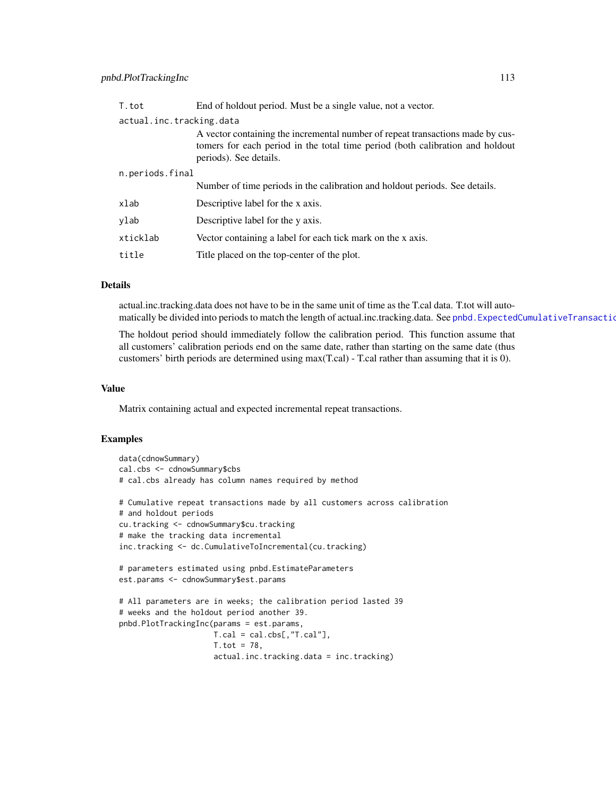<span id="page-112-0"></span>

| actual.inc.tracking.data                                                                                                                                        |  |  |
|-----------------------------------------------------------------------------------------------------------------------------------------------------------------|--|--|
| A vector containing the incremental number of repeat transactions made by cus-<br>tomers for each period in the total time period (both calibration and holdout |  |  |
| n.periods.final                                                                                                                                                 |  |  |
| Number of time periods in the calibration and holdout periods. See details.                                                                                     |  |  |
|                                                                                                                                                                 |  |  |
|                                                                                                                                                                 |  |  |
|                                                                                                                                                                 |  |  |
|                                                                                                                                                                 |  |  |
|                                                                                                                                                                 |  |  |

# Details

actual.inc.tracking.data does not have to be in the same unit of time as the T.cal data. T.tot will automatically be divided into periods to match the length of actual.inc.tracking.data. See [pnbd.ExpectedCumulativeTransactions](#page-97-0).

The holdout period should immediately follow the calibration period. This function assume that all customers' calibration periods end on the same date, rather than starting on the same date (thus customers' birth periods are determined using max(T.cal) - T.cal rather than assuming that it is 0).

# Value

Matrix containing actual and expected incremental repeat transactions.

#### Examples

```
data(cdnowSummary)
cal.cbs <- cdnowSummary$cbs
# cal.cbs already has column names required by method
# Cumulative repeat transactions made by all customers across calibration
# and holdout periods
cu.tracking <- cdnowSummary$cu.tracking
# make the tracking data incremental
inc.tracking <- dc.CumulativeToIncremental(cu.tracking)
# parameters estimated using pnbd.EstimateParameters
est.params <- cdnowSummary$est.params
# All parameters are in weeks; the calibration period lasted 39
# weeks and the holdout period another 39.
pnbd.PlotTrackingInc(params = est.params,
                    T.cal = cal.cbs[,"T.cal"],
                     T. tot = 78,
                     actual.inc.tracking.data = inc.tracking)
```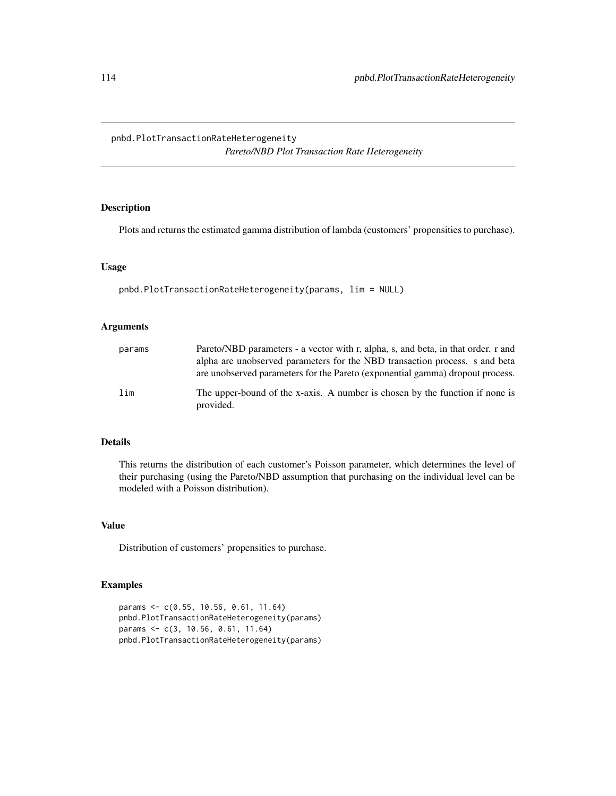<span id="page-113-0"></span>pnbd.PlotTransactionRateHeterogeneity *Pareto/NBD Plot Transaction Rate Heterogeneity*

# Description

Plots and returns the estimated gamma distribution of lambda (customers' propensities to purchase).

#### Usage

```
pnbd.PlotTransactionRateHeterogeneity(params, lim = NULL)
```
# Arguments

| params | Pareto/NBD parameters - a vector with r, alpha, s, and beta, in that order, r and<br>alpha are unobserved parameters for the NBD transaction process. s and beta<br>are unobserved parameters for the Pareto (exponential gamma) dropout process. |
|--------|---------------------------------------------------------------------------------------------------------------------------------------------------------------------------------------------------------------------------------------------------|
| lim    | The upper-bound of the x-axis. A number is chosen by the function if none is<br>provided.                                                                                                                                                         |

# Details

This returns the distribution of each customer's Poisson parameter, which determines the level of their purchasing (using the Pareto/NBD assumption that purchasing on the individual level can be modeled with a Poisson distribution).

# Value

Distribution of customers' propensities to purchase.

# Examples

```
params <- c(0.55, 10.56, 0.61, 11.64)
pnbd.PlotTransactionRateHeterogeneity(params)
params <- c(3, 10.56, 0.61, 11.64)
pnbd.PlotTransactionRateHeterogeneity(params)
```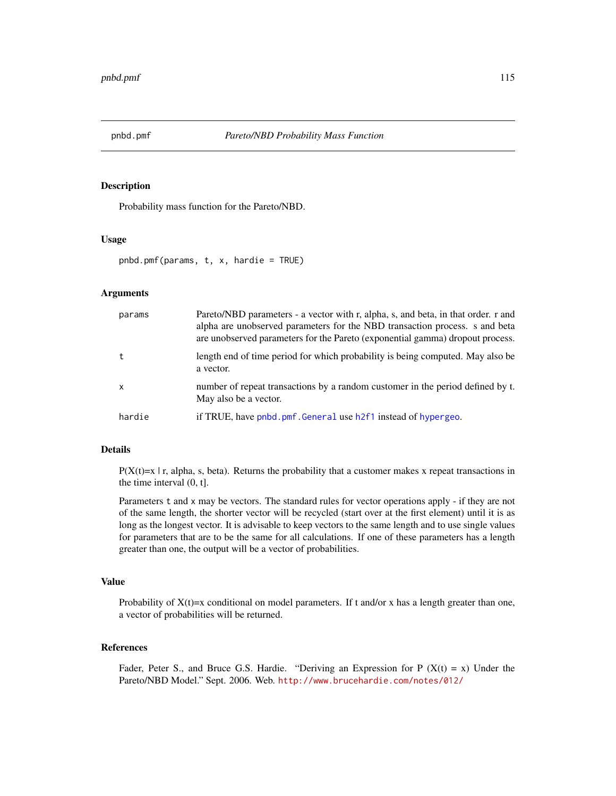<span id="page-114-0"></span>

### Description

Probability mass function for the Pareto/NBD.

# Usage

```
pnbd.pmf(params, t, x, hardie = TRUE)
```
# Arguments

| params   | Pareto/NBD parameters - a vector with r, alpha, s, and beta, in that order. r and<br>alpha are unobserved parameters for the NBD transaction process. s and beta<br>are unobserved parameters for the Pareto (exponential gamma) dropout process. |
|----------|---------------------------------------------------------------------------------------------------------------------------------------------------------------------------------------------------------------------------------------------------|
|          | length end of time period for which probability is being computed. May also be<br>a vector.                                                                                                                                                       |
| $\times$ | number of repeat transactions by a random customer in the period defined by t.<br>May also be a vector.                                                                                                                                           |
| hardie   | if TRUE, have pnbd.pmf. General use h2f1 instead of hypergeo.                                                                                                                                                                                     |

# Details

 $P(X(t)=x | r,$  alpha, s, beta). Returns the probability that a customer makes x repeat transactions in the time interval (0, t].

Parameters t and x may be vectors. The standard rules for vector operations apply - if they are not of the same length, the shorter vector will be recycled (start over at the first element) until it is as long as the longest vector. It is advisable to keep vectors to the same length and to use single values for parameters that are to be the same for all calculations. If one of these parameters has a length greater than one, the output will be a vector of probabilities.

# Value

Probability of  $X(t)=x$  conditional on model parameters. If t and/or x has a length greater than one, a vector of probabilities will be returned.

#### References

Fader, Peter S., and Bruce G.S. Hardie. "Deriving an Expression for P ( $X(t) = x$ ) Under the Pareto/NBD Model." Sept. 2006. Web. <http://www.brucehardie.com/notes/012/>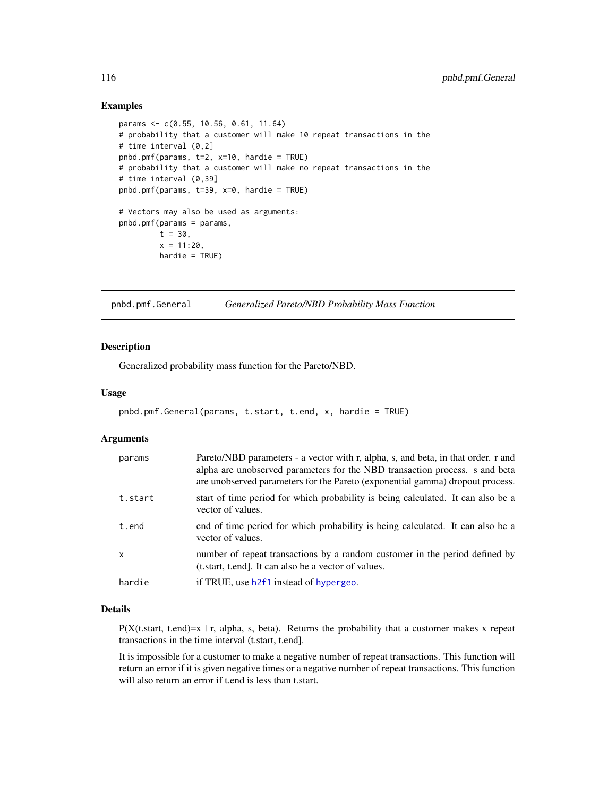# Examples

```
params <- c(0.55, 10.56, 0.61, 11.64)
# probability that a customer will make 10 repeat transactions in the
# time interval (0,2]
pnbd.pmf(params, t=2, x=10, hardie = TRUE)
# probability that a customer will make no repeat transactions in the
# time interval (0,39]
pnbd.pmf(params, t=39, x=0, hardie = TRUE)
# Vectors may also be used as arguments:
pnbd.pmf(params = params,
        t = 30,
        x = 11:20,
        hardie = TRUE)
```
<span id="page-115-0"></span>pnbd.pmf.General *Generalized Pareto/NBD Probability Mass Function*

#### Description

Generalized probability mass function for the Pareto/NBD.

# Usage

```
pnbd.pmf.General(params, t.start, t.end, x, hardie = TRUE)
```
#### **Arguments**

| params  | Pareto/NBD parameters - a vector with r, alpha, s, and beta, in that order. r and<br>alpha are unobserved parameters for the NBD transaction process. s and beta<br>are unobserved parameters for the Pareto (exponential gamma) dropout process. |
|---------|---------------------------------------------------------------------------------------------------------------------------------------------------------------------------------------------------------------------------------------------------|
| t.start | start of time period for which probability is being calculated. It can also be a<br>vector of values.                                                                                                                                             |
| t.end   | end of time period for which probability is being calculated. It can also be a<br>vector of values.                                                                                                                                               |
| x       | number of repeat transactions by a random customer in the period defined by<br>(t.start, t.end). It can also be a vector of values.                                                                                                               |
| hardie  | if TRUE, use h2f1 instead of hypergeo.                                                                                                                                                                                                            |

#### Details

 $P(X(t)$ . start, t.end)=x | r, alpha, s, beta). Returns the probability that a customer makes x repeat transactions in the time interval (t.start, t.end].

It is impossible for a customer to make a negative number of repeat transactions. This function will return an error if it is given negative times or a negative number of repeat transactions. This function will also return an error if t.end is less than t.start.

<span id="page-115-1"></span>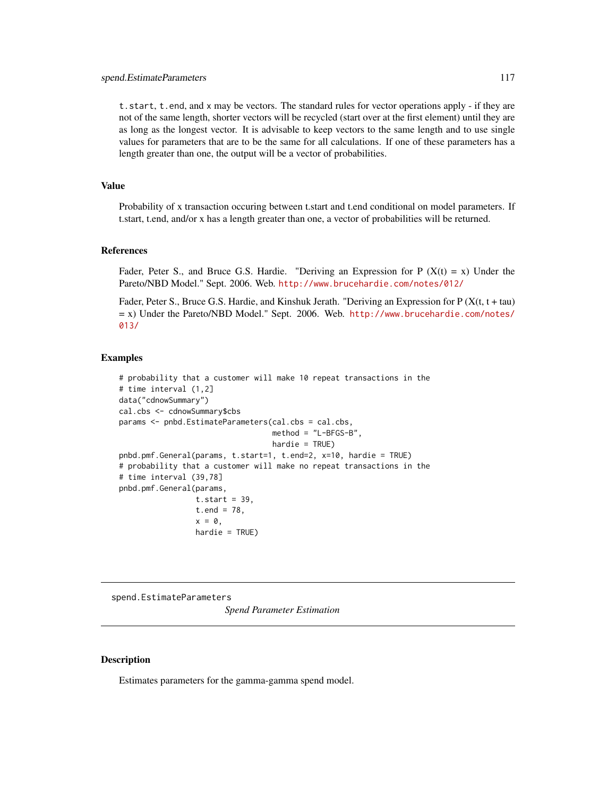<span id="page-116-0"></span>t.start, t.end, and x may be vectors. The standard rules for vector operations apply - if they are not of the same length, shorter vectors will be recycled (start over at the first element) until they are as long as the longest vector. It is advisable to keep vectors to the same length and to use single values for parameters that are to be the same for all calculations. If one of these parameters has a length greater than one, the output will be a vector of probabilities.

# Value

Probability of x transaction occuring between t.start and t.end conditional on model parameters. If t.start, t.end, and/or x has a length greater than one, a vector of probabilities will be returned.

#### References

Fader, Peter S., and Bruce G.S. Hardie. "Deriving an Expression for P  $(X(t) = x)$  Under the Pareto/NBD Model." Sept. 2006. Web. <http://www.brucehardie.com/notes/012/>

Fader, Peter S., Bruce G.S. Hardie, and Kinshuk Jerath. "Deriving an Expression for  $P(X(t, t + tau))$ = x) Under the Pareto/NBD Model." Sept. 2006. Web. [http://www.brucehardie.com/notes/](http://www.brucehardie.com/notes/013/) [013/](http://www.brucehardie.com/notes/013/)

#### Examples

```
# probability that a customer will make 10 repeat transactions in the
# time interval (1,2]
data("cdnowSummary")
cal.cbs <- cdnowSummary$cbs
params <- pnbd.EstimateParameters(cal.cbs = cal.cbs,
                                  method = "L-BFGS-B",
                                  hardie = TRUE)
pnbd.pmf.General(params, t.start=1, t.end=2, x=10, hardie = TRUE)
# probability that a customer will make no repeat transactions in the
# time interval (39,78]
pnbd.pmf.General(params,
                 t. start = 39,t.end = 78,
                 x = 0,
                 hardie = TRUE)
```
spend.EstimateParameters *Spend Parameter Estimation*

#### Description

Estimates parameters for the gamma-gamma spend model.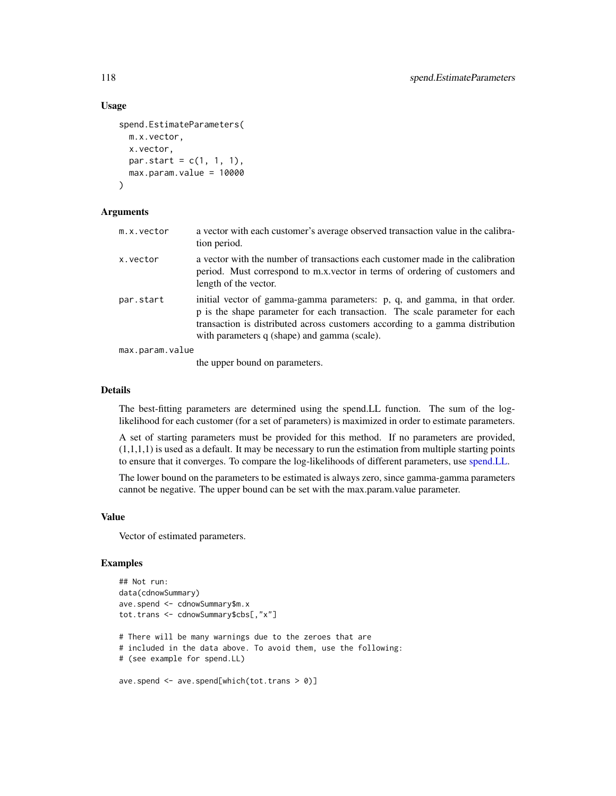# Usage

```
spend.EstimateParameters(
 m.x.vector,
 x.vector,
 par.start = c(1, 1, 1),max.param.value = 10000
\lambda
```
### Arguments

| m.x.vector      | a vector with each customer's average observed transaction value in the calibra-<br>tion period.                                                                                                                                                                                          |
|-----------------|-------------------------------------------------------------------------------------------------------------------------------------------------------------------------------------------------------------------------------------------------------------------------------------------|
| x.vector        | a vector with the number of transactions each customer made in the calibration<br>period. Must correspond to m.x. vector in terms of ordering of customers and<br>length of the vector.                                                                                                   |
| par.start       | initial vector of gamma-gamma parameters: p, q, and gamma, in that order.<br>p is the shape parameter for each transaction. The scale parameter for each<br>transaction is distributed across customers according to a gamma distribution<br>with parameters q (shape) and gamma (scale). |
| max.param.value |                                                                                                                                                                                                                                                                                           |
|                 |                                                                                                                                                                                                                                                                                           |

the upper bound on parameters.

#### Details

The best-fitting parameters are determined using the spend.LL function. The sum of the loglikelihood for each customer (for a set of parameters) is maximized in order to estimate parameters.

A set of starting parameters must be provided for this method. If no parameters are provided,  $(1,1,1,1)$  is used as a default. It may be necessary to run the estimation from multiple starting points to ensure that it converges. To compare the log-likelihoods of different parameters, use [spend.LL.](#page-120-0)

The lower bound on the parameters to be estimated is always zero, since gamma-gamma parameters cannot be negative. The upper bound can be set with the max.param.value parameter.

#### Value

Vector of estimated parameters.

# Examples

```
## Not run:
data(cdnowSummary)
ave.spend <- cdnowSummary$m.x
tot.trans <- cdnowSummary$cbs[,"x"]
# There will be many warnings due to the zeroes that are
# included in the data above. To avoid them, use the following:
# (see example for spend.LL)
ave.spend <- ave.spend[which(tot.trans > 0)]
```
<span id="page-117-0"></span>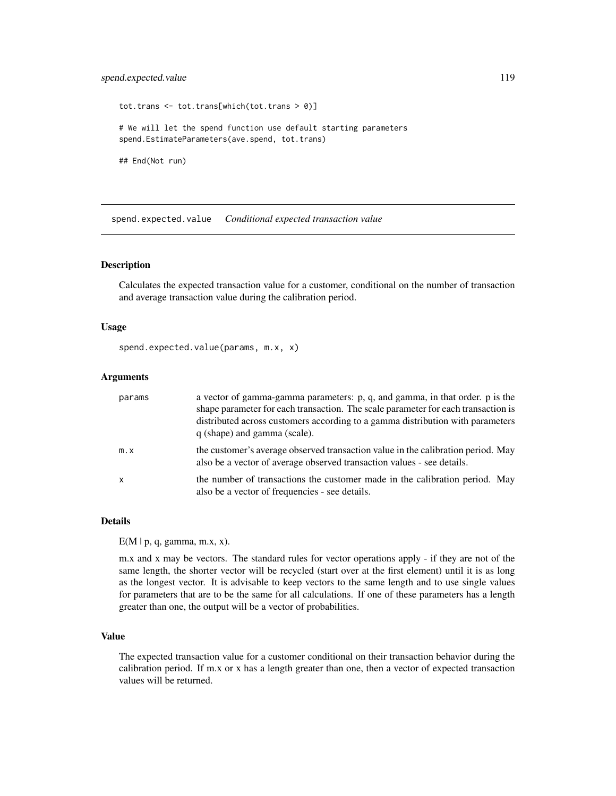# <span id="page-118-1"></span>spend.expected.value 119

tot.trans <- tot.trans[which(tot.trans > 0)] # We will let the spend function use default starting parameters spend.EstimateParameters(ave.spend, tot.trans) ## End(Not run)

<span id="page-118-0"></span>spend.expected.value *Conditional expected transaction value*

# Description

Calculates the expected transaction value for a customer, conditional on the number of transaction and average transaction value during the calibration period.

# Usage

spend.expected.value(params, m.x, x)

#### Arguments

| params | a vector of gamma-gamma parameters: p, q, and gamma, in that order. p is the<br>shape parameter for each transaction. The scale parameter for each transaction is<br>distributed across customers according to a gamma distribution with parameters<br>q (shape) and gamma (scale). |
|--------|-------------------------------------------------------------------------------------------------------------------------------------------------------------------------------------------------------------------------------------------------------------------------------------|
| m.x    | the customer's average observed transaction value in the calibration period. May<br>also be a vector of average observed transaction values - see details.                                                                                                                          |
| x      | the number of transactions the customer made in the calibration period. May<br>also be a vector of frequencies - see details.                                                                                                                                                       |

# Details

 $E(M | p, q, gamma, m.x, x)$ .

m.x and x may be vectors. The standard rules for vector operations apply - if they are not of the same length, the shorter vector will be recycled (start over at the first element) until it is as long as the longest vector. It is advisable to keep vectors to the same length and to use single values for parameters that are to be the same for all calculations. If one of these parameters has a length greater than one, the output will be a vector of probabilities.

# Value

The expected transaction value for a customer conditional on their transaction behavior during the calibration period. If m.x or x has a length greater than one, then a vector of expected transaction values will be returned.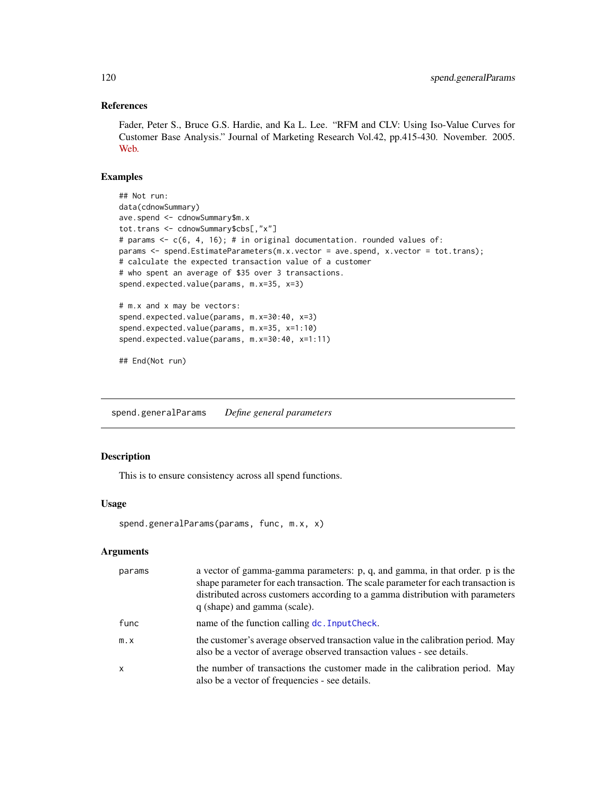# References

Fader, Peter S., Bruce G.S. Hardie, and Ka L. Lee. "RFM and CLV: Using Iso-Value Curves for Customer Base Analysis." Journal of Marketing Research Vol.42, pp.415-430. November. 2005. [Web.](http://www.brucehardie.com/papers/rfm_clv_2005-02-16.pdf)

# Examples

```
## Not run:
data(cdnowSummary)
ave.spend <- cdnowSummary$m.x
tot.trans <- cdnowSummary$cbs[,"x"]
# params <- c(6, 4, 16); # in original documentation. rounded values of:
params <- spend.EstimateParameters(m.x.vector = ave.spend, x.vector = tot.trans);
# calculate the expected transaction value of a customer
# who spent an average of $35 over 3 transactions.
spend.expected.value(params, m.x=35, x=3)
# m.x and x may be vectors:
spend.expected.value(params, m.x=30:40, x=3)
spend.expected.value(params, m.x=35, x=1:10)
spend.expected.value(params, m.x=30:40, x=1:11)
```
## End(Not run)

spend.generalParams *Define general parameters*

# Description

This is to ensure consistency across all spend functions.

#### Usage

```
spend.generalParams(params, func, m.x, x)
```

| params       | a vector of gamma-gamma parameters: p, q, and gamma, in that order. p is the<br>shape parameter for each transaction. The scale parameter for each transaction is<br>distributed across customers according to a gamma distribution with parameters<br>q (shape) and gamma (scale). |
|--------------|-------------------------------------------------------------------------------------------------------------------------------------------------------------------------------------------------------------------------------------------------------------------------------------|
| func         | name of the function calling dc. Input Check.                                                                                                                                                                                                                                       |
| $m \cdot x$  | the customer's average observed transaction value in the calibration period. May<br>also be a vector of average observed transaction values - see details.                                                                                                                          |
| $\mathsf{x}$ | the number of transactions the customer made in the calibration period. May<br>also be a vector of frequencies - see details.                                                                                                                                                       |

<span id="page-119-0"></span>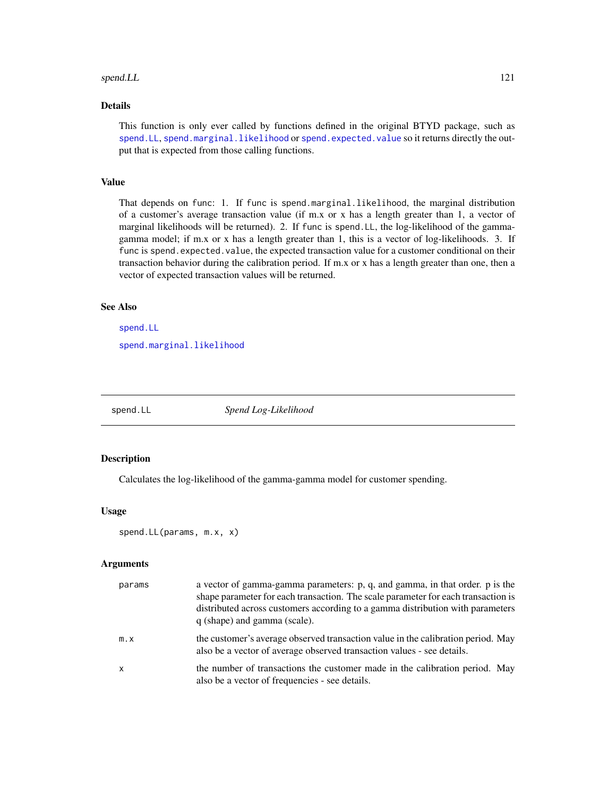#### <span id="page-120-1"></span>spend.LL 21

# Details

This function is only ever called by functions defined in the original BTYD package, such as [spend.LL](#page-120-0), [spend.marginal.likelihood](#page-122-0) or [spend.expected.value](#page-118-0) so it returns directly the output that is expected from those calling functions.

# Value

That depends on func: 1. If func is spend.marginal.likelihood, the marginal distribution of a customer's average transaction value (if m.x or x has a length greater than 1, a vector of marginal likelihoods will be returned). 2. If func is spend.LL, the log-likelihood of the gammagamma model; if m.x or x has a length greater than 1, this is a vector of log-likelihoods. 3. If func is spend.expected.value, the expected transaction value for a customer conditional on their transaction behavior during the calibration period. If m.x or x has a length greater than one, then a vector of expected transaction values will be returned.

# See Also

[spend.LL](#page-120-0) [spend.marginal.likelihood](#page-122-0)

<span id="page-120-0"></span>spend.LL *Spend Log-Likelihood*

#### Description

Calculates the log-likelihood of the gamma-gamma model for customer spending.

#### Usage

spend.LL(params, m.x, x)

| params                    | a vector of gamma-gamma parameters: p, q, and gamma, in that order. p is the<br>shape parameter for each transaction. The scale parameter for each transaction is<br>distributed across customers according to a gamma distribution with parameters<br>q (shape) and gamma (scale). |
|---------------------------|-------------------------------------------------------------------------------------------------------------------------------------------------------------------------------------------------------------------------------------------------------------------------------------|
| $m \cdot x$               | the customer's average observed transaction value in the calibration period. May<br>also be a vector of average observed transaction values - see details.                                                                                                                          |
| $\boldsymbol{\mathsf{x}}$ | the number of transactions the customer made in the calibration period. May<br>also be a vector of frequencies - see details.                                                                                                                                                       |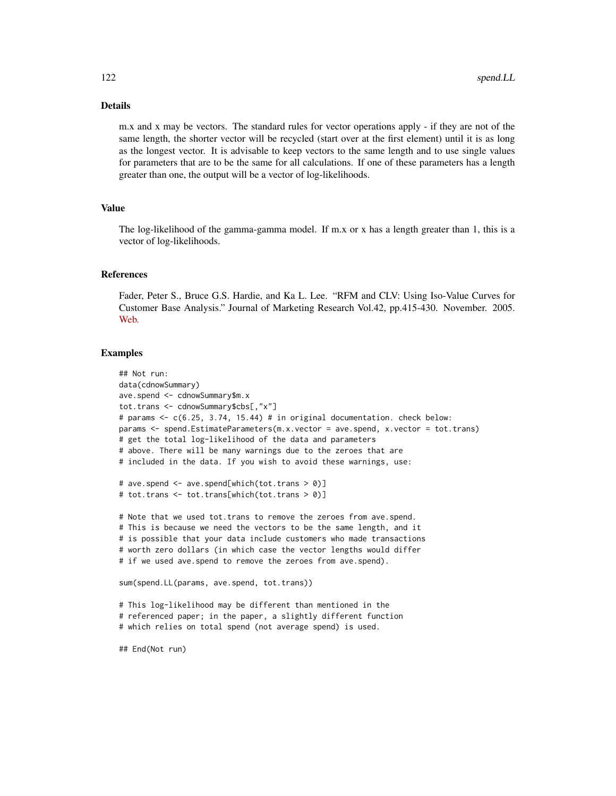# Details

m.x and x may be vectors. The standard rules for vector operations apply - if they are not of the same length, the shorter vector will be recycled (start over at the first element) until it is as long as the longest vector. It is advisable to keep vectors to the same length and to use single values for parameters that are to be the same for all calculations. If one of these parameters has a length greater than one, the output will be a vector of log-likelihoods.

#### Value

The log-likelihood of the gamma-gamma model. If m.x or x has a length greater than 1, this is a vector of log-likelihoods.

#### References

Fader, Peter S., Bruce G.S. Hardie, and Ka L. Lee. "RFM and CLV: Using Iso-Value Curves for Customer Base Analysis." Journal of Marketing Research Vol.42, pp.415-430. November. 2005. [Web.](http://www.brucehardie.com/papers/rfm_clv_2005-02-16.pdf)

#### Examples

```
## Not run:
data(cdnowSummary)
ave.spend <- cdnowSummary$m.x
tot.trans <- cdnowSummary$cbs[,"x"]
# params <- c(6.25, 3.74, 15.44) # in original documentation. check below:
params <- spend.EstimateParameters(m.x.vector = ave.spend, x.vector = tot.trans)
# get the total log-likelihood of the data and parameters
# above. There will be many warnings due to the zeroes that are
# included in the data. If you wish to avoid these warnings, use:
# ave.spend <- ave.spend[which(tot.trans > 0)]
# tot.trans <- tot.trans[which(tot.trans > 0)]
# Note that we used tot.trans to remove the zeroes from ave.spend.
# This is because we need the vectors to be the same length, and it
# is possible that your data include customers who made transactions
# worth zero dollars (in which case the vector lengths would differ
# if we used ave.spend to remove the zeroes from ave.spend).
sum(spend.LL(params, ave.spend, tot.trans))
# This log-likelihood may be different than mentioned in the
# referenced paper; in the paper, a slightly different function
# which relies on total spend (not average spend) is used.
```
## End(Not run)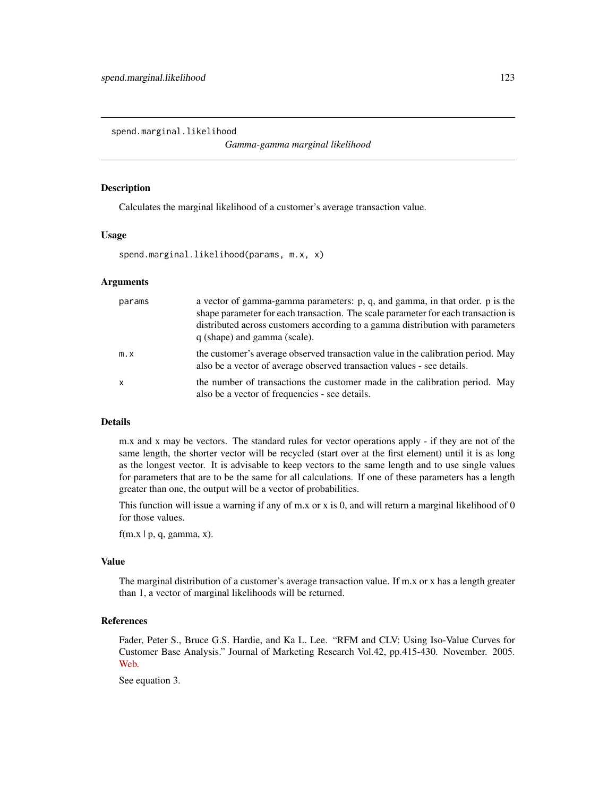<span id="page-122-1"></span><span id="page-122-0"></span>spend.marginal.likelihood

*Gamma-gamma marginal likelihood*

#### Description

Calculates the marginal likelihood of a customer's average transaction value.

#### Usage

spend.marginal.likelihood(params, m.x, x)

# Arguments

| params       | a vector of gamma-gamma parameters: p, q, and gamma, in that order. p is the<br>shape parameter for each transaction. The scale parameter for each transaction is<br>distributed across customers according to a gamma distribution with parameters<br>q (shape) and gamma (scale). |
|--------------|-------------------------------------------------------------------------------------------------------------------------------------------------------------------------------------------------------------------------------------------------------------------------------------|
| $m \cdot x$  | the customer's average observed transaction value in the calibration period. May<br>also be a vector of average observed transaction values - see details.                                                                                                                          |
| $\mathsf{x}$ | the number of transactions the customer made in the calibration period. May<br>also be a vector of frequencies - see details.                                                                                                                                                       |

#### Details

m.x and x may be vectors. The standard rules for vector operations apply - if they are not of the same length, the shorter vector will be recycled (start over at the first element) until it is as long as the longest vector. It is advisable to keep vectors to the same length and to use single values for parameters that are to be the same for all calculations. If one of these parameters has a length greater than one, the output will be a vector of probabilities.

This function will issue a warning if any of m.x or x is 0, and will return a marginal likelihood of  $0$ for those values.

 $f(m.x | p, q, gamma, x)$ .

#### Value

The marginal distribution of a customer's average transaction value. If m.x or x has a length greater than 1, a vector of marginal likelihoods will be returned.

#### References

Fader, Peter S., Bruce G.S. Hardie, and Ka L. Lee. "RFM and CLV: Using Iso-Value Curves for Customer Base Analysis." Journal of Marketing Research Vol.42, pp.415-430. November. 2005. [Web.](http://www.brucehardie.com/papers/rfm_clv_2005-02-16.pdf)

See equation 3.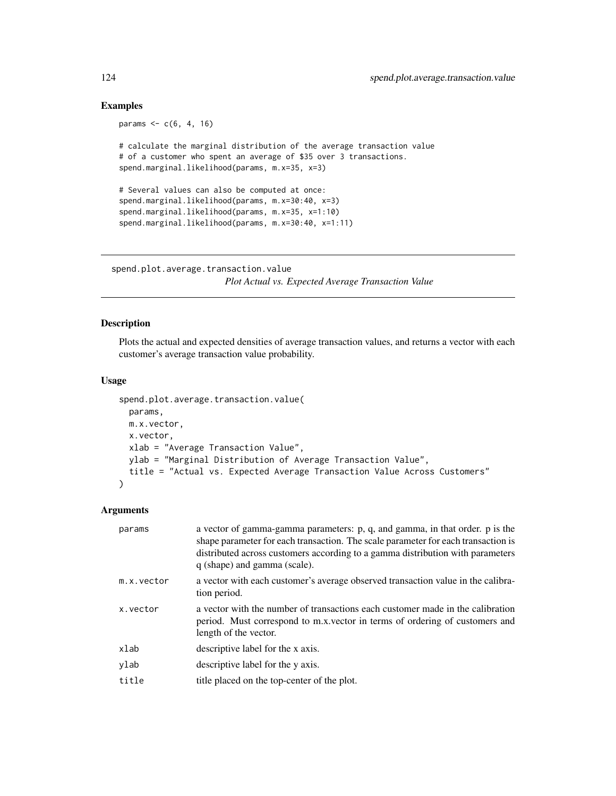# Examples

```
params <-c(6, 4, 16)# calculate the marginal distribution of the average transaction value
# of a customer who spent an average of $35 over 3 transactions.
spend.marginal.likelihood(params, m.x=35, x=3)
# Several values can also be computed at once:
spend.marginal.likelihood(params, m.x=30:40, x=3)
spend.marginal.likelihood(params, m.x=35, x=1:10)
spend.marginal.likelihood(params, m.x=30:40, x=1:11)
```
spend.plot.average.transaction.value *Plot Actual vs. Expected Average Transaction Value*

# Description

Plots the actual and expected densities of average transaction values, and returns a vector with each customer's average transaction value probability.

# Usage

```
spend.plot.average.transaction.value(
 params,
 m.x.vector,
 x.vector,
 xlab = "Average Transaction Value",
 ylab = "Marginal Distribution of Average Transaction Value",
 title = "Actual vs. Expected Average Transaction Value Across Customers"
)
```

| params     | a vector of gamma-gamma parameters: p, q, and gamma, in that order. p is the<br>shape parameter for each transaction. The scale parameter for each transaction is<br>distributed across customers according to a gamma distribution with parameters<br>q (shape) and gamma (scale). |
|------------|-------------------------------------------------------------------------------------------------------------------------------------------------------------------------------------------------------------------------------------------------------------------------------------|
| m.x.vector | a vector with each customer's average observed transaction value in the calibra-<br>tion period.                                                                                                                                                                                    |
| x.vector   | a vector with the number of transactions each customer made in the calibration<br>period. Must correspond to m.x. vector in terms of ordering of customers and<br>length of the vector.                                                                                             |
| xlab       | descriptive label for the x axis.                                                                                                                                                                                                                                                   |
| ylab       | descriptive label for the y axis.                                                                                                                                                                                                                                                   |
| title      | title placed on the top-center of the plot.                                                                                                                                                                                                                                         |

<span id="page-123-0"></span>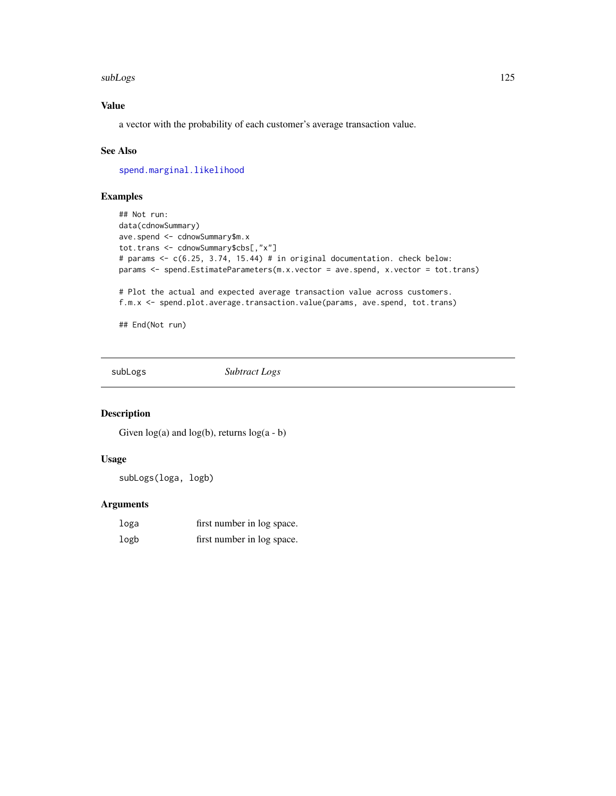#### <span id="page-124-0"></span>subLogs and the state of the state of the state of the state of the state of the state of the state of the state of the state of the state of the state of the state of the state of the state of the state of the state of th

# Value

a vector with the probability of each customer's average transaction value.

#### See Also

[spend.marginal.likelihood](#page-122-0)

# Examples

```
## Not run:
data(cdnowSummary)
ave.spend <- cdnowSummary$m.x
tot.trans <- cdnowSummary$cbs[,"x"]
# params <- c(6.25, 3.74, 15.44) # in original documentation. check below:
params <- spend.EstimateParameters(m.x.vector = ave.spend, x.vector = tot.trans)
# Plot the actual and expected average transaction value across customers.
f.m.x <- spend.plot.average.transaction.value(params, ave.spend, tot.trans)
```
## End(Not run)

subLogs *Subtract Logs*

# Description

Given  $log(a)$  and  $log(b)$ , returns  $log(a - b)$ 

#### Usage

subLogs(loga, logb)

| loga | first number in log space. |
|------|----------------------------|
| logb | first number in log space. |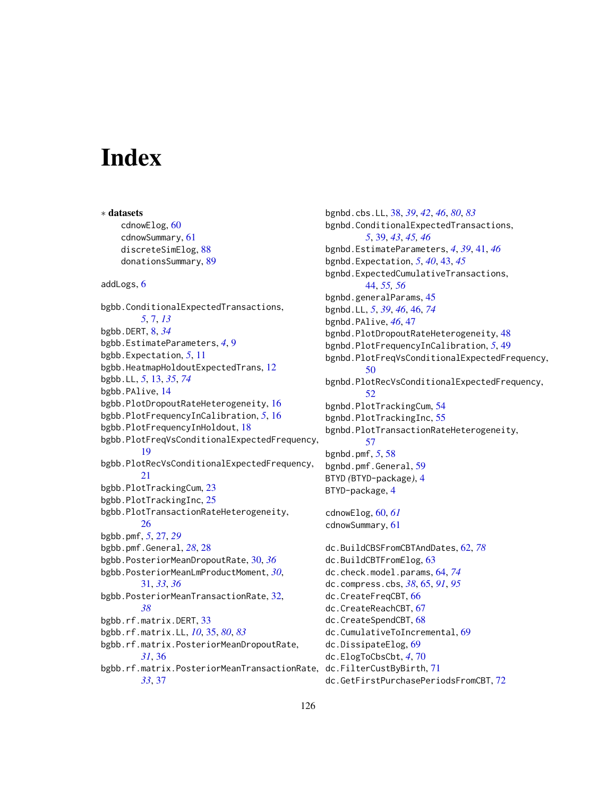# **Index**

∗ datasets cdnowElog, [60](#page-59-0) cdnowSummary, [61](#page-60-0) discreteSimElog, [88](#page-87-0) donationsSummary, [89](#page-88-0) addLogs, [6](#page-5-0) bgbb.ConditionalExpectedTransactions, *[5](#page-4-0)*, [7,](#page-6-0) *[13](#page-12-0)* bgbb.DERT, [8,](#page-7-0) *[34](#page-33-0)* bgbb.EstimateParameters, *[4](#page-3-0)*, [9](#page-8-0) bgbb.Expectation, *[5](#page-4-0)*, [11](#page-10-0) bgbb.HeatmapHoldoutExpectedTrans, [12](#page-11-0) bgbb.LL, *[5](#page-4-0)*, [13,](#page-12-0) *[35](#page-34-0)*, *[74](#page-73-0)* bgbb.PAlive, [14](#page-13-0) bgbb.PlotDropoutRateHeterogeneity, [16](#page-15-0) bgbb.PlotFrequencyInCalibration, *[5](#page-4-0)*, [16](#page-15-0) bgbb.PlotFrequencyInHoldout, [18](#page-17-0) bgbb.PlotFreqVsConditionalExpectedFrequency, [19](#page-18-0) bgbb.PlotRecVsConditionalExpectedFrequency, [21](#page-20-0) bgbb.PlotTrackingCum, [23](#page-22-0) bgbb.PlotTrackingInc, [25](#page-24-0) bgbb.PlotTransactionRateHeterogeneity, [26](#page-25-0) bgbb.pmf, *[5](#page-4-0)*, [27,](#page-26-0) *[29](#page-28-0)* bgbb.pmf.General, *[28](#page-27-0)*, [28](#page-27-0) bgbb.PosteriorMeanDropoutRate, [30,](#page-29-0) *[36](#page-35-0)* bgbb.PosteriorMeanLmProductMoment, *[30](#page-29-0)*, [31,](#page-30-0) *[33](#page-32-0)*, *[36](#page-35-0)* bgbb.PosteriorMeanTransactionRate, [32,](#page-31-0) *[38](#page-37-0)* bgbb.rf.matrix.DERT, [33](#page-32-0) bgbb.rf.matrix.LL, *[10](#page-9-0)*, [35,](#page-34-0) *[80](#page-79-0)*, *[83](#page-82-0)* bgbb.rf.matrix.PosteriorMeanDropoutRate, *[31](#page-30-0)*, [36](#page-35-0) bgbb.rf.matrix.PosteriorMeanTransactionRate, dc.FilterCustByBirth, [71](#page-70-0) *[33](#page-32-0)*, [37](#page-36-0)

bgnbd.cbs.LL, [38,](#page-37-0) *[39](#page-38-0)*, *[42](#page-41-0)*, *[46](#page-45-0)*, *[80](#page-79-0)*, *[83](#page-82-0)* bgnbd.ConditionalExpectedTransactions, *[5](#page-4-0)*, [39,](#page-38-0) *[43](#page-42-0)*, *[45,](#page-44-0) [46](#page-45-0)* bgnbd.EstimateParameters, *[4](#page-3-0)*, *[39](#page-38-0)*, [41,](#page-40-0) *[46](#page-45-0)* bgnbd.Expectation, *[5](#page-4-0)*, *[40](#page-39-0)*, [43,](#page-42-0) *[45](#page-44-0)* bgnbd.ExpectedCumulativeTransactions, [44,](#page-43-0) *[55,](#page-54-0) [56](#page-55-0)* bgnbd.generalParams, [45](#page-44-0) bgnbd.LL, *[5](#page-4-0)*, *[39](#page-38-0)*, *[46](#page-45-0)*, [46,](#page-45-0) *[74](#page-73-0)* bgnbd.PAlive, *[46](#page-45-0)*, [47](#page-46-0) bgnbd.PlotDropoutRateHeterogeneity, [48](#page-47-0) bgnbd.PlotFrequencyInCalibration, *[5](#page-4-0)*, [49](#page-48-0) bgnbd.PlotFreqVsConditionalExpectedFrequency, [50](#page-49-0) bgnbd.PlotRecVsConditionalExpectedFrequency, [52](#page-51-0) bgnbd.PlotTrackingCum, [54](#page-53-0) bgnbd.PlotTrackingInc, [55](#page-54-0) bgnbd.PlotTransactionRateHeterogeneity, [57](#page-56-0) bgnbd.pmf, *[5](#page-4-0)*, [58](#page-57-0) bgnbd.pmf.General, [59](#page-58-0) BTYD *(*BTYD-package*)*, [4](#page-3-0) BTYD-package, [4](#page-3-0) cdnowElog, [60,](#page-59-0) *[61](#page-60-0)* cdnowSummary, [61](#page-60-0) dc.BuildCBSFromCBTAndDates, [62,](#page-61-0) *[78](#page-77-0)* dc.BuildCBTFromElog, [63](#page-62-0) dc.check.model.params, [64,](#page-63-0) *[74](#page-73-0)* dc.compress.cbs, *[38](#page-37-0)*, [65,](#page-64-0) *[91](#page-90-0)*, *[95](#page-94-0)* dc.CreateFreqCBT, [66](#page-65-0) dc.CreateReachCBT, [67](#page-66-0) dc.CreateSpendCBT, [68](#page-67-0) dc.CumulativeToIncremental, [69](#page-68-0) dc.DissipateElog, [69](#page-68-0) dc.ElogToCbsCbt, *[4](#page-3-0)*, [70](#page-69-0) dc.GetFirstPurchasePeriodsFromCBT, [72](#page-71-0)